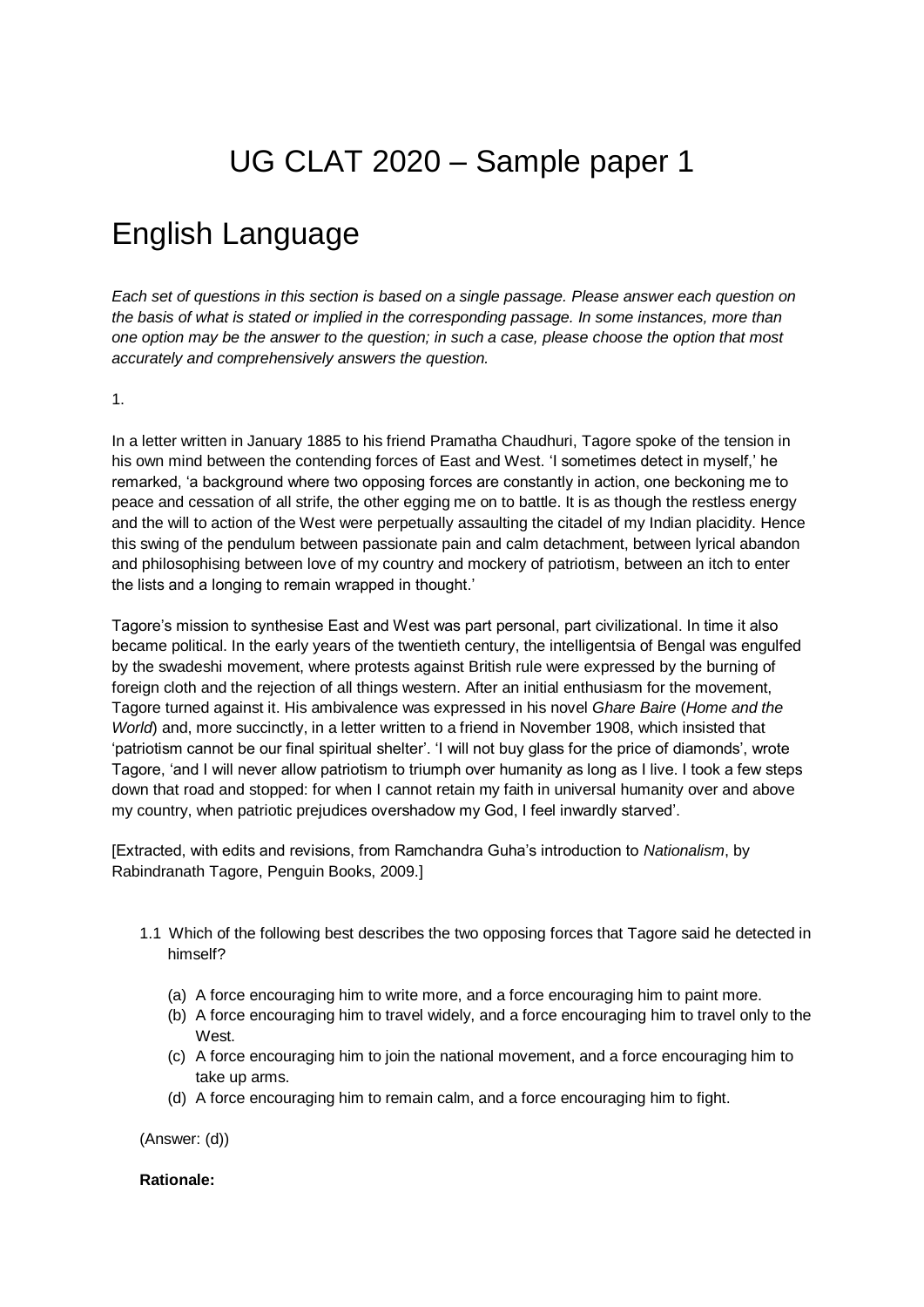# UG CLAT 2020 – Sample paper 1

# English Language

*Each set of questions in this section is based on a single passage. Please answer each question on the basis of what is stated or implied in the corresponding passage. In some instances, more than one option may be the answer to the question; in such a case, please choose the option that most accurately and comprehensively answers the question.*

1.

In a letter written in January 1885 to his friend Pramatha Chaudhuri, Tagore spoke of the tension in his own mind between the contending forces of East and West. 'I sometimes detect in myself,' he remarked, 'a background where two opposing forces are constantly in action, one beckoning me to peace and cessation of all strife, the other egging me on to battle. It is as though the restless energy and the will to action of the West were perpetually assaulting the citadel of my Indian placidity. Hence this swing of the pendulum between passionate pain and calm detachment, between lyrical abandon and philosophising between love of my country and mockery of patriotism, between an itch to enter the lists and a longing to remain wrapped in thought.'

Tagore's mission to synthesise East and West was part personal, part civilizational. In time it also became political. In the early years of the twentieth century, the intelligentsia of Bengal was engulfed by the swadeshi movement, where protests against British rule were expressed by the burning of foreign cloth and the rejection of all things western. After an initial enthusiasm for the movement, Tagore turned against it. His ambivalence was expressed in his novel *Ghare Baire* (*Home and the World*) and, more succinctly, in a letter written to a friend in November 1908, which insisted that 'patriotism cannot be our final spiritual shelter'. 'I will not buy glass for the price of diamonds', wrote Tagore, 'and I will never allow patriotism to triumph over humanity as long as I live. I took a few steps down that road and stopped: for when I cannot retain my faith in universal humanity over and above my country, when patriotic prejudices overshadow my God, I feel inwardly starved'.

[Extracted, with edits and revisions, from Ramchandra Guha's introduction to *Nationalism*, by Rabindranath Tagore, Penguin Books, 2009.]

- 1.1 Which of the following best describes the two opposing forces that Tagore said he detected in himself?
	- (a) A force encouraging him to write more, and a force encouraging him to paint more.
	- (b) A force encouraging him to travel widely, and a force encouraging him to travel only to the West.
	- (c) A force encouraging him to join the national movement, and a force encouraging him to take up arms.
	- (d) A force encouraging him to remain calm, and a force encouraging him to fight.

(Answer: (d))

## **Rationale:**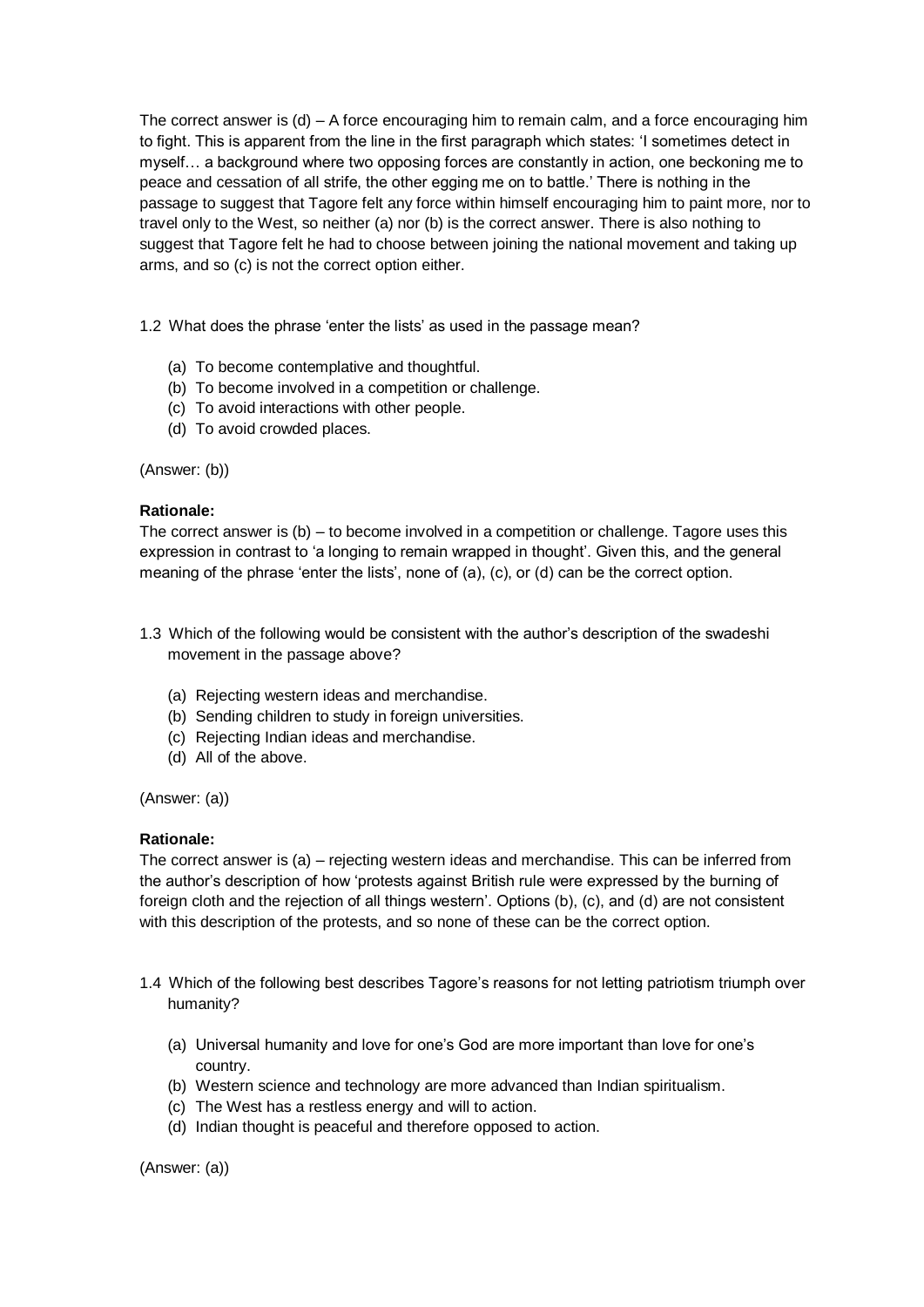The correct answer is (d) – A force encouraging him to remain calm, and a force encouraging him to fight. This is apparent from the line in the first paragraph which states: 'I sometimes detect in myself… a background where two opposing forces are constantly in action, one beckoning me to peace and cessation of all strife, the other egging me on to battle.' There is nothing in the passage to suggest that Tagore felt any force within himself encouraging him to paint more, nor to travel only to the West, so neither (a) nor (b) is the correct answer. There is also nothing to suggest that Tagore felt he had to choose between joining the national movement and taking up arms, and so (c) is not the correct option either.

1.2 What does the phrase 'enter the lists' as used in the passage mean?

- (a) To become contemplative and thoughtful.
- (b) To become involved in a competition or challenge.
- (c) To avoid interactions with other people.
- (d) To avoid crowded places.

(Answer: (b))

## **Rationale:**

The correct answer is (b) – to become involved in a competition or challenge. Tagore uses this expression in contrast to 'a longing to remain wrapped in thought'. Given this, and the general meaning of the phrase 'enter the lists', none of (a), (c), or (d) can be the correct option.

- 1.3 Which of the following would be consistent with the author's description of the swadeshi movement in the passage above?
	- (a) Rejecting western ideas and merchandise.
	- (b) Sending children to study in foreign universities.
	- (c) Rejecting Indian ideas and merchandise.
	- (d) All of the above.

(Answer: (a))

## **Rationale:**

The correct answer is (a) – rejecting western ideas and merchandise. This can be inferred from the author's description of how 'protests against British rule were expressed by the burning of foreign cloth and the rejection of all things western'. Options (b), (c), and (d) are not consistent with this description of the protests, and so none of these can be the correct option.

- 1.4 Which of the following best describes Tagore's reasons for not letting patriotism triumph over humanity?
	- (a) Universal humanity and love for one's God are more important than love for one's country.
	- (b) Western science and technology are more advanced than Indian spiritualism.
	- (c) The West has a restless energy and will to action.
	- (d) Indian thought is peaceful and therefore opposed to action.

(Answer: (a))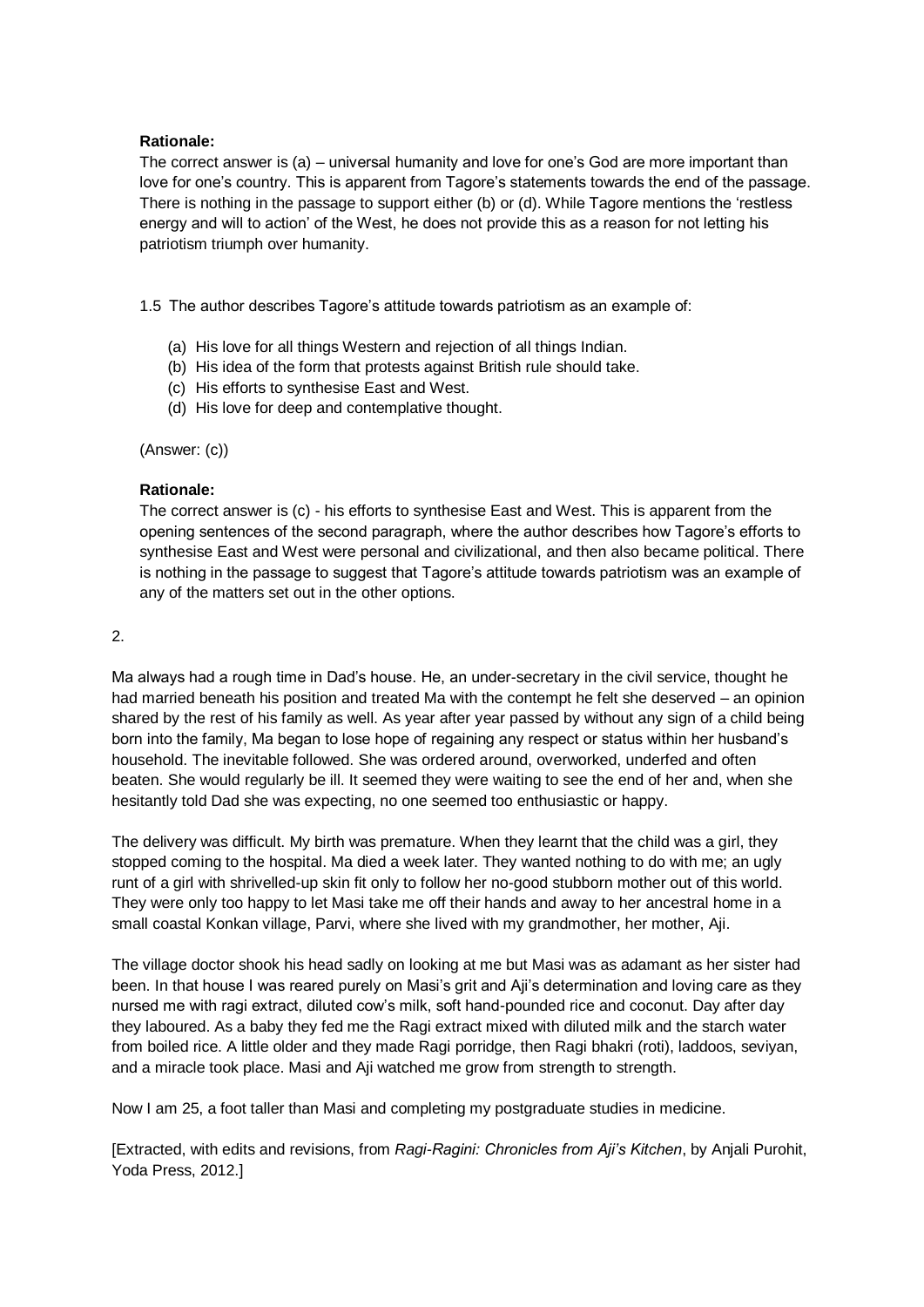## **Rationale:**

The correct answer is (a) – universal humanity and love for one's God are more important than love for one's country. This is apparent from Tagore's statements towards the end of the passage. There is nothing in the passage to support either (b) or (d). While Tagore mentions the 'restless energy and will to action' of the West, he does not provide this as a reason for not letting his patriotism triumph over humanity.

1.5 The author describes Tagore's attitude towards patriotism as an example of:

- (a) His love for all things Western and rejection of all things Indian.
- (b) His idea of the form that protests against British rule should take.
- (c) His efforts to synthesise East and West.
- (d) His love for deep and contemplative thought.

(Answer: (c))

## **Rationale:**

The correct answer is (c) - his efforts to synthesise East and West. This is apparent from the opening sentences of the second paragraph, where the author describes how Tagore's efforts to synthesise East and West were personal and civilizational, and then also became political. There is nothing in the passage to suggest that Tagore's attitude towards patriotism was an example of any of the matters set out in the other options.

# 2.

Ma always had a rough time in Dad's house. He, an under-secretary in the civil service, thought he had married beneath his position and treated Ma with the contempt he felt she deserved – an opinion shared by the rest of his family as well. As year after year passed by without any sign of a child being born into the family, Ma began to lose hope of regaining any respect or status within her husband's household. The inevitable followed. She was ordered around, overworked, underfed and often beaten. She would regularly be ill. It seemed they were waiting to see the end of her and, when she hesitantly told Dad she was expecting, no one seemed too enthusiastic or happy.

The delivery was difficult. My birth was premature. When they learnt that the child was a girl, they stopped coming to the hospital. Ma died a week later. They wanted nothing to do with me; an ugly runt of a girl with shrivelled-up skin fit only to follow her no-good stubborn mother out of this world. They were only too happy to let Masi take me off their hands and away to her ancestral home in a small coastal Konkan village, Parvi, where she lived with my grandmother, her mother, Aji.

The village doctor shook his head sadly on looking at me but Masi was as adamant as her sister had been. In that house I was reared purely on Masi's grit and Aji's determination and loving care as they nursed me with ragi extract, diluted cow's milk, soft hand-pounded rice and coconut. Day after day they laboured. As a baby they fed me the Ragi extract mixed with diluted milk and the starch water from boiled rice. A little older and they made Ragi porridge, then Ragi bhakri (roti), laddoos, seviyan, and a miracle took place. Masi and Aji watched me grow from strength to strength.

Now I am 25, a foot taller than Masi and completing my postgraduate studies in medicine.

[Extracted, with edits and revisions, from *Ragi-Ragini: Chronicles from Aji's Kitchen*, by Anjali Purohit, Yoda Press, 2012.]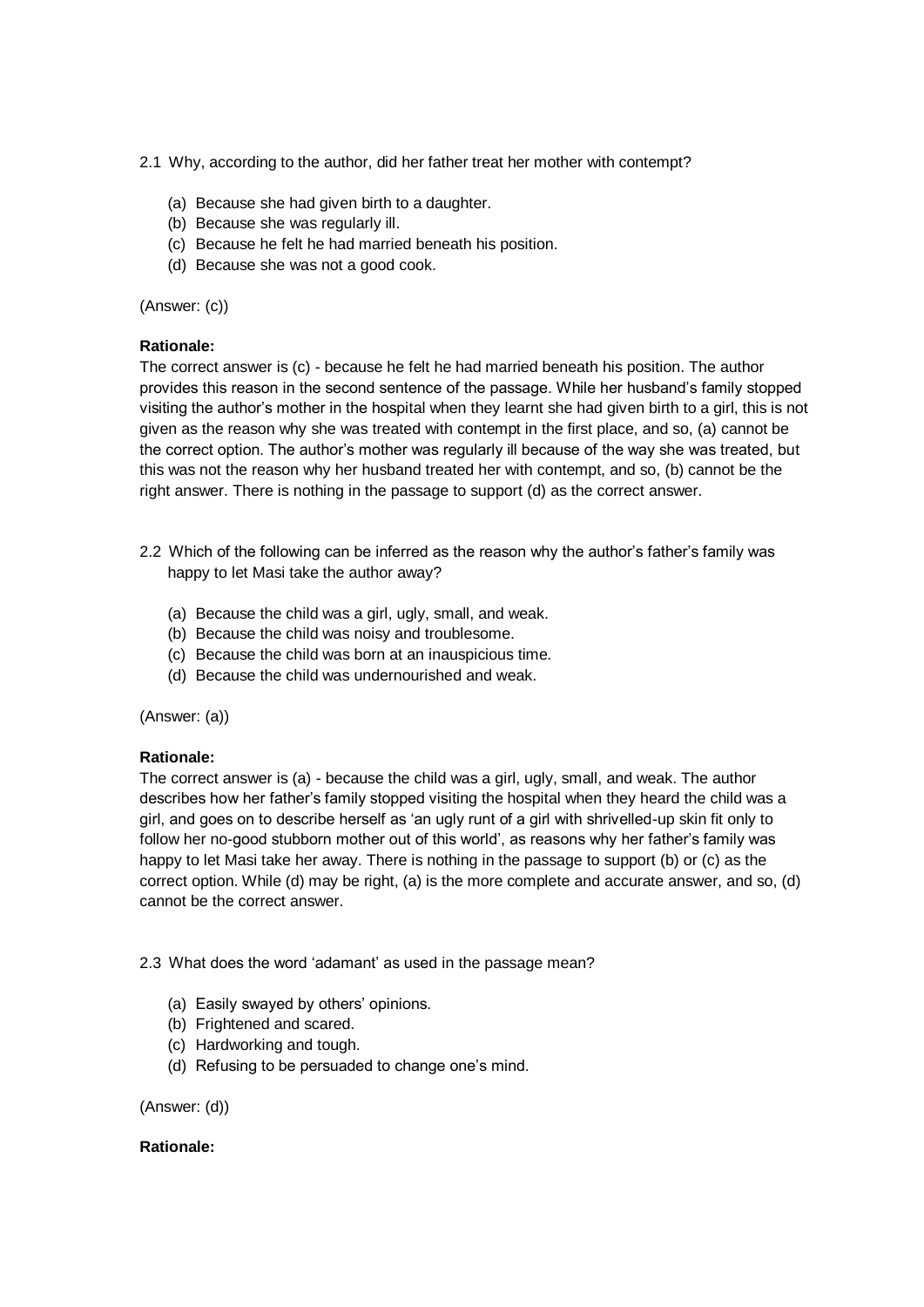- 2.1 Why, according to the author, did her father treat her mother with contempt?
	- (a) Because she had given birth to a daughter.
	- (b) Because she was regularly ill.
	- (c) Because he felt he had married beneath his position.
	- (d) Because she was not a good cook.

## (Answer: (c))

## **Rationale:**

The correct answer is (c) - because he felt he had married beneath his position. The author provides this reason in the second sentence of the passage. While her husband's family stopped visiting the author's mother in the hospital when they learnt she had given birth to a girl, this is not given as the reason why she was treated with contempt in the first place, and so, (a) cannot be the correct option. The author's mother was regularly ill because of the way she was treated, but this was not the reason why her husband treated her with contempt, and so, (b) cannot be the right answer. There is nothing in the passage to support (d) as the correct answer.

- 2.2 Which of the following can be inferred as the reason why the author's father's family was happy to let Masi take the author away?
	- (a) Because the child was a girl, ugly, small, and weak.
	- (b) Because the child was noisy and troublesome.
	- (c) Because the child was born at an inauspicious time.
	- (d) Because the child was undernourished and weak.

(Answer: (a))

## **Rationale:**

The correct answer is (a) - because the child was a girl, ugly, small, and weak. The author describes how her father's family stopped visiting the hospital when they heard the child was a girl, and goes on to describe herself as 'an ugly runt of a girl with shrivelled-up skin fit only to follow her no-good stubborn mother out of this world', as reasons why her father's family was happy to let Masi take her away. There is nothing in the passage to support (b) or (c) as the correct option. While (d) may be right, (a) is the more complete and accurate answer, and so, (d) cannot be the correct answer.

2.3 What does the word 'adamant' as used in the passage mean?

- (a) Easily swayed by others' opinions.
- (b) Frightened and scared.
- (c) Hardworking and tough.
- (d) Refusing to be persuaded to change one's mind.

(Answer: (d))

#### **Rationale:**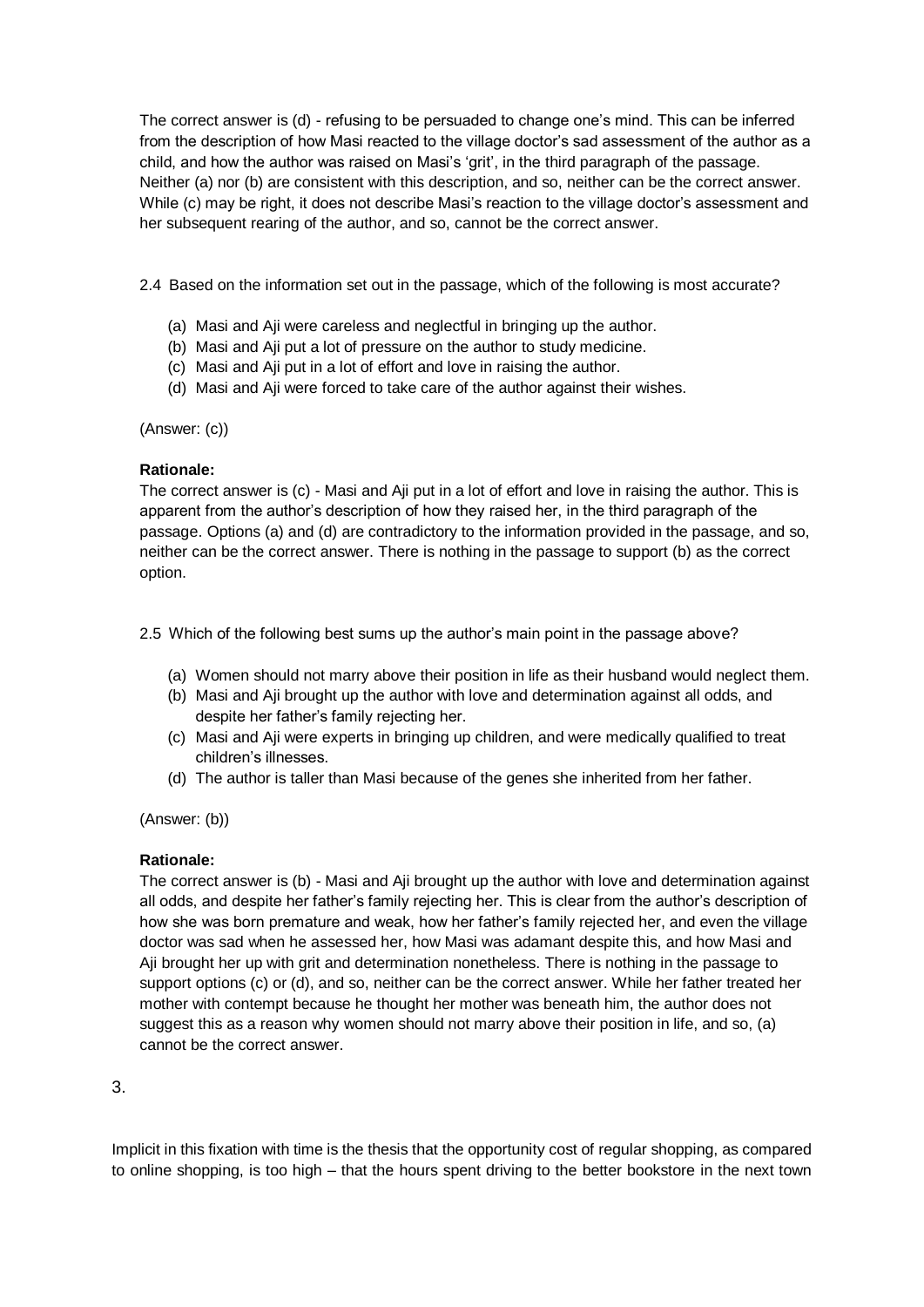The correct answer is (d) - refusing to be persuaded to change one's mind. This can be inferred from the description of how Masi reacted to the village doctor's sad assessment of the author as a child, and how the author was raised on Masi's 'grit', in the third paragraph of the passage. Neither (a) nor (b) are consistent with this description, and so, neither can be the correct answer. While (c) may be right, it does not describe Masi's reaction to the village doctor's assessment and her subsequent rearing of the author, and so, cannot be the correct answer.

2.4 Based on the information set out in the passage, which of the following is most accurate?

- (a) Masi and Aji were careless and neglectful in bringing up the author.
- (b) Masi and Aji put a lot of pressure on the author to study medicine.
- (c) Masi and Aji put in a lot of effort and love in raising the author.
- (d) Masi and Aji were forced to take care of the author against their wishes.

(Answer: (c))

# **Rationale:**

The correct answer is (c) - Masi and Aji put in a lot of effort and love in raising the author. This is apparent from the author's description of how they raised her, in the third paragraph of the passage. Options (a) and (d) are contradictory to the information provided in the passage, and so, neither can be the correct answer. There is nothing in the passage to support (b) as the correct option.

2.5 Which of the following best sums up the author's main point in the passage above?

- (a) Women should not marry above their position in life as their husband would neglect them.
- (b) Masi and Aji brought up the author with love and determination against all odds, and despite her father's family rejecting her.
- (c) Masi and Aji were experts in bringing up children, and were medically qualified to treat children's illnesses.
- (d) The author is taller than Masi because of the genes she inherited from her father.

(Answer: (b))

# **Rationale:**

The correct answer is (b) - Masi and Aji brought up the author with love and determination against all odds, and despite her father's family rejecting her. This is clear from the author's description of how she was born premature and weak, how her father's family rejected her, and even the village doctor was sad when he assessed her, how Masi was adamant despite this, and how Masi and Aji brought her up with grit and determination nonetheless. There is nothing in the passage to support options (c) or (d), and so, neither can be the correct answer. While her father treated her mother with contempt because he thought her mother was beneath him, the author does not suggest this as a reason why women should not marry above their position in life, and so, (a) cannot be the correct answer.

3.

Implicit in this fixation with time is the thesis that the opportunity cost of regular shopping, as compared to online shopping, is too high – that the hours spent driving to the better bookstore in the next town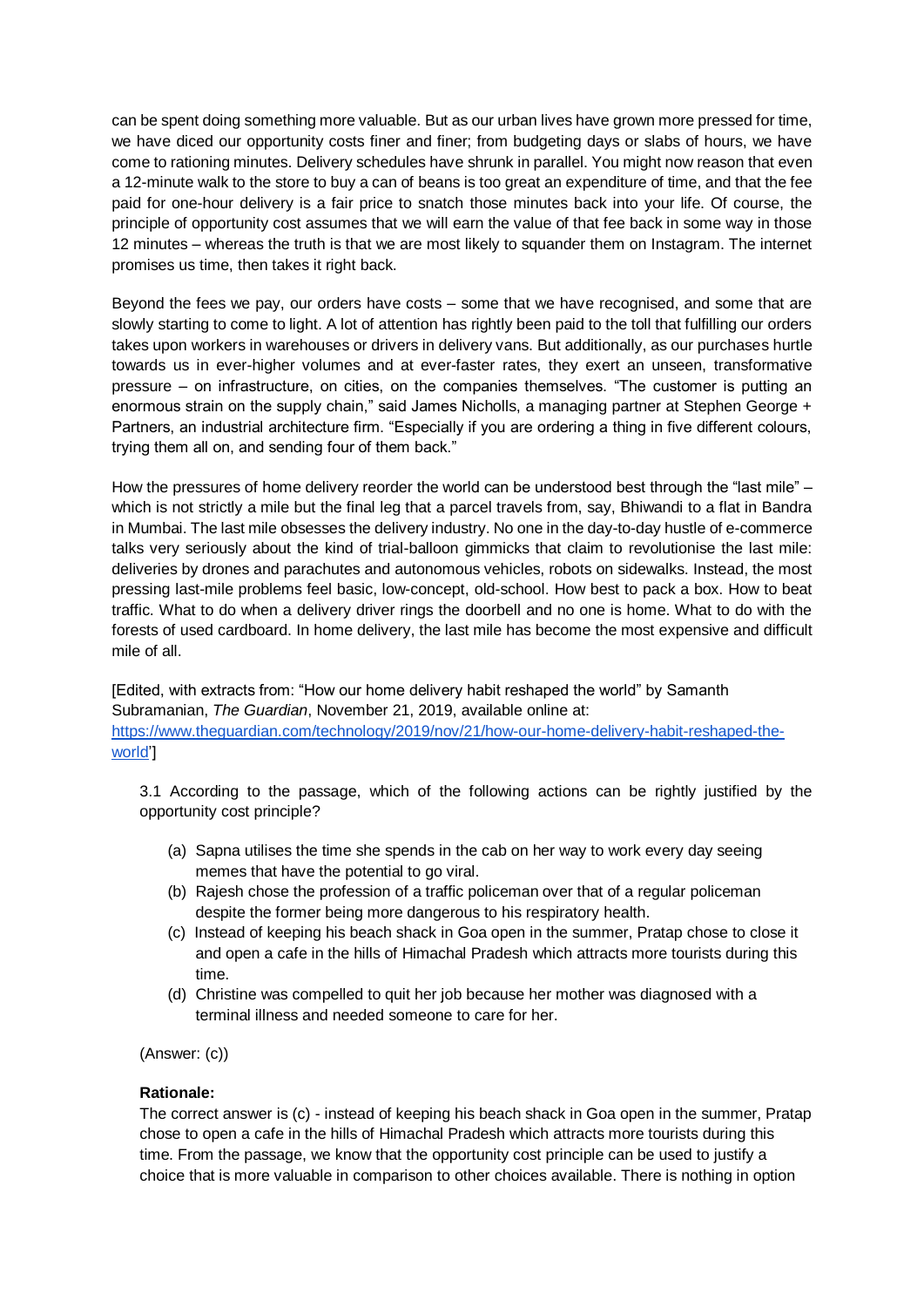can be spent doing something more valuable. But as our urban lives have grown more pressed for time, we have diced our opportunity costs finer and finer; from budgeting days or slabs of hours, we have come to rationing minutes. Delivery schedules have shrunk in parallel. You might now reason that even a 12-minute walk to the store to buy a can of beans is too great an expenditure of time, and that the fee paid for one-hour delivery is a fair price to snatch those minutes back into your life. Of course, the principle of opportunity cost assumes that we will earn the value of that fee back in some way in those 12 minutes – whereas the truth is that we are most likely to squander them on Instagram. The internet promises us time, then takes it right back.

Beyond the fees we pay, our orders have costs – some that we have recognised, and some that are slowly starting to come to light. A lot of attention has rightly been paid to the toll that fulfilling our orders takes upon workers in warehouses or drivers in delivery vans. But additionally, as our purchases hurtle towards us in ever-higher volumes and at ever-faster rates, they exert an unseen, transformative pressure – on infrastructure, on cities, on the companies themselves. "The customer is putting an enormous strain on the supply chain," said James Nicholls, a managing partner at Stephen George + Partners, an industrial architecture firm. "Especially if you are ordering a thing in five different colours, trying them all on, and sending four of them back."

How the pressures of home delivery reorder the world can be understood best through the "last mile" – which is not strictly a mile but the final leg that a parcel travels from, say, Bhiwandi to a flat in Bandra in Mumbai. The last mile obsesses the delivery industry. No one in the day-to-day hustle of e-commerce talks very seriously about the kind of trial-balloon gimmicks that claim to revolutionise the last mile: deliveries by drones and parachutes and autonomous vehicles, robots on sidewalks. Instead, the most pressing last-mile problems feel basic, low-concept, old-school. How best to pack a box. How to beat traffic. What to do when a delivery driver rings the doorbell and no one is home. What to do with the forests of used cardboard. In home delivery, the last mile has become the most expensive and difficult mile of all.

[Edited, with extracts from: "How our home delivery habit reshaped the world" by Samanth Subramanian, *The Guardian*, November 21, 2019, available online at: [https://www.theguardian.com/technology/2019/nov/21/how-our-home-delivery-habit-reshaped-the](https://www.theguardian.com/technology/2019/nov/21/how-our-home-delivery-habit-reshaped-the-world)[world'\]](https://www.theguardian.com/technology/2019/nov/21/how-our-home-delivery-habit-reshaped-the-world)

3.1 According to the passage, which of the following actions can be rightly justified by the opportunity cost principle?

- (a) Sapna utilises the time she spends in the cab on her way to work every day seeing memes that have the potential to go viral.
- (b) Rajesh chose the profession of a traffic policeman over that of a regular policeman despite the former being more dangerous to his respiratory health.
- (c) Instead of keeping his beach shack in Goa open in the summer, Pratap chose to close it and open a cafe in the hills of Himachal Pradesh which attracts more tourists during this time.
- (d) Christine was compelled to quit her job because her mother was diagnosed with a terminal illness and needed someone to care for her.

(Answer: (c))

#### **Rationale:**

The correct answer is (c) - instead of keeping his beach shack in Goa open in the summer, Pratap chose to open a cafe in the hills of Himachal Pradesh which attracts more tourists during this time. From the passage, we know that the opportunity cost principle can be used to justify a choice that is more valuable in comparison to other choices available. There is nothing in option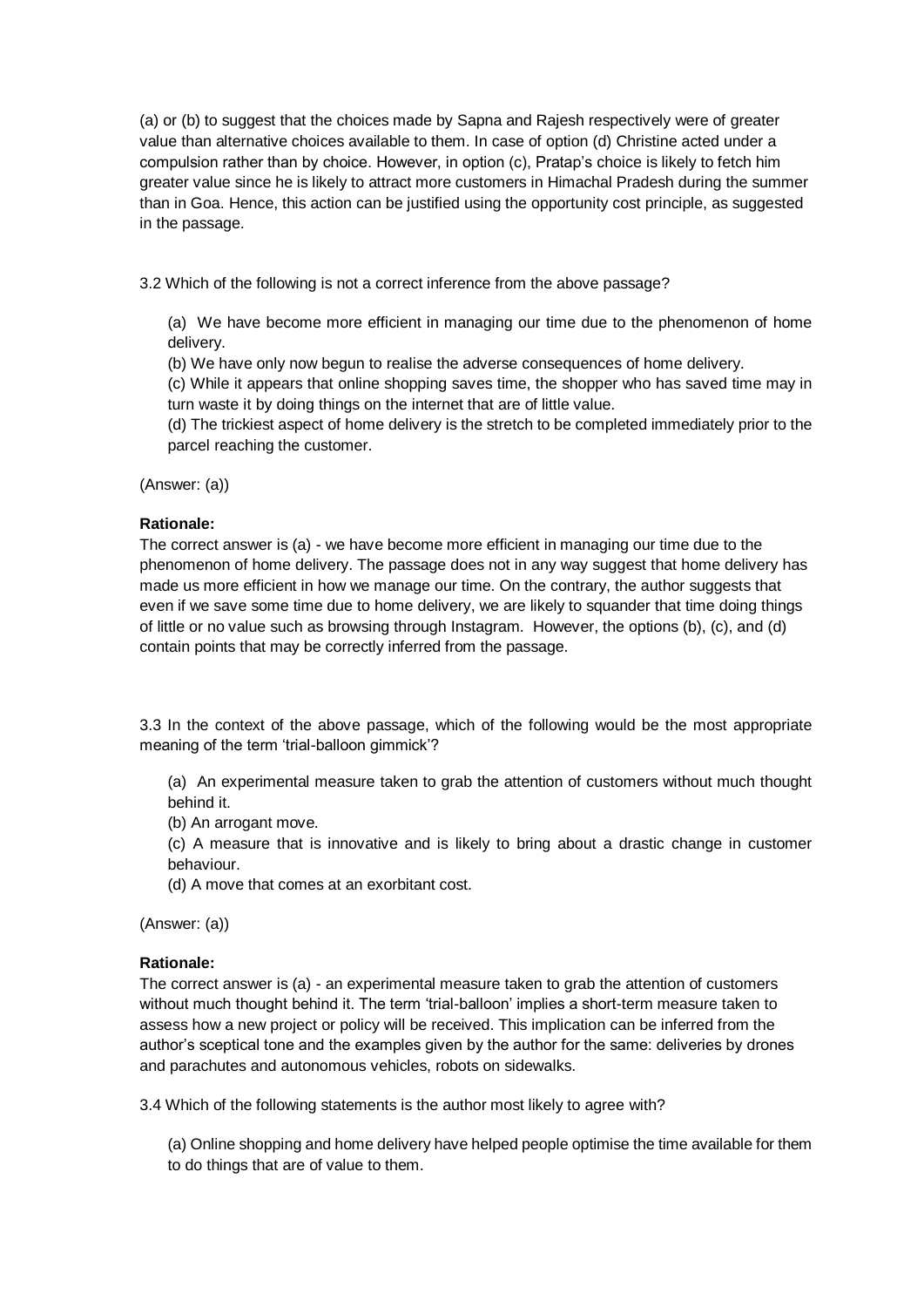(a) or (b) to suggest that the choices made by Sapna and Rajesh respectively were of greater value than alternative choices available to them. In case of option (d) Christine acted under a compulsion rather than by choice. However, in option (c), Pratap's choice is likely to fetch him greater value since he is likely to attract more customers in Himachal Pradesh during the summer than in Goa. Hence, this action can be justified using the opportunity cost principle, as suggested in the passage.

3.2 Which of the following is not a correct inference from the above passage?

(a) We have become more efficient in managing our time due to the phenomenon of home delivery.

(b) We have only now begun to realise the adverse consequences of home delivery.

(c) While it appears that online shopping saves time, the shopper who has saved time may in turn waste it by doing things on the internet that are of little value.

(d) The trickiest aspect of home delivery is the stretch to be completed immediately prior to the parcel reaching the customer.

(Answer: (a))

# **Rationale:**

The correct answer is (a) - we have become more efficient in managing our time due to the phenomenon of home delivery. The passage does not in any way suggest that home delivery has made us more efficient in how we manage our time. On the contrary, the author suggests that even if we save some time due to home delivery, we are likely to squander that time doing things of little or no value such as browsing through Instagram. However, the options (b), (c), and (d) contain points that may be correctly inferred from the passage.

3.3 In the context of the above passage, which of the following would be the most appropriate meaning of the term 'trial-balloon gimmick'?

(a) An experimental measure taken to grab the attention of customers without much thought behind it.

(b) An arrogant move.

(c) A measure that is innovative and is likely to bring about a drastic change in customer behaviour.

(d) A move that comes at an exorbitant cost.

(Answer: (a))

## **Rationale:**

The correct answer is (a) - an experimental measure taken to grab the attention of customers without much thought behind it. The term 'trial-balloon' implies a short-term measure taken to assess how a new project or policy will be received. This implication can be inferred from the author's sceptical tone and the examples given by the author for the same: deliveries by drones and parachutes and autonomous vehicles, robots on sidewalks.

3.4 Which of the following statements is the author most likely to agree with?

(a) Online shopping and home delivery have helped people optimise the time available for them to do things that are of value to them.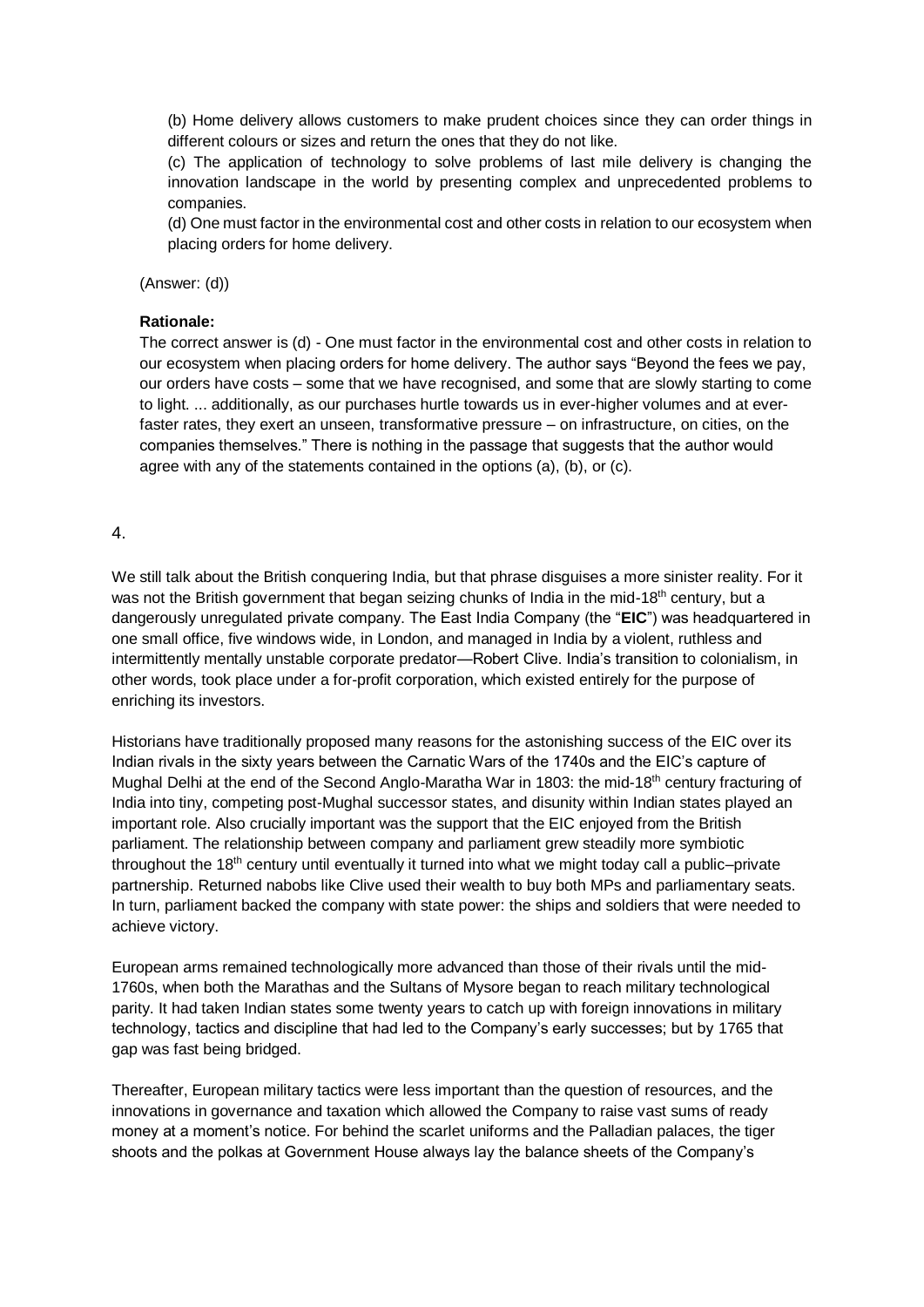(b) Home delivery allows customers to make prudent choices since they can order things in different colours or sizes and return the ones that they do not like.

(c) The application of technology to solve problems of last mile delivery is changing the innovation landscape in the world by presenting complex and unprecedented problems to companies.

(d) One must factor in the environmental cost and other costs in relation to our ecosystem when placing orders for home delivery.

(Answer: (d))

#### **Rationale:**

The correct answer is (d) - One must factor in the environmental cost and other costs in relation to our ecosystem when placing orders for home delivery. The author says "Beyond the fees we pay, our orders have costs – some that we have recognised, and some that are slowly starting to come to light. ... additionally, as our purchases hurtle towards us in ever-higher volumes and at everfaster rates, they exert an unseen, transformative pressure – on infrastructure, on cities, on the companies themselves." There is nothing in the passage that suggests that the author would agree with any of the statements contained in the options (a), (b), or (c).

#### 4.

We still talk about the British conquering India, but that phrase disguises a more sinister reality. For it was not the British government that began seizing chunks of India in the mid-18<sup>th</sup> century, but a dangerously unregulated private company. The East India Company (the "**EIC**") was headquartered in one small office, five windows wide, in London, and managed in India by a violent, ruthless and intermittently mentally unstable corporate predator—Robert Clive. India's transition to colonialism, in other words, took place under a for-profit corporation, which existed entirely for the purpose of enriching its investors.

Historians have traditionally proposed many reasons for the astonishing success of the EIC over its Indian rivals in the sixty years between the Carnatic Wars of the 1740s and the EIC's capture of Mughal Delhi at the end of the Second Anglo-Maratha War in 1803: the mid-18<sup>th</sup> century fracturing of India into tiny, competing post-Mughal successor states, and disunity within Indian states played an important role. Also crucially important was the support that the EIC enjoyed from the British parliament. The relationship between company and parliament grew steadily more symbiotic throughout the 18<sup>th</sup> century until eventually it turned into what we might today call a public–private partnership. Returned nabobs like Clive used their wealth to buy both MPs and parliamentary seats. In turn, parliament backed the company with state power: the ships and soldiers that were needed to achieve victory.

European arms remained technologically more advanced than those of their rivals until the mid-1760s, when both the Marathas and the Sultans of Mysore began to reach military technological parity. It had taken Indian states some twenty years to catch up with foreign innovations in military technology, tactics and discipline that had led to the Company's early successes; but by 1765 that gap was fast being bridged.

Thereafter, European military tactics were less important than the question of resources, and the innovations in governance and taxation which allowed the Company to raise vast sums of ready money at a moment's notice. For behind the scarlet uniforms and the Palladian palaces, the tiger shoots and the polkas at Government House always lay the balance sheets of the Company's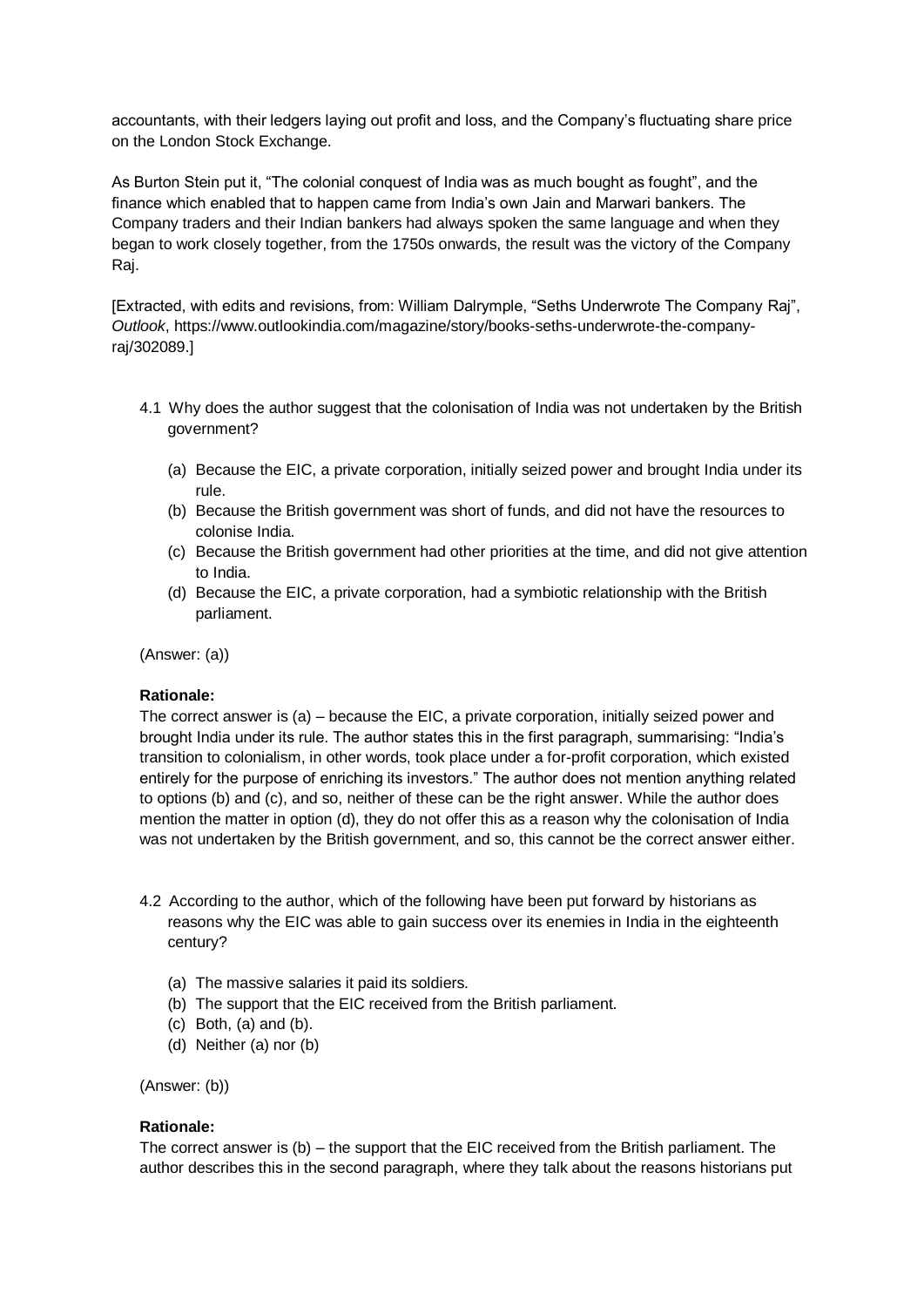accountants, with their ledgers laying out profit and loss, and the Company's fluctuating share price on the London Stock Exchange.

As Burton Stein put it, "The colonial conquest of India was as much bought as fought", and the finance which enabled that to happen came from India's own Jain and Marwari bankers. The Company traders and their Indian bankers had always spoken the same language and when they began to work closely together, from the 1750s onwards, the result was the victory of the Company Raj.

[Extracted, with edits and revisions, from: William Dalrymple, "Seths Underwrote The Company Raj", *Outlook*, https://www.outlookindia.com/magazine/story/books-seths-underwrote-the-companyraj/302089.]

- 4.1 Why does the author suggest that the colonisation of India was not undertaken by the British government?
	- (a) Because the EIC, a private corporation, initially seized power and brought India under its rule.
	- (b) Because the British government was short of funds, and did not have the resources to colonise India.
	- (c) Because the British government had other priorities at the time, and did not give attention to India.
	- (d) Because the EIC, a private corporation, had a symbiotic relationship with the British parliament.

(Answer: (a))

## **Rationale:**

The correct answer is (a) – because the EIC, a private corporation, initially seized power and brought India under its rule. The author states this in the first paragraph, summarising: "India's transition to colonialism, in other words, took place under a for-profit corporation, which existed entirely for the purpose of enriching its investors." The author does not mention anything related to options (b) and (c), and so, neither of these can be the right answer. While the author does mention the matter in option (d), they do not offer this as a reason why the colonisation of India was not undertaken by the British government, and so, this cannot be the correct answer either.

- 4.2 According to the author, which of the following have been put forward by historians as reasons why the EIC was able to gain success over its enemies in India in the eighteenth century?
	- (a) The massive salaries it paid its soldiers.
	- (b) The support that the EIC received from the British parliament.
	- $(c)$  Both,  $(a)$  and  $(b)$ .
	- (d) Neither (a) nor (b)

(Answer: (b))

#### **Rationale:**

The correct answer is (b) – the support that the EIC received from the British parliament. The author describes this in the second paragraph, where they talk about the reasons historians put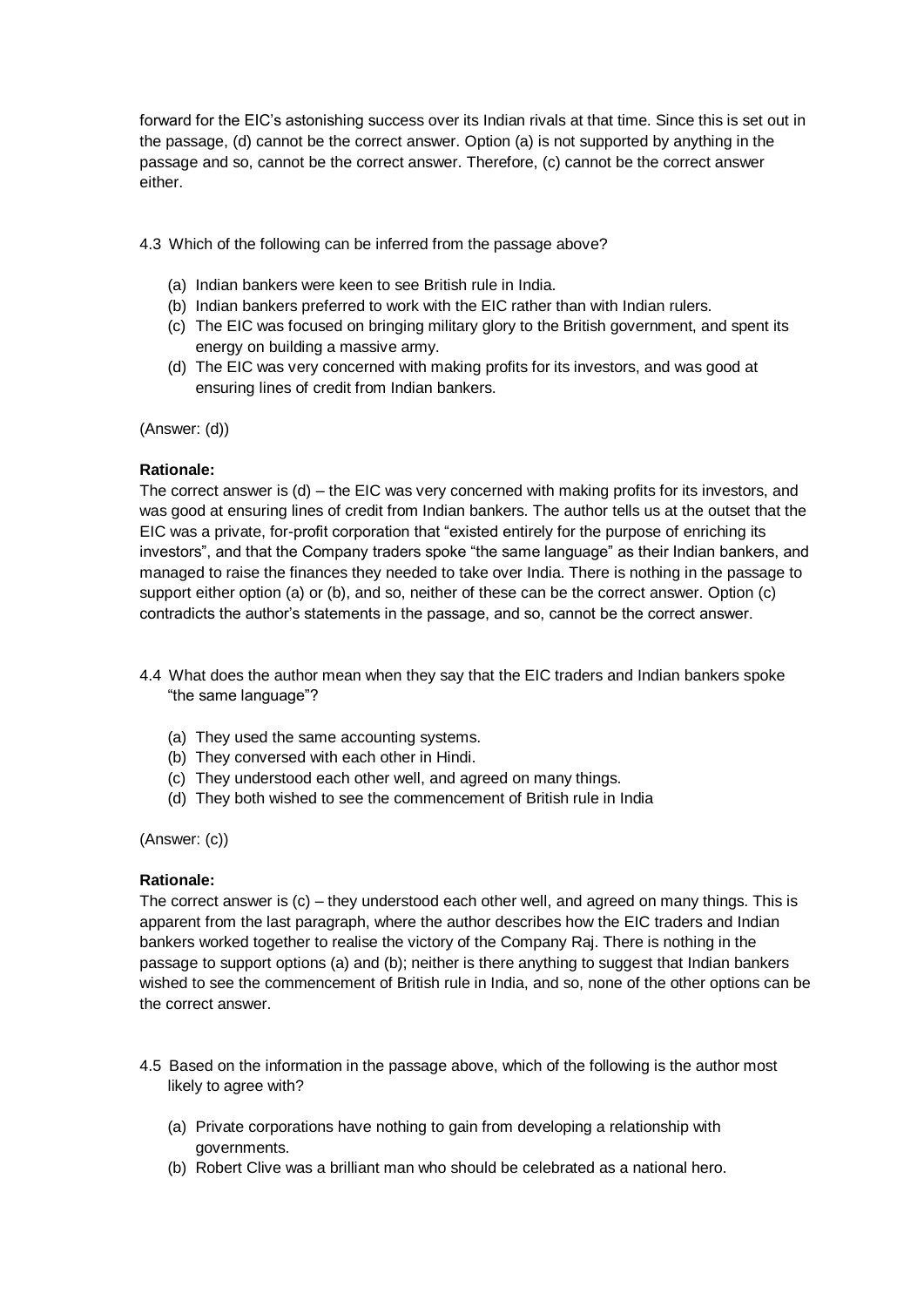forward for the EIC's astonishing success over its Indian rivals at that time. Since this is set out in the passage, (d) cannot be the correct answer. Option (a) is not supported by anything in the passage and so, cannot be the correct answer. Therefore, (c) cannot be the correct answer either.

4.3 Which of the following can be inferred from the passage above?

- (a) Indian bankers were keen to see British rule in India.
- (b) Indian bankers preferred to work with the EIC rather than with Indian rulers.
- (c) The EIC was focused on bringing military glory to the British government, and spent its energy on building a massive army.
- (d) The EIC was very concerned with making profits for its investors, and was good at ensuring lines of credit from Indian bankers.

(Answer: (d))

# **Rationale:**

The correct answer is (d) – the EIC was very concerned with making profits for its investors, and was good at ensuring lines of credit from Indian bankers. The author tells us at the outset that the EIC was a private, for-profit corporation that "existed entirely for the purpose of enriching its investors", and that the Company traders spoke "the same language" as their Indian bankers, and managed to raise the finances they needed to take over India. There is nothing in the passage to support either option (a) or (b), and so, neither of these can be the correct answer. Option (c) contradicts the author's statements in the passage, and so, cannot be the correct answer.

- 4.4 What does the author mean when they say that the EIC traders and Indian bankers spoke "the same language"?
	- (a) They used the same accounting systems.
	- (b) They conversed with each other in Hindi.
	- (c) They understood each other well, and agreed on many things.
	- (d) They both wished to see the commencement of British rule in India

(Answer: (c))

# **Rationale:**

The correct answer is (c) – they understood each other well, and agreed on many things. This is apparent from the last paragraph, where the author describes how the EIC traders and Indian bankers worked together to realise the victory of the Company Raj. There is nothing in the passage to support options (a) and (b); neither is there anything to suggest that Indian bankers wished to see the commencement of British rule in India, and so, none of the other options can be the correct answer.

- 4.5 Based on the information in the passage above, which of the following is the author most likely to agree with?
	- (a) Private corporations have nothing to gain from developing a relationship with governments.
	- (b) Robert Clive was a brilliant man who should be celebrated as a national hero.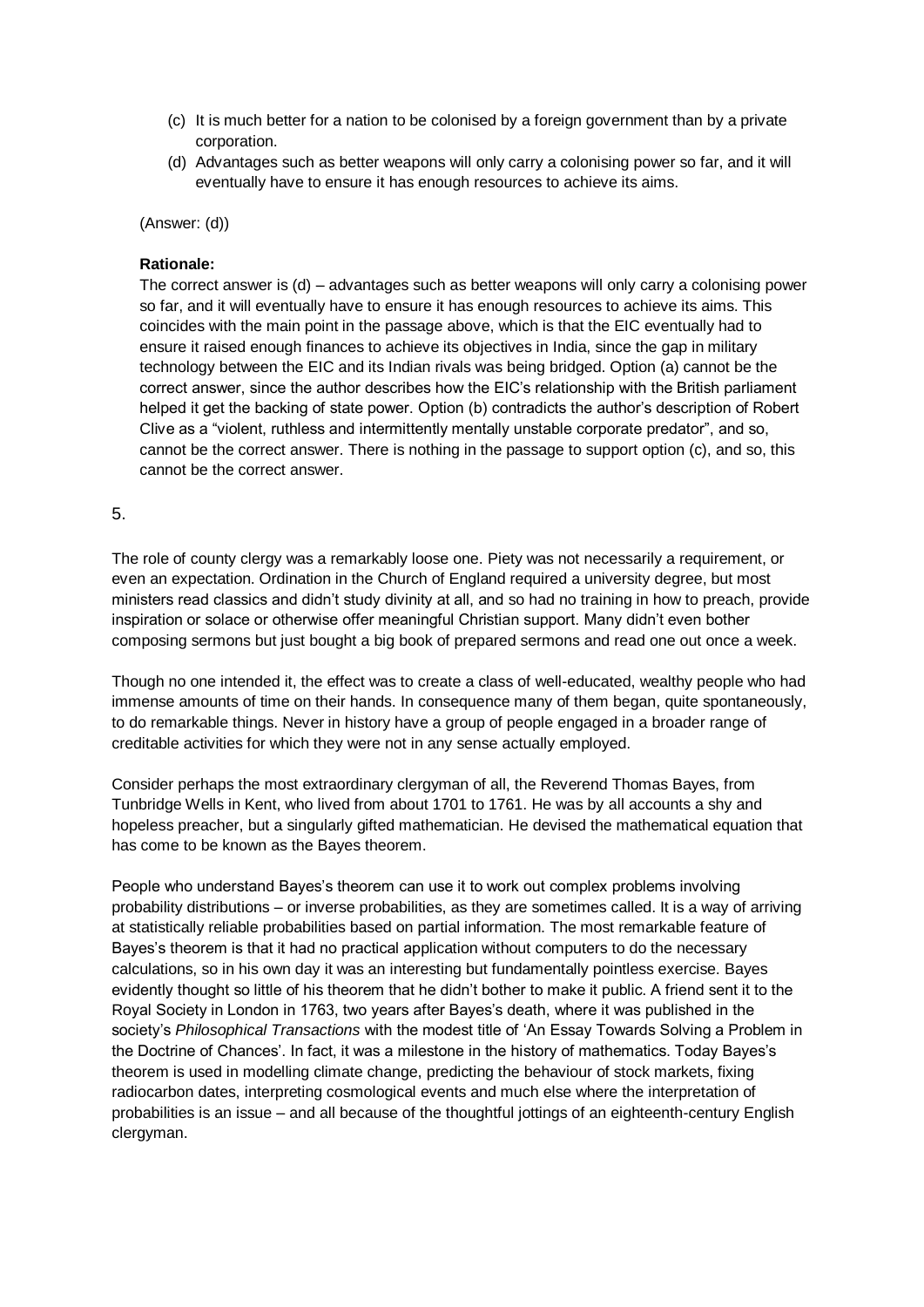- (c) It is much better for a nation to be colonised by a foreign government than by a private corporation.
- (d) Advantages such as better weapons will only carry a colonising power so far, and it will eventually have to ensure it has enough resources to achieve its aims.

(Answer: (d))

## **Rationale:**

The correct answer is (d) – advantages such as better weapons will only carry a colonising power so far, and it will eventually have to ensure it has enough resources to achieve its aims. This coincides with the main point in the passage above, which is that the EIC eventually had to ensure it raised enough finances to achieve its objectives in India, since the gap in military technology between the EIC and its Indian rivals was being bridged. Option (a) cannot be the correct answer, since the author describes how the EIC's relationship with the British parliament helped it get the backing of state power. Option (b) contradicts the author's description of Robert Clive as a "violent, ruthless and intermittently mentally unstable corporate predator", and so, cannot be the correct answer. There is nothing in the passage to support option (c), and so, this cannot be the correct answer.

5.

The role of county clergy was a remarkably loose one. Piety was not necessarily a requirement, or even an expectation. Ordination in the Church of England required a university degree, but most ministers read classics and didn't study divinity at all, and so had no training in how to preach, provide inspiration or solace or otherwise offer meaningful Christian support. Many didn't even bother composing sermons but just bought a big book of prepared sermons and read one out once a week.

Though no one intended it, the effect was to create a class of well-educated, wealthy people who had immense amounts of time on their hands. In consequence many of them began, quite spontaneously, to do remarkable things. Never in history have a group of people engaged in a broader range of creditable activities for which they were not in any sense actually employed.

Consider perhaps the most extraordinary clergyman of all, the Reverend Thomas Bayes, from Tunbridge Wells in Kent, who lived from about 1701 to 1761. He was by all accounts a shy and hopeless preacher, but a singularly gifted mathematician. He devised the mathematical equation that has come to be known as the Bayes theorem.

People who understand Bayes's theorem can use it to work out complex problems involving probability distributions – or inverse probabilities, as they are sometimes called. It is a way of arriving at statistically reliable probabilities based on partial information. The most remarkable feature of Bayes's theorem is that it had no practical application without computers to do the necessary calculations, so in his own day it was an interesting but fundamentally pointless exercise. Bayes evidently thought so little of his theorem that he didn't bother to make it public. A friend sent it to the Royal Society in London in 1763, two years after Bayes's death, where it was published in the society's *Philosophical Transactions* with the modest title of 'An Essay Towards Solving a Problem in the Doctrine of Chances'. In fact, it was a milestone in the history of mathematics. Today Bayes's theorem is used in modelling climate change, predicting the behaviour of stock markets, fixing radiocarbon dates, interpreting cosmological events and much else where the interpretation of probabilities is an issue – and all because of the thoughtful jottings of an eighteenth-century English clergyman.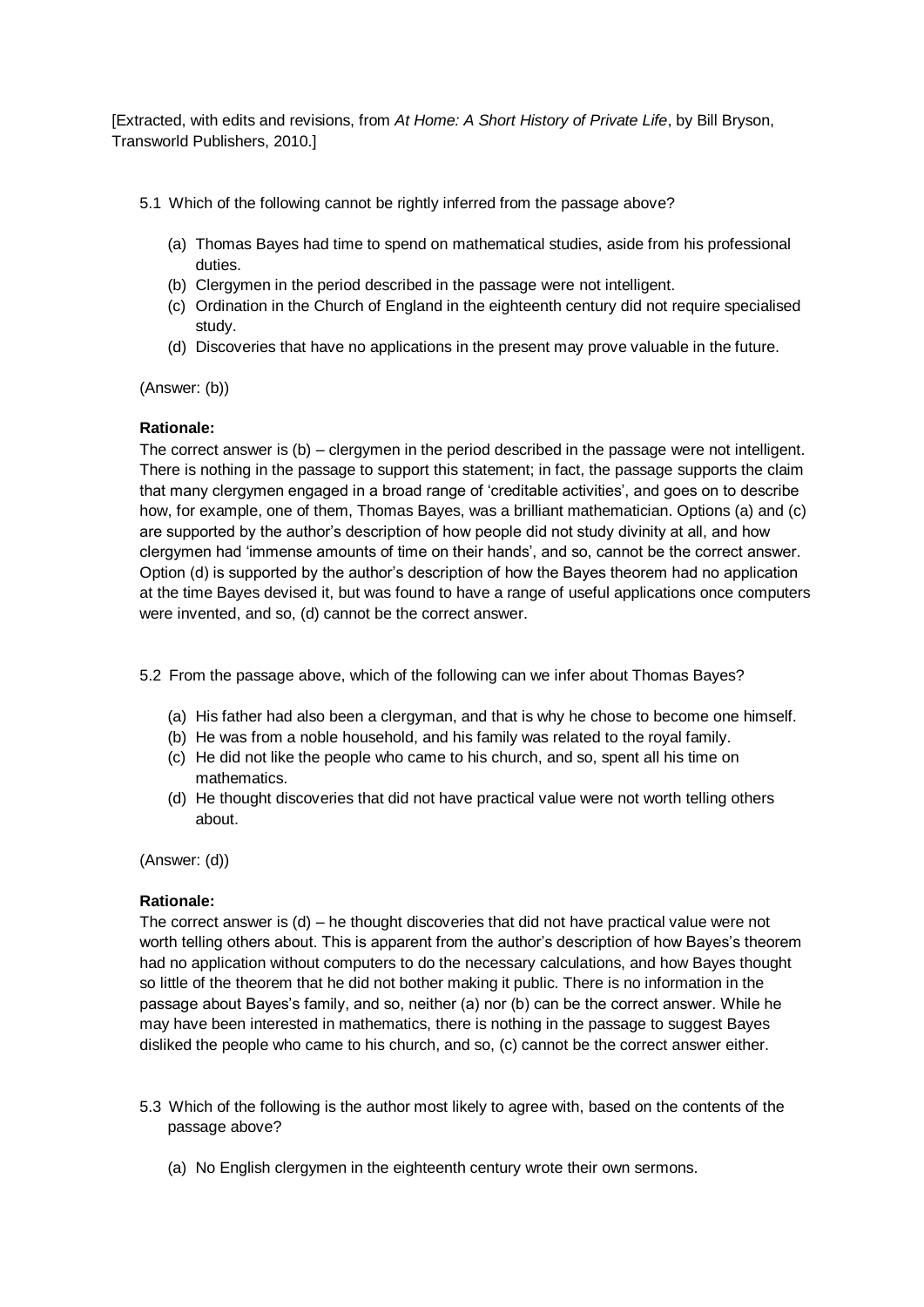[Extracted, with edits and revisions, from *At Home: A Short History of Private Life*, by Bill Bryson, Transworld Publishers, 2010.]

- 5.1 Which of the following cannot be rightly inferred from the passage above?
	- (a) Thomas Bayes had time to spend on mathematical studies, aside from his professional duties.
	- (b) Clergymen in the period described in the passage were not intelligent.
	- (c) Ordination in the Church of England in the eighteenth century did not require specialised study.
	- (d) Discoveries that have no applications in the present may prove valuable in the future.

(Answer: (b))

## **Rationale:**

The correct answer is (b) – clergymen in the period described in the passage were not intelligent. There is nothing in the passage to support this statement; in fact, the passage supports the claim that many clergymen engaged in a broad range of 'creditable activities', and goes on to describe how, for example, one of them, Thomas Bayes, was a brilliant mathematician. Options (a) and (c) are supported by the author's description of how people did not study divinity at all, and how clergymen had 'immense amounts of time on their hands', and so, cannot be the correct answer. Option (d) is supported by the author's description of how the Bayes theorem had no application at the time Bayes devised it, but was found to have a range of useful applications once computers were invented, and so, (d) cannot be the correct answer.

5.2 From the passage above, which of the following can we infer about Thomas Bayes?

- (a) His father had also been a clergyman, and that is why he chose to become one himself.
- (b) He was from a noble household, and his family was related to the royal family.
- (c) He did not like the people who came to his church, and so, spent all his time on mathematics.
- (d) He thought discoveries that did not have practical value were not worth telling others about.

(Answer: (d))

#### **Rationale:**

The correct answer is (d) – he thought discoveries that did not have practical value were not worth telling others about. This is apparent from the author's description of how Bayes's theorem had no application without computers to do the necessary calculations, and how Bayes thought so little of the theorem that he did not bother making it public. There is no information in the passage about Bayes's family, and so, neither (a) nor (b) can be the correct answer. While he may have been interested in mathematics, there is nothing in the passage to suggest Bayes disliked the people who came to his church, and so, (c) cannot be the correct answer either.

- 5.3 Which of the following is the author most likely to agree with, based on the contents of the passage above?
	- (a) No English clergymen in the eighteenth century wrote their own sermons.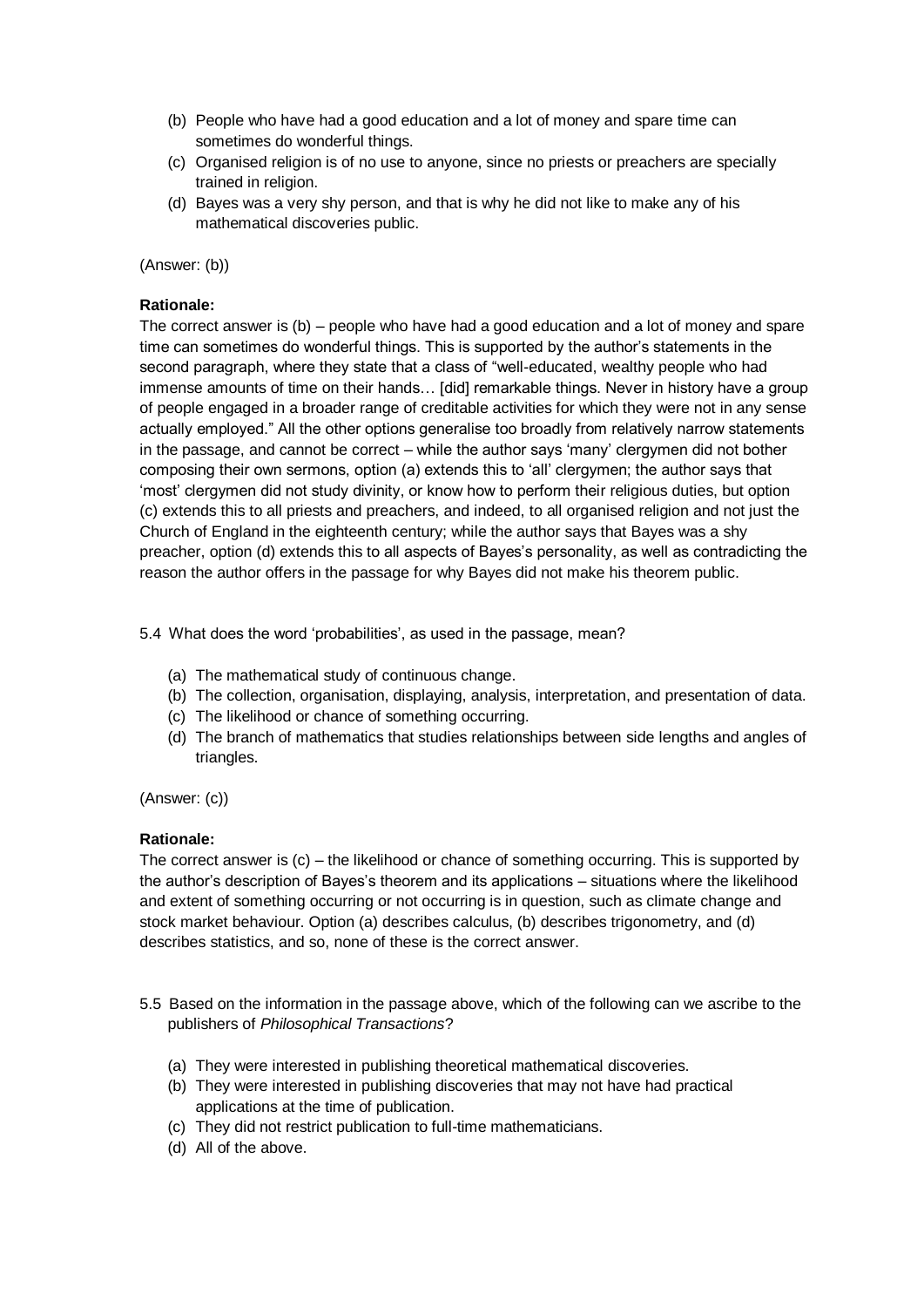- (b) People who have had a good education and a lot of money and spare time can sometimes do wonderful things.
- (c) Organised religion is of no use to anyone, since no priests or preachers are specially trained in religion.
- (d) Bayes was a very shy person, and that is why he did not like to make any of his mathematical discoveries public.

(Answer: (b))

#### **Rationale:**

The correct answer is (b) – people who have had a good education and a lot of money and spare time can sometimes do wonderful things. This is supported by the author's statements in the second paragraph, where they state that a class of "well-educated, wealthy people who had immense amounts of time on their hands... [did] remarkable things. Never in history have a group of people engaged in a broader range of creditable activities for which they were not in any sense actually employed." All the other options generalise too broadly from relatively narrow statements in the passage, and cannot be correct – while the author says 'many' clergymen did not bother composing their own sermons, option (a) extends this to 'all' clergymen; the author says that 'most' clergymen did not study divinity, or know how to perform their religious duties, but option (c) extends this to all priests and preachers, and indeed, to all organised religion and not just the Church of England in the eighteenth century; while the author says that Bayes was a shy preacher, option (d) extends this to all aspects of Bayes's personality, as well as contradicting the reason the author offers in the passage for why Bayes did not make his theorem public.

5.4 What does the word 'probabilities', as used in the passage, mean?

- (a) The mathematical study of continuous change.
- (b) The collection, organisation, displaying, analysis, interpretation, and presentation of data.
- (c) The likelihood or chance of something occurring.
- (d) The branch of mathematics that studies relationships between side lengths and angles of triangles.

(Answer: (c))

#### **Rationale:**

The correct answer is (c) – the likelihood or chance of something occurring. This is supported by the author's description of Bayes's theorem and its applications – situations where the likelihood and extent of something occurring or not occurring is in question, such as climate change and stock market behaviour. Option (a) describes calculus, (b) describes trigonometry, and (d) describes statistics, and so, none of these is the correct answer.

- 5.5 Based on the information in the passage above, which of the following can we ascribe to the publishers of *Philosophical Transactions*?
	- (a) They were interested in publishing theoretical mathematical discoveries.
	- (b) They were interested in publishing discoveries that may not have had practical applications at the time of publication.
	- (c) They did not restrict publication to full-time mathematicians.
	- (d) All of the above.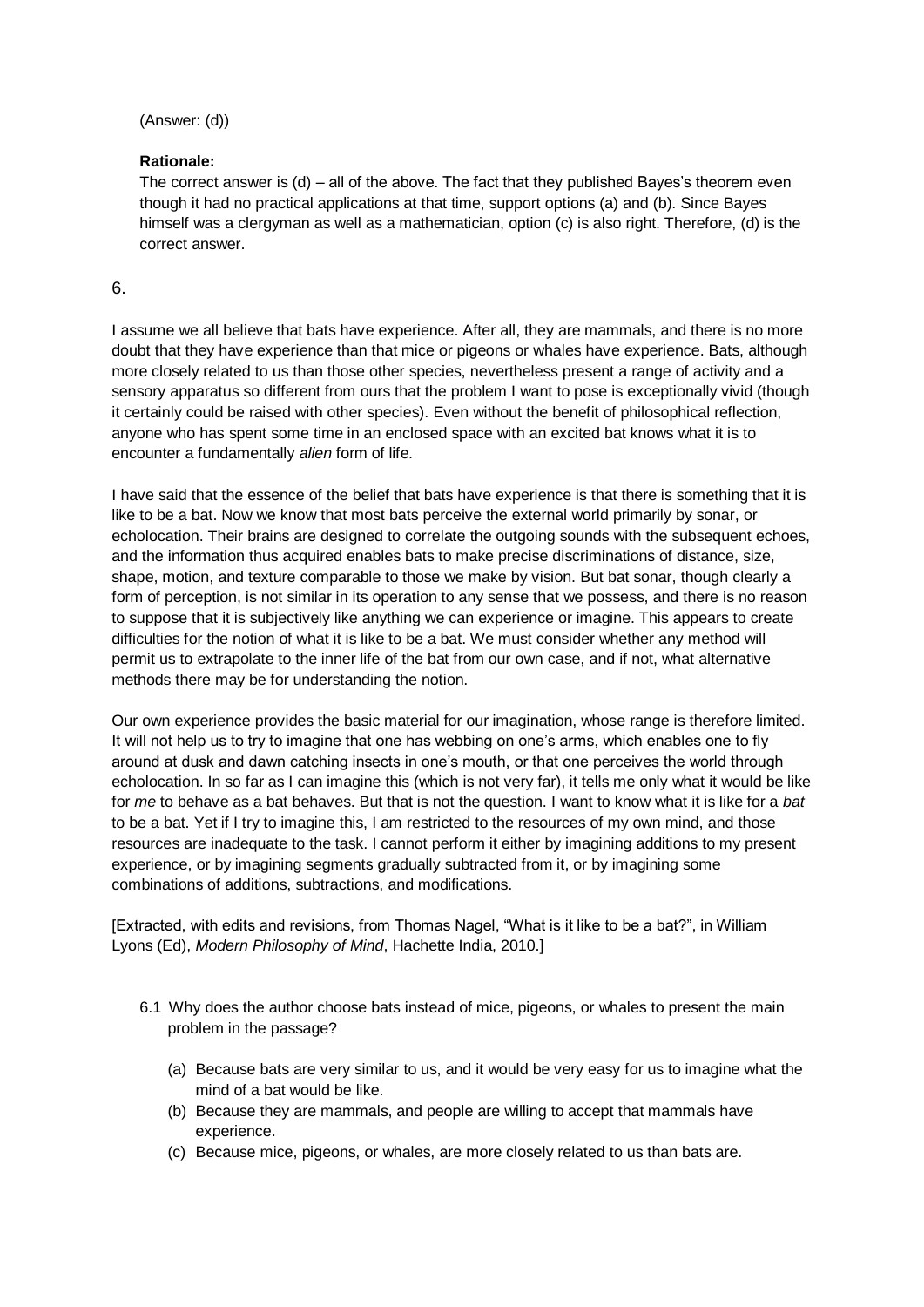(Answer: (d))

# **Rationale:**

The correct answer is  $(d)$  – all of the above. The fact that they published Bayes's theorem even though it had no practical applications at that time, support options (a) and (b). Since Bayes himself was a clergyman as well as a mathematician, option (c) is also right. Therefore, (d) is the correct answer.

# 6.

I assume we all believe that bats have experience. After all, they are mammals, and there is no more doubt that they have experience than that mice or pigeons or whales have experience. Bats, although more closely related to us than those other species, nevertheless present a range of activity and a sensory apparatus so different from ours that the problem I want to pose is exceptionally vivid (though it certainly could be raised with other species). Even without the benefit of philosophical reflection, anyone who has spent some time in an enclosed space with an excited bat knows what it is to encounter a fundamentally *alien* form of life.

I have said that the essence of the belief that bats have experience is that there is something that it is like to be a bat. Now we know that most bats perceive the external world primarily by sonar, or echolocation. Their brains are designed to correlate the outgoing sounds with the subsequent echoes, and the information thus acquired enables bats to make precise discriminations of distance, size, shape, motion, and texture comparable to those we make by vision. But bat sonar, though clearly a form of perception, is not similar in its operation to any sense that we possess, and there is no reason to suppose that it is subjectively like anything we can experience or imagine. This appears to create difficulties for the notion of what it is like to be a bat. We must consider whether any method will permit us to extrapolate to the inner life of the bat from our own case, and if not, what alternative methods there may be for understanding the notion.

Our own experience provides the basic material for our imagination, whose range is therefore limited. It will not help us to try to imagine that one has webbing on one's arms, which enables one to fly around at dusk and dawn catching insects in one's mouth, or that one perceives the world through echolocation. In so far as I can imagine this (which is not very far), it tells me only what it would be like for *me* to behave as a bat behaves. But that is not the question. I want to know what it is like for a *bat* to be a bat. Yet if I try to imagine this, I am restricted to the resources of my own mind, and those resources are inadequate to the task. I cannot perform it either by imagining additions to my present experience, or by imagining segments gradually subtracted from it, or by imagining some combinations of additions, subtractions, and modifications.

[Extracted, with edits and revisions, from Thomas Nagel, "What is it like to be a bat?", in William Lyons (Ed), *Modern Philosophy of Mind*, Hachette India, 2010.]

- 6.1 Why does the author choose bats instead of mice, pigeons, or whales to present the main problem in the passage?
	- (a) Because bats are very similar to us, and it would be very easy for us to imagine what the mind of a bat would be like.
	- (b) Because they are mammals, and people are willing to accept that mammals have experience.
	- (c) Because mice, pigeons, or whales, are more closely related to us than bats are.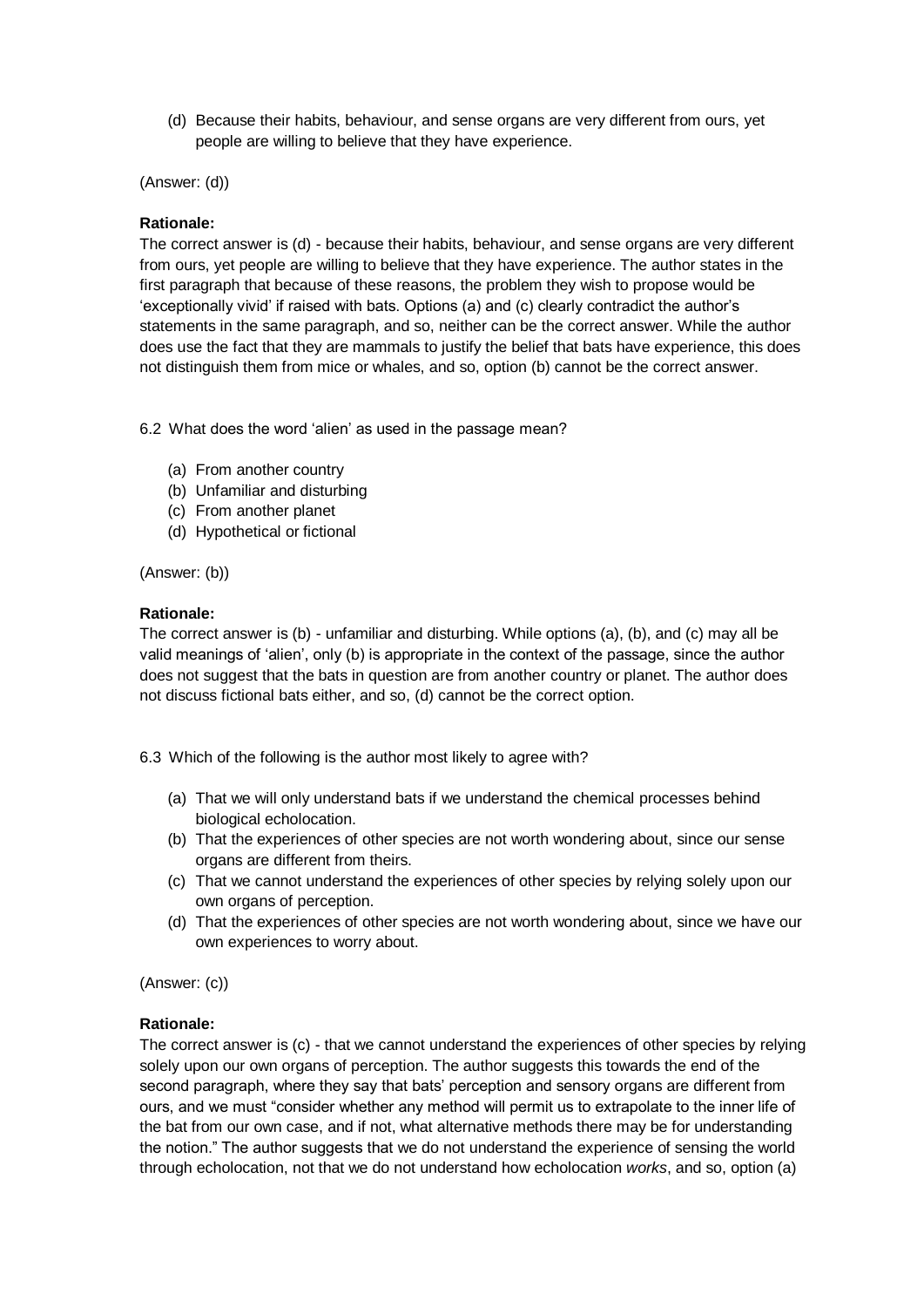(d) Because their habits, behaviour, and sense organs are very different from ours, yet people are willing to believe that they have experience.

(Answer: (d))

## **Rationale:**

The correct answer is (d) - because their habits, behaviour, and sense organs are very different from ours, yet people are willing to believe that they have experience. The author states in the first paragraph that because of these reasons, the problem they wish to propose would be 'exceptionally vivid' if raised with bats. Options (a) and (c) clearly contradict the author's statements in the same paragraph, and so, neither can be the correct answer. While the author does use the fact that they are mammals to justify the belief that bats have experience, this does not distinguish them from mice or whales, and so, option (b) cannot be the correct answer.

6.2 What does the word 'alien' as used in the passage mean?

- (a) From another country
- (b) Unfamiliar and disturbing
- (c) From another planet
- (d) Hypothetical or fictional

(Answer: (b))

## **Rationale:**

The correct answer is (b) - unfamiliar and disturbing. While options (a), (b), and (c) may all be valid meanings of 'alien', only (b) is appropriate in the context of the passage, since the author does not suggest that the bats in question are from another country or planet. The author does not discuss fictional bats either, and so, (d) cannot be the correct option.

6.3 Which of the following is the author most likely to agree with?

- (a) That we will only understand bats if we understand the chemical processes behind biological echolocation.
- (b) That the experiences of other species are not worth wondering about, since our sense organs are different from theirs.
- (c) That we cannot understand the experiences of other species by relying solely upon our own organs of perception.
- (d) That the experiences of other species are not worth wondering about, since we have our own experiences to worry about.

(Answer: (c))

#### **Rationale:**

The correct answer is (c) - that we cannot understand the experiences of other species by relying solely upon our own organs of perception. The author suggests this towards the end of the second paragraph, where they say that bats' perception and sensory organs are different from ours, and we must "consider whether any method will permit us to extrapolate to the inner life of the bat from our own case, and if not, what alternative methods there may be for understanding the notion." The author suggests that we do not understand the experience of sensing the world through echolocation, not that we do not understand how echolocation *works*, and so, option (a)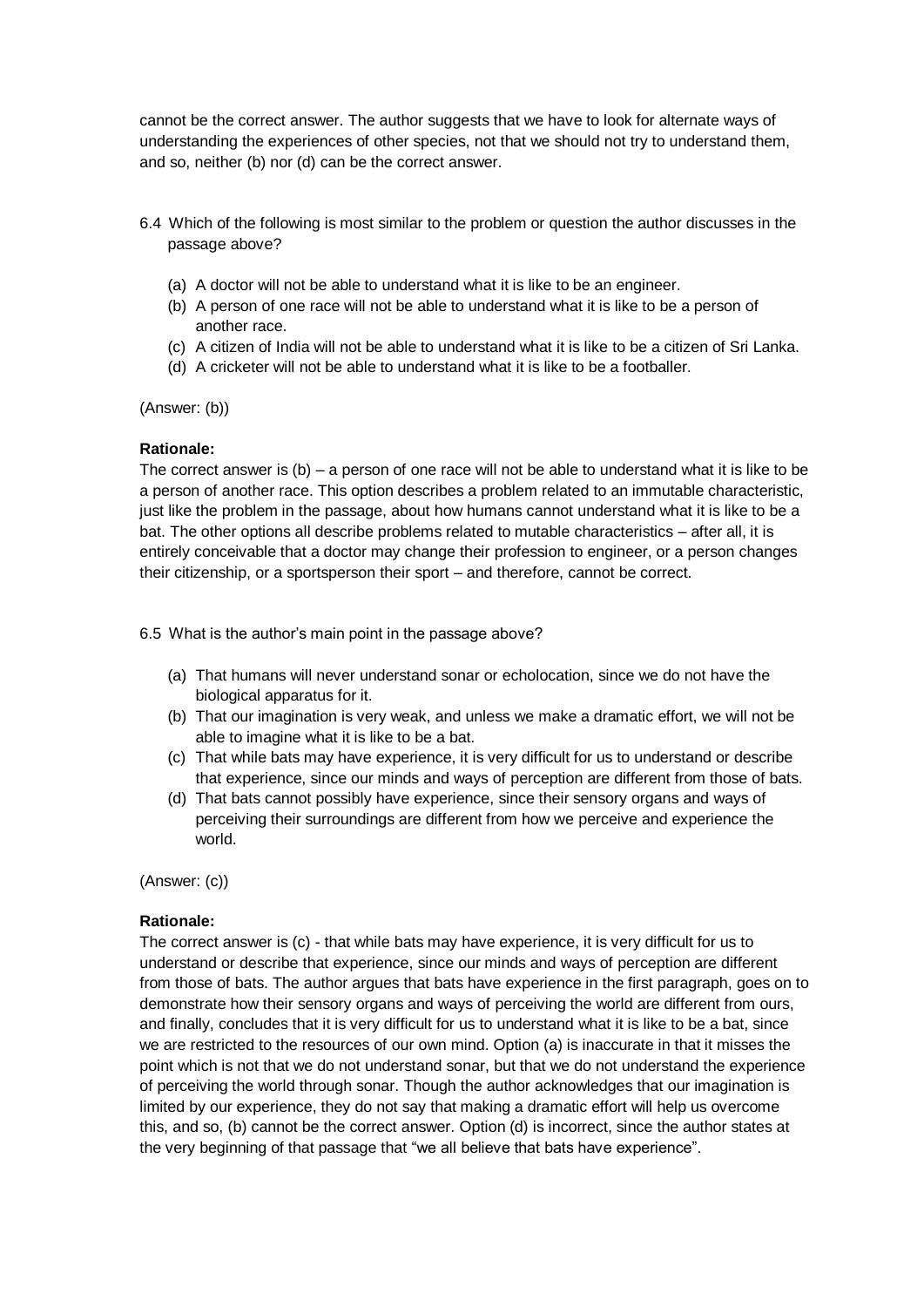cannot be the correct answer. The author suggests that we have to look for alternate ways of understanding the experiences of other species, not that we should not try to understand them, and so, neither (b) nor (d) can be the correct answer.

- 6.4 Which of the following is most similar to the problem or question the author discusses in the passage above?
	- (a) A doctor will not be able to understand what it is like to be an engineer.
	- (b) A person of one race will not be able to understand what it is like to be a person of another race.
	- (c) A citizen of India will not be able to understand what it is like to be a citizen of Sri Lanka.
	- (d) A cricketer will not be able to understand what it is like to be a footballer.

(Answer: (b))

## **Rationale:**

The correct answer is  $(b)$  – a person of one race will not be able to understand what it is like to be a person of another race. This option describes a problem related to an immutable characteristic, just like the problem in the passage, about how humans cannot understand what it is like to be a bat. The other options all describe problems related to mutable characteristics – after all, it is entirely conceivable that a doctor may change their profession to engineer, or a person changes their citizenship, or a sportsperson their sport – and therefore, cannot be correct.

6.5 What is the author's main point in the passage above?

- (a) That humans will never understand sonar or echolocation, since we do not have the biological apparatus for it.
- (b) That our imagination is very weak, and unless we make a dramatic effort, we will not be able to imagine what it is like to be a bat.
- (c) That while bats may have experience, it is very difficult for us to understand or describe that experience, since our minds and ways of perception are different from those of bats.
- (d) That bats cannot possibly have experience, since their sensory organs and ways of perceiving their surroundings are different from how we perceive and experience the world.

(Answer: (c))

## **Rationale:**

The correct answer is (c) - that while bats may have experience, it is very difficult for us to understand or describe that experience, since our minds and ways of perception are different from those of bats. The author argues that bats have experience in the first paragraph, goes on to demonstrate how their sensory organs and ways of perceiving the world are different from ours, and finally, concludes that it is very difficult for us to understand what it is like to be a bat, since we are restricted to the resources of our own mind. Option (a) is inaccurate in that it misses the point which is not that we do not understand sonar, but that we do not understand the experience of perceiving the world through sonar. Though the author acknowledges that our imagination is limited by our experience, they do not say that making a dramatic effort will help us overcome this, and so, (b) cannot be the correct answer. Option (d) is incorrect, since the author states at the very beginning of that passage that "we all believe that bats have experience".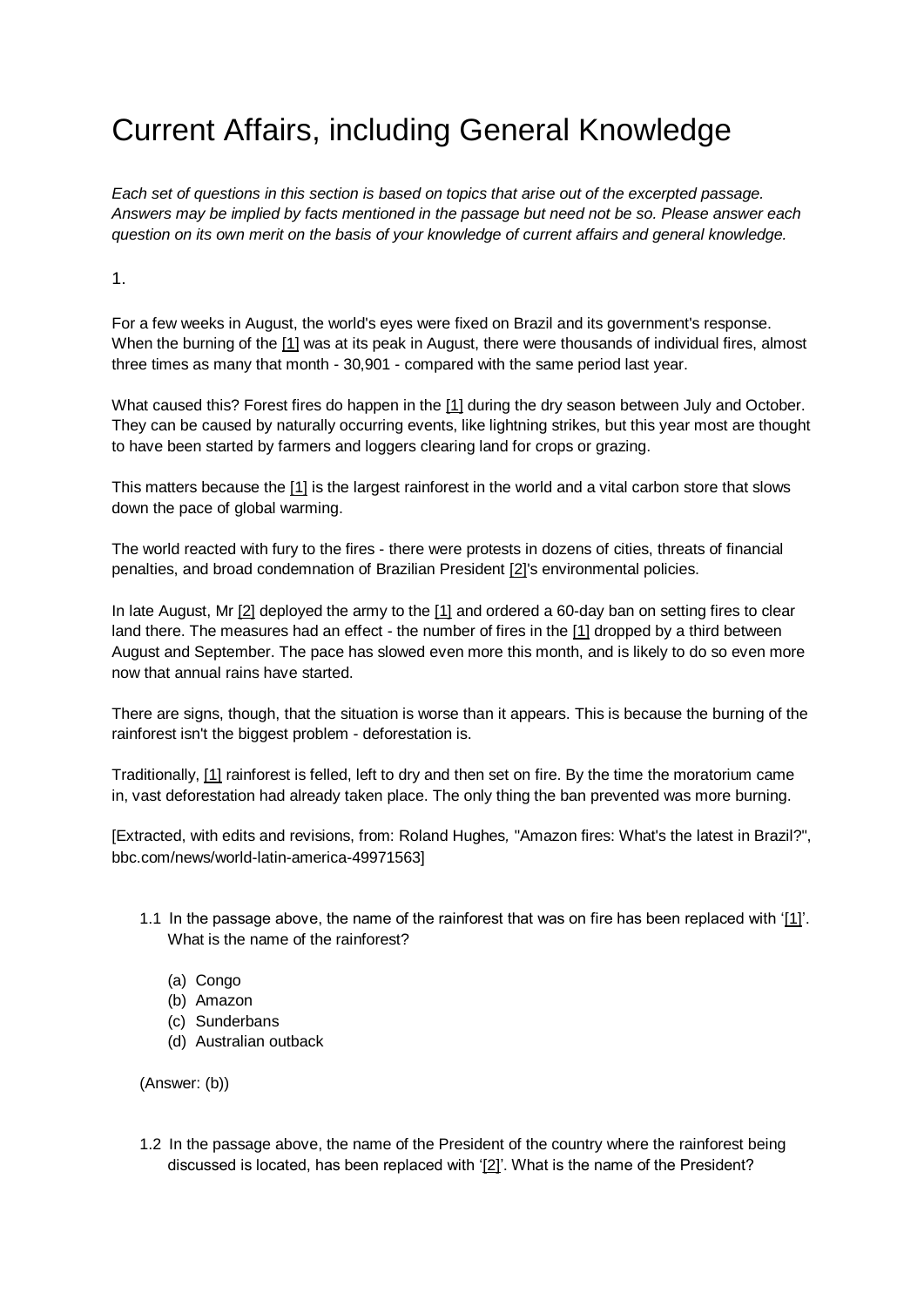# Current Affairs, including General Knowledge

*Each set of questions in this section is based on topics that arise out of the excerpted passage. Answers may be implied by facts mentioned in the passage but need not be so. Please answer each question on its own merit on the basis of your knowledge of current affairs and general knowledge.* 

1.

For a few weeks in August, the world's eyes were fixed on Brazil and its government's response. When the burning of the [1] was at its peak in August, there were thousands of individual fires, almost three times as many that month - 30,901 - compared with the same period last year.

What caused this? Forest fires do happen in the [1] during the dry season between July and October. They can be caused by naturally occurring events, like lightning strikes, but this year most are thought to have been started by farmers and loggers clearing land for crops or grazing.

This matters because the [1] is the largest rainforest in the world and a vital carbon store that slows down the pace of global warming.

The world reacted with fury to the fires - there were protests in dozens of cities, threats of financial penalties, and broad condemnation of Brazilian President [2]'s environmental policies.

In late August, Mr [2] deployed the army to the [1] and ordered a 60-day ban on setting fires to clear land there. The measures had an effect - the number of fires in the [1] dropped by a third between August and September. The pace has slowed even more this month, and is likely to do so even more now that annual rains have started.

There are signs, though, that the situation is worse than it appears. This is because the burning of the rainforest isn't the biggest problem - deforestation is.

Traditionally, [1] rainforest is felled, left to dry and then set on fire. By the time the moratorium came in, vast deforestation had already taken place. The only thing the ban prevented was more burning.

[Extracted, with edits and revisions, from: Roland Hughes*,* "Amazon fires: What's the latest in Brazil?", bbc.com/news/world-latin-america-49971563]

- 1.1 In the passage above, the name of the rainforest that was on fire has been replaced with '[1]'. What is the name of the rainforest?
	- (a) Congo
	- (b) Amazon
	- (c) Sunderbans
	- (d) Australian outback

(Answer: (b))

1.2 In the passage above, the name of the President of the country where the rainforest being discussed is located, has been replaced with '[2]'. What is the name of the President?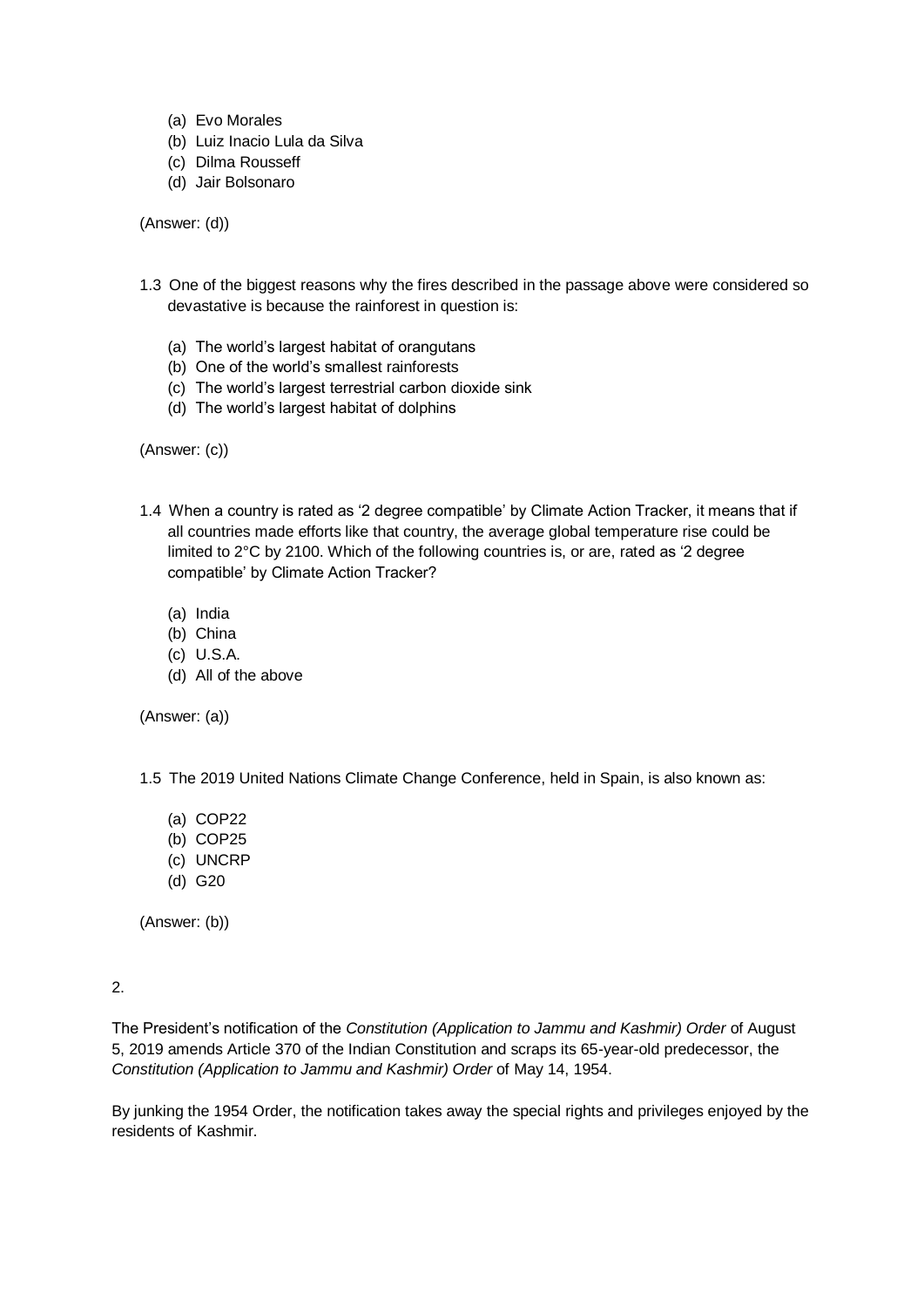- (a) Evo Morales
- (b) Luiz Inacio Lula da Silva
- (c) Dilma Rousseff
- (d) Jair Bolsonaro

(Answer: (d))

- 1.3 One of the biggest reasons why the fires described in the passage above were considered so devastative is because the rainforest in question is:
	- (a) The world's largest habitat of orangutans
	- (b) One of the world's smallest rainforests
	- (c) The world's largest terrestrial carbon dioxide sink
	- (d) The world's largest habitat of dolphins

(Answer: (c))

- 1.4 When a country is rated as '2 degree compatible' by Climate Action Tracker, it means that if all countries made efforts like that country, the average global temperature rise could be limited to 2°C by 2100. Which of the following countries is, or are, rated as '2 degree compatible' by Climate Action Tracker?
	- (a) India
	- (b) China
	- (c) U.S.A.
	- (d) All of the above

(Answer: (a))

1.5 The 2019 United Nations Climate Change Conference, held in Spain, is also known as:

- (a) COP22
- (b) COP25
- (c) UNCRP
- (d) G20

(Answer: (b))

2.

The President's notification of the *Constitution (Application to Jammu and Kashmir) Order* of August 5, 2019 amends Article 370 of the Indian Constitution and scraps its 65-year-old predecessor, the *Constitution (Application to Jammu and Kashmir) Order* of May 14, 1954.

By junking the 1954 Order, the notification takes away the special rights and privileges enjoyed by the residents of Kashmir.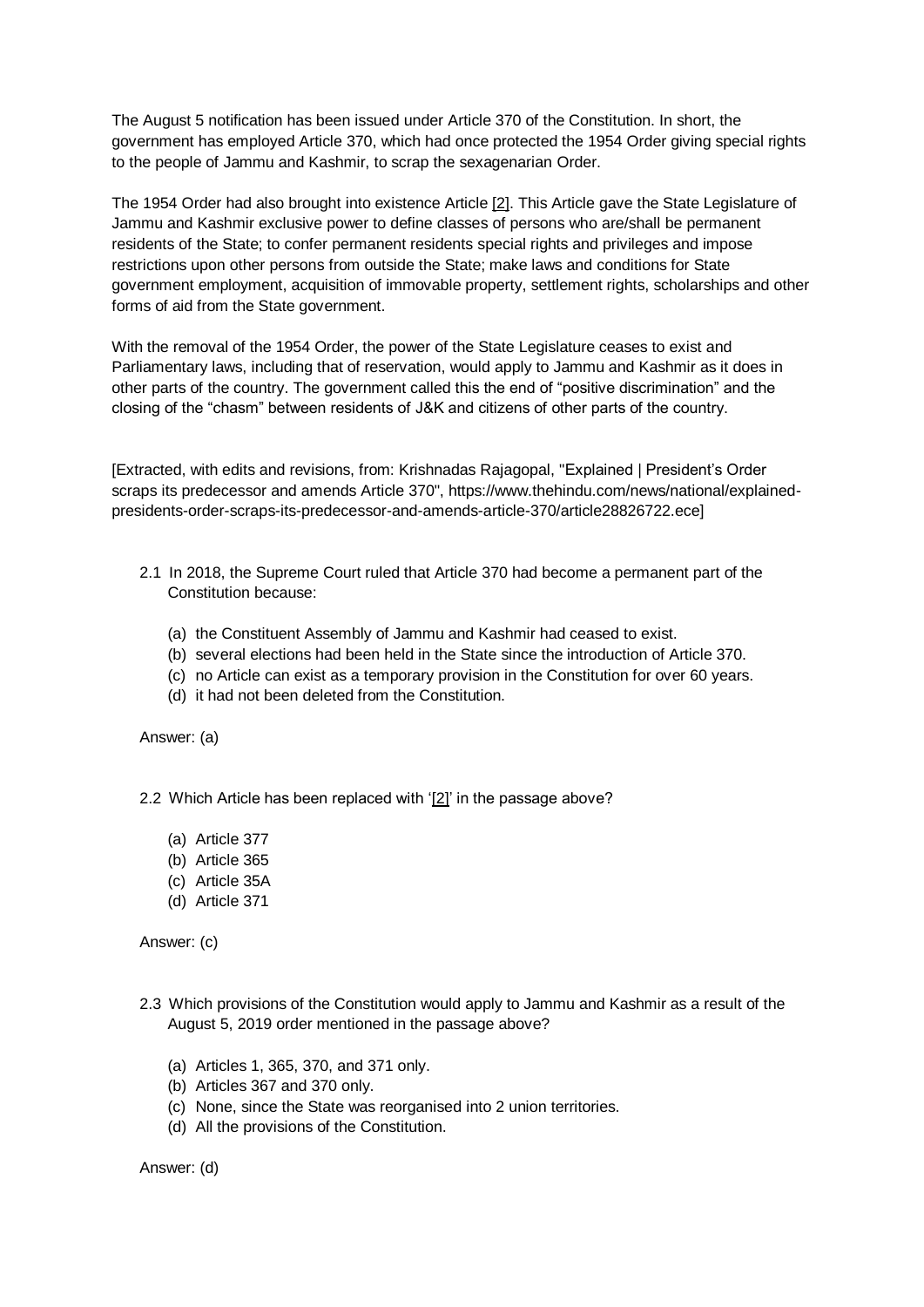The August 5 notification has been issued under Article 370 of the Constitution. In short, the government has employed Article 370, which had once protected the 1954 Order giving special rights to the people of Jammu and Kashmir, to scrap the sexagenarian Order.

The 1954 Order had also brought into existence Article [2]. This Article gave the State Legislature of Jammu and Kashmir exclusive power to define classes of persons who are/shall be permanent residents of the State; to confer permanent residents special rights and privileges and impose restrictions upon other persons from outside the State; make laws and conditions for State government employment, acquisition of immovable property, settlement rights, scholarships and other forms of aid from the State government.

With the removal of the 1954 Order, the power of the State Legislature ceases to exist and Parliamentary laws, including that of reservation, would apply to Jammu and Kashmir as it does in other parts of the country. The government called this the end of "positive discrimination" and the closing of the "chasm" between residents of J&K and citizens of other parts of the country.

[Extracted, with edits and revisions, from: Krishnadas Rajagopal, "Explained | President's Order scraps its predecessor and amends Article 370", https://www.thehindu.com/news/national/explainedpresidents-order-scraps-its-predecessor-and-amends-article-370/article28826722.ece]

- 2.1 In 2018, the Supreme Court ruled that Article 370 had become a permanent part of the Constitution because:
	- (a) the Constituent Assembly of Jammu and Kashmir had ceased to exist.
	- (b) several elections had been held in the State since the introduction of Article 370.
	- (c) no Article can exist as a temporary provision in the Constitution for over 60 years.
	- (d) it had not been deleted from the Constitution.

Answer: (a)

2.2 Which Article has been replaced with '[2]' in the passage above?

- (a) Article 377
- (b) Article 365
- (c) Article 35A
- (d) Article 371

Answer: (c)

- 2.3 Which provisions of the Constitution would apply to Jammu and Kashmir as a result of the August 5, 2019 order mentioned in the passage above?
	- (a) Articles 1, 365, 370, and 371 only.
	- (b) Articles 367 and 370 only.
	- (c) None, since the State was reorganised into 2 union territories.
	- (d) All the provisions of the Constitution.

Answer: (d)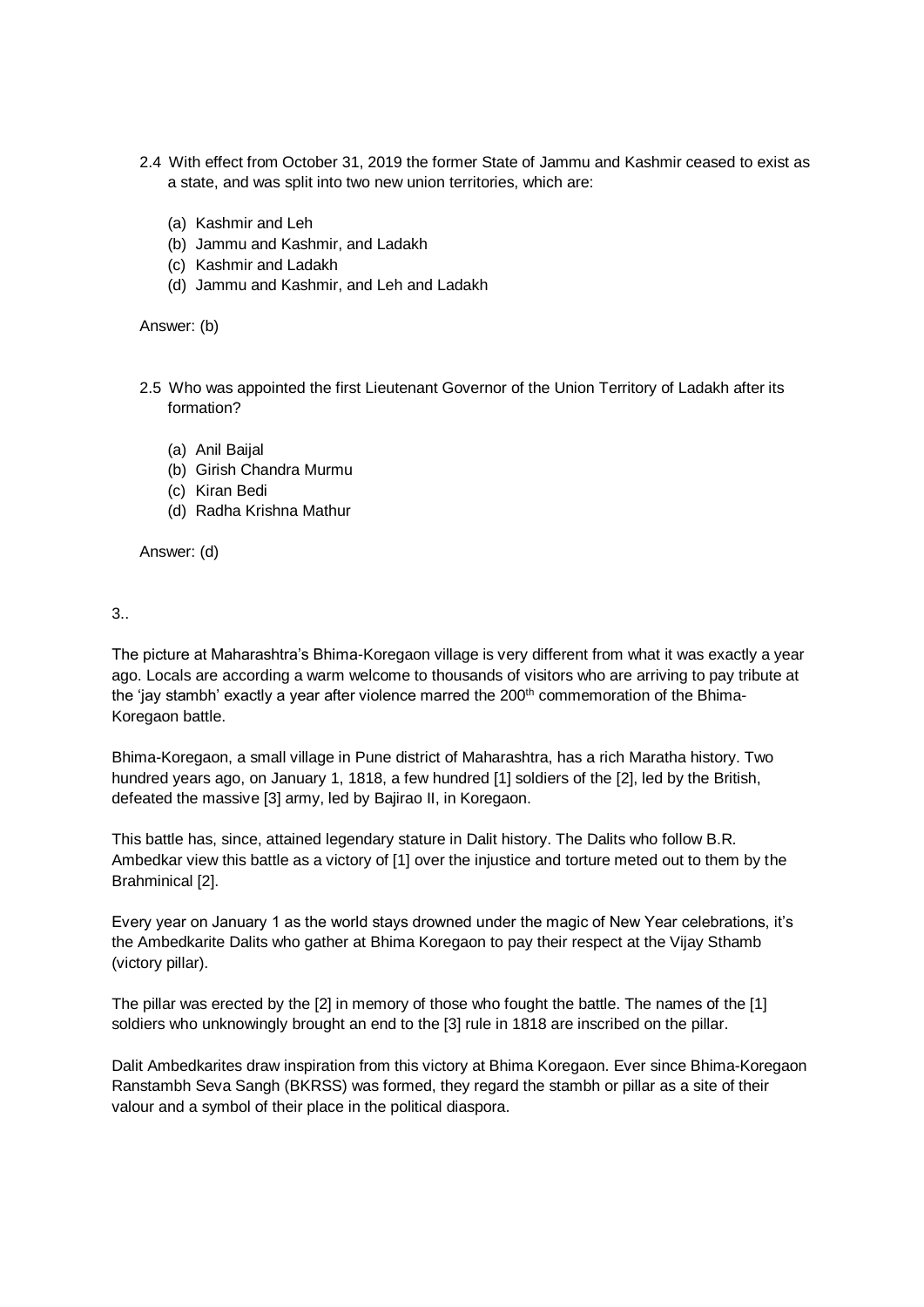- 2.4 With effect from October 31, 2019 the former State of Jammu and Kashmir ceased to exist as a state, and was split into two new union territories, which are:
	- (a) Kashmir and Leh
	- (b) Jammu and Kashmir, and Ladakh
	- (c) Kashmir and Ladakh
	- (d) Jammu and Kashmir, and Leh and Ladakh

Answer: (b)

- 2.5 Who was appointed the first Lieutenant Governor of the Union Territory of Ladakh after its formation?
	- (a) Anil Baijal
	- (b) Girish Chandra Murmu
	- (c) Kiran Bedi
	- (d) Radha Krishna Mathur

Answer: (d)

3..

The picture at Maharashtra's Bhima-Koregaon village is very different from what it was exactly a year ago. Locals are according a warm welcome to thousands of visitors who are arriving to pay tribute at the 'jay stambh' exactly a year after violence marred the 200<sup>th</sup> commemoration of the Bhima-Koregaon battle.

Bhima-Koregaon, a small village in Pune district of Maharashtra, has a rich Maratha history. Two hundred years ago, on January 1, 1818, a few hundred [1] soldiers of the [2], led by the British, defeated the massive [3] army, led by Bajirao II, in Koregaon.

This battle has, since, attained legendary stature in Dalit history. The Dalits who follow B.R. Ambedkar view this battle as a victory of [1] over the injustice and torture meted out to them by the Brahminical [2].

Every year on January 1 as the world stays drowned under the magic of New Year celebrations, it's the Ambedkarite Dalits who gather at Bhima Koregaon to pay their respect at the Vijay Sthamb (victory pillar).

The pillar was erected by the [2] in memory of those who fought the battle. The names of the [1] soldiers who unknowingly brought an end to the [3] rule in 1818 are inscribed on the pillar.

Dalit Ambedkarites draw inspiration from this victory at Bhima Koregaon. Ever since Bhima-Koregaon Ranstambh Seva Sangh (BKRSS) was formed, they regard the stambh or pillar as a site of their valour and a symbol of their place in the political diaspora.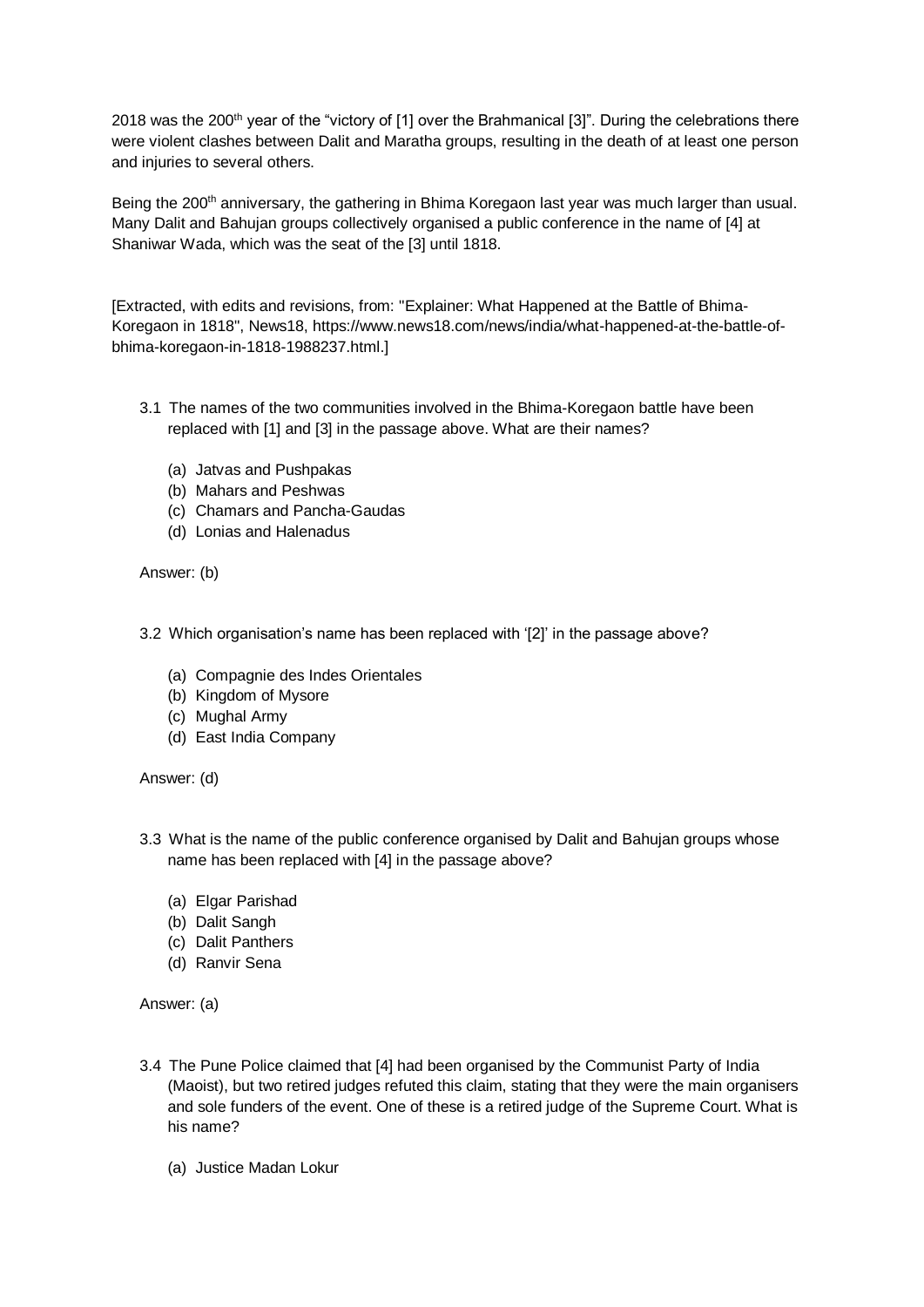2018 was the 200<sup>th</sup> year of the "victory of [1] over the Brahmanical [3]". During the celebrations there were violent clashes between Dalit and Maratha groups, resulting in the death of at least one person and injuries to several others.

Being the 200<sup>th</sup> anniversary, the gathering in Bhima Koregaon last year was much larger than usual. Many Dalit and Bahujan groups collectively organised a public conference in the name of [4] at Shaniwar Wada, which was the seat of the [3] until 1818.

[Extracted, with edits and revisions, from: "Explainer: What Happened at the Battle of Bhima-Koregaon in 1818", News18, https://www.news18.com/news/india/what-happened-at-the-battle-ofbhima-koregaon-in-1818-1988237.html.]

- 3.1 The names of the two communities involved in the Bhima-Koregaon battle have been replaced with [1] and [3] in the passage above. What are their names?
	- (a) Jatvas and Pushpakas
	- (b) Mahars and Peshwas
	- (c) Chamars and Pancha-Gaudas
	- (d) Lonias and Halenadus

# Answer: (b)

- 3.2 Which organisation's name has been replaced with '[2]' in the passage above?
	- (a) Compagnie des Indes Orientales
	- (b) Kingdom of Mysore
	- (c) Mughal Army
	- (d) East India Company

Answer: (d)

- 3.3 What is the name of the public conference organised by Dalit and Bahujan groups whose name has been replaced with [4] in the passage above?
	- (a) Elgar Parishad
	- (b) Dalit Sangh
	- (c) Dalit Panthers
	- (d) Ranvir Sena

Answer: (a)

- 3.4 The Pune Police claimed that [4] had been organised by the Communist Party of India (Maoist), but two retired judges refuted this claim, stating that they were the main organisers and sole funders of the event. One of these is a retired judge of the Supreme Court. What is his name?
	- (a) Justice Madan Lokur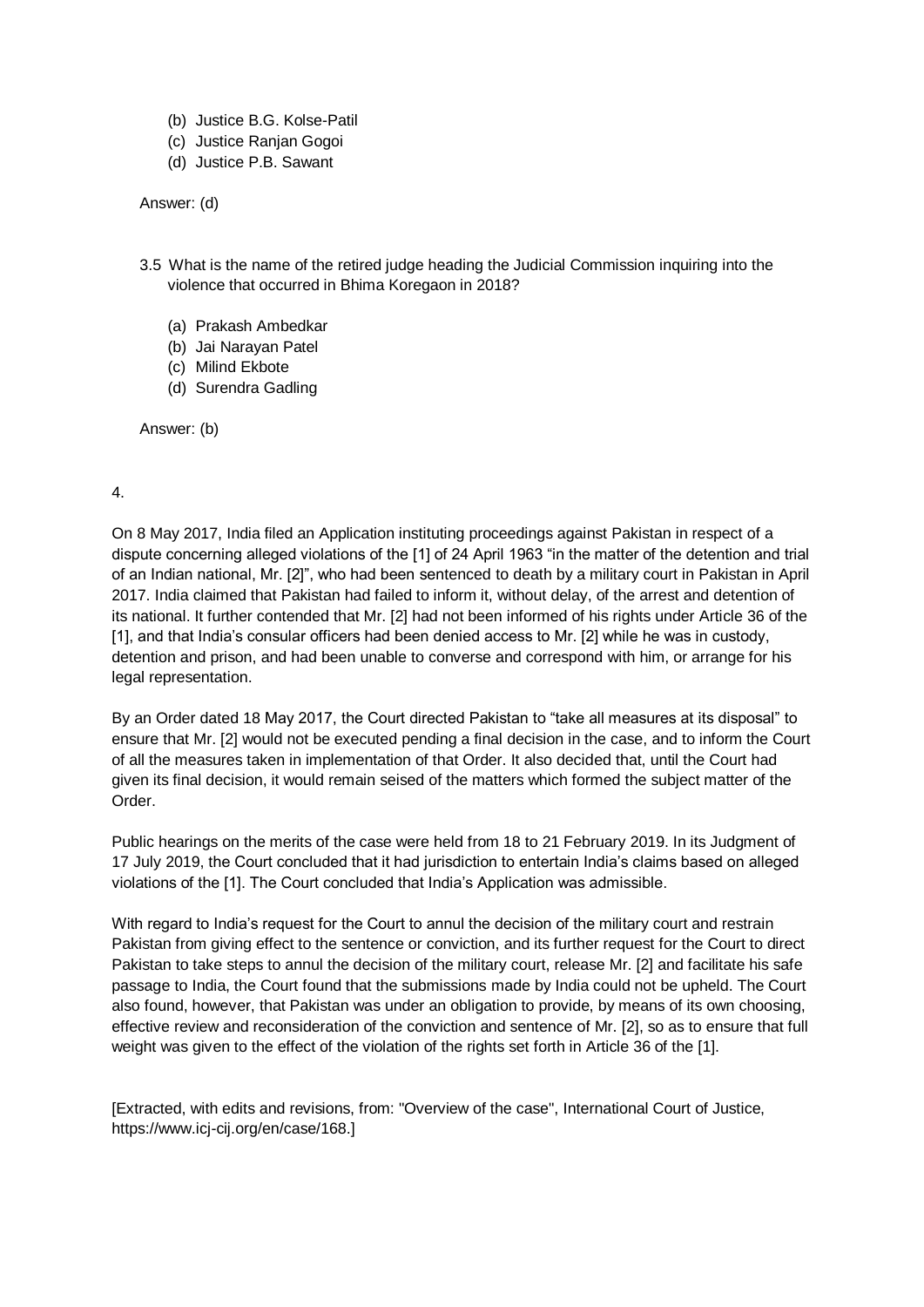- (b) Justice B.G. Kolse-Patil
- (c) Justice Ranjan Gogoi
- (d) Justice P.B. Sawant

Answer: (d)

- 3.5 What is the name of the retired judge heading the Judicial Commission inquiring into the violence that occurred in Bhima Koregaon in 2018?
	- (a) Prakash Ambedkar
	- (b) Jai Narayan Patel
	- (c) Milind Ekbote
	- (d) Surendra Gadling

Answer: (b)

# 4.

On 8 May 2017, India filed an Application instituting proceedings against Pakistan in respect of a dispute concerning alleged violations of the [1] of 24 April 1963 "in the matter of the detention and trial of an Indian national, Mr. [2]", who had been sentenced to death by a military court in Pakistan in April 2017. India claimed that Pakistan had failed to inform it, without delay, of the arrest and detention of its national. It further contended that Mr. [2] had not been informed of his rights under Article 36 of the [1], and that India's consular officers had been denied access to Mr. [2] while he was in custody, detention and prison, and had been unable to converse and correspond with him, or arrange for his legal representation.

By an Order dated 18 May 2017, the Court directed Pakistan to "take all measures at its disposal" to ensure that Mr. [2] would not be executed pending a final decision in the case, and to inform the Court of all the measures taken in implementation of that Order. It also decided that, until the Court had given its final decision, it would remain seised of the matters which formed the subject matter of the Order.

Public hearings on the merits of the case were held from 18 to 21 February 2019. In its Judgment of 17 July 2019, the Court concluded that it had jurisdiction to entertain India's claims based on alleged violations of the [1]. The Court concluded that India's Application was admissible.

With regard to India's request for the Court to annul the decision of the military court and restrain Pakistan from giving effect to the sentence or conviction, and its further request for the Court to direct Pakistan to take steps to annul the decision of the military court, release Mr. [2] and facilitate his safe passage to India, the Court found that the submissions made by India could not be upheld. The Court also found, however, that Pakistan was under an obligation to provide, by means of its own choosing, effective review and reconsideration of the conviction and sentence of Mr. [2], so as to ensure that full weight was given to the effect of the violation of the rights set forth in Article 36 of the [1].

[Extracted, with edits and revisions, from: "Overview of the case", International Court of Justice, https://www.icj-cij.org/en/case/168.]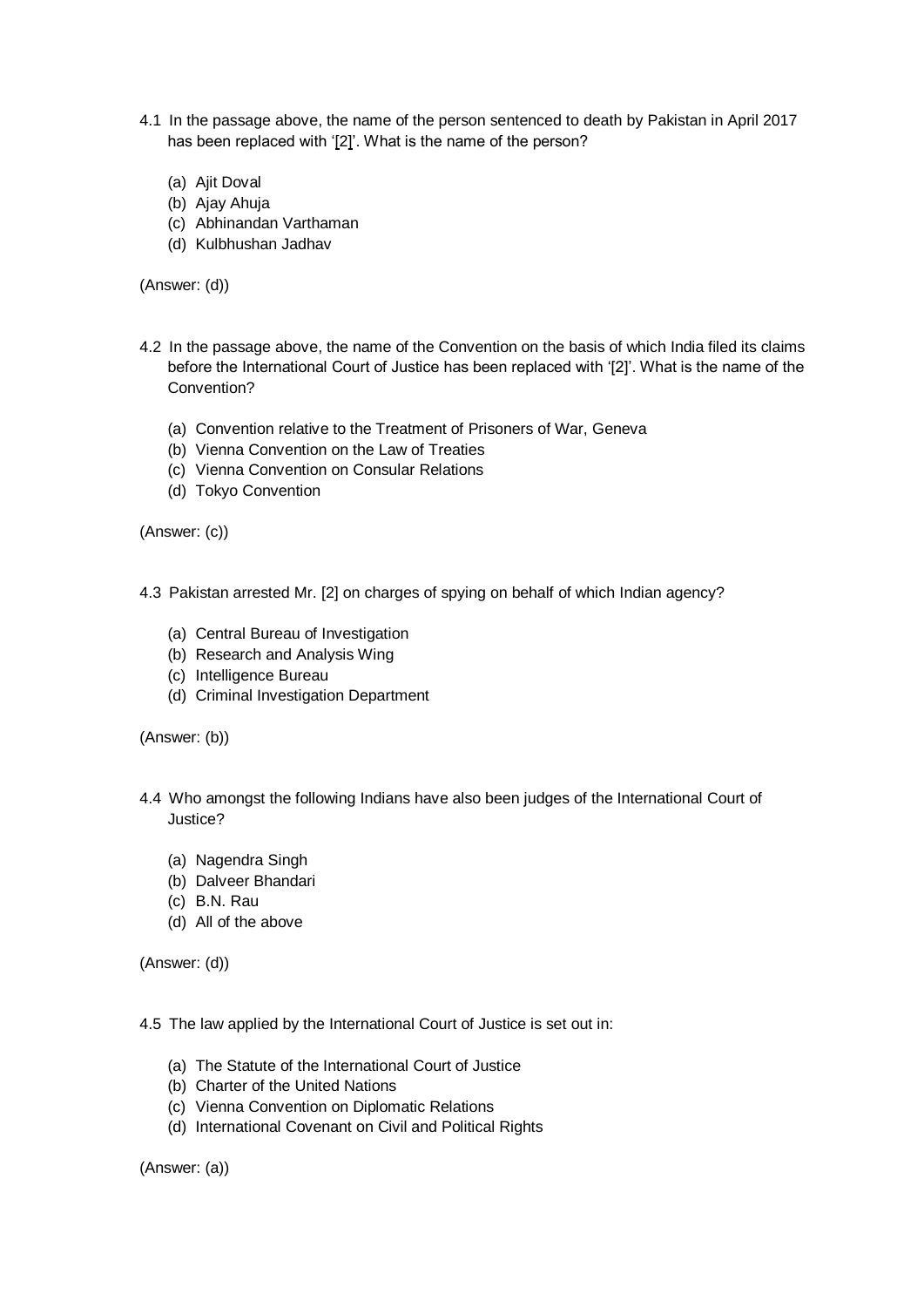- 4.1 In the passage above, the name of the person sentenced to death by Pakistan in April 2017 has been replaced with '[2]'. What is the name of the person?
	- (a) Ajit Doval
	- (b) Ajay Ahuja
	- (c) Abhinandan Varthaman
	- (d) Kulbhushan Jadhav

(Answer: (d))

- 4.2 In the passage above, the name of the Convention on the basis of which India filed its claims before the International Court of Justice has been replaced with '[2]'. What is the name of the Convention?
	- (a) Convention relative to the Treatment of Prisoners of War, Geneva
	- (b) Vienna Convention on the Law of Treaties
	- (c) Vienna Convention on Consular Relations
	- (d) Tokyo Convention

(Answer: (c))

- 4.3 Pakistan arrested Mr. [2] on charges of spying on behalf of which Indian agency?
	- (a) Central Bureau of Investigation
	- (b) Research and Analysis Wing
	- (c) Intelligence Bureau
	- (d) Criminal Investigation Department

(Answer: (b))

- 4.4 Who amongst the following Indians have also been judges of the International Court of Justice?
	- (a) Nagendra Singh
	- (b) Dalveer Bhandari
	- (c) B.N. Rau
	- (d) All of the above

(Answer: (d))

4.5 The law applied by the International Court of Justice is set out in:

- (a) The Statute of the International Court of Justice
- (b) Charter of the United Nations
- (c) Vienna Convention on Diplomatic Relations
- (d) International Covenant on Civil and Political Rights

(Answer: (a))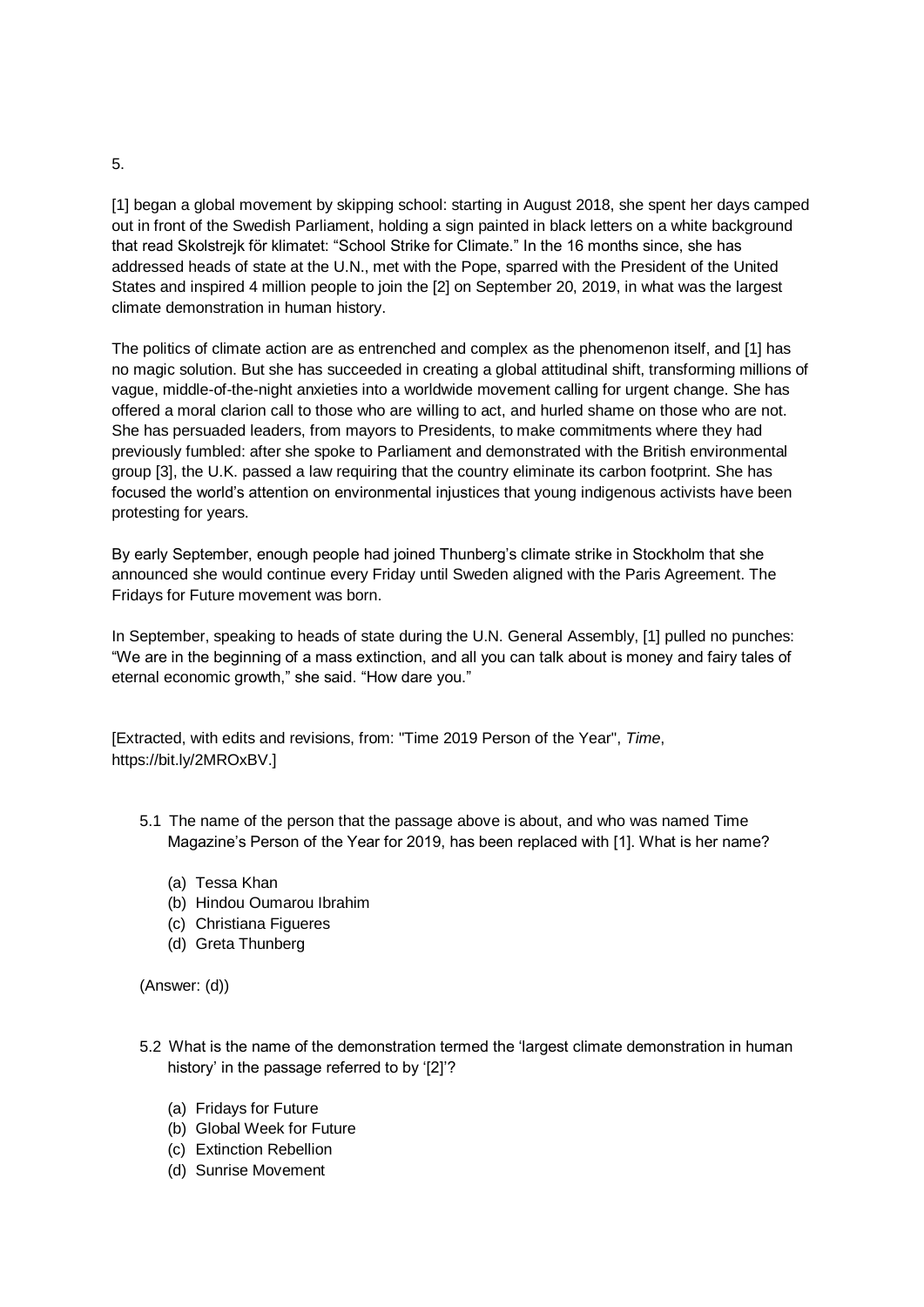[1] began a global movement by skipping school: starting in August 2018, she spent her days camped out in front of the Swedish Parliament, holding a sign painted in black letters on a white background that read Skolstrejk för klimatet: "School Strike for Climate." In the 16 months since, she has addressed heads of state at the U.N., met with the Pope, sparred with the President of the United States and inspired 4 million people to join the [2] on September 20, 2019, in what was the largest climate demonstration in human history.

The politics of climate action are as entrenched and complex as the phenomenon itself, and [1] has no magic solution. But she has succeeded in creating a global attitudinal shift, transforming millions of vague, middle-of-the-night anxieties into a worldwide movement calling for urgent change. She has offered a moral clarion call to those who are willing to act, and hurled shame on those who are not. She has persuaded leaders, from mayors to Presidents, to make commitments where they had previously fumbled: after she spoke to Parliament and demonstrated with the British environmental group [3], the U.K. passed a law requiring that the country eliminate its carbon footprint. She has focused the world's attention on environmental injustices that young indigenous activists have been protesting for years.

By early September, enough people had joined Thunberg's climate strike in Stockholm that she announced she would continue every Friday until Sweden aligned with the Paris Agreement. The Fridays for Future movement was born.

In September, speaking to heads of state during the U.N. General Assembly, [1] pulled no punches: "We are in the beginning of a mass extinction, and all you can talk about is money and fairy tales of eternal economic growth," she said. "How dare you."

[Extracted, with edits and revisions, from: "Time 2019 Person of the Year", *Time*, https://bit.ly/2MROxBV.]

- 5.1 The name of the person that the passage above is about, and who was named Time Magazine's Person of the Year for 2019, has been replaced with [1]. What is her name?
	- (a) Tessa Khan
	- (b) Hindou Oumarou Ibrahim
	- (c) Christiana Figueres
	- (d) Greta Thunberg

(Answer: (d))

- 5.2 What is the name of the demonstration termed the 'largest climate demonstration in human history' in the passage referred to by '[2]'?
	- (a) Fridays for Future
	- (b) Global Week for Future
	- (c) Extinction Rebellion
	- (d) Sunrise Movement

5.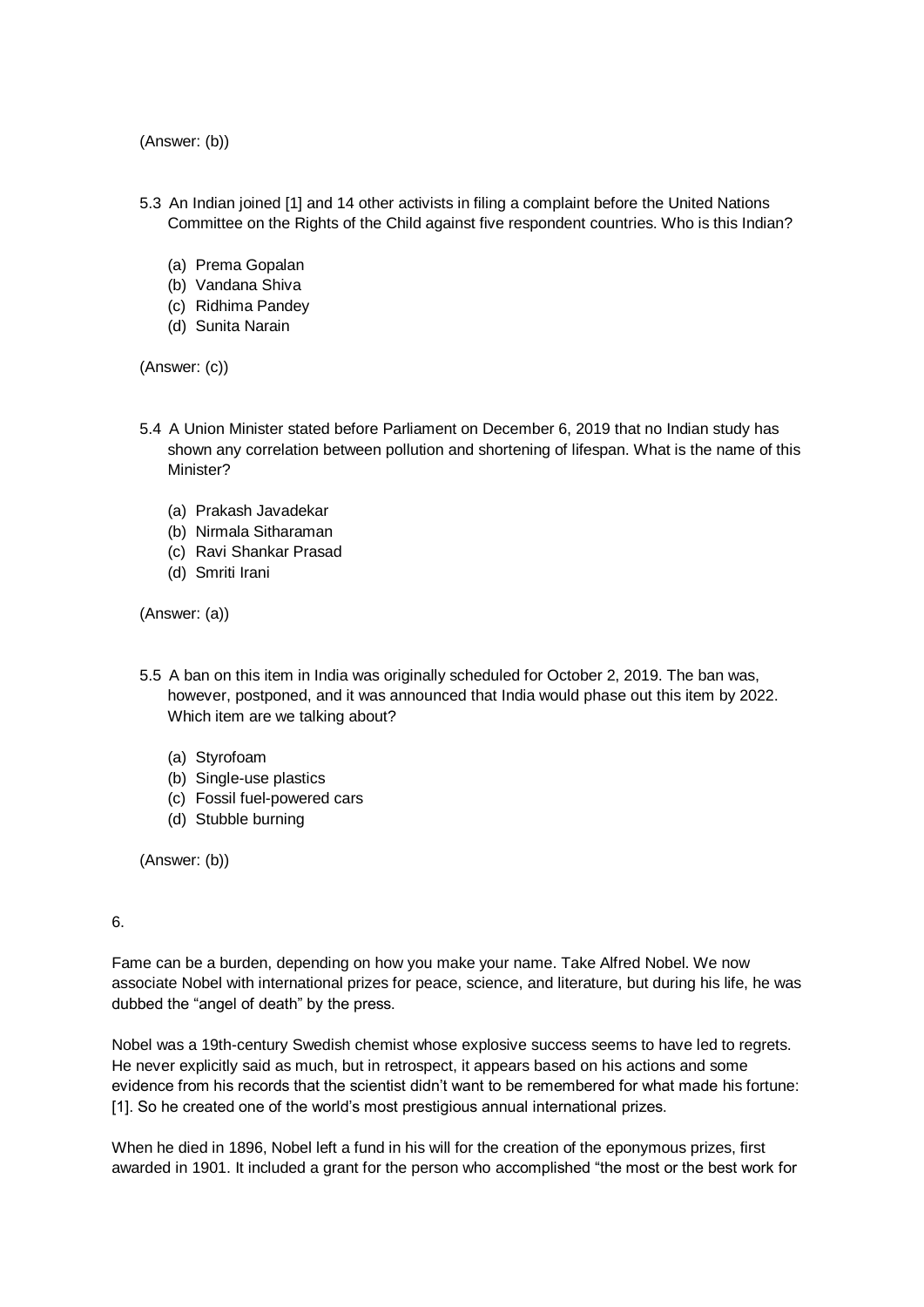(Answer: (b))

- 5.3 An Indian joined [1] and 14 other activists in filing a complaint before the United Nations Committee on the Rights of the Child against five respondent countries. Who is this Indian?
	- (a) Prema Gopalan
	- (b) Vandana Shiva
	- (c) Ridhima Pandey
	- (d) Sunita Narain

(Answer: (c))

- 5.4 A Union Minister stated before Parliament on December 6, 2019 that no Indian study has shown any correlation between pollution and shortening of lifespan. What is the name of this Minister?
	- (a) Prakash Javadekar
	- (b) Nirmala Sitharaman
	- (c) Ravi Shankar Prasad
	- (d) Smriti Irani

(Answer: (a))

- 5.5 A ban on this item in India was originally scheduled for October 2, 2019. The ban was, however, postponed, and it was announced that India would phase out this item by 2022. Which item are we talking about?
	- (a) Styrofoam
	- (b) Single-use plastics
	- (c) Fossil fuel-powered cars
	- (d) Stubble burning

(Answer: (b))

#### 6.

Fame can be a burden, depending on how you make your name. Take Alfred Nobel. We now associate Nobel with international prizes for peace, science, and literature, but during his life, he was dubbed the "angel of death" by the press.

Nobel was a 19th-century Swedish chemist whose explosive success seems to have led to regrets. He never explicitly said as much, but in retrospect, it appears based on his actions and some evidence from his records that the scientist didn't want to be remembered for what made his fortune: [1]. So he created one of the world's most prestigious annual international prizes.

When he died in 1896, Nobel left a fund in his will for the creation of the eponymous prizes, first awarded in 1901. It included a grant for the person who accomplished "the most or the best work for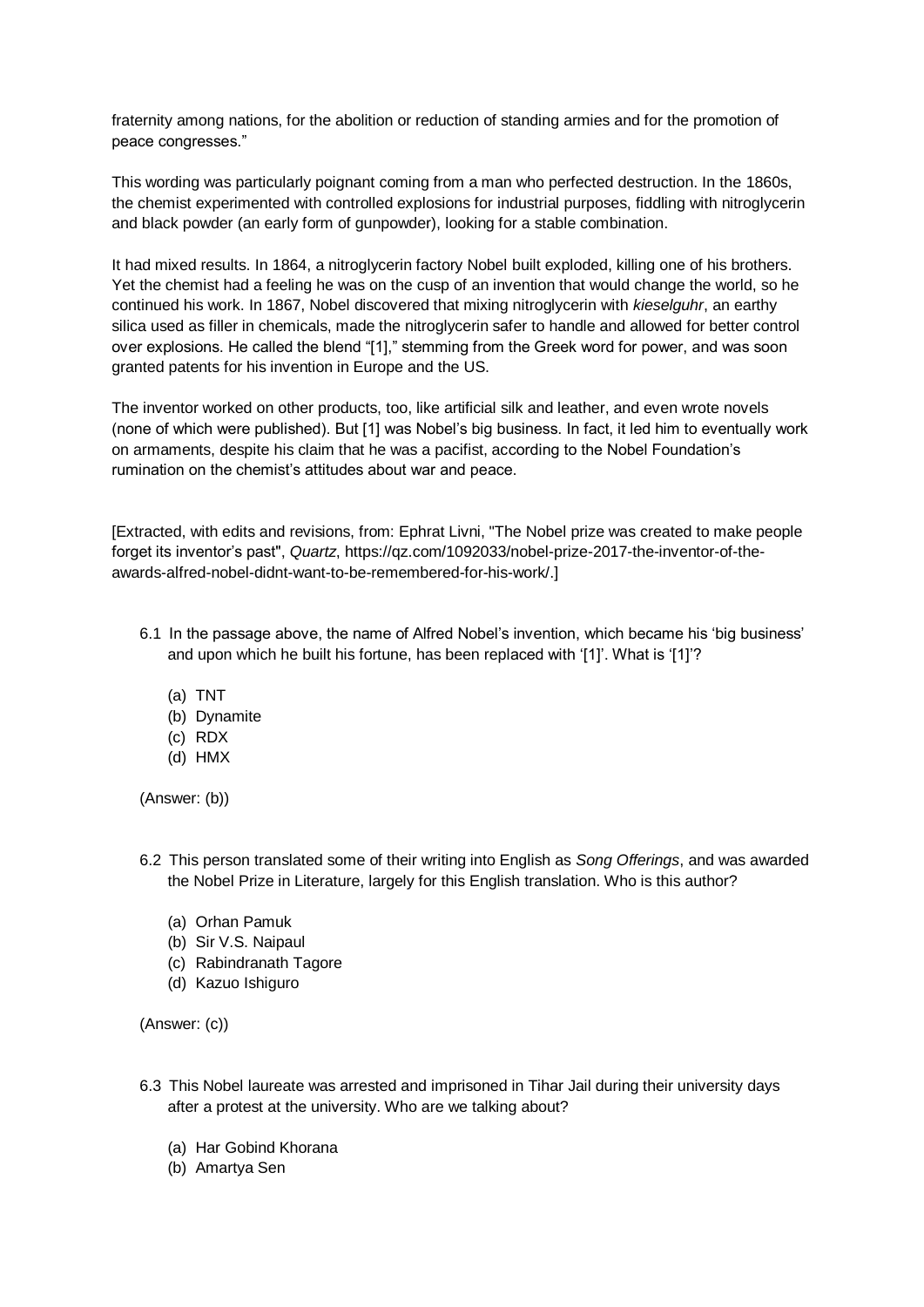fraternity among nations, for the abolition or reduction of standing armies and for the promotion of peace congresses."

This wording was particularly poignant coming from a man who perfected destruction. In the 1860s, the chemist experimented with controlled explosions for industrial purposes, fiddling with nitroglycerin and black powder (an early form of gunpowder), looking for a stable combination.

It had mixed results. In 1864, a nitroglycerin factory Nobel built exploded, killing one of his brothers. Yet the chemist had a feeling he was on the cusp of an invention that would change the world, so he continued his work. In 1867, Nobel discovered that mixing nitroglycerin with *kieselguhr*, an earthy silica used as filler in chemicals, made the nitroglycerin safer to handle and allowed for better control over explosions. He called the blend "[1]," stemming from the Greek word for power, and was soon granted patents for his invention in Europe and the US.

The inventor worked on other products, too, like artificial silk and leather, and even wrote novels (none of which were published). But [1] was Nobel's big business. In fact, it led him to eventually work on armaments, despite his claim that he was a pacifist, according to the Nobel Foundation's rumination on the chemist's attitudes about war and peace.

[Extracted, with edits and revisions, from: Ephrat Livni, "The Nobel prize was created to make people forget its inventor's past", *Quartz*, https://qz.com/1092033/nobel-prize-2017-the-inventor-of-theawards-alfred-nobel-didnt-want-to-be-remembered-for-his-work/.]

- 6.1 In the passage above, the name of Alfred Nobel's invention, which became his 'big business' and upon which he built his fortune, has been replaced with '[1]'. What is '[1]'?
	- (a) TNT
	- (b) Dynamite
	- (c) RDX
	- (d) HMX

(Answer: (b))

- 6.2 This person translated some of their writing into English as *Song Offerings*, and was awarded the Nobel Prize in Literature, largely for this English translation. Who is this author?
	- (a) Orhan Pamuk
	- (b) Sir V.S. Naipaul
	- (c) Rabindranath Tagore
	- (d) Kazuo Ishiguro

(Answer: (c))

- 6.3 This Nobel laureate was arrested and imprisoned in Tihar Jail during their university days after a protest at the university. Who are we talking about?
	- (a) Har Gobind Khorana
	- (b) Amartya Sen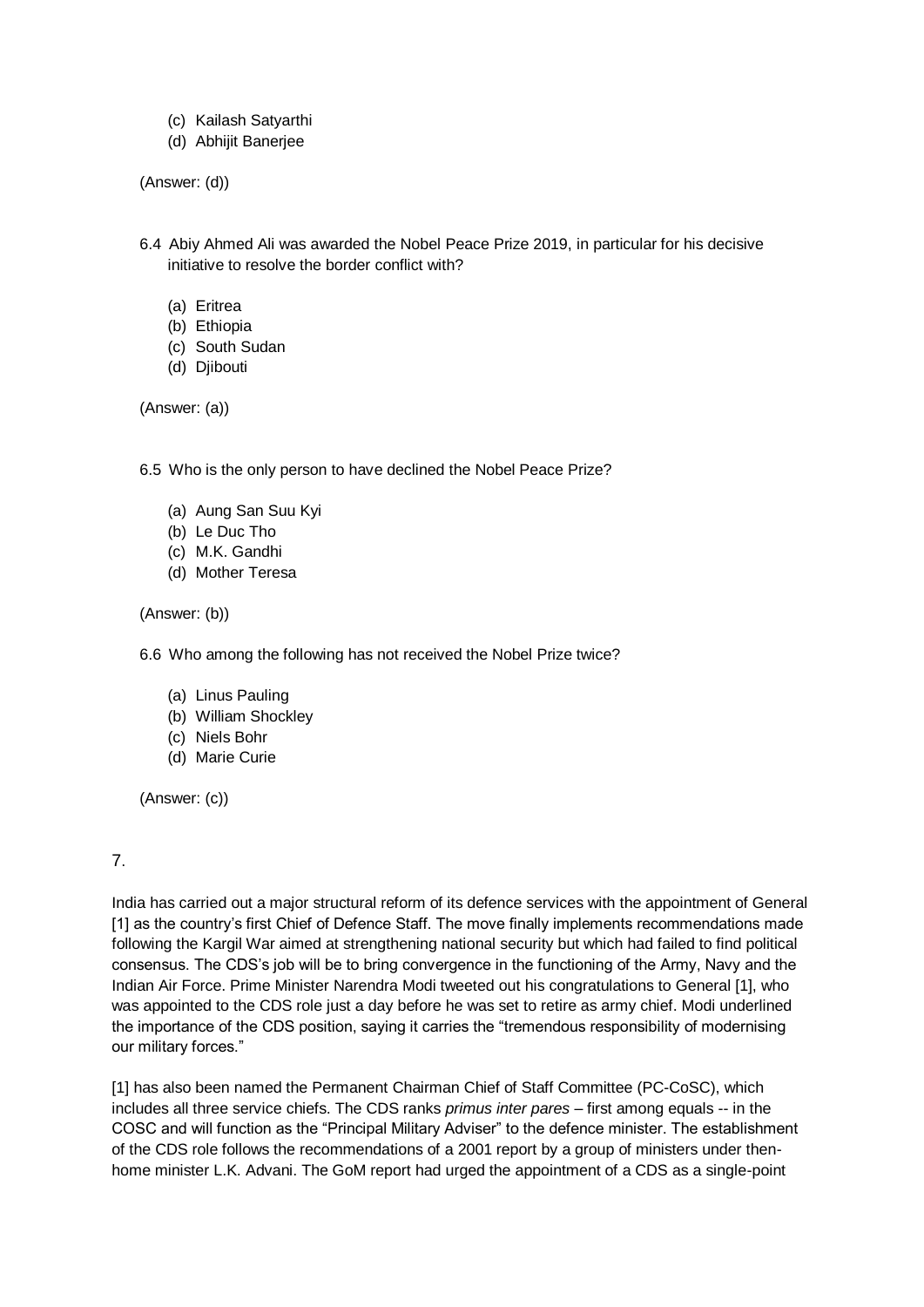- (c) Kailash Satyarthi
- (d) Abhijit Banerjee

(Answer: (d))

- 6.4 Abiy Ahmed Ali was awarded the Nobel Peace Prize 2019, in particular for his decisive initiative to resolve the border conflict with?
	- (a) Eritrea
	- (b) Ethiopia
	- (c) South Sudan
	- (d) Djibouti

(Answer: (a))

6.5 Who is the only person to have declined the Nobel Peace Prize?

- (a) Aung San Suu Kyi
- (b) Le Duc Tho
- (c) M.K. Gandhi
- (d) Mother Teresa

(Answer: (b))

6.6 Who among the following has not received the Nobel Prize twice?

- (a) Linus Pauling
- (b) William Shockley
- (c) Niels Bohr
- (d) Marie Curie

(Answer: (c))

# 7.

India has carried out a major structural reform of its defence services with the appointment of General [1] as the country's first Chief of Defence Staff. The move finally implements recommendations made following the Kargil War aimed at strengthening national security but which had failed to find political consensus. The CDS's job will be to bring convergence in the functioning of the Army, Navy and the Indian Air Force. Prime Minister Narendra Modi tweeted out his congratulations to General [1], who was appointed to the CDS role just a day before he was set to retire as army chief. Modi underlined the importance of the CDS position, saying it carries the "tremendous responsibility of modernising our military forces."

[1] has also been named the Permanent Chairman Chief of Staff Committee (PC-CoSC), which includes all three service chiefs. The CDS ranks *primus inter pares* – first among equals -- in the COSC and will function as the "Principal Military Adviser" to the defence minister. The establishment of the CDS role follows the recommendations of a 2001 report by a group of ministers under thenhome minister L.K. Advani. The GoM report had urged the appointment of a CDS as a single-point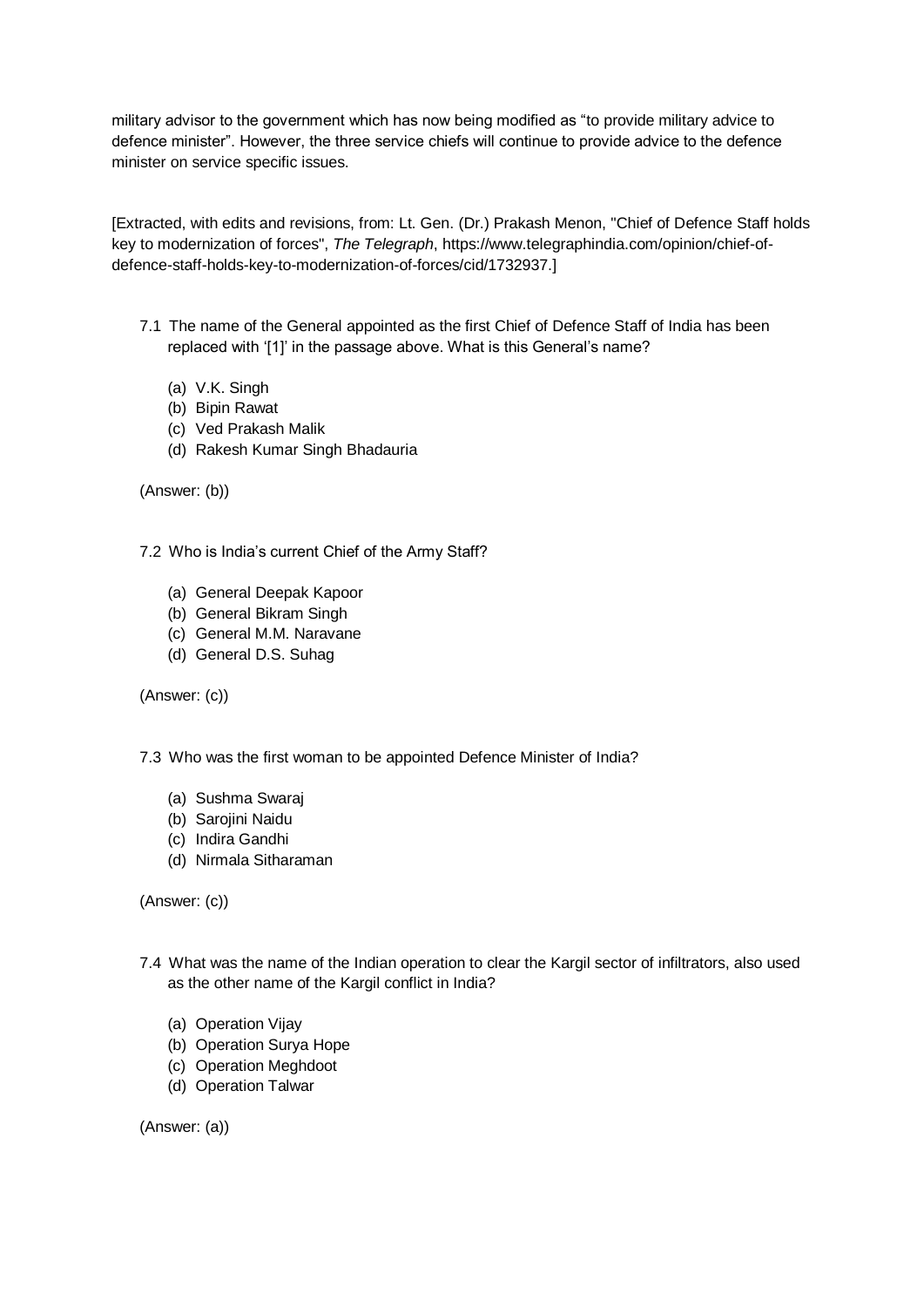military advisor to the government which has now being modified as "to provide military advice to defence minister". However, the three service chiefs will continue to provide advice to the defence minister on service specific issues.

[Extracted, with edits and revisions, from: Lt. Gen. (Dr.) Prakash Menon, "Chief of Defence Staff holds key to modernization of forces", *The Telegraph*, https://www.telegraphindia.com/opinion/chief-ofdefence-staff-holds-key-to-modernization-of-forces/cid/1732937.]

- 7.1 The name of the General appointed as the first Chief of Defence Staff of India has been replaced with '[1]' in the passage above. What is this General's name?
	- (a) V.K. Singh
	- (b) Bipin Rawat
	- (c) Ved Prakash Malik
	- (d) Rakesh Kumar Singh Bhadauria

(Answer: (b))

7.2 Who is India's current Chief of the Army Staff?

- (a) General Deepak Kapoor
- (b) General Bikram Singh
- (c) General M.M. Naravane
- (d) General D.S. Suhag

(Answer: (c))

7.3 Who was the first woman to be appointed Defence Minister of India?

- (a) Sushma Swaraj
- (b) Sarojini Naidu
- (c) Indira Gandhi
- (d) Nirmala Sitharaman

(Answer: (c))

- 7.4 What was the name of the Indian operation to clear the Kargil sector of infiltrators, also used as the other name of the Kargil conflict in India?
	- (a) Operation Vijay
	- (b) Operation Surya Hope
	- (c) Operation Meghdoot
	- (d) Operation Talwar

(Answer: (a))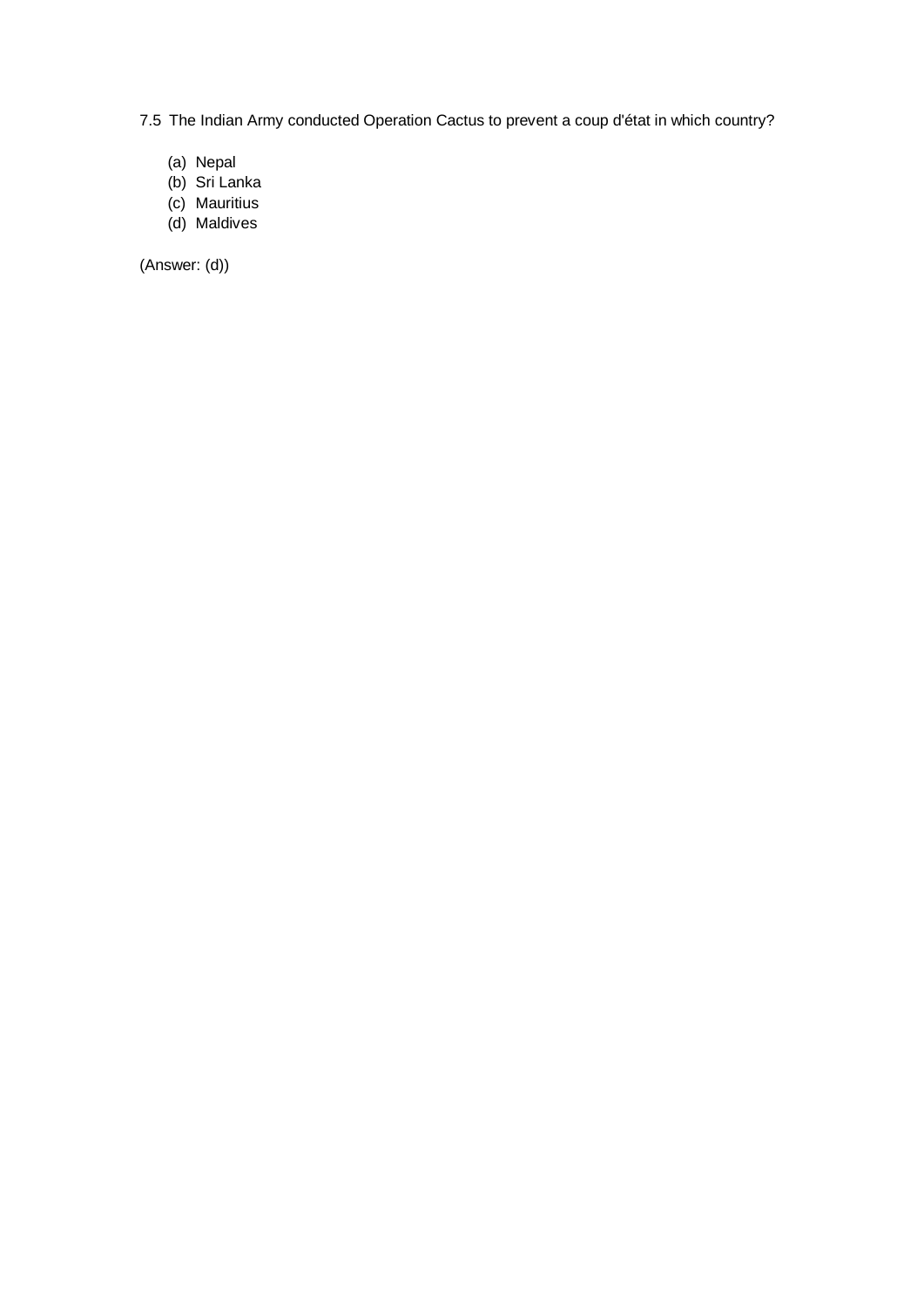7.5 The Indian Army conducted Operation Cactus to prevent a coup d'état in which country?

- (a) Nepal
- (b) Sri Lanka
- (c) Mauritius
- (d) Maldives

(Answer: (d))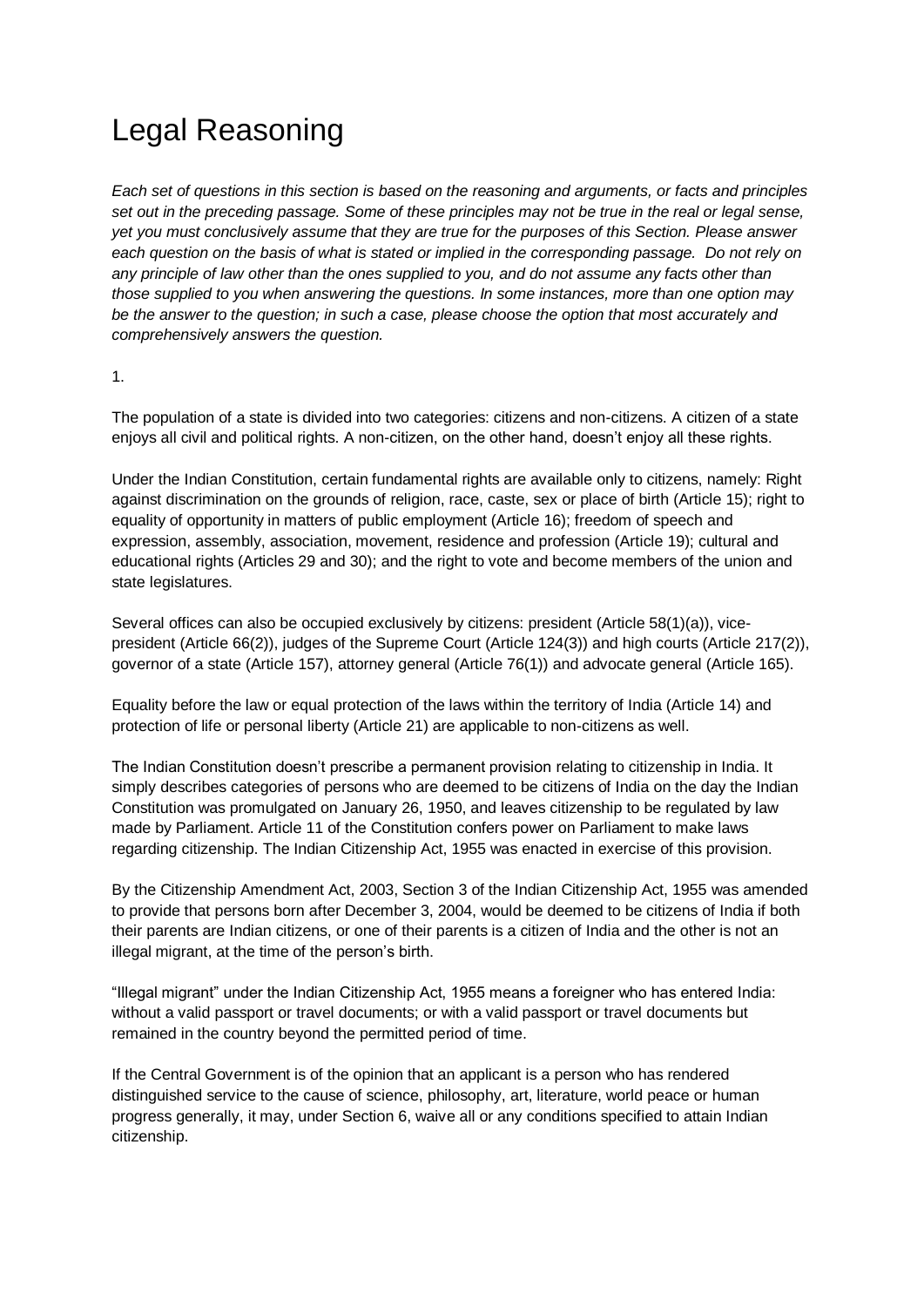# Legal Reasoning

*Each set of questions in this section is based on the reasoning and arguments, or facts and principles set out in the preceding passage. Some of these principles may not be true in the real or legal sense, yet you must conclusively assume that they are true for the purposes of this Section. Please answer each question on the basis of what is stated or implied in the corresponding passage. Do not rely on any principle of law other than the ones supplied to you, and do not assume any facts other than those supplied to you when answering the questions. In some instances, more than one option may be the answer to the question; in such a case, please choose the option that most accurately and comprehensively answers the question.*

1.

The population of a state is divided into two categories: citizens and non-citizens. A citizen of a state enjoys all civil and political rights. A non-citizen, on the other hand, doesn't enjoy all these rights.

Under the Indian Constitution, certain fundamental rights are available only to citizens, namely: Right against discrimination on the grounds of religion, race, caste, sex or place of birth (Article 15); right to equality of opportunity in matters of public employment (Article 16); freedom of speech and expression, assembly, association, movement, residence and profession (Article 19); cultural and educational rights (Articles 29 and 30); and the right to vote and become members of the union and state legislatures.

Several offices can also be occupied exclusively by citizens: president (Article 58(1)(a)), vicepresident (Article 66(2)), judges of the Supreme Court (Article 124(3)) and high courts (Article 217(2)), governor of a state (Article 157), attorney general (Article 76(1)) and advocate general (Article 165).

Equality before the law or equal protection of the laws within the territory of India (Article 14) and protection of life or personal liberty (Article 21) are applicable to non-citizens as well.

The Indian Constitution doesn't prescribe a permanent provision relating to citizenship in India. It simply describes categories of persons who are deemed to be citizens of India on the day the Indian Constitution was promulgated on January 26, 1950, and leaves citizenship to be regulated by law made by Parliament. Article 11 of the Constitution confers power on Parliament to make laws regarding citizenship. The Indian Citizenship Act, 1955 was enacted in exercise of this provision.

By the Citizenship Amendment Act, 2003, Section 3 of the Indian Citizenship Act, 1955 was amended to provide that persons born after December 3, 2004, would be deemed to be citizens of India if both their parents are Indian citizens, or one of their parents is a citizen of India and the other is not an illegal migrant, at the time of the person's birth.

"Illegal migrant" under the Indian Citizenship Act, 1955 means a foreigner who has entered India: without a valid passport or travel documents; or with a valid passport or travel documents but remained in the country beyond the permitted period of time.

If the Central Government is of the opinion that an applicant is a person who has rendered distinguished service to the cause of science, philosophy, art, literature, world peace or human progress generally, it may, under Section 6, waive all or any conditions specified to attain Indian citizenship.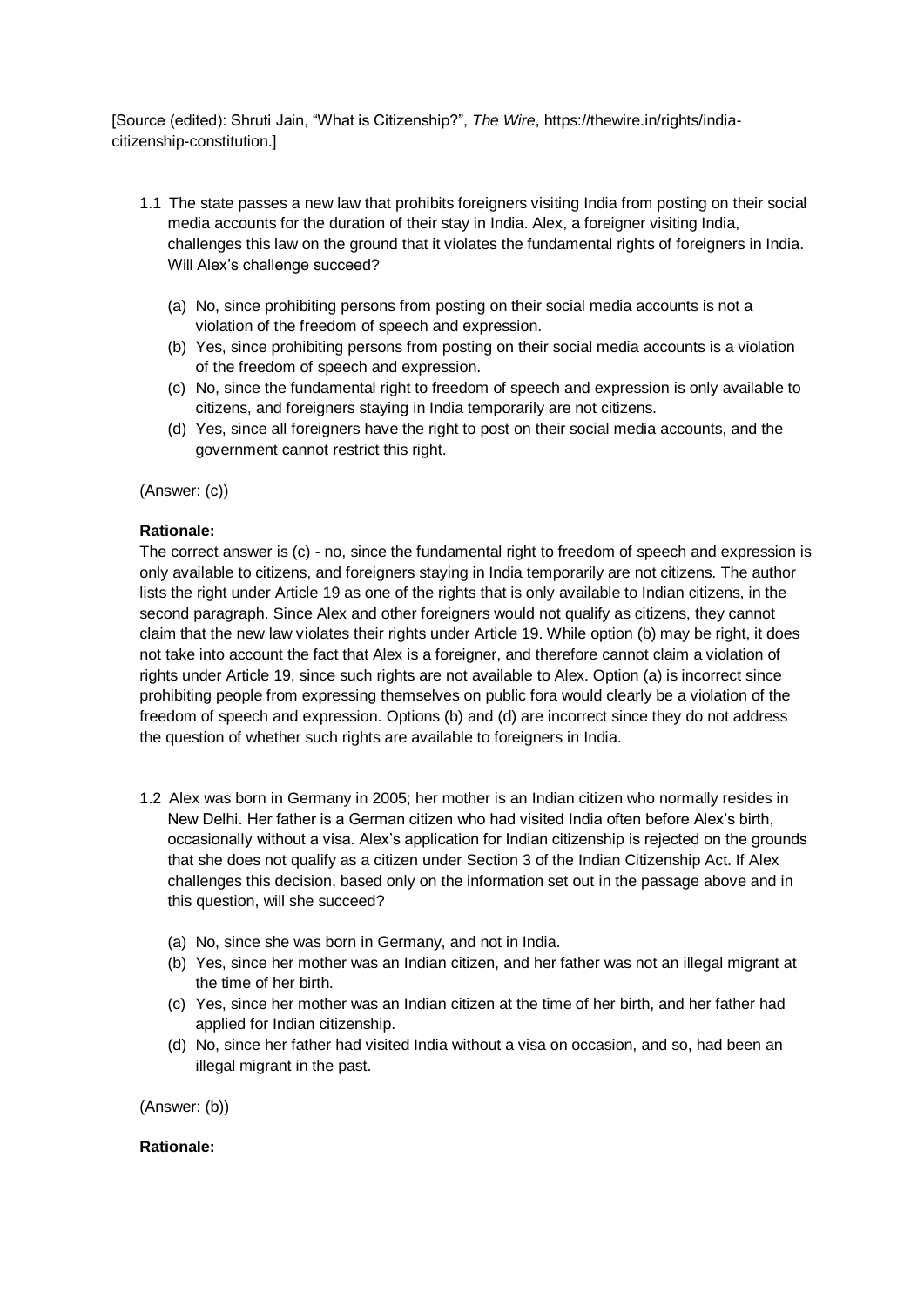[Source (edited): Shruti Jain, "What is Citizenship?", *The Wire*, https://thewire.in/rights/indiacitizenship-constitution.]

- 1.1 The state passes a new law that prohibits foreigners visiting India from posting on their social media accounts for the duration of their stay in India. Alex, a foreigner visiting India, challenges this law on the ground that it violates the fundamental rights of foreigners in India. Will Alex's challenge succeed?
	- (a) No, since prohibiting persons from posting on their social media accounts is not a violation of the freedom of speech and expression.
	- (b) Yes, since prohibiting persons from posting on their social media accounts is a violation of the freedom of speech and expression.
	- (c) No, since the fundamental right to freedom of speech and expression is only available to citizens, and foreigners staying in India temporarily are not citizens.
	- (d) Yes, since all foreigners have the right to post on their social media accounts, and the government cannot restrict this right.

(Answer: (c))

## **Rationale:**

The correct answer is (c) - no, since the fundamental right to freedom of speech and expression is only available to citizens, and foreigners staying in India temporarily are not citizens. The author lists the right under Article 19 as one of the rights that is only available to Indian citizens, in the second paragraph. Since Alex and other foreigners would not qualify as citizens, they cannot claim that the new law violates their rights under Article 19. While option (b) may be right, it does not take into account the fact that Alex is a foreigner, and therefore cannot claim a violation of rights under Article 19, since such rights are not available to Alex. Option (a) is incorrect since prohibiting people from expressing themselves on public fora would clearly be a violation of the freedom of speech and expression. Options (b) and (d) are incorrect since they do not address the question of whether such rights are available to foreigners in India.

- 1.2 Alex was born in Germany in 2005; her mother is an Indian citizen who normally resides in New Delhi. Her father is a German citizen who had visited India often before Alex's birth, occasionally without a visa. Alex's application for Indian citizenship is rejected on the grounds that she does not qualify as a citizen under Section 3 of the Indian Citizenship Act. If Alex challenges this decision, based only on the information set out in the passage above and in this question, will she succeed?
	- (a) No, since she was born in Germany, and not in India.
	- (b) Yes, since her mother was an Indian citizen, and her father was not an illegal migrant at the time of her birth.
	- (c) Yes, since her mother was an Indian citizen at the time of her birth, and her father had applied for Indian citizenship.
	- (d) No, since her father had visited India without a visa on occasion, and so, had been an illegal migrant in the past.

(Answer: (b))

#### **Rationale:**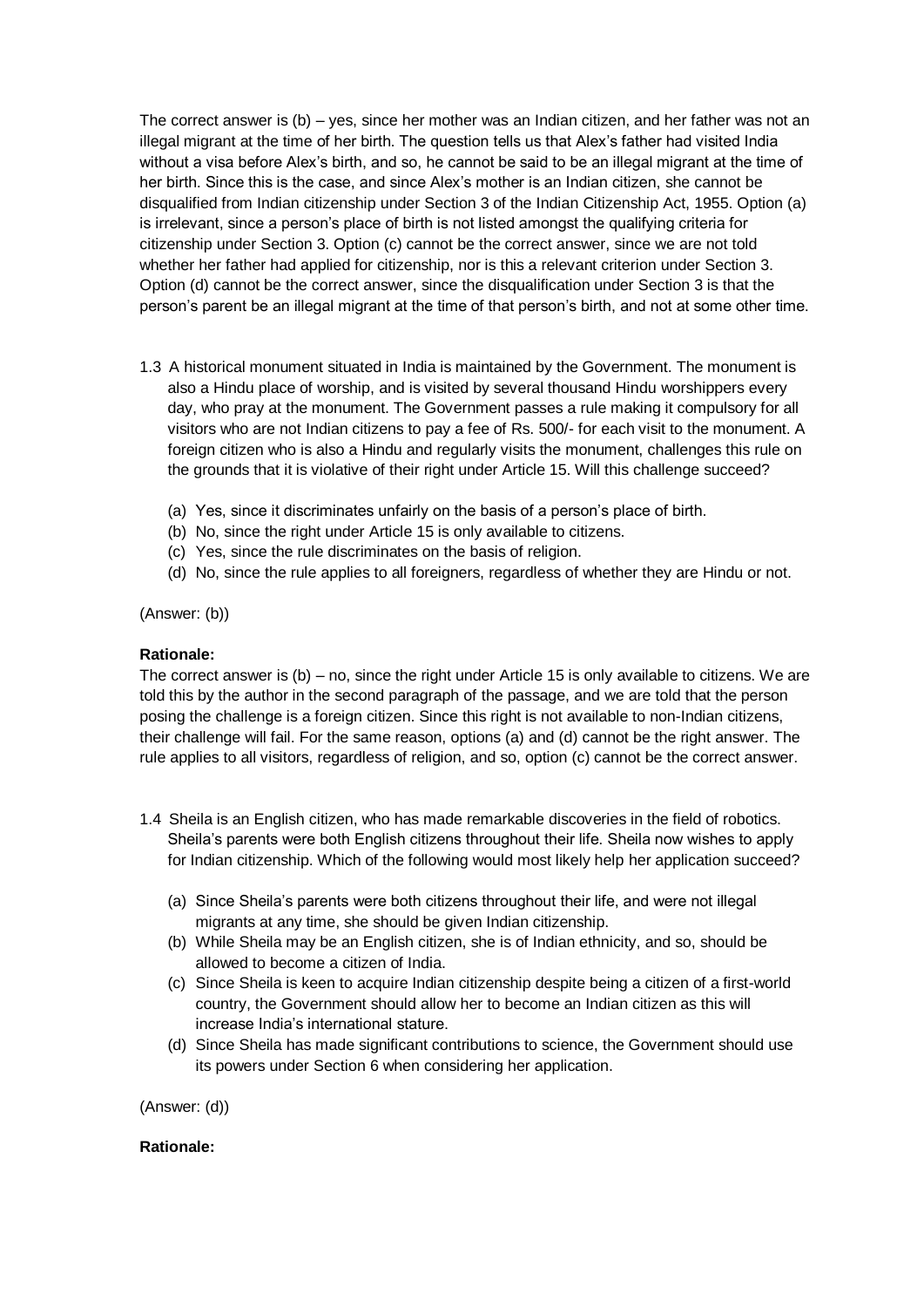The correct answer is (b) – yes, since her mother was an Indian citizen, and her father was not an illegal migrant at the time of her birth. The question tells us that Alex's father had visited India without a visa before Alex's birth, and so, he cannot be said to be an illegal migrant at the time of her birth. Since this is the case, and since Alex's mother is an Indian citizen, she cannot be disqualified from Indian citizenship under Section 3 of the Indian Citizenship Act, 1955. Option (a) is irrelevant, since a person's place of birth is not listed amongst the qualifying criteria for citizenship under Section 3. Option (c) cannot be the correct answer, since we are not told whether her father had applied for citizenship, nor is this a relevant criterion under Section 3. Option (d) cannot be the correct answer, since the disqualification under Section 3 is that the person's parent be an illegal migrant at the time of that person's birth, and not at some other time.

- 1.3 A historical monument situated in India is maintained by the Government. The monument is also a Hindu place of worship, and is visited by several thousand Hindu worshippers every day, who pray at the monument. The Government passes a rule making it compulsory for all visitors who are not Indian citizens to pay a fee of Rs. 500/- for each visit to the monument. A foreign citizen who is also a Hindu and regularly visits the monument, challenges this rule on the grounds that it is violative of their right under Article 15. Will this challenge succeed?
	- (a) Yes, since it discriminates unfairly on the basis of a person's place of birth.
	- (b) No, since the right under Article 15 is only available to citizens.
	- (c) Yes, since the rule discriminates on the basis of religion.
	- (d) No, since the rule applies to all foreigners, regardless of whether they are Hindu or not.

(Answer: (b))

## **Rationale:**

The correct answer is (b) – no, since the right under Article 15 is only available to citizens. We are told this by the author in the second paragraph of the passage, and we are told that the person posing the challenge is a foreign citizen. Since this right is not available to non-Indian citizens, their challenge will fail. For the same reason, options (a) and (d) cannot be the right answer. The rule applies to all visitors, regardless of religion, and so, option (c) cannot be the correct answer.

- 1.4 Sheila is an English citizen, who has made remarkable discoveries in the field of robotics. Sheila's parents were both English citizens throughout their life. Sheila now wishes to apply for Indian citizenship. Which of the following would most likely help her application succeed?
	- (a) Since Sheila's parents were both citizens throughout their life, and were not illegal migrants at any time, she should be given Indian citizenship.
	- (b) While Sheila may be an English citizen, she is of Indian ethnicity, and so, should be allowed to become a citizen of India.
	- (c) Since Sheila is keen to acquire Indian citizenship despite being a citizen of a first-world country, the Government should allow her to become an Indian citizen as this will increase India's international stature.
	- (d) Since Sheila has made significant contributions to science, the Government should use its powers under Section 6 when considering her application.

(Answer: (d))

#### **Rationale:**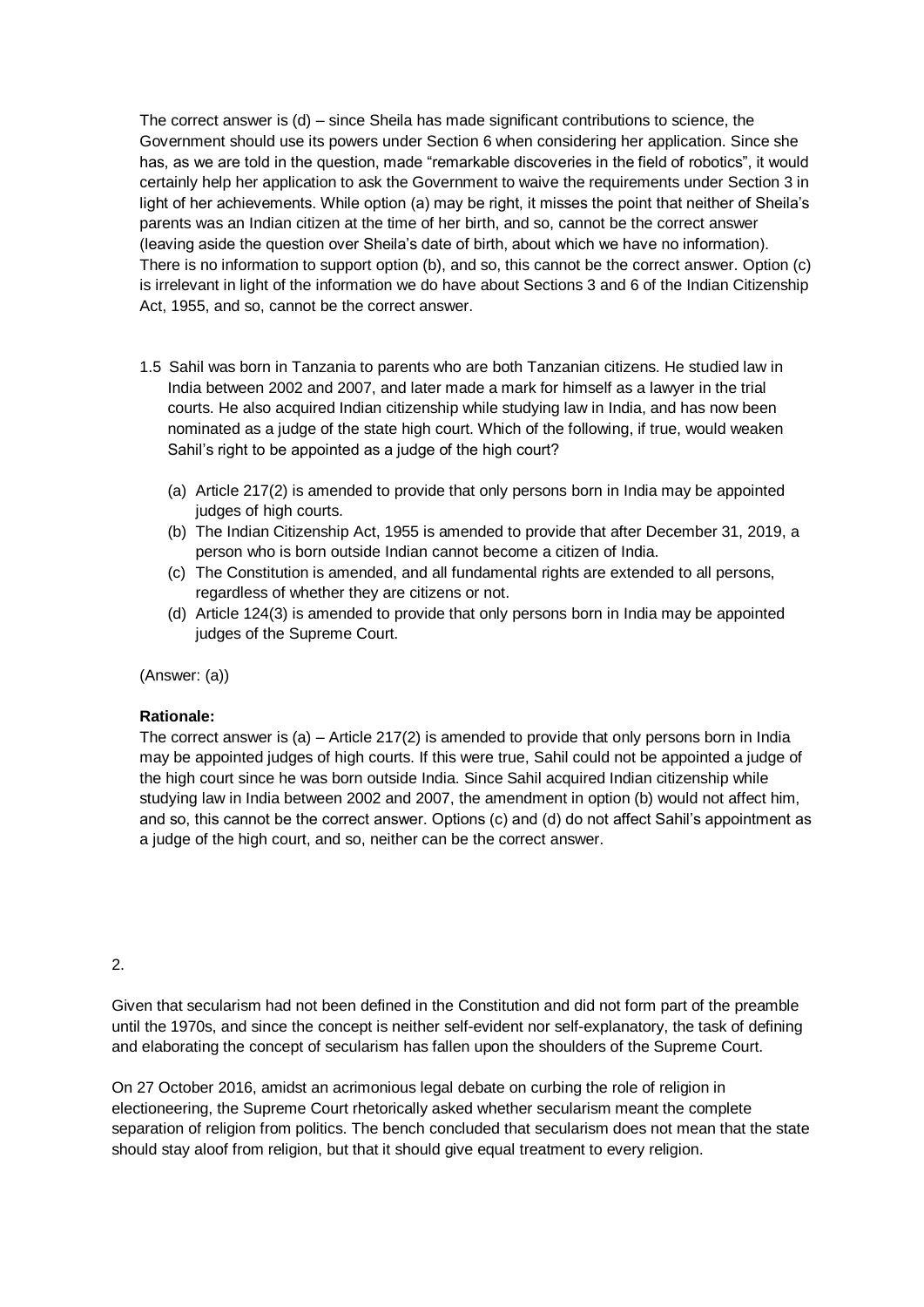The correct answer is (d) – since Sheila has made significant contributions to science, the Government should use its powers under Section 6 when considering her application. Since she has, as we are told in the question, made "remarkable discoveries in the field of robotics", it would certainly help her application to ask the Government to waive the requirements under Section 3 in light of her achievements. While option (a) may be right, it misses the point that neither of Sheila's parents was an Indian citizen at the time of her birth, and so, cannot be the correct answer (leaving aside the question over Sheila's date of birth, about which we have no information). There is no information to support option (b), and so, this cannot be the correct answer. Option (c) is irrelevant in light of the information we do have about Sections 3 and 6 of the Indian Citizenship Act, 1955, and so, cannot be the correct answer.

- 1.5 Sahil was born in Tanzania to parents who are both Tanzanian citizens. He studied law in India between 2002 and 2007, and later made a mark for himself as a lawyer in the trial courts. He also acquired Indian citizenship while studying law in India, and has now been nominated as a judge of the state high court. Which of the following, if true, would weaken Sahil's right to be appointed as a judge of the high court?
	- (a) Article 217(2) is amended to provide that only persons born in India may be appointed judges of high courts.
	- (b) The Indian Citizenship Act, 1955 is amended to provide that after December 31, 2019, a person who is born outside Indian cannot become a citizen of India.
	- (c) The Constitution is amended, and all fundamental rights are extended to all persons, regardless of whether they are citizens or not.
	- (d) Article 124(3) is amended to provide that only persons born in India may be appointed judges of the Supreme Court.

(Answer: (a))

#### **Rationale:**

The correct answer is  $(a)$  – Article 217(2) is amended to provide that only persons born in India may be appointed judges of high courts. If this were true, Sahil could not be appointed a judge of the high court since he was born outside India. Since Sahil acquired Indian citizenship while studying law in India between 2002 and 2007, the amendment in option (b) would not affect him, and so, this cannot be the correct answer. Options (c) and (d) do not affect Sahil's appointment as a judge of the high court, and so, neither can be the correct answer.

# 2.

Given that secularism had not been defined in the Constitution and did not form part of the preamble until the 1970s, and since the concept is neither self-evident nor self-explanatory, the task of defining and elaborating the concept of secularism has fallen upon the shoulders of the Supreme Court.

On 27 October 2016, amidst an acrimonious legal debate on curbing the role of religion in electioneering, the Supreme Court rhetorically asked whether secularism meant the complete separation of religion from politics. The bench concluded that secularism does not mean that the state should stay aloof from religion, but that it should give equal treatment to every religion.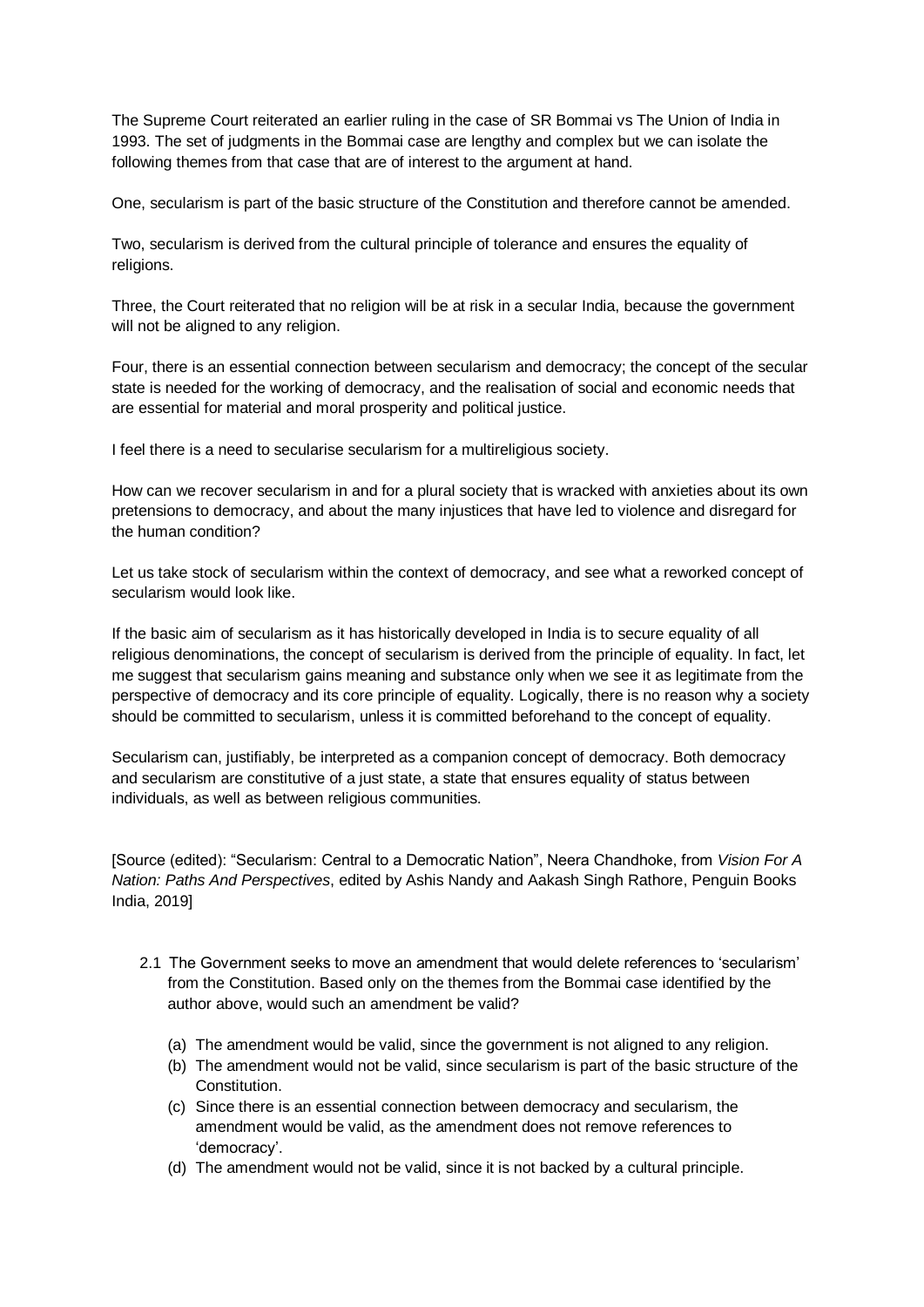The Supreme Court reiterated an earlier ruling in the case of SR Bommai vs The Union of India in 1993. The set of judgments in the Bommai case are lengthy and complex but we can isolate the following themes from that case that are of interest to the argument at hand.

One, secularism is part of the basic structure of the Constitution and therefore cannot be amended.

Two, secularism is derived from the cultural principle of tolerance and ensures the equality of religions.

Three, the Court reiterated that no religion will be at risk in a secular India, because the government will not be aligned to any religion.

Four, there is an essential connection between secularism and democracy; the concept of the secular state is needed for the working of democracy, and the realisation of social and economic needs that are essential for material and moral prosperity and political justice.

I feel there is a need to secularise secularism for a multireligious society.

How can we recover secularism in and for a plural society that is wracked with anxieties about its own pretensions to democracy, and about the many injustices that have led to violence and disregard for the human condition?

Let us take stock of secularism within the context of democracy, and see what a reworked concept of secularism would look like.

If the basic aim of secularism as it has historically developed in India is to secure equality of all religious denominations, the concept of secularism is derived from the principle of equality. In fact, let me suggest that secularism gains meaning and substance only when we see it as legitimate from the perspective of democracy and its core principle of equality. Logically, there is no reason why a society should be committed to secularism, unless it is committed beforehand to the concept of equality.

Secularism can, justifiably, be interpreted as a companion concept of democracy. Both democracy and secularism are constitutive of a just state, a state that ensures equality of status between individuals, as well as between religious communities.

[Source (edited): "Secularism: Central to a Democratic Nation", Neera Chandhoke, from *Vision For A Nation: Paths And Perspectives*, edited by Ashis Nandy and Aakash Singh Rathore, Penguin Books India, 2019]

- 2.1 The Government seeks to move an amendment that would delete references to 'secularism' from the Constitution. Based only on the themes from the Bommai case identified by the author above, would such an amendment be valid?
	- (a) The amendment would be valid, since the government is not aligned to any religion.
	- (b) The amendment would not be valid, since secularism is part of the basic structure of the Constitution.
	- (c) Since there is an essential connection between democracy and secularism, the amendment would be valid, as the amendment does not remove references to 'democracy'.
	- (d) The amendment would not be valid, since it is not backed by a cultural principle.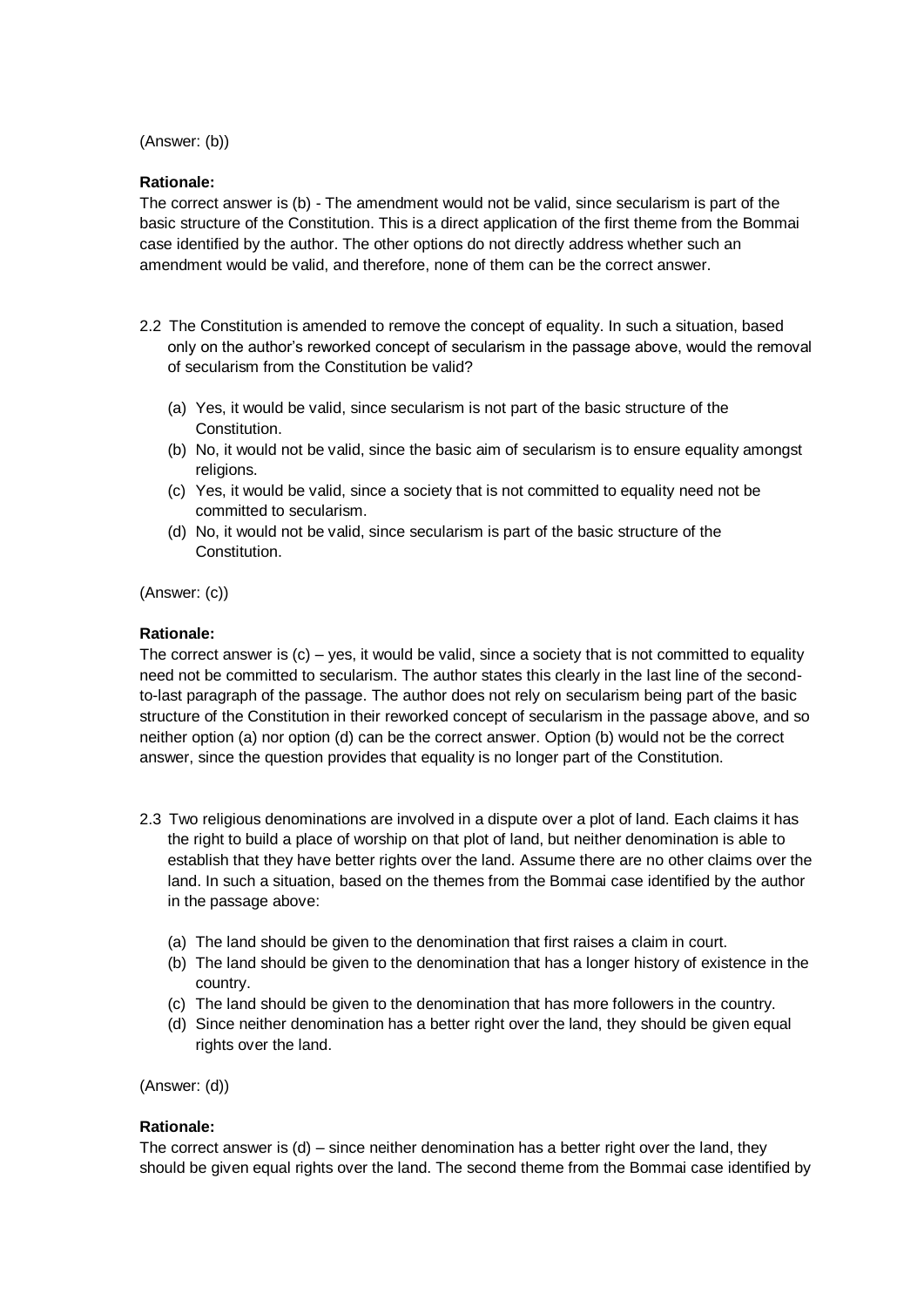(Answer: (b))

## **Rationale:**

The correct answer is (b) - The amendment would not be valid, since secularism is part of the basic structure of the Constitution. This is a direct application of the first theme from the Bommai case identified by the author. The other options do not directly address whether such an amendment would be valid, and therefore, none of them can be the correct answer.

- 2.2 The Constitution is amended to remove the concept of equality. In such a situation, based only on the author's reworked concept of secularism in the passage above, would the removal of secularism from the Constitution be valid?
	- (a) Yes, it would be valid, since secularism is not part of the basic structure of the Constitution.
	- (b) No, it would not be valid, since the basic aim of secularism is to ensure equality amongst religions.
	- (c) Yes, it would be valid, since a society that is not committed to equality need not be committed to secularism.
	- (d) No, it would not be valid, since secularism is part of the basic structure of the Constitution.

(Answer: (c))

## **Rationale:**

The correct answer is  $(c)$  – yes, it would be valid, since a society that is not committed to equality need not be committed to secularism. The author states this clearly in the last line of the secondto-last paragraph of the passage. The author does not rely on secularism being part of the basic structure of the Constitution in their reworked concept of secularism in the passage above, and so neither option (a) nor option (d) can be the correct answer. Option (b) would not be the correct answer, since the question provides that equality is no longer part of the Constitution.

- 2.3 Two religious denominations are involved in a dispute over a plot of land. Each claims it has the right to build a place of worship on that plot of land, but neither denomination is able to establish that they have better rights over the land. Assume there are no other claims over the land. In such a situation, based on the themes from the Bommai case identified by the author in the passage above:
	- (a) The land should be given to the denomination that first raises a claim in court.
	- (b) The land should be given to the denomination that has a longer history of existence in the country.
	- (c) The land should be given to the denomination that has more followers in the country.
	- (d) Since neither denomination has a better right over the land, they should be given equal rights over the land.

(Answer: (d))

#### **Rationale:**

The correct answer is  $(d)$  – since neither denomination has a better right over the land, they should be given equal rights over the land. The second theme from the Bommai case identified by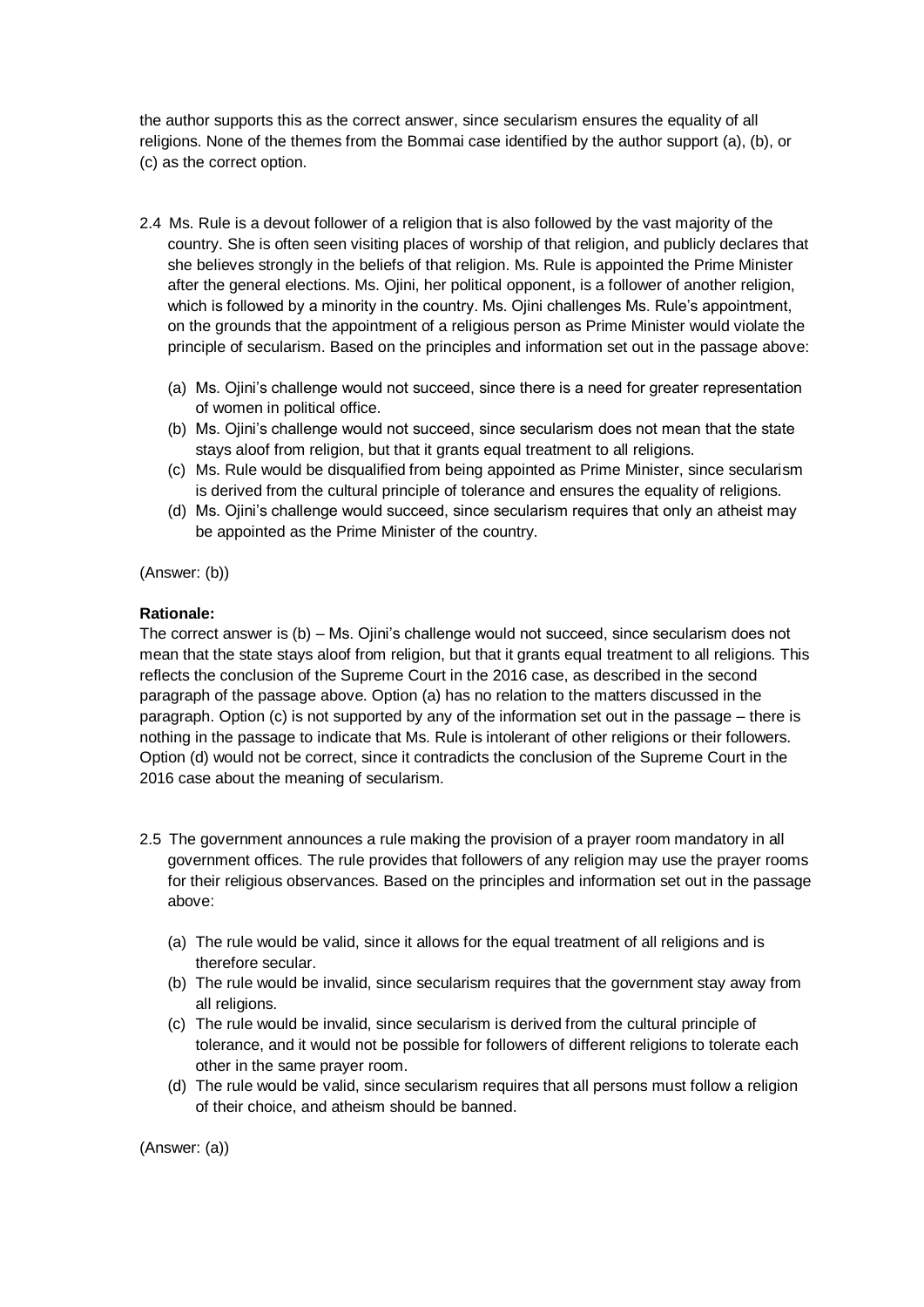the author supports this as the correct answer, since secularism ensures the equality of all religions. None of the themes from the Bommai case identified by the author support (a), (b), or (c) as the correct option.

- 2.4 Ms. Rule is a devout follower of a religion that is also followed by the vast majority of the country. She is often seen visiting places of worship of that religion, and publicly declares that she believes strongly in the beliefs of that religion. Ms. Rule is appointed the Prime Minister after the general elections. Ms. Ojini, her political opponent, is a follower of another religion, which is followed by a minority in the country. Ms. Ojini challenges Ms. Rule's appointment, on the grounds that the appointment of a religious person as Prime Minister would violate the principle of secularism. Based on the principles and information set out in the passage above:
	- (a) Ms. Ojini's challenge would not succeed, since there is a need for greater representation of women in political office.
	- (b) Ms. Ojini's challenge would not succeed, since secularism does not mean that the state stays aloof from religion, but that it grants equal treatment to all religions.
	- (c) Ms. Rule would be disqualified from being appointed as Prime Minister, since secularism is derived from the cultural principle of tolerance and ensures the equality of religions.
	- (d) Ms. Ojini's challenge would succeed, since secularism requires that only an atheist may be appointed as the Prime Minister of the country.

(Answer: (b))

## **Rationale:**

The correct answer is (b) – Ms. Ojini's challenge would not succeed, since secularism does not mean that the state stays aloof from religion, but that it grants equal treatment to all religions. This reflects the conclusion of the Supreme Court in the 2016 case, as described in the second paragraph of the passage above. Option (a) has no relation to the matters discussed in the paragraph. Option (c) is not supported by any of the information set out in the passage – there is nothing in the passage to indicate that Ms. Rule is intolerant of other religions or their followers. Option (d) would not be correct, since it contradicts the conclusion of the Supreme Court in the 2016 case about the meaning of secularism.

- 2.5 The government announces a rule making the provision of a prayer room mandatory in all government offices. The rule provides that followers of any religion may use the prayer rooms for their religious observances. Based on the principles and information set out in the passage above:
	- (a) The rule would be valid, since it allows for the equal treatment of all religions and is therefore secular.
	- (b) The rule would be invalid, since secularism requires that the government stay away from all religions.
	- (c) The rule would be invalid, since secularism is derived from the cultural principle of tolerance, and it would not be possible for followers of different religions to tolerate each other in the same prayer room.
	- (d) The rule would be valid, since secularism requires that all persons must follow a religion of their choice, and atheism should be banned.

(Answer: (a))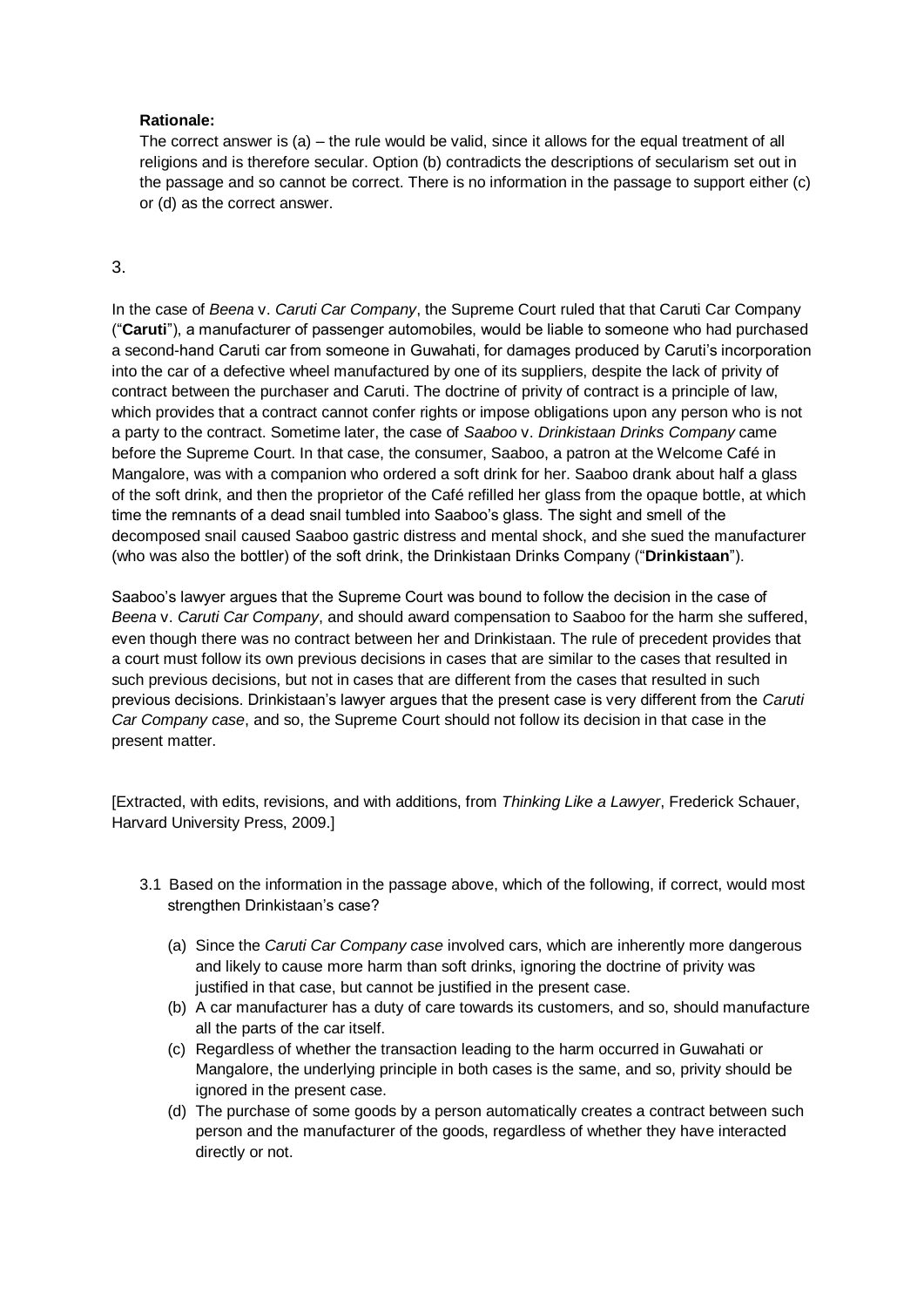## **Rationale:**

The correct answer is (a) – the rule would be valid, since it allows for the equal treatment of all religions and is therefore secular. Option (b) contradicts the descriptions of secularism set out in the passage and so cannot be correct. There is no information in the passage to support either (c) or (d) as the correct answer.

## 3.

In the case of *Beena* v. *Caruti Car Company*, the Supreme Court ruled that that Caruti Car Company ("**Caruti**"), a manufacturer of passenger automobiles, would be liable to someone who had purchased a second-hand Caruti car from someone in Guwahati, for damages produced by Caruti's incorporation into the car of a defective wheel manufactured by one of its suppliers, despite the lack of privity of contract between the purchaser and Caruti. The doctrine of privity of contract is a principle of law, which provides that a contract cannot confer rights or impose obligations upon any person who is not a party to the contract. Sometime later, the case of *Saaboo* v. *Drinkistaan Drinks Company* came before the Supreme Court. In that case, the consumer, Saaboo, a patron at the Welcome Café in Mangalore, was with a companion who ordered a soft drink for her. Saaboo drank about half a glass of the soft drink, and then the proprietor of the Café refilled her glass from the opaque bottle, at which time the remnants of a dead snail tumbled into Saaboo's glass. The sight and smell of the decomposed snail caused Saaboo gastric distress and mental shock, and she sued the manufacturer (who was also the bottler) of the soft drink, the Drinkistaan Drinks Company ("**Drinkistaan**").

Saaboo's lawyer argues that the Supreme Court was bound to follow the decision in the case of *Beena* v. *Caruti Car Company*, and should award compensation to Saaboo for the harm she suffered, even though there was no contract between her and Drinkistaan. The rule of precedent provides that a court must follow its own previous decisions in cases that are similar to the cases that resulted in such previous decisions, but not in cases that are different from the cases that resulted in such previous decisions. Drinkistaan's lawyer argues that the present case is very different from the *Caruti Car Company case*, and so, the Supreme Court should not follow its decision in that case in the present matter.

[Extracted, with edits, revisions, and with additions, from *Thinking Like a Lawyer*, Frederick Schauer, Harvard University Press, 2009.]

- 3.1 Based on the information in the passage above, which of the following, if correct, would most strengthen Drinkistaan's case?
	- (a) Since the *Caruti Car Company case* involved cars, which are inherently more dangerous and likely to cause more harm than soft drinks, ignoring the doctrine of privity was justified in that case, but cannot be justified in the present case.
	- (b) A car manufacturer has a duty of care towards its customers, and so, should manufacture all the parts of the car itself.
	- (c) Regardless of whether the transaction leading to the harm occurred in Guwahati or Mangalore, the underlying principle in both cases is the same, and so, privity should be ignored in the present case.
	- (d) The purchase of some goods by a person automatically creates a contract between such person and the manufacturer of the goods, regardless of whether they have interacted directly or not.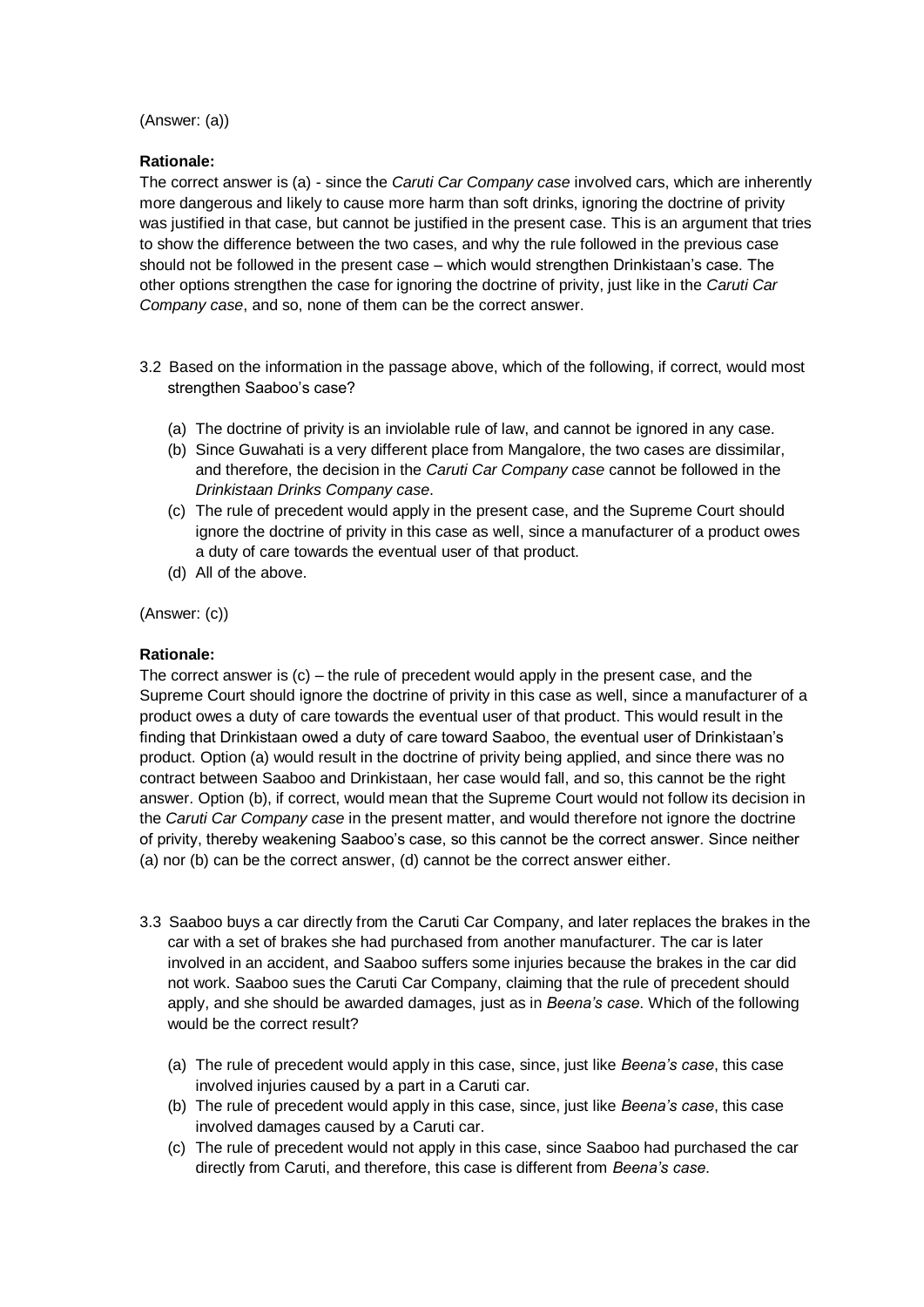(Answer: (a))

## **Rationale:**

The correct answer is (a) - since the *Caruti Car Company case* involved cars, which are inherently more dangerous and likely to cause more harm than soft drinks, ignoring the doctrine of privity was justified in that case, but cannot be justified in the present case. This is an argument that tries to show the difference between the two cases, and why the rule followed in the previous case should not be followed in the present case – which would strengthen Drinkistaan's case. The other options strengthen the case for ignoring the doctrine of privity, just like in the *Caruti Car Company case*, and so, none of them can be the correct answer.

- 3.2 Based on the information in the passage above, which of the following, if correct, would most strengthen Saaboo's case?
	- (a) The doctrine of privity is an inviolable rule of law, and cannot be ignored in any case.
	- (b) Since Guwahati is a very different place from Mangalore, the two cases are dissimilar, and therefore, the decision in the *Caruti Car Company case* cannot be followed in the *Drinkistaan Drinks Company case*.
	- (c) The rule of precedent would apply in the present case, and the Supreme Court should ignore the doctrine of privity in this case as well, since a manufacturer of a product owes a duty of care towards the eventual user of that product.
	- (d) All of the above.

(Answer: (c))

#### **Rationale:**

The correct answer is  $(c)$  – the rule of precedent would apply in the present case, and the Supreme Court should ignore the doctrine of privity in this case as well, since a manufacturer of a product owes a duty of care towards the eventual user of that product. This would result in the finding that Drinkistaan owed a duty of care toward Saaboo, the eventual user of Drinkistaan's product. Option (a) would result in the doctrine of privity being applied, and since there was no contract between Saaboo and Drinkistaan, her case would fall, and so, this cannot be the right answer. Option (b), if correct, would mean that the Supreme Court would not follow its decision in the *Caruti Car Company case* in the present matter, and would therefore not ignore the doctrine of privity, thereby weakening Saaboo's case, so this cannot be the correct answer. Since neither (a) nor (b) can be the correct answer, (d) cannot be the correct answer either.

- 3.3 Saaboo buys a car directly from the Caruti Car Company, and later replaces the brakes in the car with a set of brakes she had purchased from another manufacturer. The car is later involved in an accident, and Saaboo suffers some injuries because the brakes in the car did not work. Saaboo sues the Caruti Car Company, claiming that the rule of precedent should apply, and she should be awarded damages, just as in *Beena's case*. Which of the following would be the correct result?
	- (a) The rule of precedent would apply in this case, since, just like *Beena's case*, this case involved injuries caused by a part in a Caruti car.
	- (b) The rule of precedent would apply in this case, since, just like *Beena's case*, this case involved damages caused by a Caruti car.
	- (c) The rule of precedent would not apply in this case, since Saaboo had purchased the car directly from Caruti, and therefore, this case is different from *Beena's case*.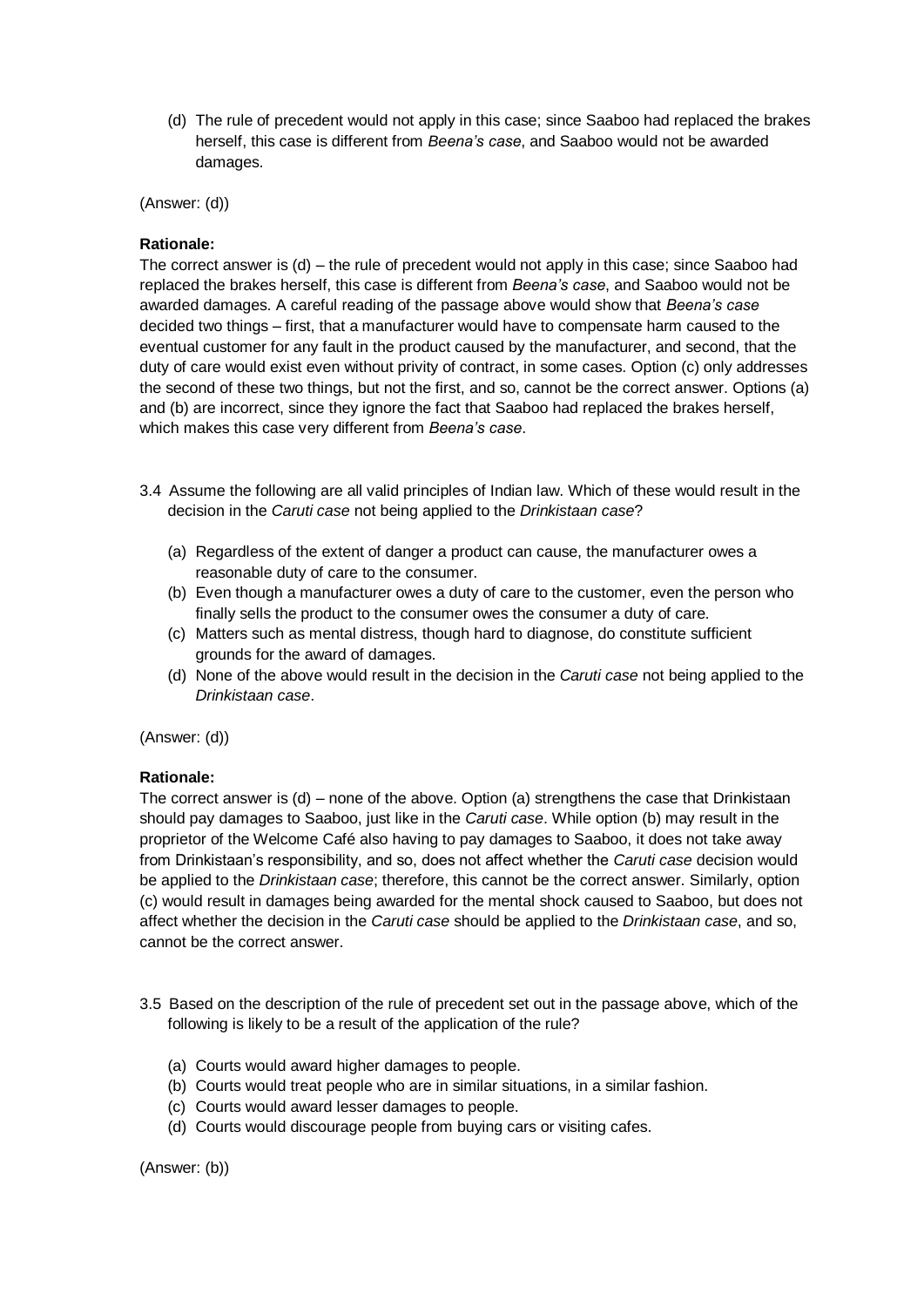(d) The rule of precedent would not apply in this case; since Saaboo had replaced the brakes herself, this case is different from *Beena's case*, and Saaboo would not be awarded damages.

(Answer: (d))

#### **Rationale:**

The correct answer is (d) – the rule of precedent would not apply in this case; since Saaboo had replaced the brakes herself, this case is different from *Beena's case*, and Saaboo would not be awarded damages. A careful reading of the passage above would show that *Beena's case* decided two things – first, that a manufacturer would have to compensate harm caused to the eventual customer for any fault in the product caused by the manufacturer, and second, that the duty of care would exist even without privity of contract, in some cases. Option (c) only addresses the second of these two things, but not the first, and so, cannot be the correct answer. Options (a) and (b) are incorrect, since they ignore the fact that Saaboo had replaced the brakes herself, which makes this case very different from *Beena's case*.

- 3.4 Assume the following are all valid principles of Indian law. Which of these would result in the decision in the *Caruti case* not being applied to the *Drinkistaan case*?
	- (a) Regardless of the extent of danger a product can cause, the manufacturer owes a reasonable duty of care to the consumer.
	- (b) Even though a manufacturer owes a duty of care to the customer, even the person who finally sells the product to the consumer owes the consumer a duty of care.
	- (c) Matters such as mental distress, though hard to diagnose, do constitute sufficient grounds for the award of damages.
	- (d) None of the above would result in the decision in the *Caruti case* not being applied to the *Drinkistaan case*.

#### (Answer: (d))

#### **Rationale:**

The correct answer is  $(d)$  – none of the above. Option (a) strengthens the case that Drinkistaan should pay damages to Saaboo, just like in the *Caruti case*. While option (b) may result in the proprietor of the Welcome Café also having to pay damages to Saaboo, it does not take away from Drinkistaan's responsibility, and so, does not affect whether the *Caruti case* decision would be applied to the *Drinkistaan case*; therefore, this cannot be the correct answer. Similarly, option (c) would result in damages being awarded for the mental shock caused to Saaboo, but does not affect whether the decision in the *Caruti case* should be applied to the *Drinkistaan case*, and so, cannot be the correct answer.

- 3.5 Based on the description of the rule of precedent set out in the passage above, which of the following is likely to be a result of the application of the rule?
	- (a) Courts would award higher damages to people.
	- (b) Courts would treat people who are in similar situations, in a similar fashion.
	- (c) Courts would award lesser damages to people.
	- (d) Courts would discourage people from buying cars or visiting cafes.

(Answer: (b))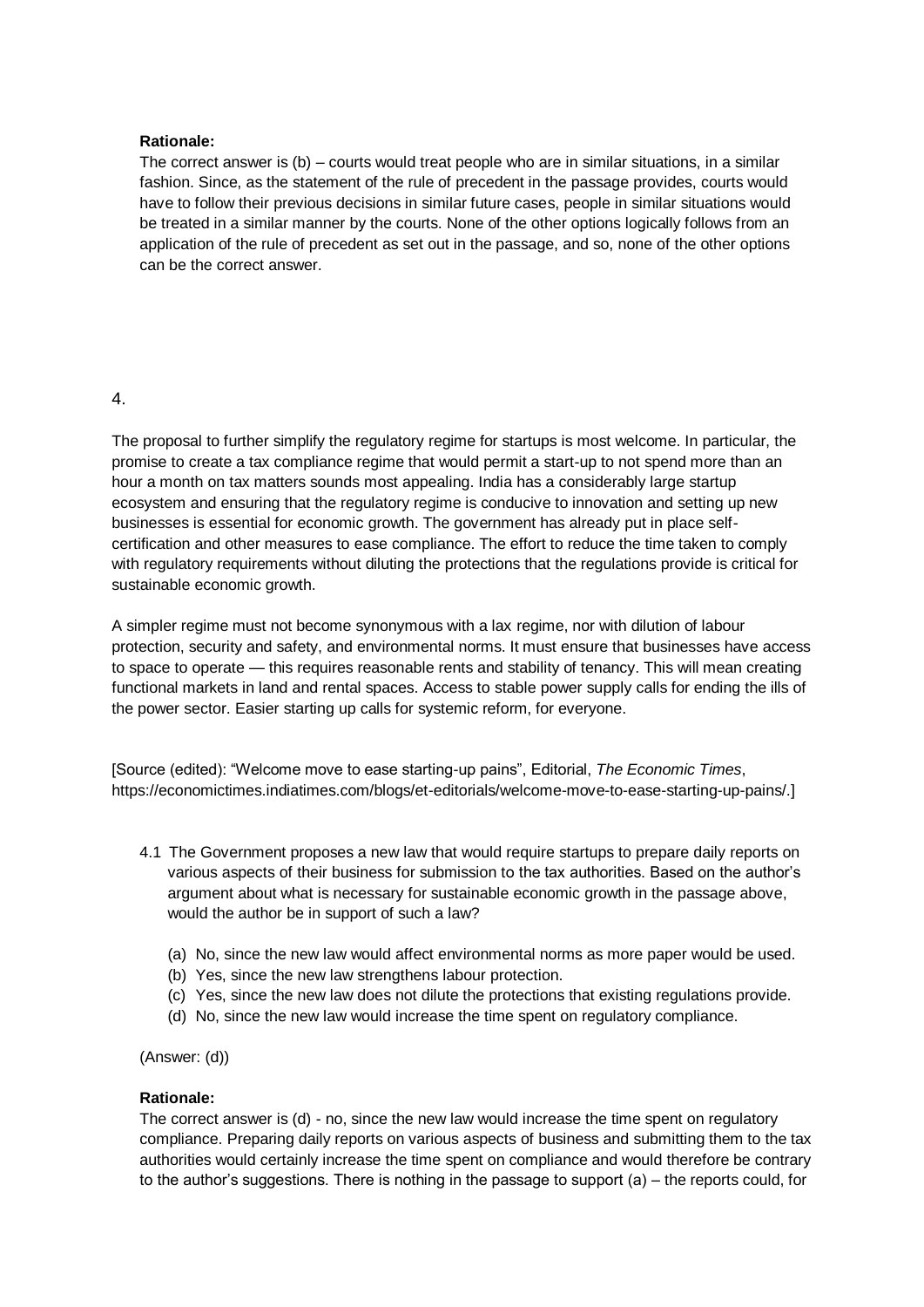#### **Rationale:**

The correct answer is (b) – courts would treat people who are in similar situations, in a similar fashion. Since, as the statement of the rule of precedent in the passage provides, courts would have to follow their previous decisions in similar future cases, people in similar situations would be treated in a similar manner by the courts. None of the other options logically follows from an application of the rule of precedent as set out in the passage, and so, none of the other options can be the correct answer.

## 4.

The proposal to further simplify the regulatory regime for startups is most welcome. In particular, the promise to create a tax compliance regime that would permit a start-up to not spend more than an hour a month on tax matters sounds most appealing. India has a considerably large startup ecosystem and ensuring that the regulatory regime is conducive to innovation and setting up new businesses is essential for economic growth. The government has already put in place selfcertification and other measures to ease compliance. The effort to reduce the time taken to comply with regulatory requirements without diluting the protections that the regulations provide is critical for sustainable economic growth.

A simpler regime must not become synonymous with a lax regime, nor with dilution of labour protection, security and safety, and environmental norms. It must ensure that businesses have access to space to operate — this requires reasonable rents and stability of tenancy. This will mean creating functional markets in land and rental spaces. Access to stable power supply calls for ending the ills of the power sector. Easier starting up calls for systemic reform, for everyone.

[Source (edited): "Welcome move to ease starting-up pains", Editorial, *The Economic Times*, https://economictimes.indiatimes.com/blogs/et-editorials/welcome-move-to-ease-starting-up-pains/.]

- 4.1 The Government proposes a new law that would require startups to prepare daily reports on various aspects of their business for submission to the tax authorities. Based on the author's argument about what is necessary for sustainable economic growth in the passage above, would the author be in support of such a law?
	- (a) No, since the new law would affect environmental norms as more paper would be used.
	- (b) Yes, since the new law strengthens labour protection.
	- (c) Yes, since the new law does not dilute the protections that existing regulations provide.
	- (d) No, since the new law would increase the time spent on regulatory compliance.

(Answer: (d))

#### **Rationale:**

The correct answer is (d) - no, since the new law would increase the time spent on regulatory compliance. Preparing daily reports on various aspects of business and submitting them to the tax authorities would certainly increase the time spent on compliance and would therefore be contrary to the author's suggestions. There is nothing in the passage to support (a) – the reports could, for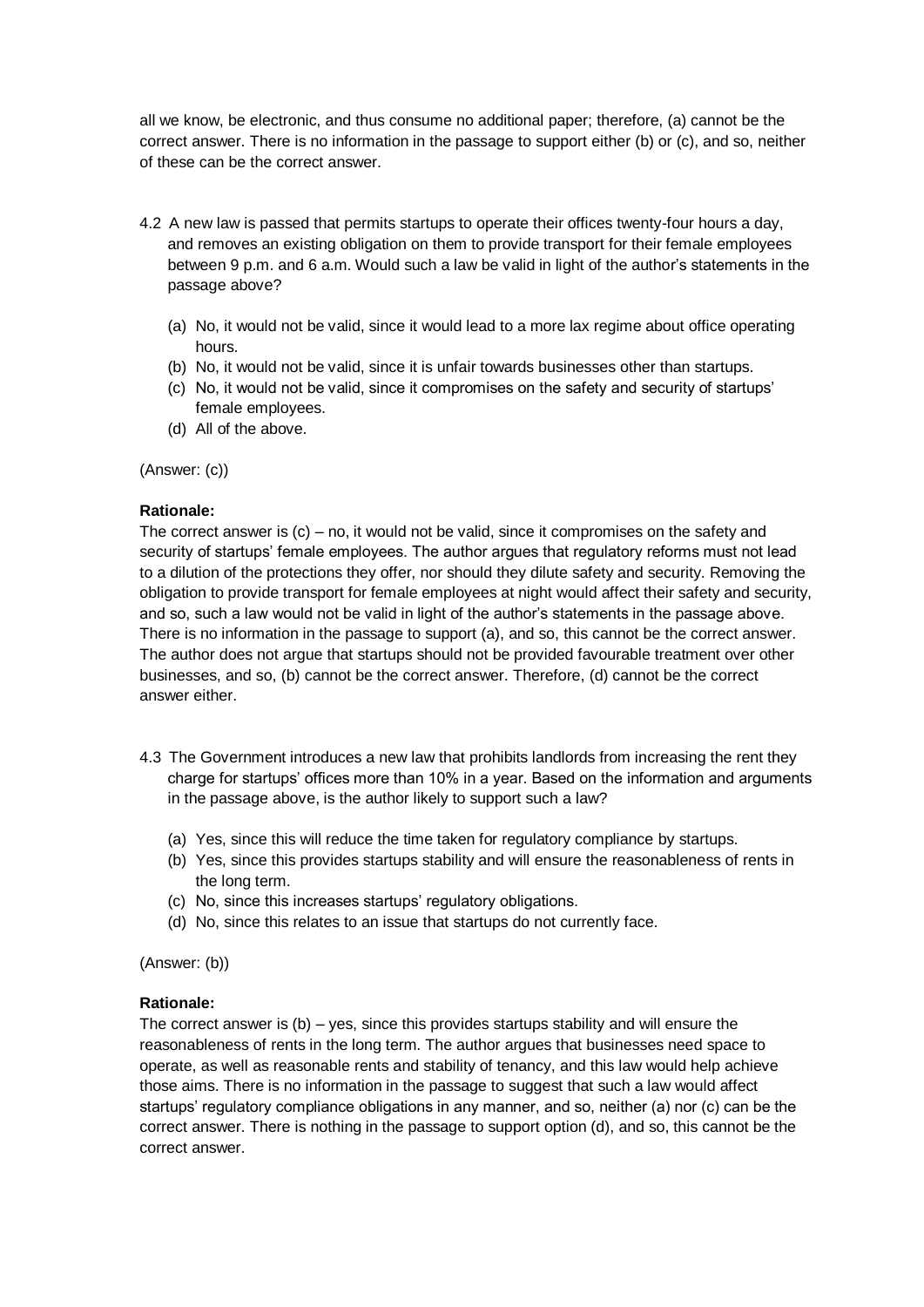all we know, be electronic, and thus consume no additional paper; therefore, (a) cannot be the correct answer. There is no information in the passage to support either (b) or (c), and so, neither of these can be the correct answer.

- 4.2 A new law is passed that permits startups to operate their offices twenty-four hours a day, and removes an existing obligation on them to provide transport for their female employees between 9 p.m. and 6 a.m. Would such a law be valid in light of the author's statements in the passage above?
	- (a) No, it would not be valid, since it would lead to a more lax regime about office operating hours.
	- (b) No, it would not be valid, since it is unfair towards businesses other than startups.
	- (c) No, it would not be valid, since it compromises on the safety and security of startups' female employees.
	- (d) All of the above.

(Answer: (c))

#### **Rationale:**

The correct answer is  $(c)$  – no, it would not be valid, since it compromises on the safety and security of startups' female employees. The author argues that regulatory reforms must not lead to a dilution of the protections they offer, nor should they dilute safety and security. Removing the obligation to provide transport for female employees at night would affect their safety and security, and so, such a law would not be valid in light of the author's statements in the passage above. There is no information in the passage to support (a), and so, this cannot be the correct answer. The author does not argue that startups should not be provided favourable treatment over other businesses, and so, (b) cannot be the correct answer. Therefore, (d) cannot be the correct answer either.

- 4.3 The Government introduces a new law that prohibits landlords from increasing the rent they charge for startups' offices more than 10% in a year. Based on the information and arguments in the passage above, is the author likely to support such a law?
	- (a) Yes, since this will reduce the time taken for regulatory compliance by startups.
	- (b) Yes, since this provides startups stability and will ensure the reasonableness of rents in the long term.
	- (c) No, since this increases startups' regulatory obligations.
	- (d) No, since this relates to an issue that startups do not currently face.

## (Answer: (b))

#### **Rationale:**

The correct answer is  $(b)$  – yes, since this provides startups stability and will ensure the reasonableness of rents in the long term. The author argues that businesses need space to operate, as well as reasonable rents and stability of tenancy, and this law would help achieve those aims. There is no information in the passage to suggest that such a law would affect startups' regulatory compliance obligations in any manner, and so, neither (a) nor (c) can be the correct answer. There is nothing in the passage to support option (d), and so, this cannot be the correct answer.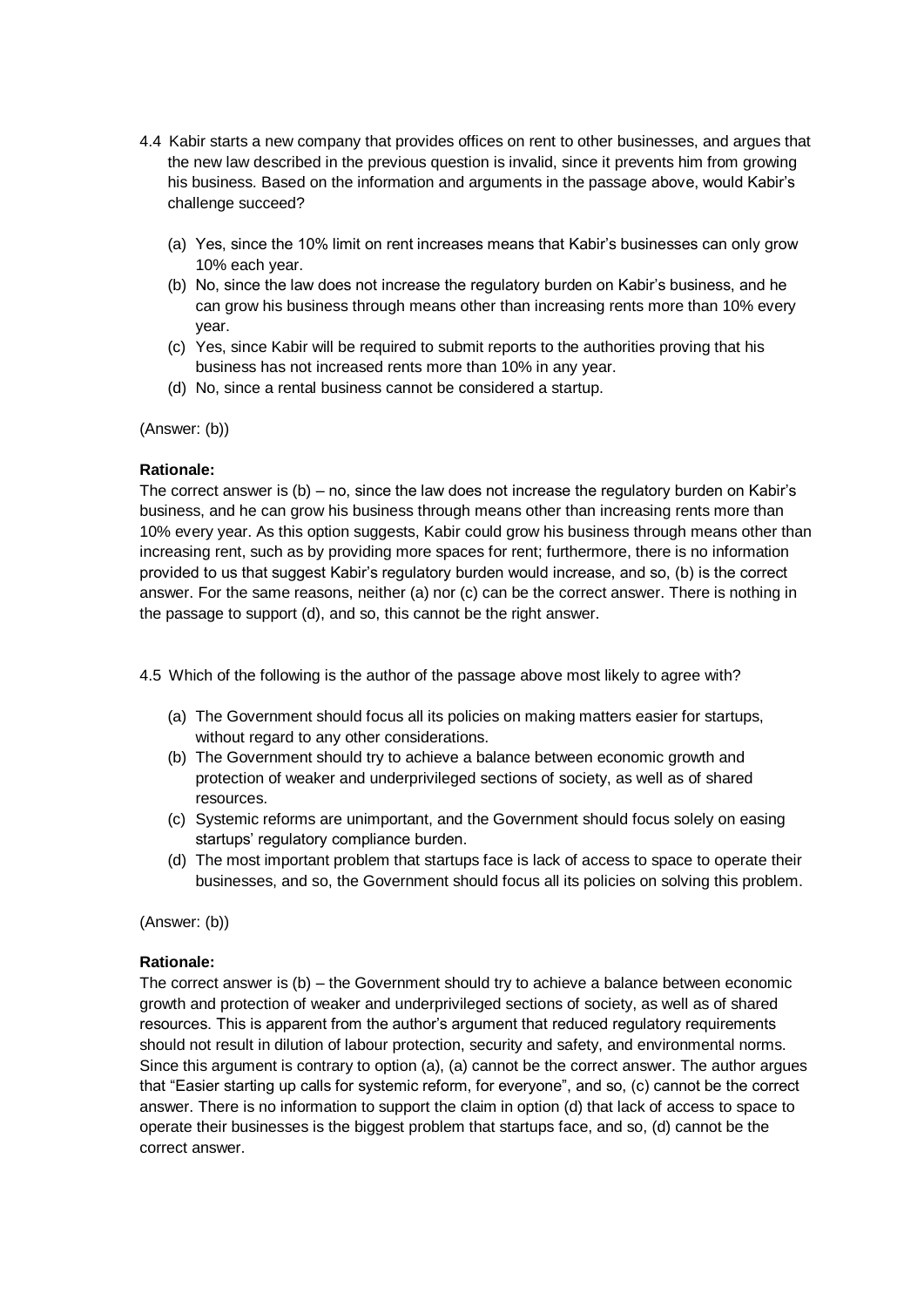- 4.4 Kabir starts a new company that provides offices on rent to other businesses, and argues that the new law described in the previous question is invalid, since it prevents him from growing his business. Based on the information and arguments in the passage above, would Kabir's challenge succeed?
	- (a) Yes, since the 10% limit on rent increases means that Kabir's businesses can only grow 10% each year.
	- (b) No, since the law does not increase the regulatory burden on Kabir's business, and he can grow his business through means other than increasing rents more than 10% every year.
	- (c) Yes, since Kabir will be required to submit reports to the authorities proving that his business has not increased rents more than 10% in any year.
	- (d) No, since a rental business cannot be considered a startup.

(Answer: (b))

#### **Rationale:**

The correct answer is (b) – no, since the law does not increase the regulatory burden on Kabir's business, and he can grow his business through means other than increasing rents more than 10% every year. As this option suggests, Kabir could grow his business through means other than increasing rent, such as by providing more spaces for rent; furthermore, there is no information provided to us that suggest Kabir's regulatory burden would increase, and so, (b) is the correct answer. For the same reasons, neither (a) nor (c) can be the correct answer. There is nothing in the passage to support (d), and so, this cannot be the right answer.

4.5 Which of the following is the author of the passage above most likely to agree with?

- (a) The Government should focus all its policies on making matters easier for startups, without regard to any other considerations.
- (b) The Government should try to achieve a balance between economic growth and protection of weaker and underprivileged sections of society, as well as of shared resources.
- (c) Systemic reforms are unimportant, and the Government should focus solely on easing startups' regulatory compliance burden.
- (d) The most important problem that startups face is lack of access to space to operate their businesses, and so, the Government should focus all its policies on solving this problem.

(Answer: (b))

## **Rationale:**

The correct answer is (b) – the Government should try to achieve a balance between economic growth and protection of weaker and underprivileged sections of society, as well as of shared resources. This is apparent from the author's argument that reduced regulatory requirements should not result in dilution of labour protection, security and safety, and environmental norms. Since this argument is contrary to option (a), (a) cannot be the correct answer. The author argues that "Easier starting up calls for systemic reform, for everyone", and so, (c) cannot be the correct answer. There is no information to support the claim in option (d) that lack of access to space to operate their businesses is the biggest problem that startups face, and so, (d) cannot be the correct answer.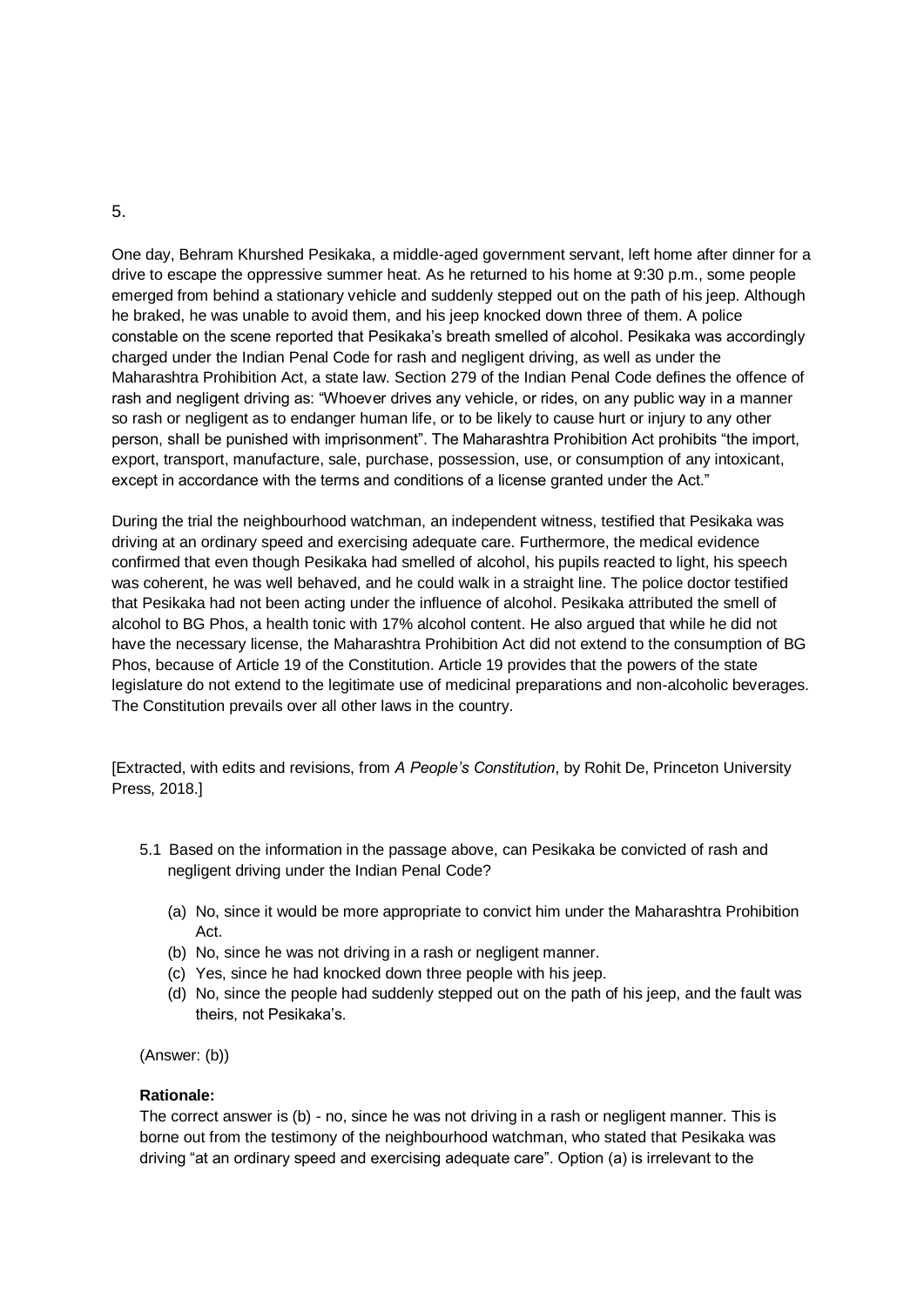#### 5.

One day, Behram Khurshed Pesikaka, a middle-aged government servant, left home after dinner for a drive to escape the oppressive summer heat. As he returned to his home at 9:30 p.m., some people emerged from behind a stationary vehicle and suddenly stepped out on the path of his jeep. Although he braked, he was unable to avoid them, and his jeep knocked down three of them. A police constable on the scene reported that Pesikaka's breath smelled of alcohol. Pesikaka was accordingly charged under the Indian Penal Code for rash and negligent driving, as well as under the Maharashtra Prohibition Act, a state law. Section 279 of the Indian Penal Code defines the offence of rash and negligent driving as: "Whoever drives any vehicle, or rides, on any public way in a manner so rash or negligent as to endanger human life, or to be likely to cause hurt or injury to any other person, shall be punished with imprisonment". The Maharashtra Prohibition Act prohibits "the import, export, transport, manufacture, sale, purchase, possession, use, or consumption of any intoxicant, except in accordance with the terms and conditions of a license granted under the Act."

During the trial the neighbourhood watchman, an independent witness, testified that Pesikaka was driving at an ordinary speed and exercising adequate care. Furthermore, the medical evidence confirmed that even though Pesikaka had smelled of alcohol, his pupils reacted to light, his speech was coherent, he was well behaved, and he could walk in a straight line. The police doctor testified that Pesikaka had not been acting under the influence of alcohol. Pesikaka attributed the smell of alcohol to BG Phos, a health tonic with 17% alcohol content. He also argued that while he did not have the necessary license, the Maharashtra Prohibition Act did not extend to the consumption of BG Phos, because of Article 19 of the Constitution. Article 19 provides that the powers of the state legislature do not extend to the legitimate use of medicinal preparations and non-alcoholic beverages. The Constitution prevails over all other laws in the country.

[Extracted, with edits and revisions, from *A People's Constitution*, by Rohit De, Princeton University Press, 2018.]

- 5.1 Based on the information in the passage above, can Pesikaka be convicted of rash and negligent driving under the Indian Penal Code?
	- (a) No, since it would be more appropriate to convict him under the Maharashtra Prohibition Act.
	- (b) No, since he was not driving in a rash or negligent manner.
	- (c) Yes, since he had knocked down three people with his jeep.
	- (d) No, since the people had suddenly stepped out on the path of his jeep, and the fault was theirs, not Pesikaka's.

(Answer: (b))

#### **Rationale:**

The correct answer is (b) - no, since he was not driving in a rash or negligent manner. This is borne out from the testimony of the neighbourhood watchman, who stated that Pesikaka was driving "at an ordinary speed and exercising adequate care". Option (a) is irrelevant to the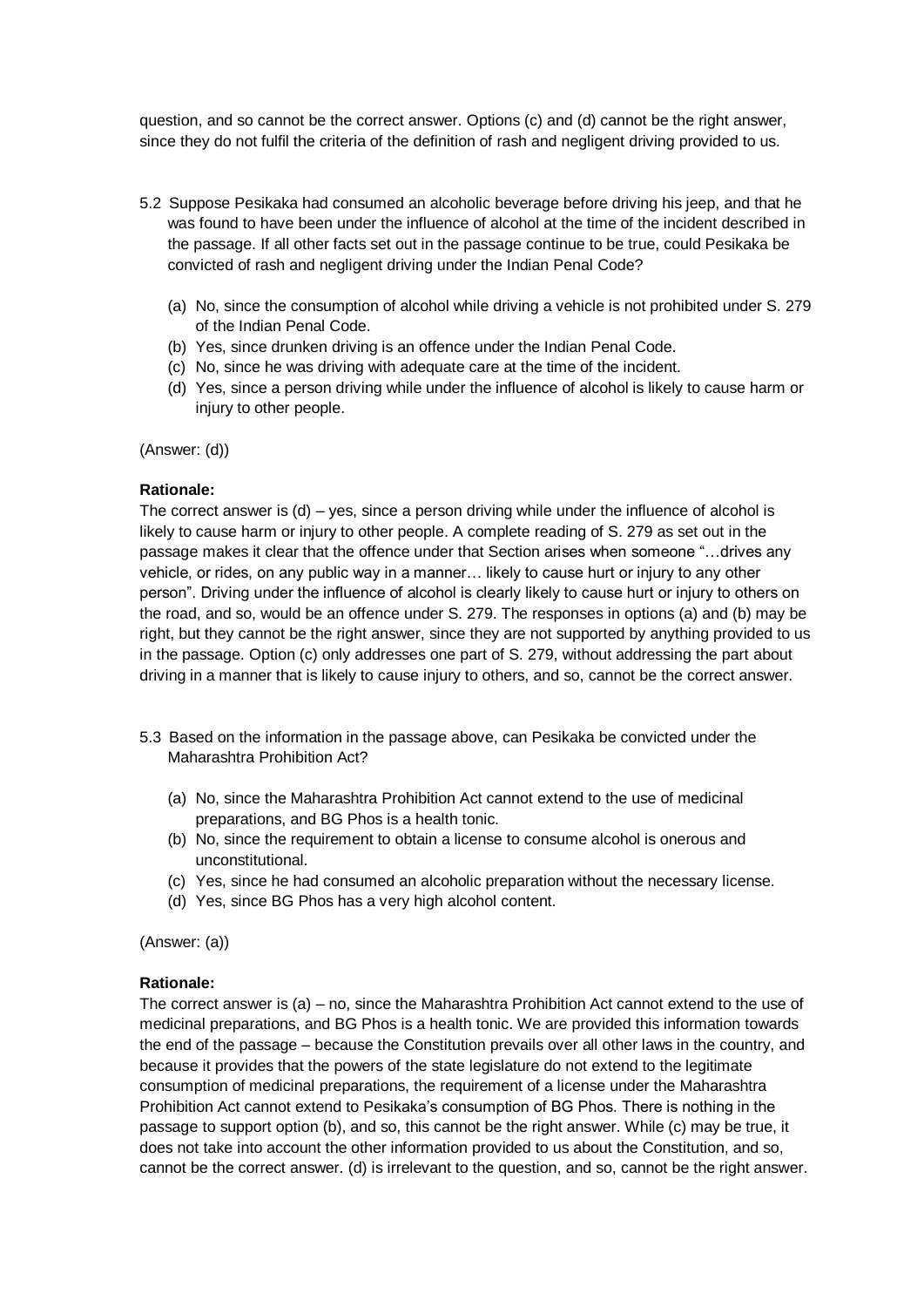question, and so cannot be the correct answer. Options (c) and (d) cannot be the right answer, since they do not fulfil the criteria of the definition of rash and negligent driving provided to us.

- 5.2 Suppose Pesikaka had consumed an alcoholic beverage before driving his jeep, and that he was found to have been under the influence of alcohol at the time of the incident described in the passage. If all other facts set out in the passage continue to be true, could Pesikaka be convicted of rash and negligent driving under the Indian Penal Code?
	- (a) No, since the consumption of alcohol while driving a vehicle is not prohibited under S. 279 of the Indian Penal Code.
	- (b) Yes, since drunken driving is an offence under the Indian Penal Code.
	- (c) No, since he was driving with adequate care at the time of the incident.
	- (d) Yes, since a person driving while under the influence of alcohol is likely to cause harm or injury to other people.

(Answer: (d))

## **Rationale:**

The correct answer is  $(d)$  – yes, since a person driving while under the influence of alcohol is likely to cause harm or injury to other people. A complete reading of S. 279 as set out in the passage makes it clear that the offence under that Section arises when someone "…drives any vehicle, or rides, on any public way in a manner… likely to cause hurt or injury to any other person". Driving under the influence of alcohol is clearly likely to cause hurt or injury to others on the road, and so, would be an offence under S. 279. The responses in options (a) and (b) may be right, but they cannot be the right answer, since they are not supported by anything provided to us in the passage. Option (c) only addresses one part of S. 279, without addressing the part about driving in a manner that is likely to cause injury to others, and so, cannot be the correct answer.

- 5.3 Based on the information in the passage above, can Pesikaka be convicted under the Maharashtra Prohibition Act?
	- (a) No, since the Maharashtra Prohibition Act cannot extend to the use of medicinal preparations, and BG Phos is a health tonic.
	- (b) No, since the requirement to obtain a license to consume alcohol is onerous and unconstitutional.
	- (c) Yes, since he had consumed an alcoholic preparation without the necessary license.
	- (d) Yes, since BG Phos has a very high alcohol content.

(Answer: (a))

#### **Rationale:**

The correct answer is (a) – no, since the Maharashtra Prohibition Act cannot extend to the use of medicinal preparations, and BG Phos is a health tonic. We are provided this information towards the end of the passage – because the Constitution prevails over all other laws in the country, and because it provides that the powers of the state legislature do not extend to the legitimate consumption of medicinal preparations, the requirement of a license under the Maharashtra Prohibition Act cannot extend to Pesikaka's consumption of BG Phos. There is nothing in the passage to support option (b), and so, this cannot be the right answer. While (c) may be true, it does not take into account the other information provided to us about the Constitution, and so, cannot be the correct answer. (d) is irrelevant to the question, and so, cannot be the right answer.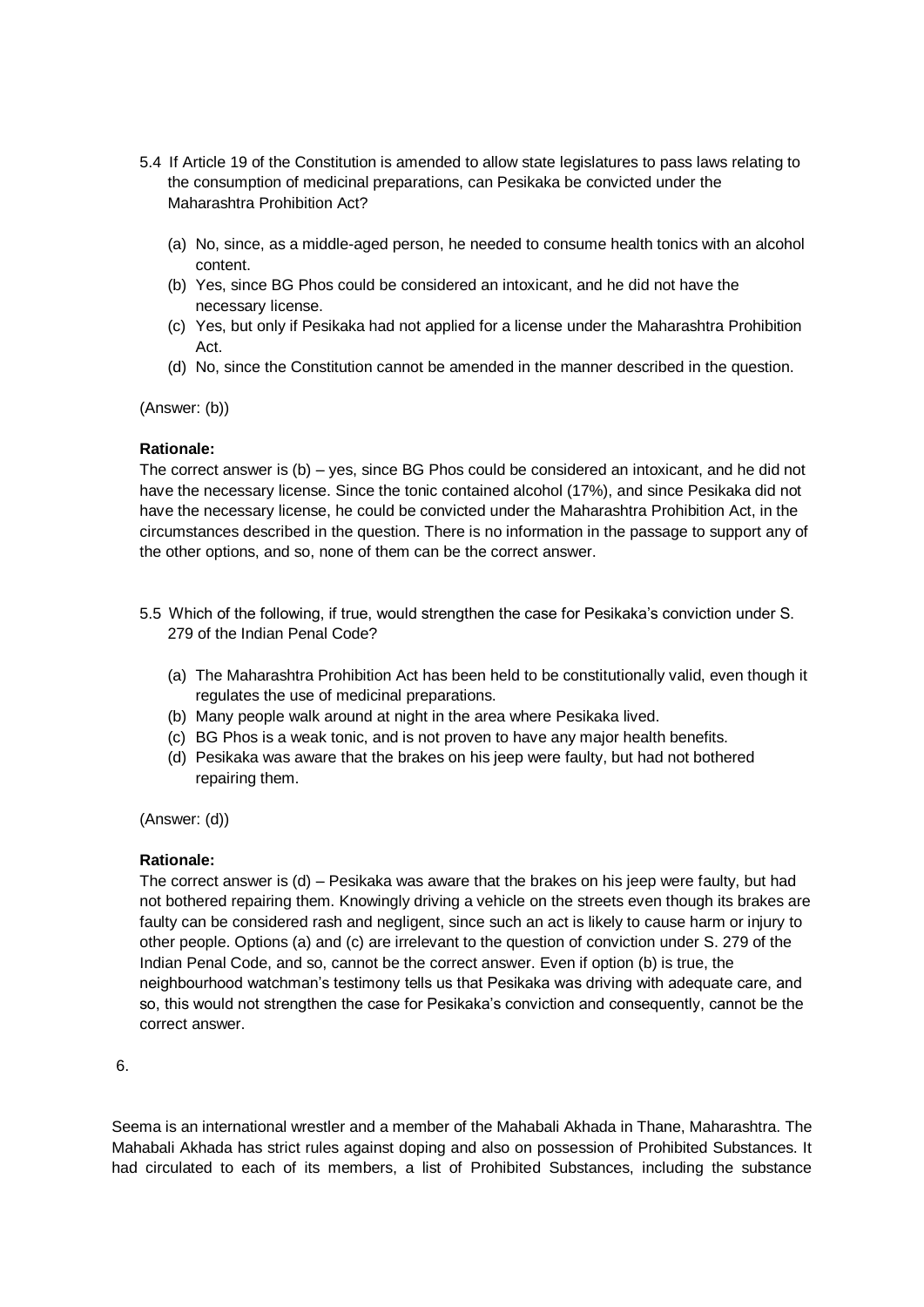- 5.4 If Article 19 of the Constitution is amended to allow state legislatures to pass laws relating to the consumption of medicinal preparations, can Pesikaka be convicted under the Maharashtra Prohibition Act?
	- (a) No, since, as a middle-aged person, he needed to consume health tonics with an alcohol content.
	- (b) Yes, since BG Phos could be considered an intoxicant, and he did not have the necessary license.
	- (c) Yes, but only if Pesikaka had not applied for a license under the Maharashtra Prohibition Act.
	- (d) No, since the Constitution cannot be amended in the manner described in the question.

(Answer: (b))

## **Rationale:**

The correct answer is (b) – yes, since BG Phos could be considered an intoxicant, and he did not have the necessary license. Since the tonic contained alcohol (17%), and since Pesikaka did not have the necessary license, he could be convicted under the Maharashtra Prohibition Act, in the circumstances described in the question. There is no information in the passage to support any of the other options, and so, none of them can be the correct answer.

- 5.5 Which of the following, if true, would strengthen the case for Pesikaka's conviction under S. 279 of the Indian Penal Code?
	- (a) The Maharashtra Prohibition Act has been held to be constitutionally valid, even though it regulates the use of medicinal preparations.
	- (b) Many people walk around at night in the area where Pesikaka lived.
	- (c) BG Phos is a weak tonic, and is not proven to have any major health benefits.
	- (d) Pesikaka was aware that the brakes on his jeep were faulty, but had not bothered repairing them.

(Answer: (d))

#### **Rationale:**

The correct answer is (d) – Pesikaka was aware that the brakes on his jeep were faulty, but had not bothered repairing them. Knowingly driving a vehicle on the streets even though its brakes are faulty can be considered rash and negligent, since such an act is likely to cause harm or injury to other people. Options (a) and (c) are irrelevant to the question of conviction under S. 279 of the Indian Penal Code, and so, cannot be the correct answer. Even if option (b) is true, the neighbourhood watchman's testimony tells us that Pesikaka was driving with adequate care, and so, this would not strengthen the case for Pesikaka's conviction and consequently, cannot be the correct answer.

6.

Seema is an international wrestler and a member of the Mahabali Akhada in Thane, Maharashtra. The Mahabali Akhada has strict rules against doping and also on possession of Prohibited Substances. It had circulated to each of its members, a list of Prohibited Substances, including the substance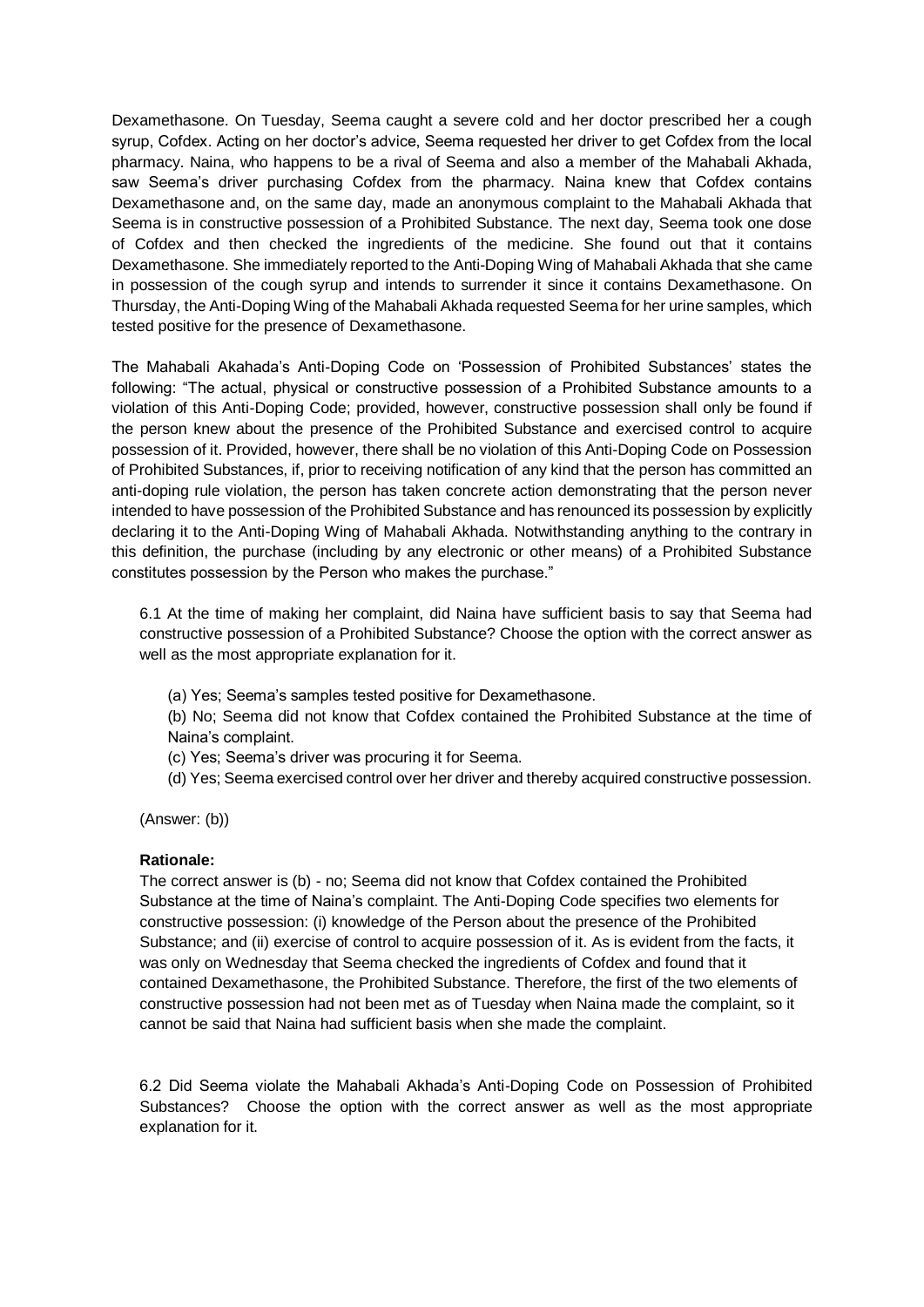Dexamethasone. On Tuesday, Seema caught a severe cold and her doctor prescribed her a cough syrup, Cofdex. Acting on her doctor's advice, Seema requested her driver to get Cofdex from the local pharmacy. Naina, who happens to be a rival of Seema and also a member of the Mahabali Akhada, saw Seema's driver purchasing Cofdex from the pharmacy. Naina knew that Cofdex contains Dexamethasone and, on the same day, made an anonymous complaint to the Mahabali Akhada that Seema is in constructive possession of a Prohibited Substance. The next day, Seema took one dose of Cofdex and then checked the ingredients of the medicine. She found out that it contains Dexamethasone. She immediately reported to the Anti-Doping Wing of Mahabali Akhada that she came in possession of the cough syrup and intends to surrender it since it contains Dexamethasone. On Thursday, the Anti-Doping Wing of the Mahabali Akhada requested Seema for her urine samples, which tested positive for the presence of Dexamethasone.

The Mahabali Akahada's Anti-Doping Code on 'Possession of Prohibited Substances' states the following: "The actual, physical or constructive possession of a Prohibited Substance amounts to a violation of this Anti-Doping Code; provided, however, constructive possession shall only be found if the person knew about the presence of the Prohibited Substance and exercised control to acquire possession of it. Provided, however, there shall be no violation of this Anti-Doping Code on Possession of Prohibited Substances, if, prior to receiving notification of any kind that the person has committed an anti-doping rule violation, the person has taken concrete action demonstrating that the person never intended to have possession of the Prohibited Substance and has renounced its possession by explicitly declaring it to the Anti-Doping Wing of Mahabali Akhada. Notwithstanding anything to the contrary in this definition, the purchase (including by any electronic or other means) of a Prohibited Substance constitutes possession by the Person who makes the purchase."

6.1 At the time of making her complaint, did Naina have sufficient basis to say that Seema had constructive possession of a Prohibited Substance? Choose the option with the correct answer as well as the most appropriate explanation for it.

- (a) Yes; Seema's samples tested positive for Dexamethasone.
- (b) No; Seema did not know that Cofdex contained the Prohibited Substance at the time of Naina's complaint.
- (c) Yes; Seema's driver was procuring it for Seema.
- (d) Yes; Seema exercised control over her driver and thereby acquired constructive possession.

(Answer: (b))

#### **Rationale:**

The correct answer is (b) - no; Seema did not know that Cofdex contained the Prohibited Substance at the time of Naina's complaint. The Anti-Doping Code specifies two elements for constructive possession: (i) knowledge of the Person about the presence of the Prohibited Substance; and (ii) exercise of control to acquire possession of it. As is evident from the facts, it was only on Wednesday that Seema checked the ingredients of Cofdex and found that it contained Dexamethasone, the Prohibited Substance. Therefore, the first of the two elements of constructive possession had not been met as of Tuesday when Naina made the complaint, so it cannot be said that Naina had sufficient basis when she made the complaint.

6.2 Did Seema violate the Mahabali Akhada's Anti-Doping Code on Possession of Prohibited Substances? Choose the option with the correct answer as well as the most appropriate explanation for it.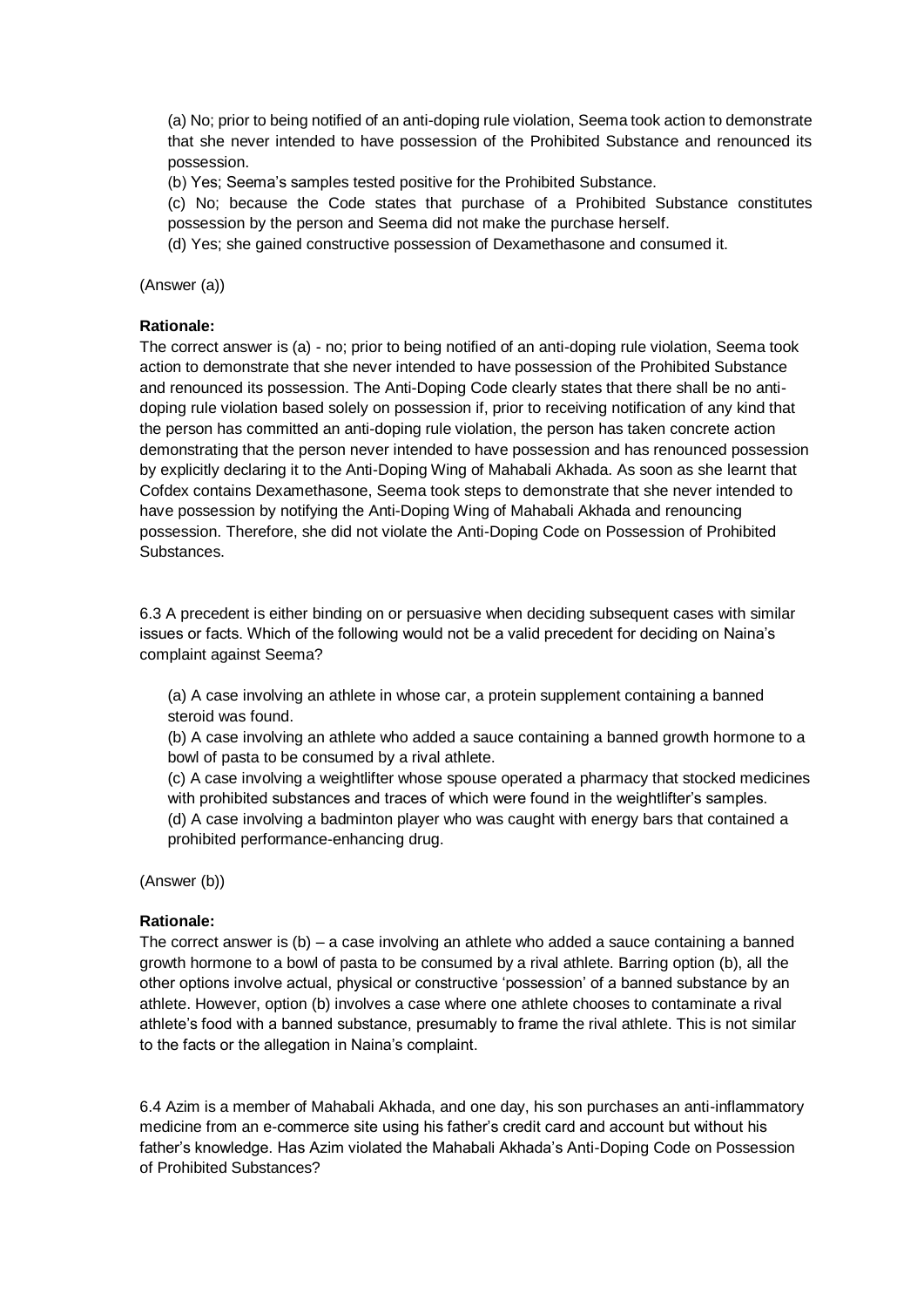(a) No; prior to being notified of an anti-doping rule violation, Seema took action to demonstrate that she never intended to have possession of the Prohibited Substance and renounced its possession.

(b) Yes; Seema's samples tested positive for the Prohibited Substance.

(c) No; because the Code states that purchase of a Prohibited Substance constitutes possession by the person and Seema did not make the purchase herself.

(d) Yes; she gained constructive possession of Dexamethasone and consumed it.

(Answer (a))

#### **Rationale:**

The correct answer is (a) - no; prior to being notified of an anti-doping rule violation, Seema took action to demonstrate that she never intended to have possession of the Prohibited Substance and renounced its possession. The Anti-Doping Code clearly states that there shall be no antidoping rule violation based solely on possession if, prior to receiving notification of any kind that the person has committed an anti-doping rule violation, the person has taken concrete action demonstrating that the person never intended to have possession and has renounced possession by explicitly declaring it to the Anti-Doping Wing of Mahabali Akhada. As soon as she learnt that Cofdex contains Dexamethasone, Seema took steps to demonstrate that she never intended to have possession by notifying the Anti-Doping Wing of Mahabali Akhada and renouncing possession. Therefore, she did not violate the Anti-Doping Code on Possession of Prohibited Substances.

6.3 A precedent is either binding on or persuasive when deciding subsequent cases with similar issues or facts. Which of the following would not be a valid precedent for deciding on Naina's complaint against Seema?

(a) A case involving an athlete in whose car, a protein supplement containing a banned steroid was found.

(b) A case involving an athlete who added a sauce containing a banned growth hormone to a bowl of pasta to be consumed by a rival athlete.

(c) A case involving a weightlifter whose spouse operated a pharmacy that stocked medicines with prohibited substances and traces of which were found in the weightlifter's samples. (d) A case involving a badminton player who was caught with energy bars that contained a prohibited performance-enhancing drug.

(Answer (b))

## **Rationale:**

The correct answer is  $(b)$  – a case involving an athlete who added a sauce containing a banned growth hormone to a bowl of pasta to be consumed by a rival athlete. Barring option (b), all the other options involve actual, physical or constructive 'possession' of a banned substance by an athlete. However, option (b) involves a case where one athlete chooses to contaminate a rival athlete's food with a banned substance, presumably to frame the rival athlete. This is not similar to the facts or the allegation in Naina's complaint.

6.4 Azim is a member of Mahabali Akhada, and one day, his son purchases an anti-inflammatory medicine from an e-commerce site using his father's credit card and account but without his father's knowledge. Has Azim violated the Mahabali Akhada's Anti-Doping Code on Possession of Prohibited Substances?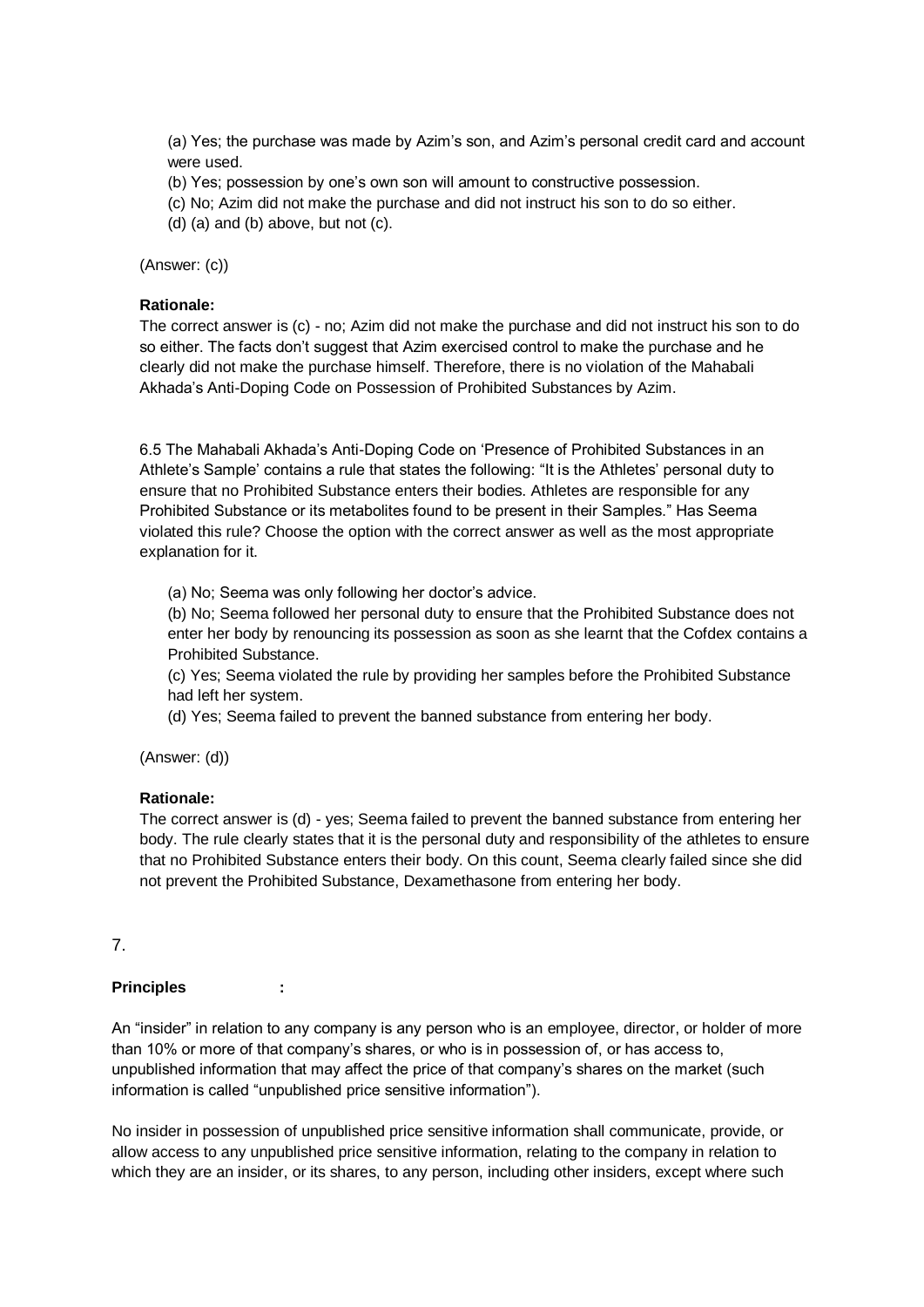(a) Yes; the purchase was made by Azim's son, and Azim's personal credit card and account were used.

- (b) Yes; possession by one's own son will amount to constructive possession.
- (c) No; Azim did not make the purchase and did not instruct his son to do so either.
- (d) (a) and (b) above, but not (c).

(Answer: (c))

#### **Rationale:**

The correct answer is (c) - no; Azim did not make the purchase and did not instruct his son to do so either. The facts don't suggest that Azim exercised control to make the purchase and he clearly did not make the purchase himself. Therefore, there is no violation of the Mahabali Akhada's Anti-Doping Code on Possession of Prohibited Substances by Azim.

6.5 The Mahabali Akhada's Anti-Doping Code on 'Presence of Prohibited Substances in an Athlete's Sample' contains a rule that states the following: "It is the Athletes' personal duty to ensure that no Prohibited Substance enters their bodies. Athletes are responsible for any Prohibited Substance or its metabolites found to be present in their Samples." Has Seema violated this rule? Choose the option with the correct answer as well as the most appropriate explanation for it.

(a) No; Seema was only following her doctor's advice.

(b) No; Seema followed her personal duty to ensure that the Prohibited Substance does not enter her body by renouncing its possession as soon as she learnt that the Cofdex contains a Prohibited Substance.

(c) Yes; Seema violated the rule by providing her samples before the Prohibited Substance had left her system.

(d) Yes; Seema failed to prevent the banned substance from entering her body.

(Answer: (d))

#### **Rationale:**

The correct answer is (d) - yes; Seema failed to prevent the banned substance from entering her body. The rule clearly states that it is the personal duty and responsibility of the athletes to ensure that no Prohibited Substance enters their body. On this count, Seema clearly failed since she did not prevent the Prohibited Substance, Dexamethasone from entering her body.

## 7.

## **Principles :**

An "insider" in relation to any company is any person who is an employee, director, or holder of more than 10% or more of that company's shares, or who is in possession of, or has access to, unpublished information that may affect the price of that company's shares on the market (such information is called "unpublished price sensitive information").

No insider in possession of unpublished price sensitive information shall communicate, provide, or allow access to any unpublished price sensitive information, relating to the company in relation to which they are an insider, or its shares, to any person, including other insiders, except where such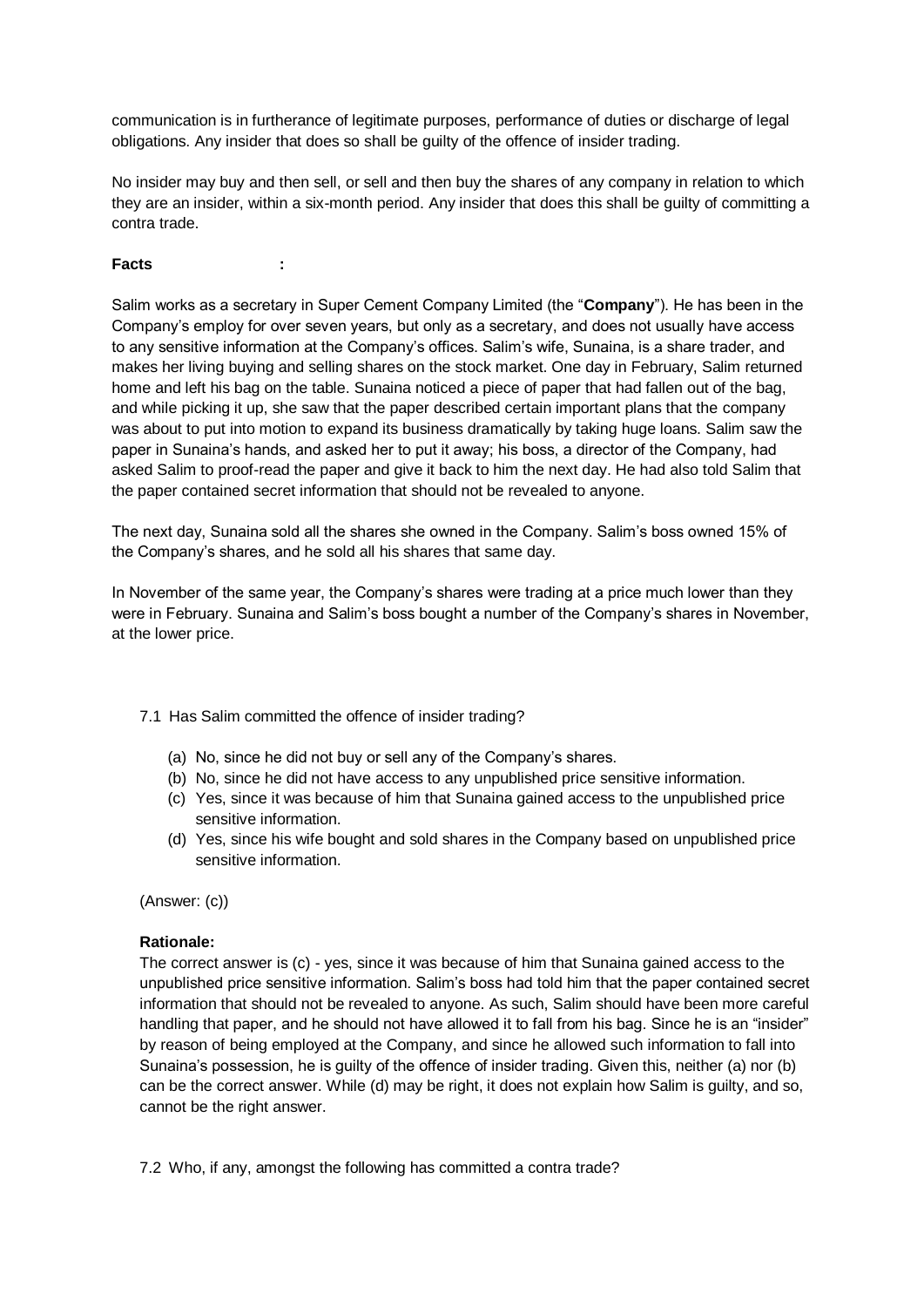communication is in furtherance of legitimate purposes, performance of duties or discharge of legal obligations. Any insider that does so shall be guilty of the offence of insider trading.

No insider may buy and then sell, or sell and then buy the shares of any company in relation to which they are an insider, within a six-month period. Any insider that does this shall be guilty of committing a contra trade.

## **Facts :**

Salim works as a secretary in Super Cement Company Limited (the "**Company**"). He has been in the Company's employ for over seven years, but only as a secretary, and does not usually have access to any sensitive information at the Company's offices. Salim's wife, Sunaina, is a share trader, and makes her living buying and selling shares on the stock market. One day in February, Salim returned home and left his bag on the table. Sunaina noticed a piece of paper that had fallen out of the bag, and while picking it up, she saw that the paper described certain important plans that the company was about to put into motion to expand its business dramatically by taking huge loans. Salim saw the paper in Sunaina's hands, and asked her to put it away; his boss, a director of the Company, had asked Salim to proof-read the paper and give it back to him the next day. He had also told Salim that the paper contained secret information that should not be revealed to anyone.

The next day, Sunaina sold all the shares she owned in the Company. Salim's boss owned 15% of the Company's shares, and he sold all his shares that same day.

In November of the same year, the Company's shares were trading at a price much lower than they were in February. Sunaina and Salim's boss bought a number of the Company's shares in November, at the lower price.

- 7.1 Has Salim committed the offence of insider trading?
	- (a) No, since he did not buy or sell any of the Company's shares.
	- (b) No, since he did not have access to any unpublished price sensitive information.
	- (c) Yes, since it was because of him that Sunaina gained access to the unpublished price sensitive information.
	- (d) Yes, since his wife bought and sold shares in the Company based on unpublished price sensitive information.

(Answer: (c))

#### **Rationale:**

The correct answer is (c) - yes, since it was because of him that Sunaina gained access to the unpublished price sensitive information. Salim's boss had told him that the paper contained secret information that should not be revealed to anyone. As such, Salim should have been more careful handling that paper, and he should not have allowed it to fall from his bag. Since he is an "insider" by reason of being employed at the Company, and since he allowed such information to fall into Sunaina's possession, he is guilty of the offence of insider trading. Given this, neither (a) nor (b) can be the correct answer. While (d) may be right, it does not explain how Salim is guilty, and so, cannot be the right answer.

7.2 Who, if any, amongst the following has committed a contra trade?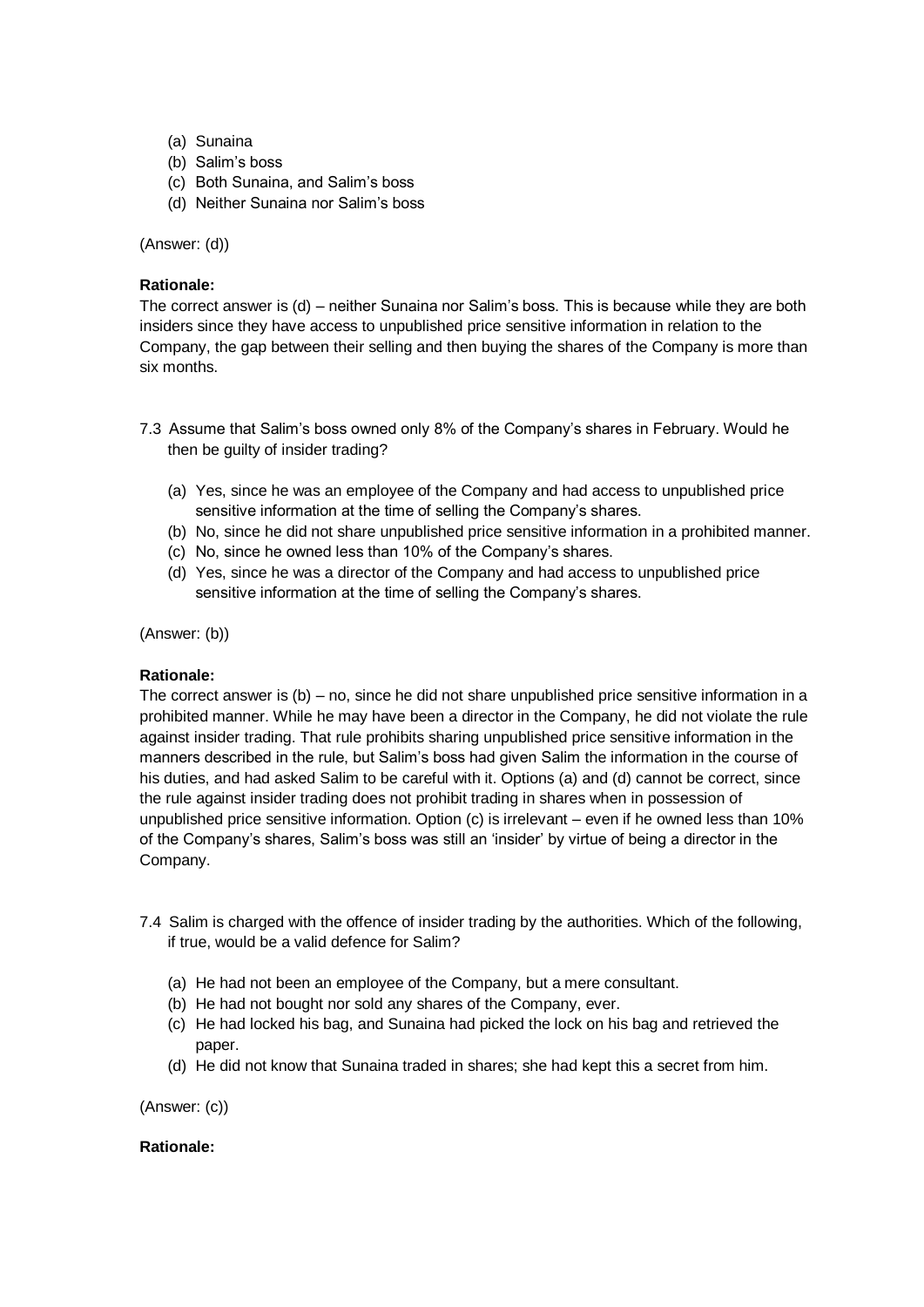- (a) Sunaina
- (b) Salim's boss
- (c) Both Sunaina, and Salim's boss
- (d) Neither Sunaina nor Salim's boss

(Answer: (d))

#### **Rationale:**

The correct answer is (d) – neither Sunaina nor Salim's boss. This is because while they are both insiders since they have access to unpublished price sensitive information in relation to the Company, the gap between their selling and then buying the shares of the Company is more than six months.

- 7.3 Assume that Salim's boss owned only 8% of the Company's shares in February. Would he then be guilty of insider trading?
	- (a) Yes, since he was an employee of the Company and had access to unpublished price sensitive information at the time of selling the Company's shares.
	- (b) No, since he did not share unpublished price sensitive information in a prohibited manner.
	- (c) No, since he owned less than 10% of the Company's shares.
	- (d) Yes, since he was a director of the Company and had access to unpublished price sensitive information at the time of selling the Company's shares.

(Answer: (b))

## **Rationale:**

The correct answer is  $(b)$  – no, since he did not share unpublished price sensitive information in a prohibited manner. While he may have been a director in the Company, he did not violate the rule against insider trading. That rule prohibits sharing unpublished price sensitive information in the manners described in the rule, but Salim's boss had given Salim the information in the course of his duties, and had asked Salim to be careful with it. Options (a) and (d) cannot be correct, since the rule against insider trading does not prohibit trading in shares when in possession of unpublished price sensitive information. Option (c) is irrelevant – even if he owned less than 10% of the Company's shares, Salim's boss was still an 'insider' by virtue of being a director in the Company.

- 7.4 Salim is charged with the offence of insider trading by the authorities. Which of the following, if true, would be a valid defence for Salim?
	- (a) He had not been an employee of the Company, but a mere consultant.
	- (b) He had not bought nor sold any shares of the Company, ever.
	- (c) He had locked his bag, and Sunaina had picked the lock on his bag and retrieved the paper.
	- (d) He did not know that Sunaina traded in shares; she had kept this a secret from him.

(Answer: (c))

#### **Rationale:**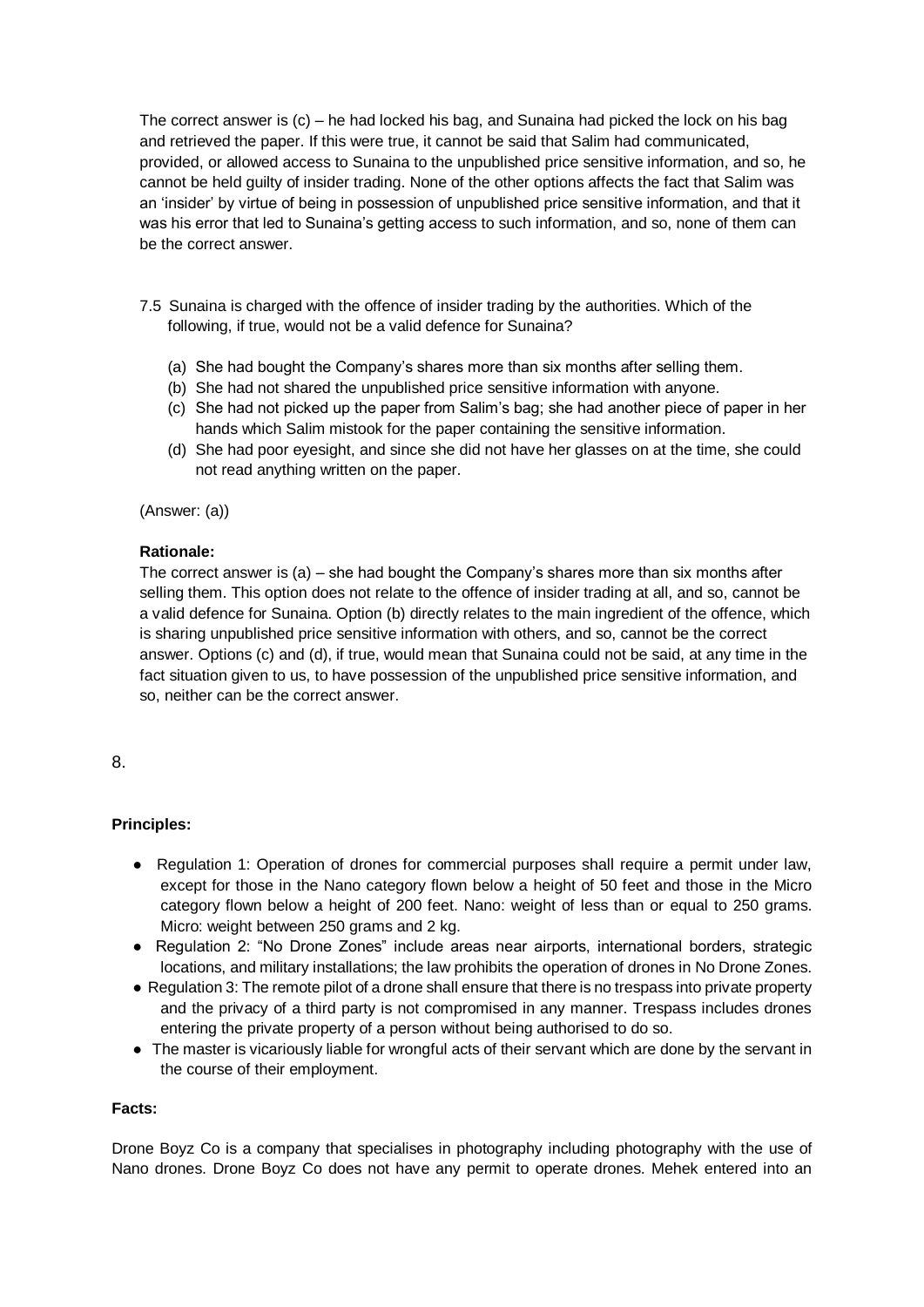The correct answer is  $(c)$  – he had locked his bag, and Sunaina had picked the lock on his bag and retrieved the paper. If this were true, it cannot be said that Salim had communicated, provided, or allowed access to Sunaina to the unpublished price sensitive information, and so, he cannot be held guilty of insider trading. None of the other options affects the fact that Salim was an 'insider' by virtue of being in possession of unpublished price sensitive information, and that it was his error that led to Sunaina's getting access to such information, and so, none of them can be the correct answer.

- 7.5 Sunaina is charged with the offence of insider trading by the authorities. Which of the following, if true, would not be a valid defence for Sunaina?
	- (a) She had bought the Company's shares more than six months after selling them.
	- (b) She had not shared the unpublished price sensitive information with anyone.
	- (c) She had not picked up the paper from Salim's bag; she had another piece of paper in her hands which Salim mistook for the paper containing the sensitive information.
	- (d) She had poor eyesight, and since she did not have her glasses on at the time, she could not read anything written on the paper.

(Answer: (a))

#### **Rationale:**

The correct answer is  $(a)$  – she had bought the Company's shares more than six months after selling them. This option does not relate to the offence of insider trading at all, and so, cannot be a valid defence for Sunaina. Option (b) directly relates to the main ingredient of the offence, which is sharing unpublished price sensitive information with others, and so, cannot be the correct answer. Options (c) and (d), if true, would mean that Sunaina could not be said, at any time in the fact situation given to us, to have possession of the unpublished price sensitive information, and so, neither can be the correct answer.

#### 8.

## **Principles:**

- Regulation 1: Operation of drones for commercial purposes shall require a permit under law, except for those in the Nano category flown below a height of 50 feet and those in the Micro category flown below a height of 200 feet. Nano: weight of less than or equal to 250 grams. Micro: weight between 250 grams and 2 kg.
- Regulation 2: "No Drone Zones" include areas near airports, international borders, strategic locations, and military installations; the law prohibits the operation of drones in No Drone Zones.
- Regulation 3: The remote pilot of a drone shall ensure that there is no trespass into private property and the privacy of a third party is not compromised in any manner. Trespass includes drones entering the private property of a person without being authorised to do so.
- The master is vicariously liable for wrongful acts of their servant which are done by the servant in the course of their employment.

#### **Facts:**

Drone Boyz Co is a company that specialises in photography including photography with the use of Nano drones. Drone Boyz Co does not have any permit to operate drones. Mehek entered into an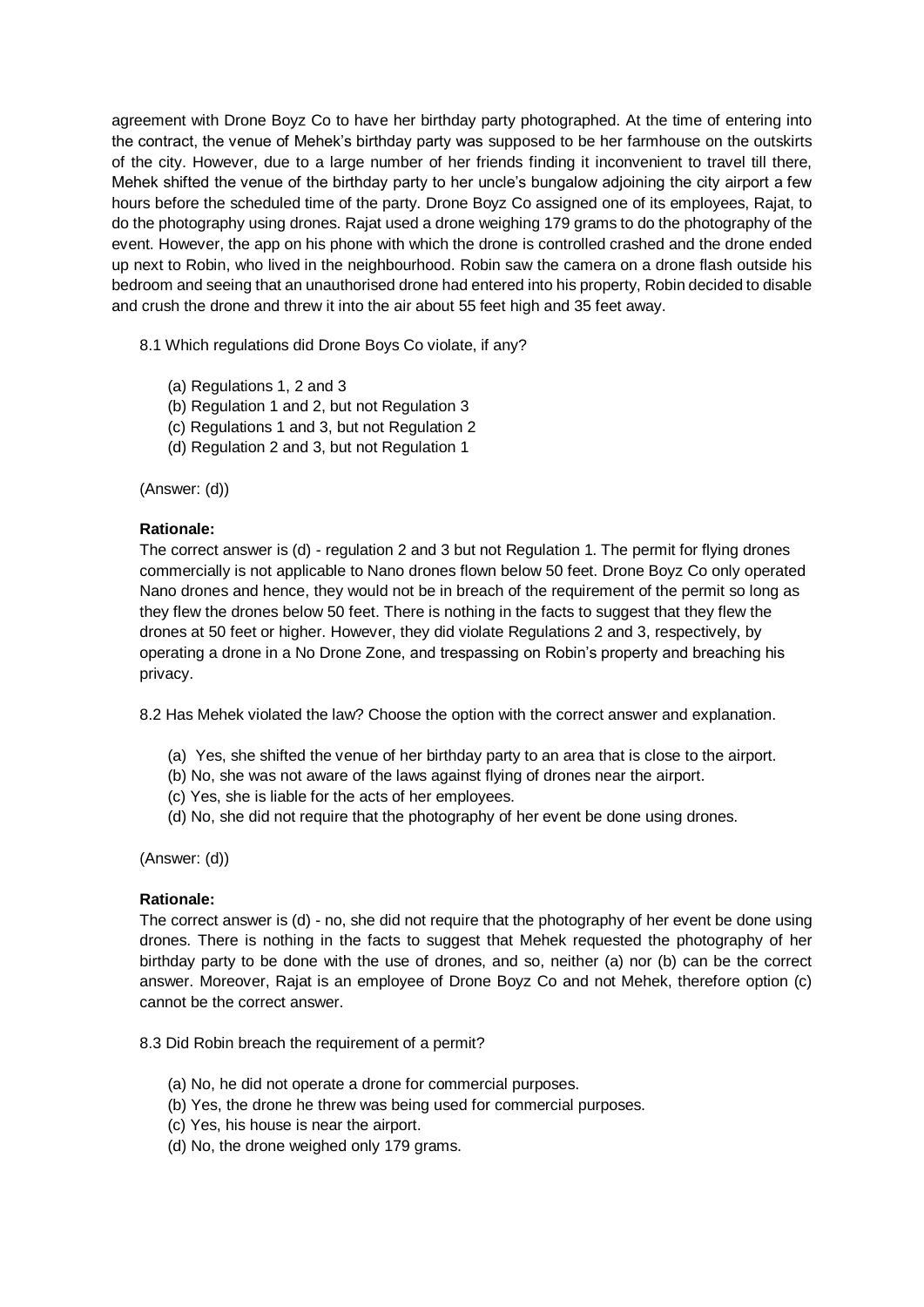agreement with Drone Boyz Co to have her birthday party photographed. At the time of entering into the contract, the venue of Mehek's birthday party was supposed to be her farmhouse on the outskirts of the city. However, due to a large number of her friends finding it inconvenient to travel till there, Mehek shifted the venue of the birthday party to her uncle's bungalow adjoining the city airport a few hours before the scheduled time of the party. Drone Boyz Co assigned one of its employees, Rajat, to do the photography using drones. Rajat used a drone weighing 179 grams to do the photography of the event. However, the app on his phone with which the drone is controlled crashed and the drone ended up next to Robin, who lived in the neighbourhood. Robin saw the camera on a drone flash outside his bedroom and seeing that an unauthorised drone had entered into his property, Robin decided to disable and crush the drone and threw it into the air about 55 feet high and 35 feet away.

8.1 Which regulations did Drone Boys Co violate, if any?

- (a) Regulations 1, 2 and 3
- (b) Regulation 1 and 2, but not Regulation 3
- (c) Regulations 1 and 3, but not Regulation 2
- (d) Regulation 2 and 3, but not Regulation 1

(Answer: (d))

#### **Rationale:**

The correct answer is (d) - regulation 2 and 3 but not Regulation 1. The permit for flying drones commercially is not applicable to Nano drones flown below 50 feet. Drone Boyz Co only operated Nano drones and hence, they would not be in breach of the requirement of the permit so long as they flew the drones below 50 feet. There is nothing in the facts to suggest that they flew the drones at 50 feet or higher. However, they did violate Regulations 2 and 3, respectively, by operating a drone in a No Drone Zone, and trespassing on Robin's property and breaching his privacy.

8.2 Has Mehek violated the law? Choose the option with the correct answer and explanation.

- (a) Yes, she shifted the venue of her birthday party to an area that is close to the airport.
- (b) No, she was not aware of the laws against flying of drones near the airport.
- (c) Yes, she is liable for the acts of her employees.
- (d) No, she did not require that the photography of her event be done using drones.

(Answer: (d))

## **Rationale:**

The correct answer is (d) - no, she did not require that the photography of her event be done using drones. There is nothing in the facts to suggest that Mehek requested the photography of her birthday party to be done with the use of drones, and so, neither (a) nor (b) can be the correct answer. Moreover, Rajat is an employee of Drone Boyz Co and not Mehek, therefore option (c) cannot be the correct answer.

8.3 Did Robin breach the requirement of a permit?

- (a) No, he did not operate a drone for commercial purposes.
- (b) Yes, the drone he threw was being used for commercial purposes.
- (c) Yes, his house is near the airport.
- (d) No, the drone weighed only 179 grams.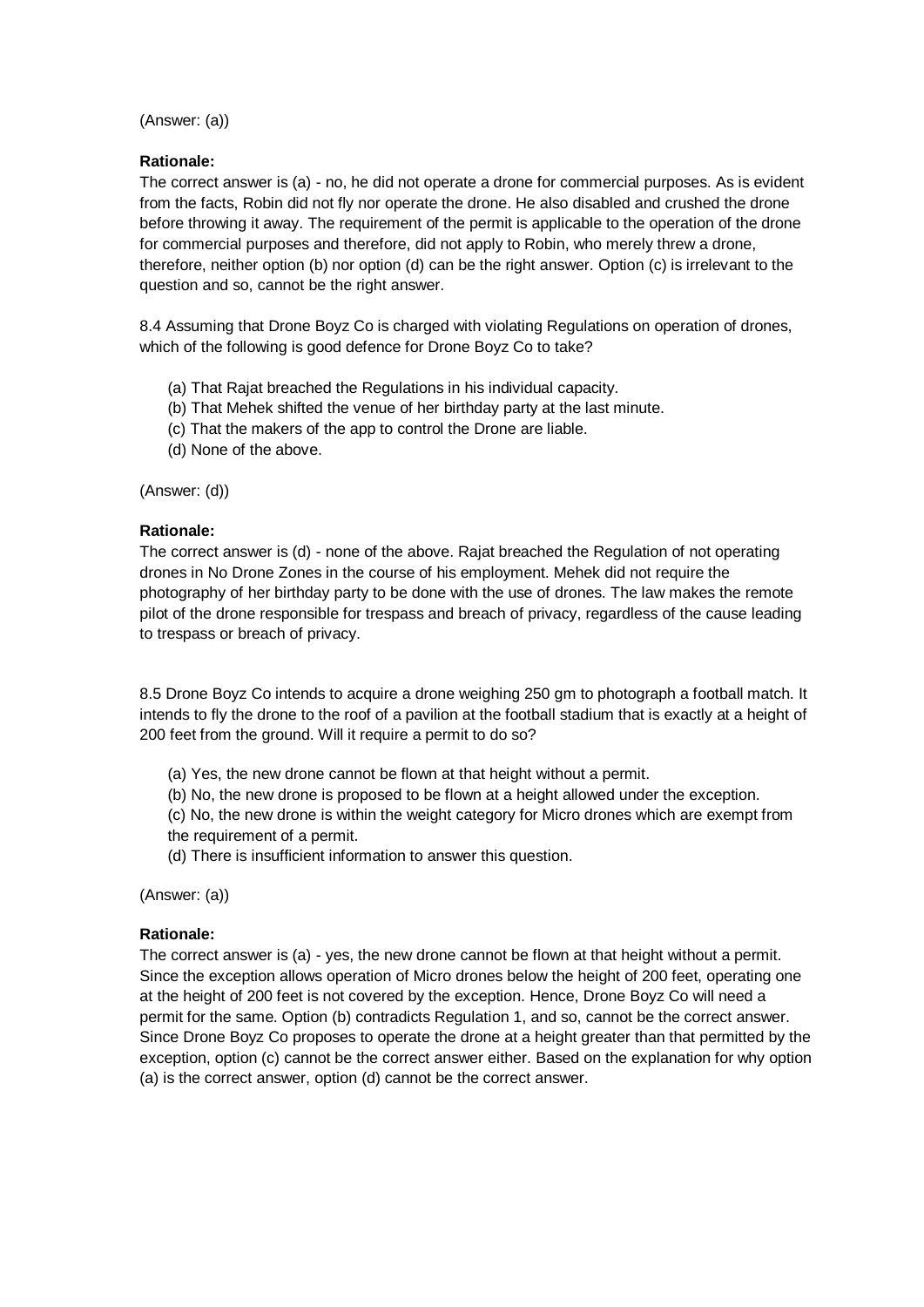(Answer: (a))

#### **Rationale:**

The correct answer is (a) - no, he did not operate a drone for commercial purposes. As is evident from the facts, Robin did not fly nor operate the drone. He also disabled and crushed the drone before throwing it away. The requirement of the permit is applicable to the operation of the drone for commercial purposes and therefore, did not apply to Robin, who merely threw a drone, therefore, neither option (b) nor option (d) can be the right answer. Option (c) is irrelevant to the question and so, cannot be the right answer.

8.4 Assuming that Drone Boyz Co is charged with violating Regulations on operation of drones, which of the following is good defence for Drone Boyz Co to take?

- (a) That Rajat breached the Regulations in his individual capacity.
- (b) That Mehek shifted the venue of her birthday party at the last minute.
- (c) That the makers of the app to control the Drone are liable.
- (d) None of the above.

(Answer: (d))

#### **Rationale:**

The correct answer is (d) - none of the above. Rajat breached the Regulation of not operating drones in No Drone Zones in the course of his employment. Mehek did not require the photography of her birthday party to be done with the use of drones. The law makes the remote pilot of the drone responsible for trespass and breach of privacy, regardless of the cause leading to trespass or breach of privacy.

8.5 Drone Boyz Co intends to acquire a drone weighing 250 gm to photograph a football match. It intends to fly the drone to the roof of a pavilion at the football stadium that is exactly at a height of 200 feet from the ground. Will it require a permit to do so?

- (a) Yes, the new drone cannot be flown at that height without a permit.
- (b) No, the new drone is proposed to be flown at a height allowed under the exception.

(c) No, the new drone is within the weight category for Micro drones which are exempt from the requirement of a permit.

(d) There is insufficient information to answer this question.

(Answer: (a))

#### **Rationale:**

The correct answer is (a) - yes, the new drone cannot be flown at that height without a permit. Since the exception allows operation of Micro drones below the height of 200 feet, operating one at the height of 200 feet is not covered by the exception. Hence, Drone Boyz Co will need a permit for the same. Option (b) contradicts Regulation 1, and so, cannot be the correct answer. Since Drone Boyz Co proposes to operate the drone at a height greater than that permitted by the exception, option (c) cannot be the correct answer either. Based on the explanation for why option (a) is the correct answer, option (d) cannot be the correct answer.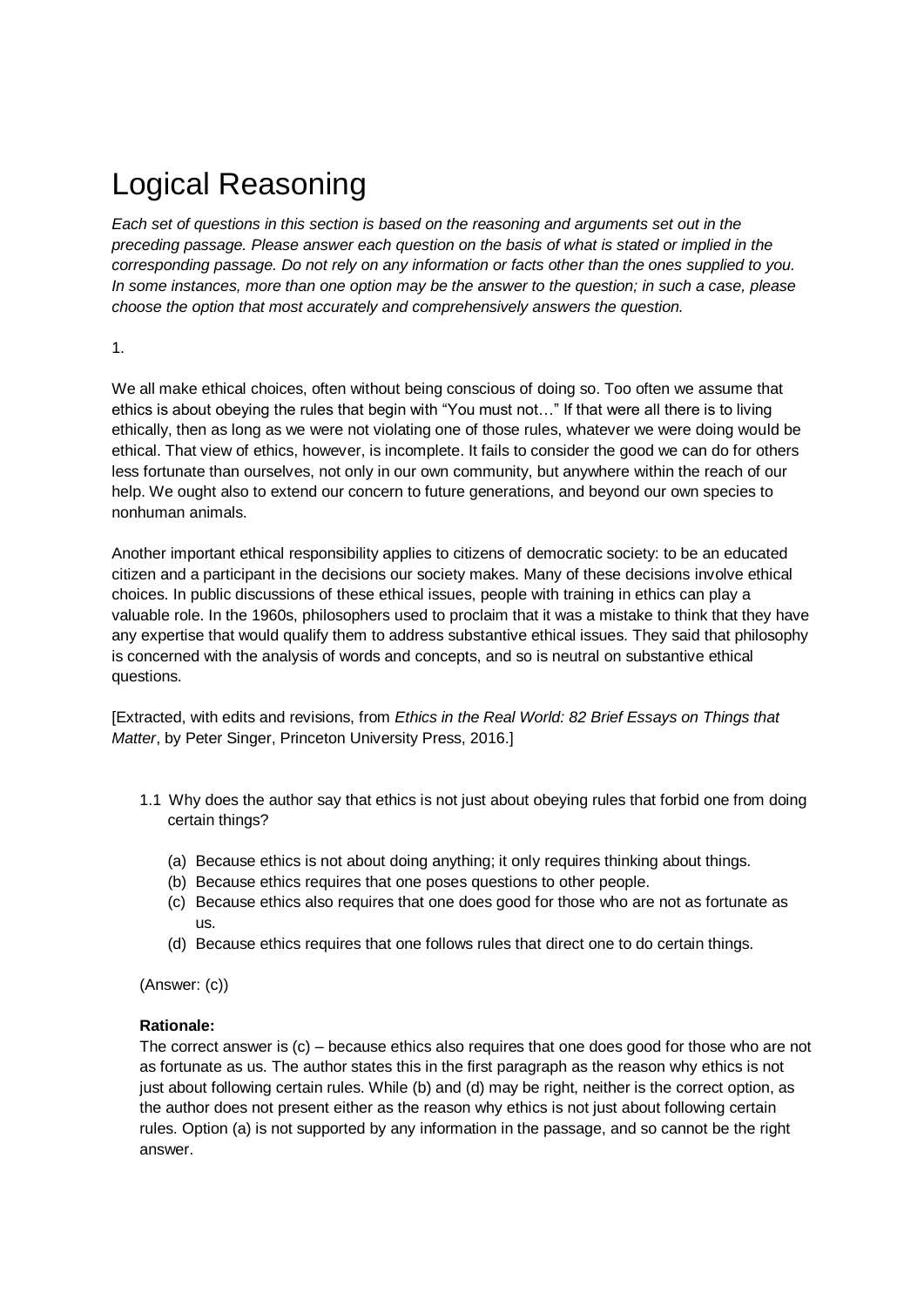# Logical Reasoning

*Each set of questions in this section is based on the reasoning and arguments set out in the preceding passage. Please answer each question on the basis of what is stated or implied in the corresponding passage. Do not rely on any information or facts other than the ones supplied to you. In some instances, more than one option may be the answer to the question; in such a case, please choose the option that most accurately and comprehensively answers the question.*

1.

We all make ethical choices, often without being conscious of doing so. Too often we assume that ethics is about obeying the rules that begin with "You must not…" If that were all there is to living ethically, then as long as we were not violating one of those rules, whatever we were doing would be ethical. That view of ethics, however, is incomplete. It fails to consider the good we can do for others less fortunate than ourselves, not only in our own community, but anywhere within the reach of our help. We ought also to extend our concern to future generations, and beyond our own species to nonhuman animals.

Another important ethical responsibility applies to citizens of democratic society: to be an educated citizen and a participant in the decisions our society makes. Many of these decisions involve ethical choices. In public discussions of these ethical issues, people with training in ethics can play a valuable role. In the 1960s, philosophers used to proclaim that it was a mistake to think that they have any expertise that would qualify them to address substantive ethical issues. They said that philosophy is concerned with the analysis of words and concepts, and so is neutral on substantive ethical questions.

[Extracted, with edits and revisions, from *Ethics in the Real World: 82 Brief Essays on Things that Matter*, by Peter Singer, Princeton University Press, 2016.]

- 1.1 Why does the author say that ethics is not just about obeying rules that forbid one from doing certain things?
	- (a) Because ethics is not about doing anything; it only requires thinking about things.
	- (b) Because ethics requires that one poses questions to other people.
	- (c) Because ethics also requires that one does good for those who are not as fortunate as us.
	- (d) Because ethics requires that one follows rules that direct one to do certain things.

(Answer: (c))

## **Rationale:**

The correct answer is (c) – because ethics also requires that one does good for those who are not as fortunate as us. The author states this in the first paragraph as the reason why ethics is not just about following certain rules. While (b) and (d) may be right, neither is the correct option, as the author does not present either as the reason why ethics is not just about following certain rules. Option (a) is not supported by any information in the passage, and so cannot be the right answer.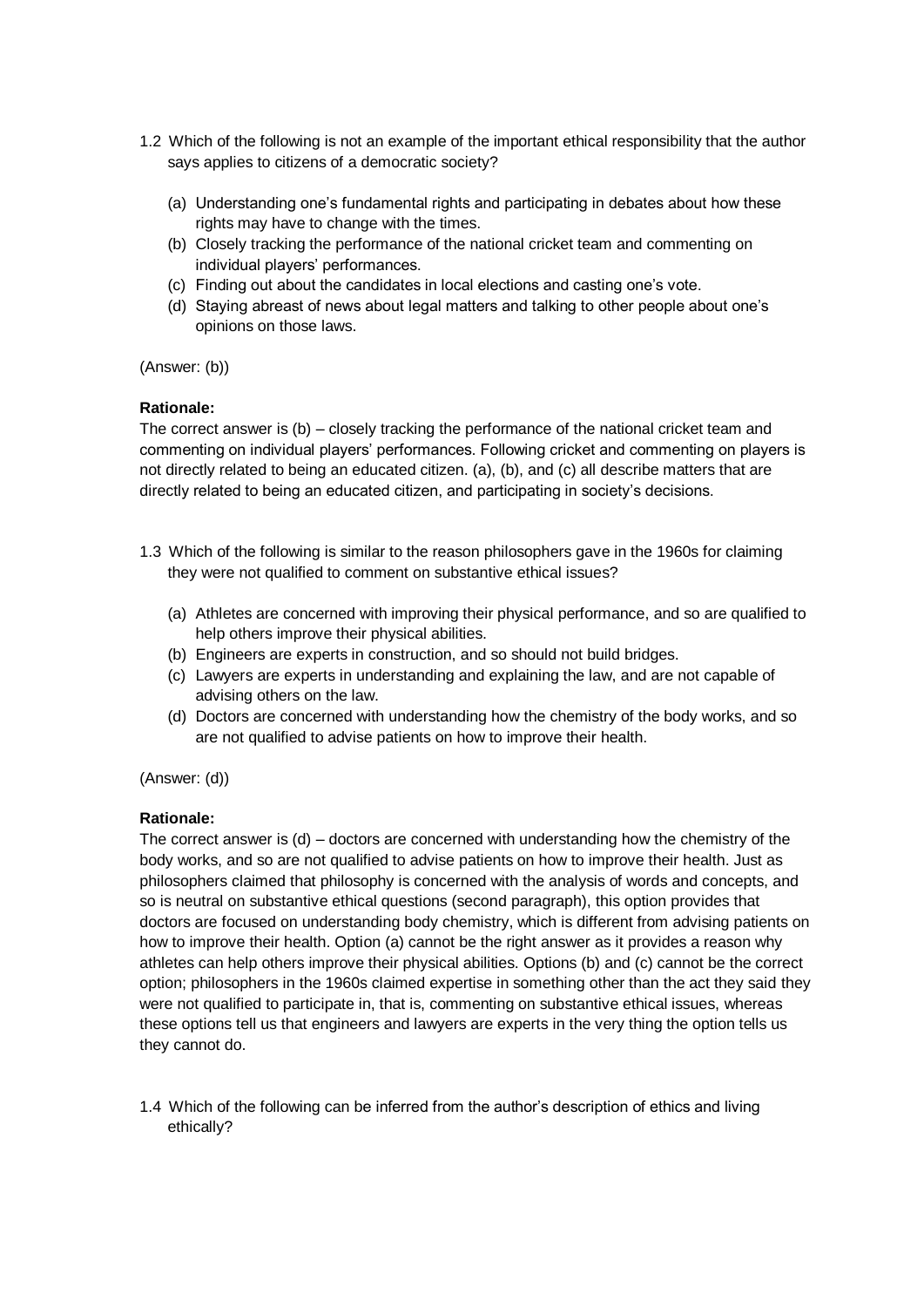- 1.2 Which of the following is not an example of the important ethical responsibility that the author says applies to citizens of a democratic society?
	- (a) Understanding one's fundamental rights and participating in debates about how these rights may have to change with the times.
	- (b) Closely tracking the performance of the national cricket team and commenting on individual players' performances.
	- (c) Finding out about the candidates in local elections and casting one's vote.
	- (d) Staying abreast of news about legal matters and talking to other people about one's opinions on those laws.

(Answer: (b))

#### **Rationale:**

The correct answer is (b) – closely tracking the performance of the national cricket team and commenting on individual players' performances. Following cricket and commenting on players is not directly related to being an educated citizen. (a), (b), and (c) all describe matters that are directly related to being an educated citizen, and participating in society's decisions.

- 1.3 Which of the following is similar to the reason philosophers gave in the 1960s for claiming they were not qualified to comment on substantive ethical issues?
	- (a) Athletes are concerned with improving their physical performance, and so are qualified to help others improve their physical abilities.
	- (b) Engineers are experts in construction, and so should not build bridges.
	- (c) Lawyers are experts in understanding and explaining the law, and are not capable of advising others on the law.
	- (d) Doctors are concerned with understanding how the chemistry of the body works, and so are not qualified to advise patients on how to improve their health.

(Answer: (d))

#### **Rationale:**

The correct answer is  $(d)$  – doctors are concerned with understanding how the chemistry of the body works, and so are not qualified to advise patients on how to improve their health. Just as philosophers claimed that philosophy is concerned with the analysis of words and concepts, and so is neutral on substantive ethical questions (second paragraph), this option provides that doctors are focused on understanding body chemistry, which is different from advising patients on how to improve their health. Option (a) cannot be the right answer as it provides a reason why athletes can help others improve their physical abilities. Options (b) and (c) cannot be the correct option; philosophers in the 1960s claimed expertise in something other than the act they said they were not qualified to participate in, that is, commenting on substantive ethical issues, whereas these options tell us that engineers and lawyers are experts in the very thing the option tells us they cannot do.

1.4 Which of the following can be inferred from the author's description of ethics and living ethically?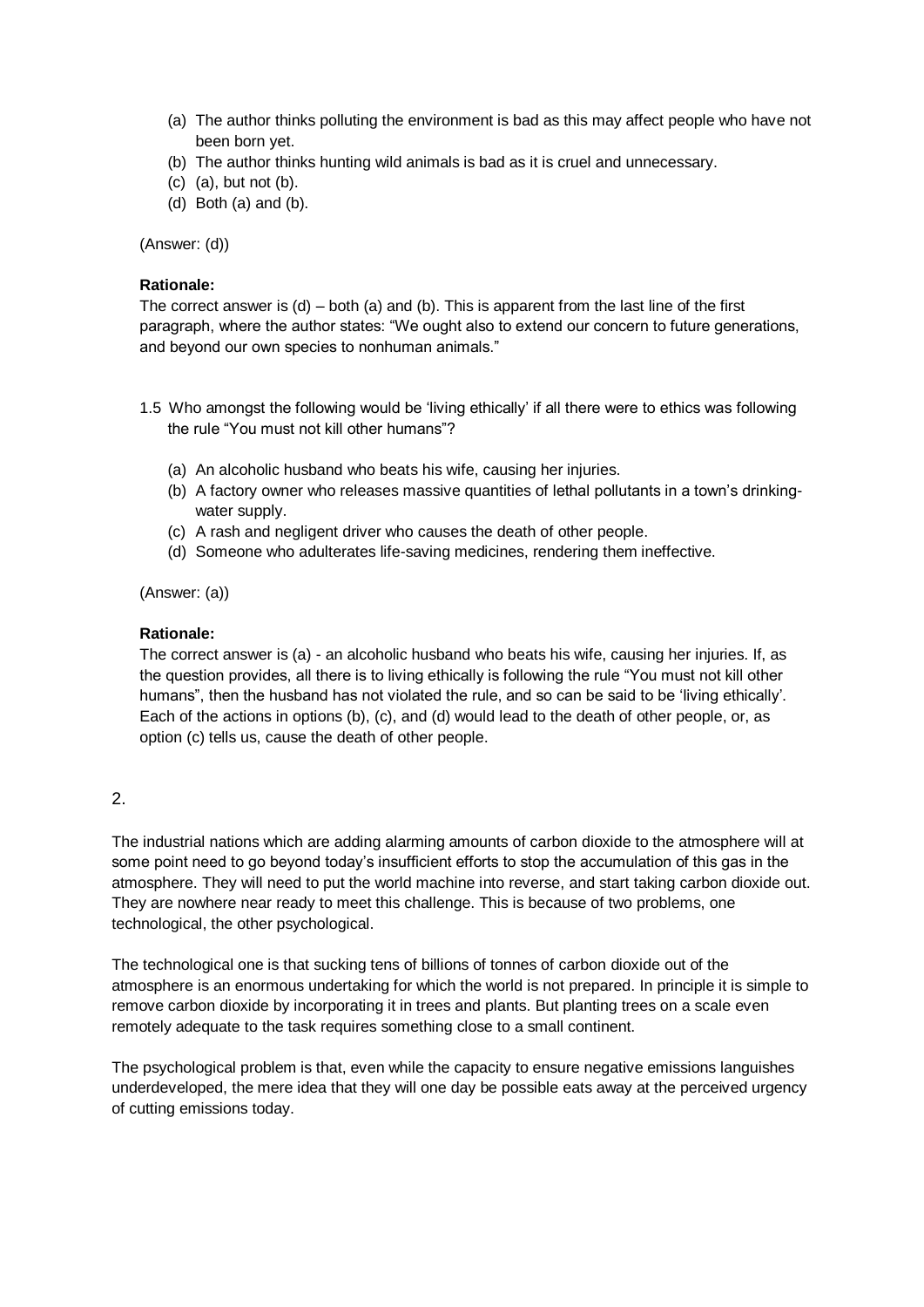- (a) The author thinks polluting the environment is bad as this may affect people who have not been born yet.
- (b) The author thinks hunting wild animals is bad as it is cruel and unnecessary.
- $(c)$  (a), but not  $(b)$ .
- (d) Both (a) and (b).

(Answer: (d))

#### **Rationale:**

The correct answer is  $(d)$  – both  $(a)$  and  $(b)$ . This is apparent from the last line of the first paragraph, where the author states: "We ought also to extend our concern to future generations, and beyond our own species to nonhuman animals."

- 1.5 Who amongst the following would be 'living ethically' if all there were to ethics was following the rule "You must not kill other humans"?
	- (a) An alcoholic husband who beats his wife, causing her injuries.
	- (b) A factory owner who releases massive quantities of lethal pollutants in a town's drinkingwater supply.
	- (c) A rash and negligent driver who causes the death of other people.
	- (d) Someone who adulterates life-saving medicines, rendering them ineffective.

(Answer: (a))

#### **Rationale:**

The correct answer is (a) - an alcoholic husband who beats his wife, causing her injuries. If, as the question provides, all there is to living ethically is following the rule "You must not kill other humans", then the husband has not violated the rule, and so can be said to be 'living ethically'. Each of the actions in options (b), (c), and (d) would lead to the death of other people, or, as option (c) tells us, cause the death of other people.

## 2.

The industrial nations which are adding alarming amounts of carbon dioxide to the atmosphere will at some point need to go beyond today's insufficient efforts to stop the accumulation of this gas in the atmosphere. They will need to put the world machine into reverse, and start taking carbon dioxide out. They are nowhere near ready to meet this challenge. This is because of two problems, one technological, the other psychological.

The technological one is that sucking tens of billions of tonnes of carbon dioxide out of the atmosphere is an enormous undertaking for which the world is not prepared. In principle it is simple to remove carbon dioxide by incorporating it in trees and plants. But planting trees on a scale even remotely adequate to the task requires something close to a small continent.

The psychological problem is that, even while the capacity to ensure negative emissions languishes underdeveloped, the mere idea that they will one day be possible eats away at the perceived urgency of cutting emissions today.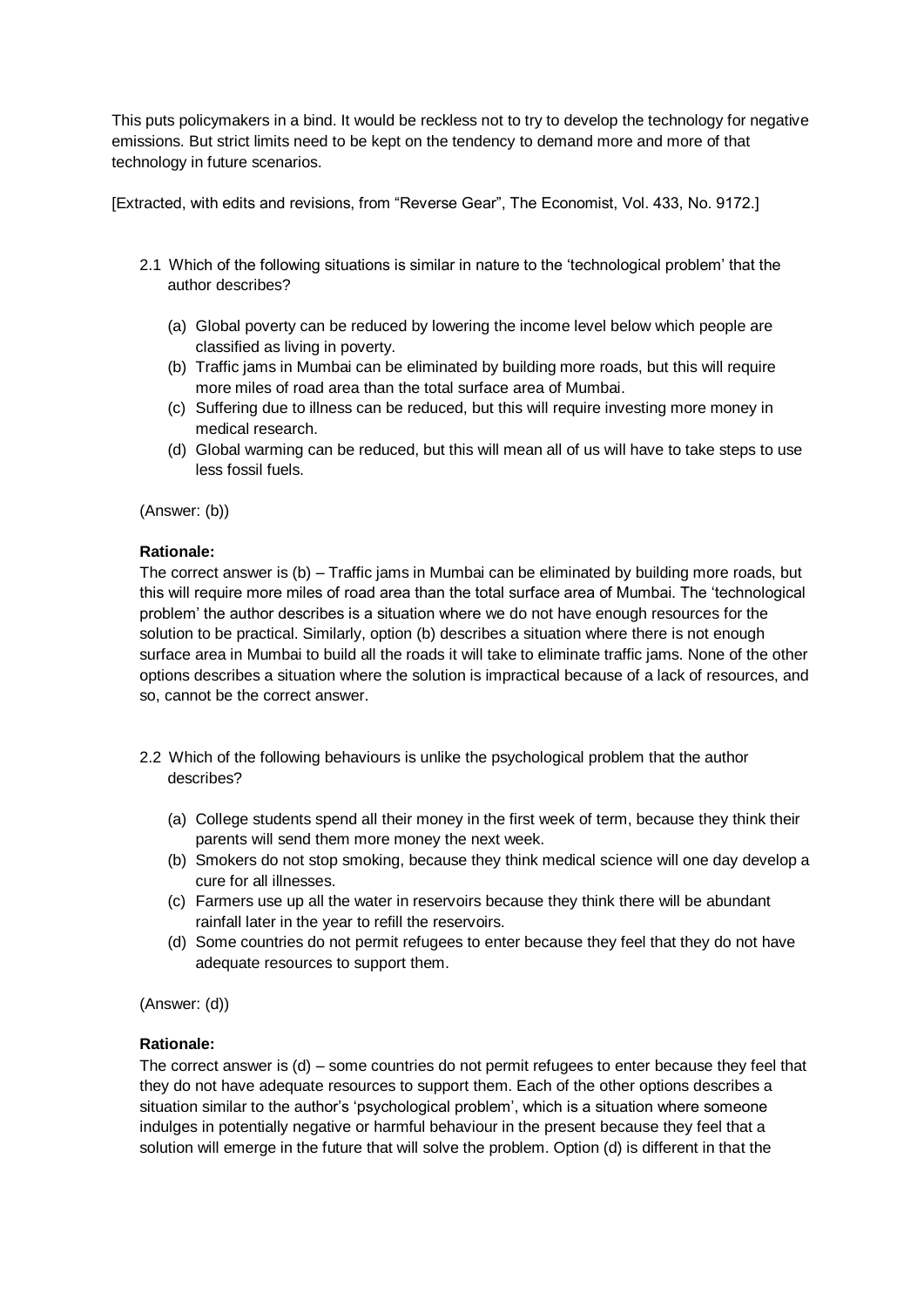This puts policymakers in a bind. It would be reckless not to try to develop the technology for negative emissions. But strict limits need to be kept on the tendency to demand more and more of that technology in future scenarios.

[Extracted, with edits and revisions, from "Reverse Gear", The Economist, Vol. 433, No. 9172.]

- 2.1 Which of the following situations is similar in nature to the 'technological problem' that the author describes?
	- (a) Global poverty can be reduced by lowering the income level below which people are classified as living in poverty.
	- (b) Traffic jams in Mumbai can be eliminated by building more roads, but this will require more miles of road area than the total surface area of Mumbai.
	- (c) Suffering due to illness can be reduced, but this will require investing more money in medical research.
	- (d) Global warming can be reduced, but this will mean all of us will have to take steps to use less fossil fuels.

(Answer: (b))

## **Rationale:**

The correct answer is (b) – Traffic jams in Mumbai can be eliminated by building more roads, but this will require more miles of road area than the total surface area of Mumbai. The 'technological problem' the author describes is a situation where we do not have enough resources for the solution to be practical. Similarly, option (b) describes a situation where there is not enough surface area in Mumbai to build all the roads it will take to eliminate traffic jams. None of the other options describes a situation where the solution is impractical because of a lack of resources, and so, cannot be the correct answer.

- 2.2 Which of the following behaviours is unlike the psychological problem that the author describes?
	- (a) College students spend all their money in the first week of term, because they think their parents will send them more money the next week.
	- (b) Smokers do not stop smoking, because they think medical science will one day develop a cure for all illnesses.
	- (c) Farmers use up all the water in reservoirs because they think there will be abundant rainfall later in the year to refill the reservoirs.
	- (d) Some countries do not permit refugees to enter because they feel that they do not have adequate resources to support them.

(Answer: (d))

## **Rationale:**

The correct answer is (d) – some countries do not permit refugees to enter because they feel that they do not have adequate resources to support them. Each of the other options describes a situation similar to the author's 'psychological problem', which is a situation where someone indulges in potentially negative or harmful behaviour in the present because they feel that a solution will emerge in the future that will solve the problem. Option (d) is different in that the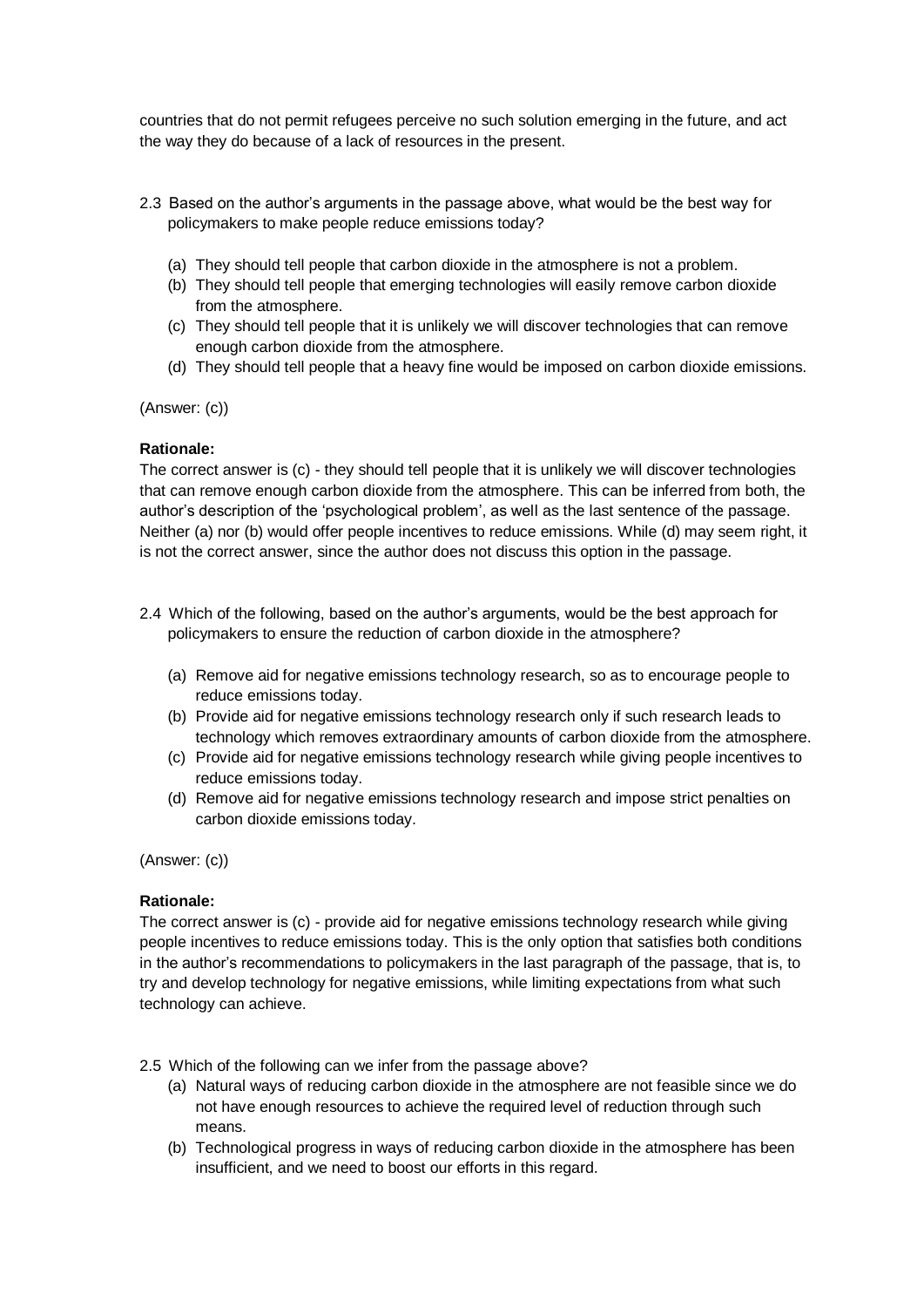countries that do not permit refugees perceive no such solution emerging in the future, and act the way they do because of a lack of resources in the present.

- 2.3 Based on the author's arguments in the passage above, what would be the best way for policymakers to make people reduce emissions today?
	- (a) They should tell people that carbon dioxide in the atmosphere is not a problem.
	- (b) They should tell people that emerging technologies will easily remove carbon dioxide from the atmosphere.
	- (c) They should tell people that it is unlikely we will discover technologies that can remove enough carbon dioxide from the atmosphere.
	- (d) They should tell people that a heavy fine would be imposed on carbon dioxide emissions.

(Answer: (c))

#### **Rationale:**

The correct answer is (c) - they should tell people that it is unlikely we will discover technologies that can remove enough carbon dioxide from the atmosphere. This can be inferred from both, the author's description of the 'psychological problem', as well as the last sentence of the passage. Neither (a) nor (b) would offer people incentives to reduce emissions. While (d) may seem right, it is not the correct answer, since the author does not discuss this option in the passage.

- 2.4 Which of the following, based on the author's arguments, would be the best approach for policymakers to ensure the reduction of carbon dioxide in the atmosphere?
	- (a) Remove aid for negative emissions technology research, so as to encourage people to reduce emissions today.
	- (b) Provide aid for negative emissions technology research only if such research leads to technology which removes extraordinary amounts of carbon dioxide from the atmosphere.
	- (c) Provide aid for negative emissions technology research while giving people incentives to reduce emissions today.
	- (d) Remove aid for negative emissions technology research and impose strict penalties on carbon dioxide emissions today.

(Answer: (c))

#### **Rationale:**

The correct answer is (c) - provide aid for negative emissions technology research while giving people incentives to reduce emissions today. This is the only option that satisfies both conditions in the author's recommendations to policymakers in the last paragraph of the passage, that is, to try and develop technology for negative emissions, while limiting expectations from what such technology can achieve.

2.5 Which of the following can we infer from the passage above?

- (a) Natural ways of reducing carbon dioxide in the atmosphere are not feasible since we do not have enough resources to achieve the required level of reduction through such means.
- (b) Technological progress in ways of reducing carbon dioxide in the atmosphere has been insufficient, and we need to boost our efforts in this regard.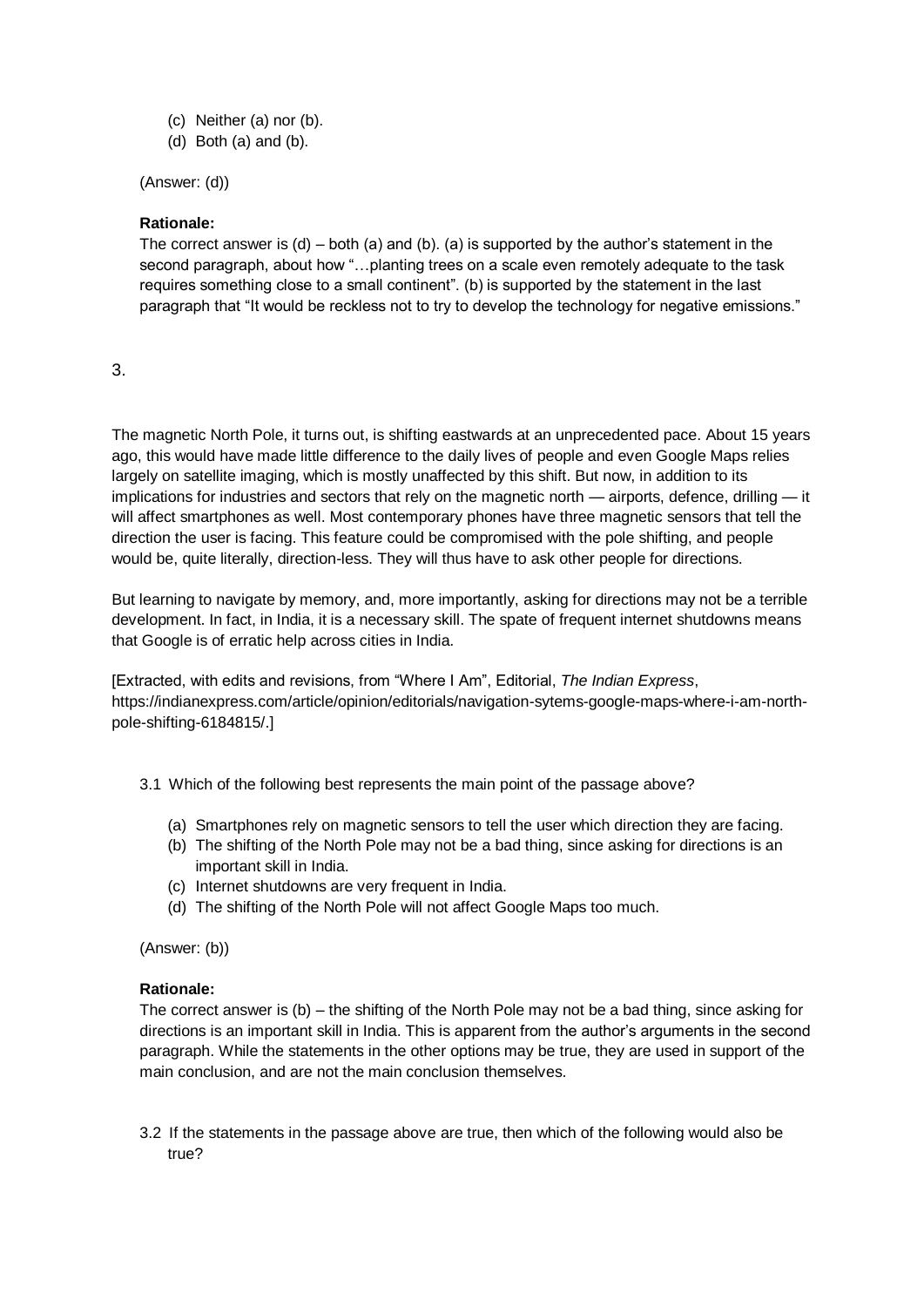- (c) Neither (a) nor (b).
- (d) Both (a) and (b).

(Answer: (d))

## **Rationale:**

The correct answer is  $(d)$  – both  $(a)$  and  $(b)$ .  $(a)$  is supported by the author's statement in the second paragraph, about how "…planting trees on a scale even remotely adequate to the task requires something close to a small continent". (b) is supported by the statement in the last paragraph that "It would be reckless not to try to develop the technology for negative emissions."

3.

The magnetic North Pole, it turns out, is shifting eastwards at an unprecedented pace. About 15 years ago, this would have made little difference to the daily lives of people and even Google Maps relies largely on satellite imaging, which is mostly unaffected by this shift. But now, in addition to its implications for industries and sectors that rely on the magnetic north — airports, defence, drilling — it will affect smartphones as well. Most contemporary phones have three magnetic sensors that tell the direction the user is facing. This feature could be compromised with the pole shifting, and people would be, quite literally, direction-less. They will thus have to ask other people for directions.

But learning to navigate by memory, and, more importantly, asking for directions may not be a terrible development. In fact, in India, it is a necessary skill. The spate of frequent internet shutdowns means that Google is of erratic help across cities in India.

[Extracted, with edits and revisions, from "Where I Am", Editorial, *The Indian Express*, https://indianexpress.com/article/opinion/editorials/navigation-sytems-google-maps-where-i-am-northpole-shifting-6184815/.]

- 3.1 Which of the following best represents the main point of the passage above?
	- (a) Smartphones rely on magnetic sensors to tell the user which direction they are facing.
	- (b) The shifting of the North Pole may not be a bad thing, since asking for directions is an important skill in India.
	- (c) Internet shutdowns are very frequent in India.
	- (d) The shifting of the North Pole will not affect Google Maps too much.

(Answer: (b))

## **Rationale:**

The correct answer is  $(b)$  – the shifting of the North Pole may not be a bad thing, since asking for directions is an important skill in India. This is apparent from the author's arguments in the second paragraph. While the statements in the other options may be true, they are used in support of the main conclusion, and are not the main conclusion themselves.

3.2 If the statements in the passage above are true, then which of the following would also be true?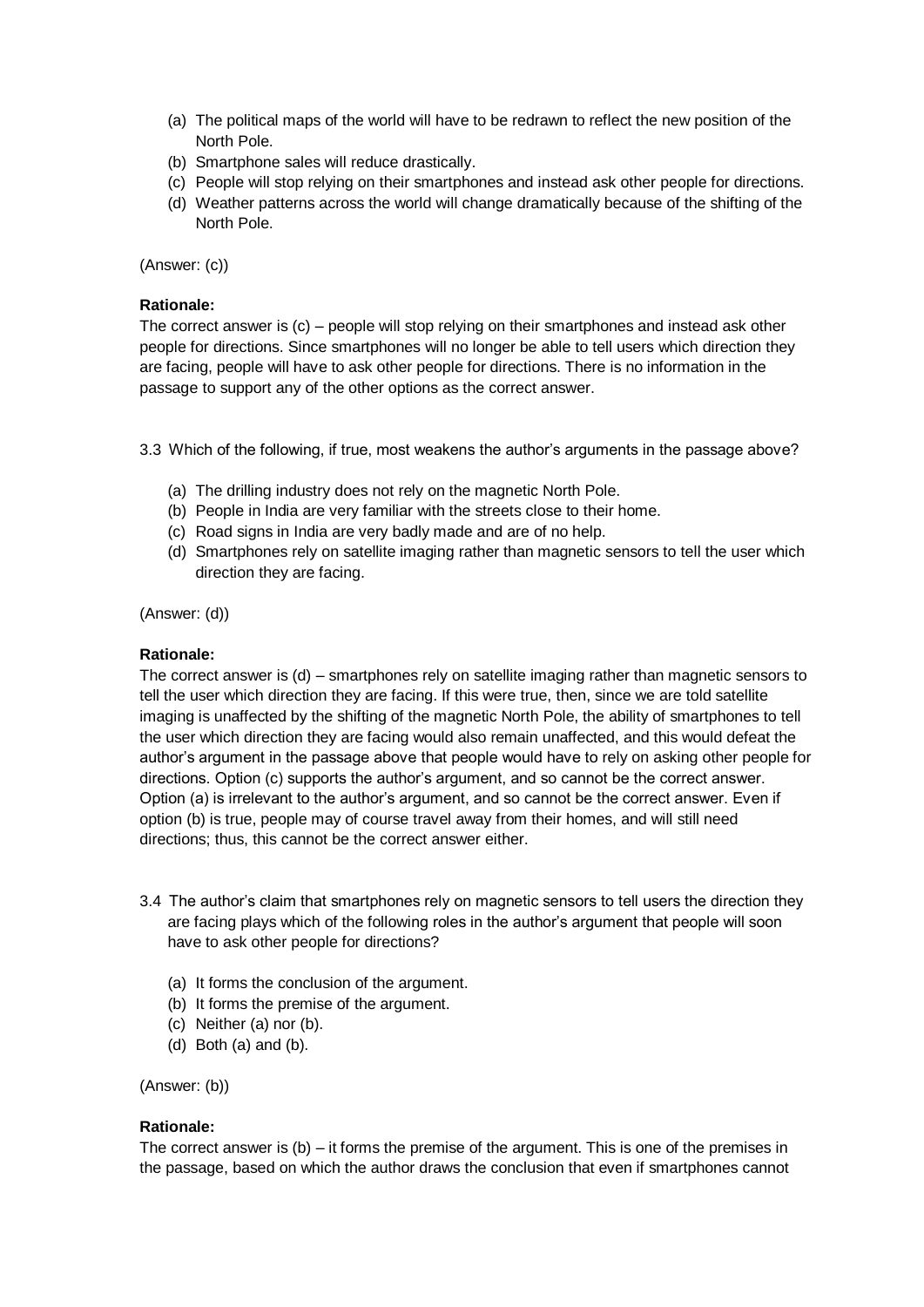- (a) The political maps of the world will have to be redrawn to reflect the new position of the North Pole.
- (b) Smartphone sales will reduce drastically.
- (c) People will stop relying on their smartphones and instead ask other people for directions.
- (d) Weather patterns across the world will change dramatically because of the shifting of the North Pole.

(Answer: (c))

#### **Rationale:**

The correct answer is (c) – people will stop relying on their smartphones and instead ask other people for directions. Since smartphones will no longer be able to tell users which direction they are facing, people will have to ask other people for directions. There is no information in the passage to support any of the other options as the correct answer.

3.3 Which of the following, if true, most weakens the author's arguments in the passage above?

- (a) The drilling industry does not rely on the magnetic North Pole.
- (b) People in India are very familiar with the streets close to their home.
- (c) Road signs in India are very badly made and are of no help.
- (d) Smartphones rely on satellite imaging rather than magnetic sensors to tell the user which direction they are facing.

(Answer: (d))

## **Rationale:**

The correct answer is (d) – smartphones rely on satellite imaging rather than magnetic sensors to tell the user which direction they are facing. If this were true, then, since we are told satellite imaging is unaffected by the shifting of the magnetic North Pole, the ability of smartphones to tell the user which direction they are facing would also remain unaffected, and this would defeat the author's argument in the passage above that people would have to rely on asking other people for directions. Option (c) supports the author's argument, and so cannot be the correct answer. Option (a) is irrelevant to the author's argument, and so cannot be the correct answer. Even if option (b) is true, people may of course travel away from their homes, and will still need directions; thus, this cannot be the correct answer either.

- 3.4 The author's claim that smartphones rely on magnetic sensors to tell users the direction they are facing plays which of the following roles in the author's argument that people will soon have to ask other people for directions?
	- (a) It forms the conclusion of the argument.
	- (b) It forms the premise of the argument.
	- (c) Neither (a) nor (b).
	- (d) Both (a) and (b).

(Answer: (b))

#### **Rationale:**

The correct answer is (b) – it forms the premise of the argument. This is one of the premises in the passage, based on which the author draws the conclusion that even if smartphones cannot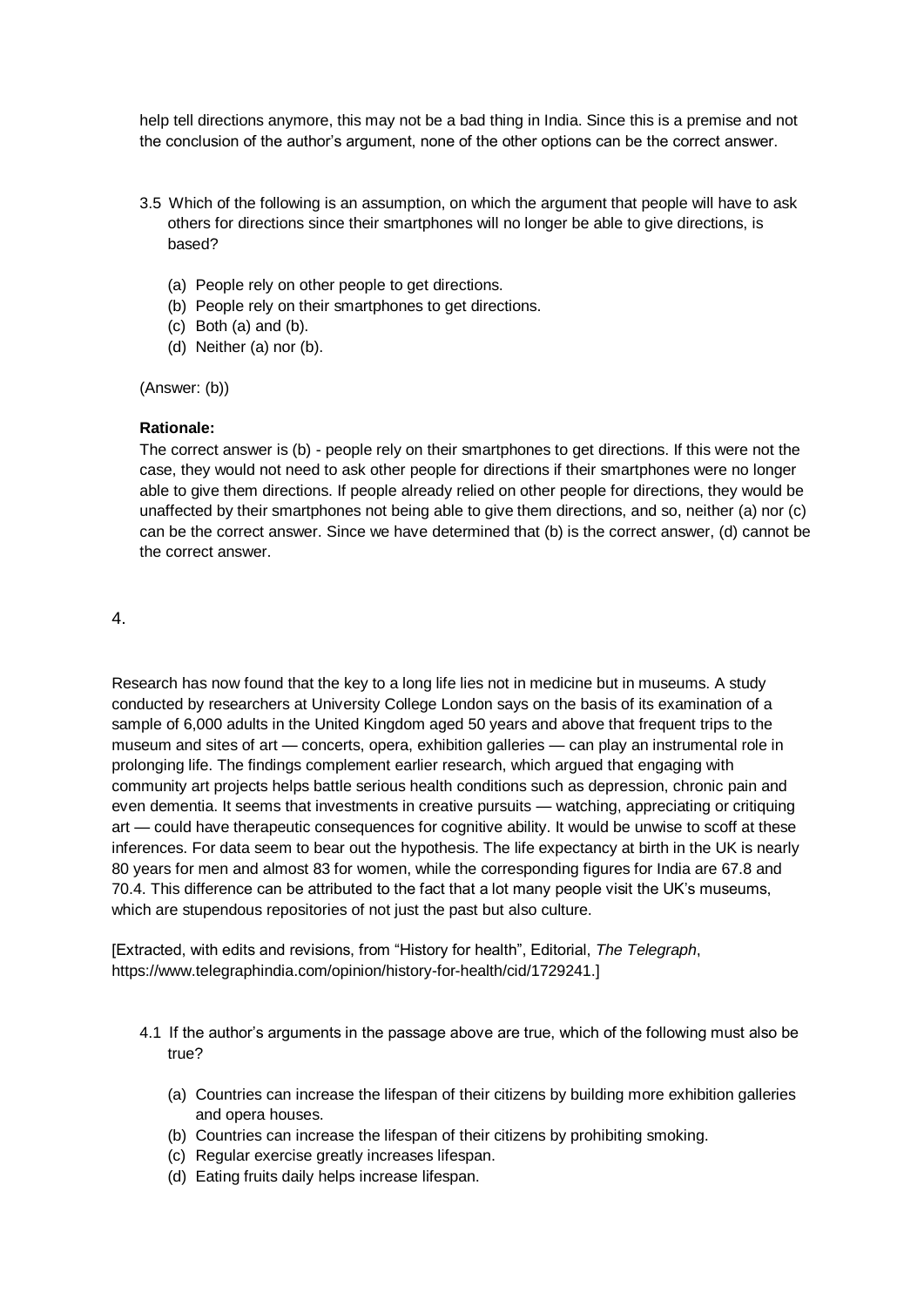help tell directions anymore, this may not be a bad thing in India. Since this is a premise and not the conclusion of the author's argument, none of the other options can be the correct answer.

- 3.5 Which of the following is an assumption, on which the argument that people will have to ask others for directions since their smartphones will no longer be able to give directions, is based?
	- (a) People rely on other people to get directions.
	- (b) People rely on their smartphones to get directions.
	- (c) Both (a) and (b).
	- (d) Neither (a) nor (b).

(Answer: (b))

#### **Rationale:**

The correct answer is (b) - people rely on their smartphones to get directions. If this were not the case, they would not need to ask other people for directions if their smartphones were no longer able to give them directions. If people already relied on other people for directions, they would be unaffected by their smartphones not being able to give them directions, and so, neither (a) nor (c) can be the correct answer. Since we have determined that (b) is the correct answer, (d) cannot be the correct answer.

#### 4.

Research has now found that the key to a long life lies not in medicine but in museums. A study conducted by researchers at University College London says on the basis of its examination of a sample of 6,000 adults in the United Kingdom aged 50 years and above that frequent trips to the museum and sites of art — concerts, opera, exhibition galleries — can play an instrumental role in prolonging life. The findings complement earlier research, which argued that engaging with community art projects helps battle serious health conditions such as depression, chronic pain and even dementia. It seems that investments in creative pursuits — watching, appreciating or critiquing art — could have therapeutic consequences for cognitive ability. It would be unwise to scoff at these inferences. For data seem to bear out the hypothesis. The life expectancy at birth in the UK is nearly 80 years for men and almost 83 for women, while the corresponding figures for India are 67.8 and 70.4. This difference can be attributed to the fact that a lot many people visit the UK's museums, which are stupendous repositories of not just the past but also culture.

[Extracted, with edits and revisions, from "History for health", Editorial, *The Telegraph*, https://www.telegraphindia.com/opinion/history-for-health/cid/1729241.]

- 4.1 If the author's arguments in the passage above are true, which of the following must also be true?
	- (a) Countries can increase the lifespan of their citizens by building more exhibition galleries and opera houses.
	- (b) Countries can increase the lifespan of their citizens by prohibiting smoking.
	- (c) Regular exercise greatly increases lifespan.
	- (d) Eating fruits daily helps increase lifespan.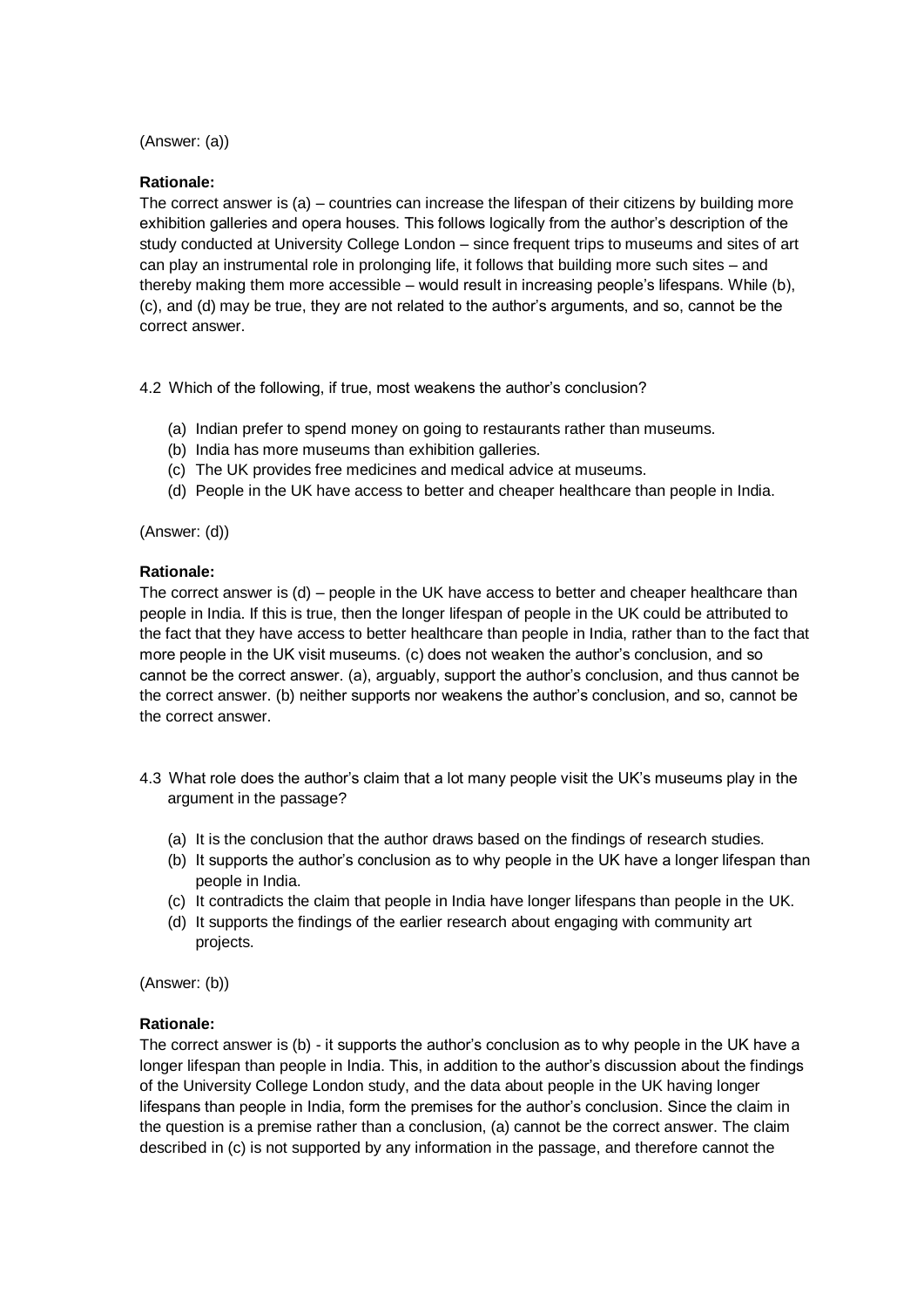(Answer: (a))

#### **Rationale:**

The correct answer is  $(a)$  – countries can increase the lifespan of their citizens by building more exhibition galleries and opera houses. This follows logically from the author's description of the study conducted at University College London – since frequent trips to museums and sites of art can play an instrumental role in prolonging life, it follows that building more such sites – and thereby making them more accessible – would result in increasing people's lifespans. While (b), (c), and (d) may be true, they are not related to the author's arguments, and so, cannot be the correct answer.

4.2 Which of the following, if true, most weakens the author's conclusion?

- (a) Indian prefer to spend money on going to restaurants rather than museums.
- (b) India has more museums than exhibition galleries.
- (c) The UK provides free medicines and medical advice at museums.
- (d) People in the UK have access to better and cheaper healthcare than people in India.

(Answer: (d))

#### **Rationale:**

The correct answer is (d) – people in the UK have access to better and cheaper healthcare than people in India. If this is true, then the longer lifespan of people in the UK could be attributed to the fact that they have access to better healthcare than people in India, rather than to the fact that more people in the UK visit museums. (c) does not weaken the author's conclusion, and so cannot be the correct answer. (a), arguably, support the author's conclusion, and thus cannot be the correct answer. (b) neither supports nor weakens the author's conclusion, and so, cannot be the correct answer.

- 4.3 What role does the author's claim that a lot many people visit the UK's museums play in the argument in the passage?
	- (a) It is the conclusion that the author draws based on the findings of research studies.
	- (b) It supports the author's conclusion as to why people in the UK have a longer lifespan than people in India.
	- (c) It contradicts the claim that people in India have longer lifespans than people in the UK.
	- (d) It supports the findings of the earlier research about engaging with community art projects.

(Answer: (b))

#### **Rationale:**

The correct answer is (b) - it supports the author's conclusion as to why people in the UK have a longer lifespan than people in India. This, in addition to the author's discussion about the findings of the University College London study, and the data about people in the UK having longer lifespans than people in India, form the premises for the author's conclusion. Since the claim in the question is a premise rather than a conclusion, (a) cannot be the correct answer. The claim described in (c) is not supported by any information in the passage, and therefore cannot the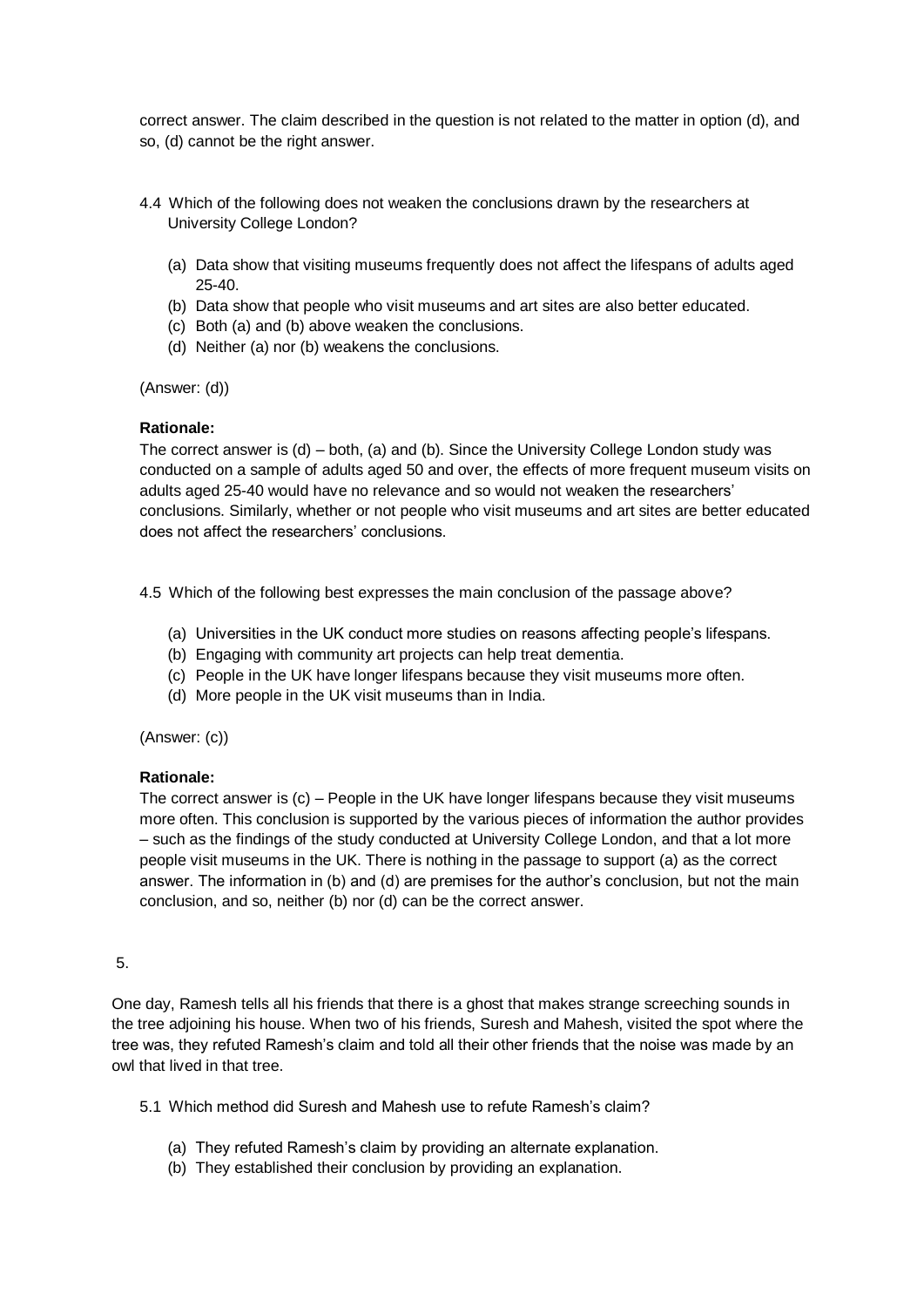correct answer. The claim described in the question is not related to the matter in option (d), and so, (d) cannot be the right answer.

- 4.4 Which of the following does not weaken the conclusions drawn by the researchers at University College London?
	- (a) Data show that visiting museums frequently does not affect the lifespans of adults aged 25-40.
	- (b) Data show that people who visit museums and art sites are also better educated.
	- (c) Both (a) and (b) above weaken the conclusions.
	- (d) Neither (a) nor (b) weakens the conclusions.

(Answer: (d))

#### **Rationale:**

The correct answer is  $(d)$  – both,  $(a)$  and  $(b)$ . Since the University College London study was conducted on a sample of adults aged 50 and over, the effects of more frequent museum visits on adults aged 25-40 would have no relevance and so would not weaken the researchers' conclusions. Similarly, whether or not people who visit museums and art sites are better educated does not affect the researchers' conclusions.

4.5 Which of the following best expresses the main conclusion of the passage above?

- (a) Universities in the UK conduct more studies on reasons affecting people's lifespans.
- (b) Engaging with community art projects can help treat dementia.
- (c) People in the UK have longer lifespans because they visit museums more often.
- (d) More people in the UK visit museums than in India.

(Answer: (c))

## **Rationale:**

The correct answer is  $(c)$  – People in the UK have longer lifespans because they visit museums more often. This conclusion is supported by the various pieces of information the author provides – such as the findings of the study conducted at University College London, and that a lot more people visit museums in the UK. There is nothing in the passage to support (a) as the correct answer. The information in (b) and (d) are premises for the author's conclusion, but not the main conclusion, and so, neither (b) nor (d) can be the correct answer.

## 5.

One day, Ramesh tells all his friends that there is a ghost that makes strange screeching sounds in the tree adjoining his house. When two of his friends, Suresh and Mahesh, visited the spot where the tree was, they refuted Ramesh's claim and told all their other friends that the noise was made by an owl that lived in that tree.

5.1 Which method did Suresh and Mahesh use to refute Ramesh's claim?

- (a) They refuted Ramesh's claim by providing an alternate explanation.
- (b) They established their conclusion by providing an explanation.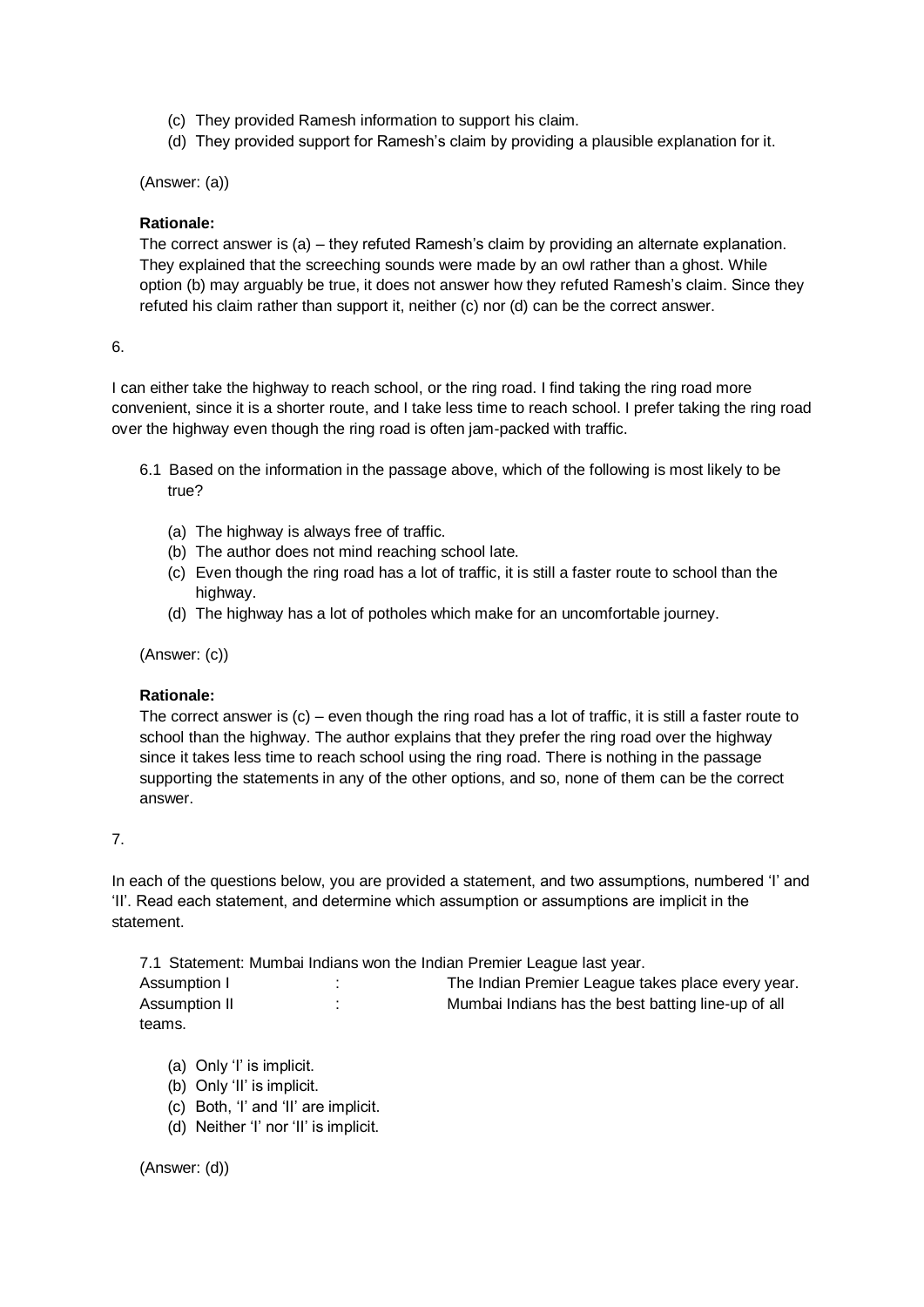- (c) They provided Ramesh information to support his claim.
- (d) They provided support for Ramesh's claim by providing a plausible explanation for it.

(Answer: (a))

## **Rationale:**

The correct answer is (a) – they refuted Ramesh's claim by providing an alternate explanation. They explained that the screeching sounds were made by an owl rather than a ghost. While option (b) may arguably be true, it does not answer how they refuted Ramesh's claim. Since they refuted his claim rather than support it, neither (c) nor (d) can be the correct answer.

## 6.

I can either take the highway to reach school, or the ring road. I find taking the ring road more convenient, since it is a shorter route, and I take less time to reach school. I prefer taking the ring road over the highway even though the ring road is often jam-packed with traffic.

- 6.1 Based on the information in the passage above, which of the following is most likely to be true?
	- (a) The highway is always free of traffic.
	- (b) The author does not mind reaching school late.
	- (c) Even though the ring road has a lot of traffic, it is still a faster route to school than the highway.
	- (d) The highway has a lot of potholes which make for an uncomfortable journey.

(Answer: (c))

## **Rationale:**

The correct answer is (c) – even though the ring road has a lot of traffic, it is still a faster route to school than the highway. The author explains that they prefer the ring road over the highway since it takes less time to reach school using the ring road. There is nothing in the passage supporting the statements in any of the other options, and so, none of them can be the correct answer.

## 7.

In each of the questions below, you are provided a statement, and two assumptions, numbered 'I' and 'II'. Read each statement, and determine which assumption or assumptions are implicit in the statement.

7.1 Statement: Mumbai Indians won the Indian Premier League last year.

| Assumption I  | ٠       | The Indian Premier League takes place every year.  |
|---------------|---------|----------------------------------------------------|
| Assumption II | $\cdot$ | Mumbai Indians has the best batting line-up of all |
| teams.        |         |                                                    |

- (a) Only 'I' is implicit.
- (b) Only 'II' is implicit.
- (c) Both, 'I' and 'II' are implicit.
- (d) Neither 'I' nor 'II' is implicit.

(Answer: (d))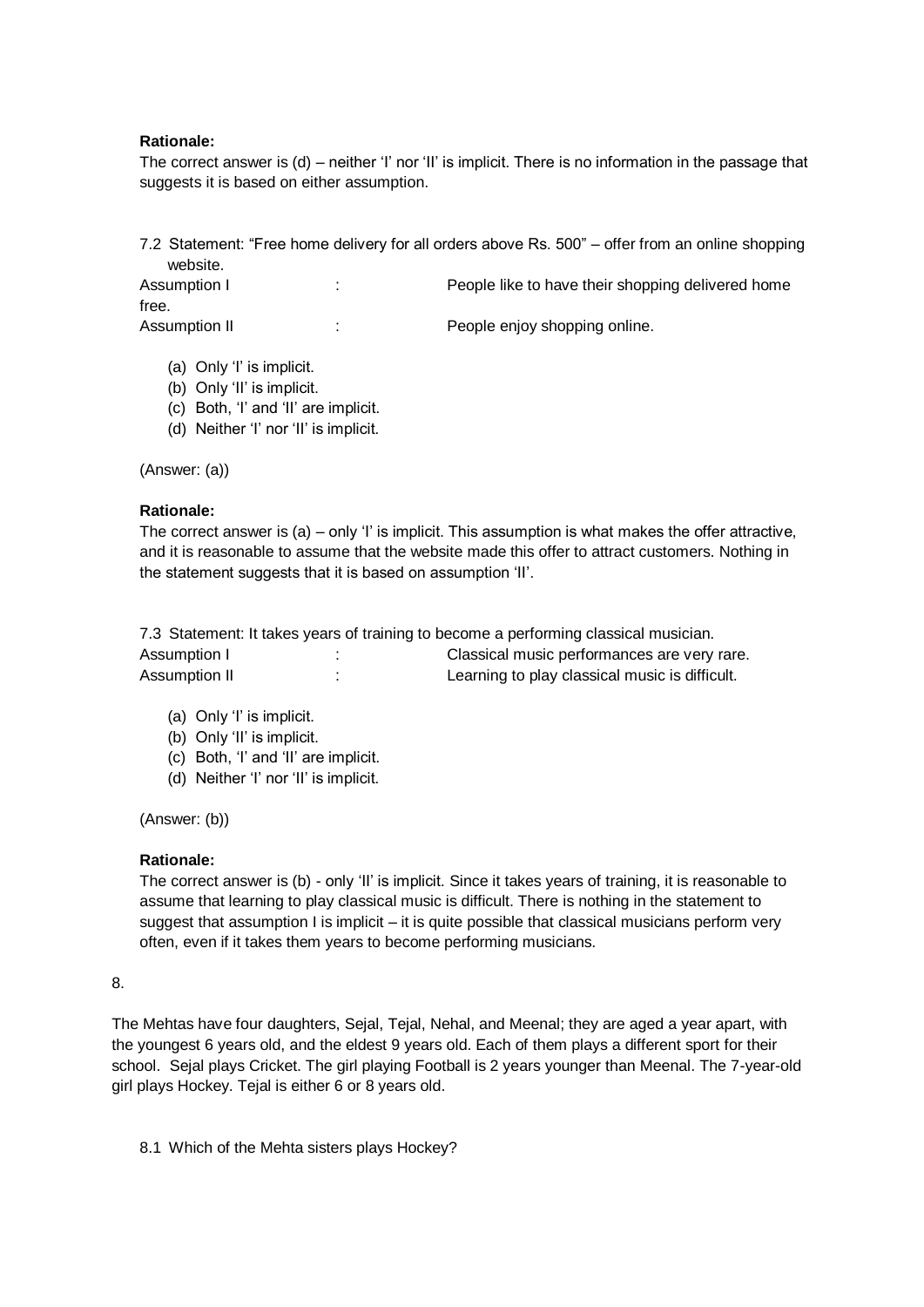#### **Rationale:**

The correct answer is (d) – neither 'I' nor 'II' is implicit. There is no information in the passage that suggests it is based on either assumption.

7.2 Statement: "Free home delivery for all orders above Rs. 500" – offer from an online shopping website.

| Assumption I  | People like to have their shopping delivered home |
|---------------|---------------------------------------------------|
| free.         |                                                   |
| Assumption II | People enjoy shopping online.                     |

- (a) Only 'I' is implicit.
- (b) Only 'II' is implicit.
- (c) Both, 'I' and 'II' are implicit.
- (d) Neither 'I' nor 'II' is implicit.

(Answer: (a))

#### **Rationale:**

The correct answer is  $(a)$  – only 'I' is implicit. This assumption is what makes the offer attractive, and it is reasonable to assume that the website made this offer to attract customers. Nothing in the statement suggests that it is based on assumption 'II'.

7.3 Statement: It takes years of training to become a performing classical musician. Assumption I : Classical music performances are very rare. Assumption II : Examption II : Learning to play classical music is difficult.

- (a) Only 'I' is implicit.
- (b) Only 'II' is implicit.
- (c) Both, 'I' and 'II' are implicit.
- (d) Neither 'I' nor 'II' is implicit.

(Answer: (b))

#### **Rationale:**

The correct answer is (b) - only 'II' is implicit. Since it takes years of training, it is reasonable to assume that learning to play classical music is difficult. There is nothing in the statement to suggest that assumption I is implicit – it is quite possible that classical musicians perform very often, even if it takes them years to become performing musicians.

#### 8.

The Mehtas have four daughters, Sejal, Tejal, Nehal, and Meenal; they are aged a year apart, with the youngest 6 years old, and the eldest 9 years old. Each of them plays a different sport for their school. Sejal plays Cricket. The girl playing Football is 2 years younger than Meenal. The 7-year-old girl plays Hockey. Tejal is either 6 or 8 years old.

8.1 Which of the Mehta sisters plays Hockey?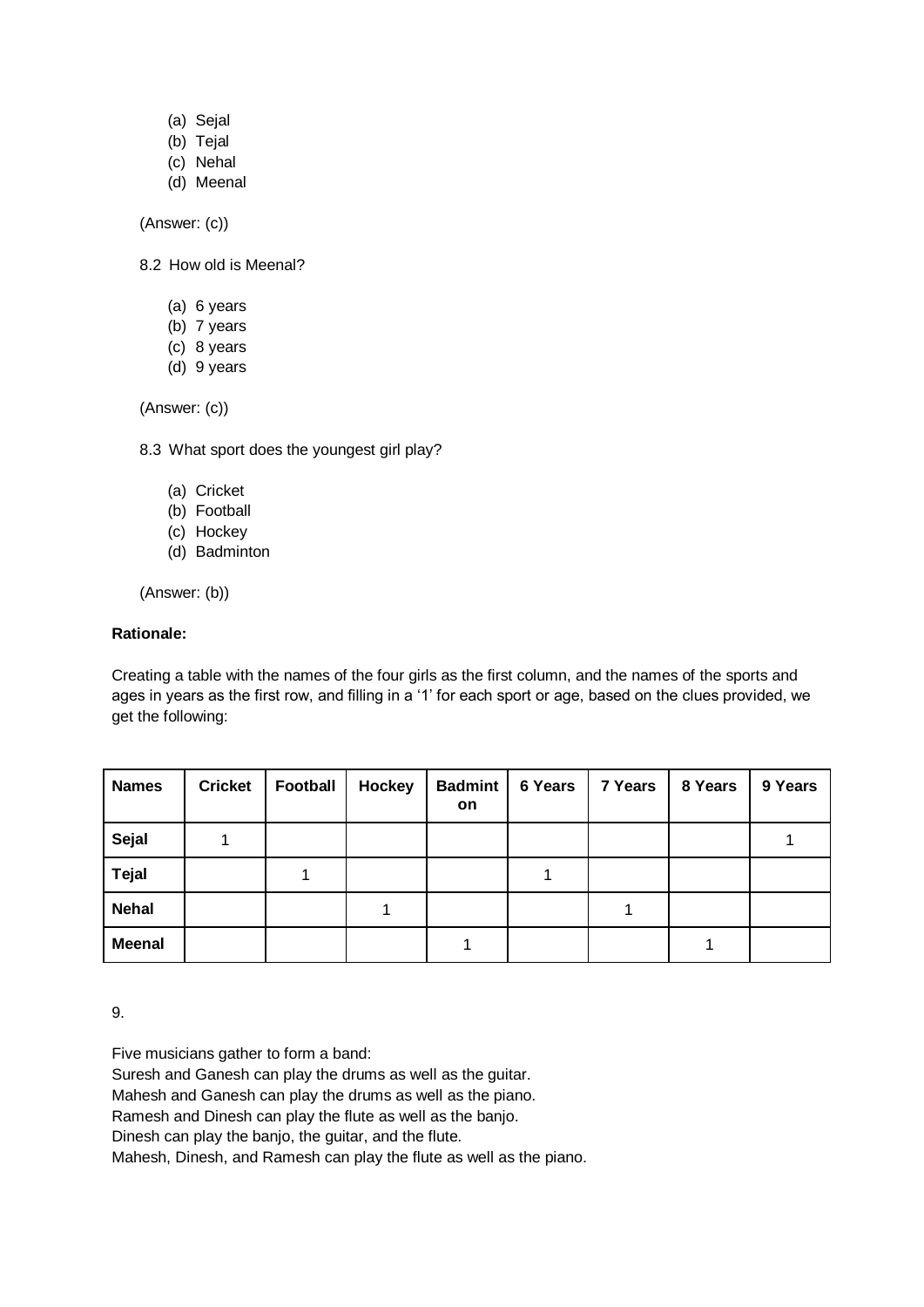- (a) Sejal
- (b) Tejal
- (c) Nehal
- (d) Meenal

(Answer: (c))

8.2 How old is Meenal?

- (a) 6 years
- (b) 7 years
- (c) 8 years
- (d) 9 years

(Answer: (c))

8.3 What sport does the youngest girl play?

- (a) Cricket
- (b) Football
- (c) Hockey
- (d) Badminton

(Answer: (b))

## **Rationale:**

Creating a table with the names of the four girls as the first column, and the names of the sports and ages in years as the first row, and filling in a '1' for each sport or age, based on the clues provided, we get the following:

| <b>Names</b>  | <b>Cricket</b> | Football | Hockey | <b>Badmint</b><br>on | 6 Years | 7 Years | 8 Years | 9 Years |
|---------------|----------------|----------|--------|----------------------|---------|---------|---------|---------|
| Sejal         |                |          |        |                      |         |         |         |         |
| <b>Tejal</b>  |                |          |        |                      |         |         |         |         |
| <b>Nehal</b>  |                |          |        |                      |         |         |         |         |
| <b>Meenal</b> |                |          |        |                      |         |         |         |         |

9.

Five musicians gather to form a band:

Suresh and Ganesh can play the drums as well as the guitar.

Mahesh and Ganesh can play the drums as well as the piano.

Ramesh and Dinesh can play the flute as well as the banjo.

Dinesh can play the banjo, the guitar, and the flute.

Mahesh, Dinesh, and Ramesh can play the flute as well as the piano.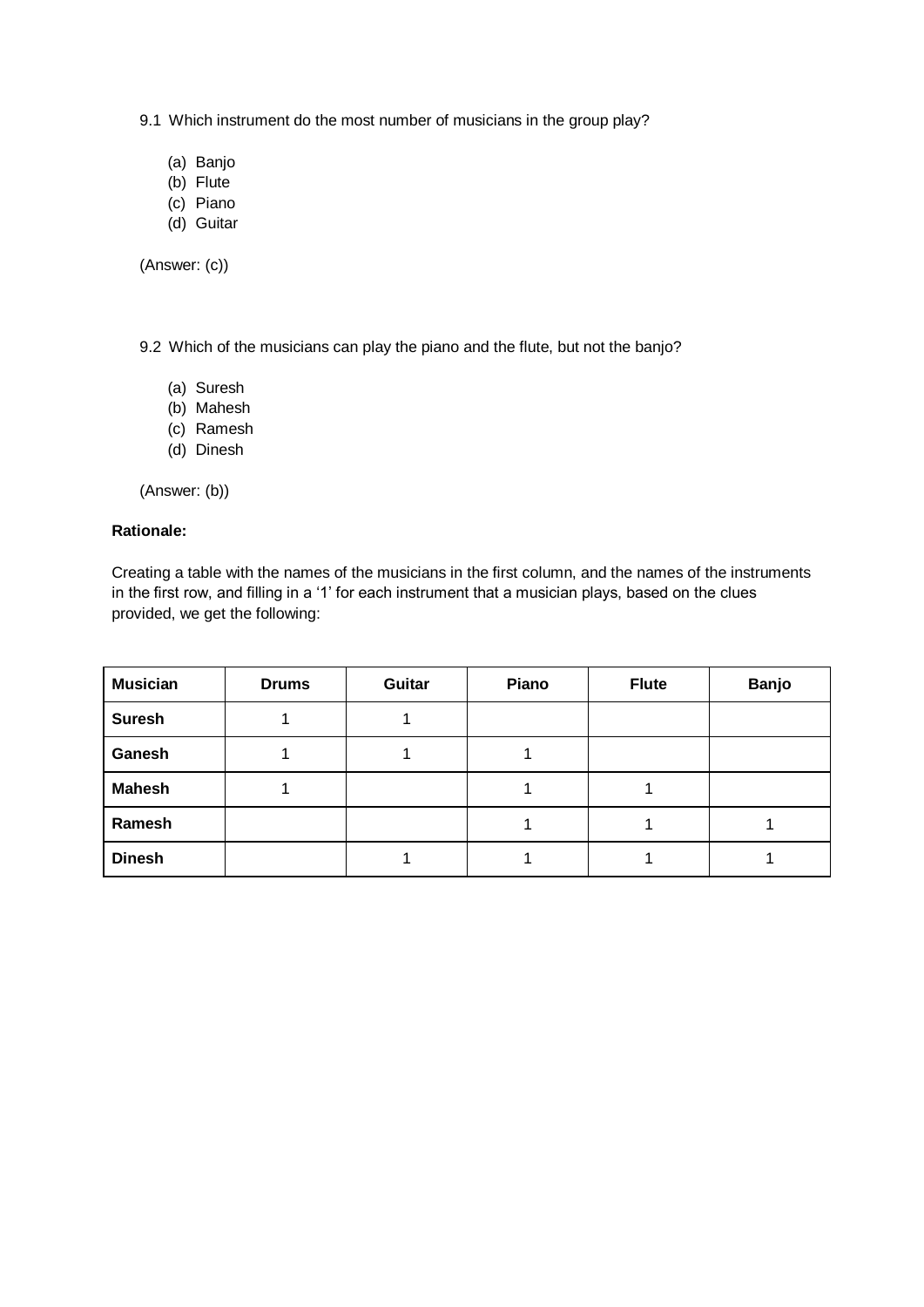9.1 Which instrument do the most number of musicians in the group play?

- (a) Banjo
- (b) Flute
- (c) Piano
- (d) Guitar

(Answer: (c))

9.2 Which of the musicians can play the piano and the flute, but not the banjo?

- (a) Suresh
- (b) Mahesh
- (c) Ramesh
- (d) Dinesh

(Answer: (b))

#### **Rationale:**

Creating a table with the names of the musicians in the first column, and the names of the instruments in the first row, and filling in a '1' for each instrument that a musician plays, based on the clues provided, we get the following:

| <b>Musician</b> | <b>Drums</b> | Guitar | Piano | <b>Flute</b> | <b>Banjo</b> |
|-----------------|--------------|--------|-------|--------------|--------------|
| <b>Suresh</b>   |              |        |       |              |              |
| Ganesh          |              |        |       |              |              |
| <b>Mahesh</b>   |              |        |       |              |              |
| Ramesh          |              |        |       |              |              |
| <b>Dinesh</b>   |              |        |       |              |              |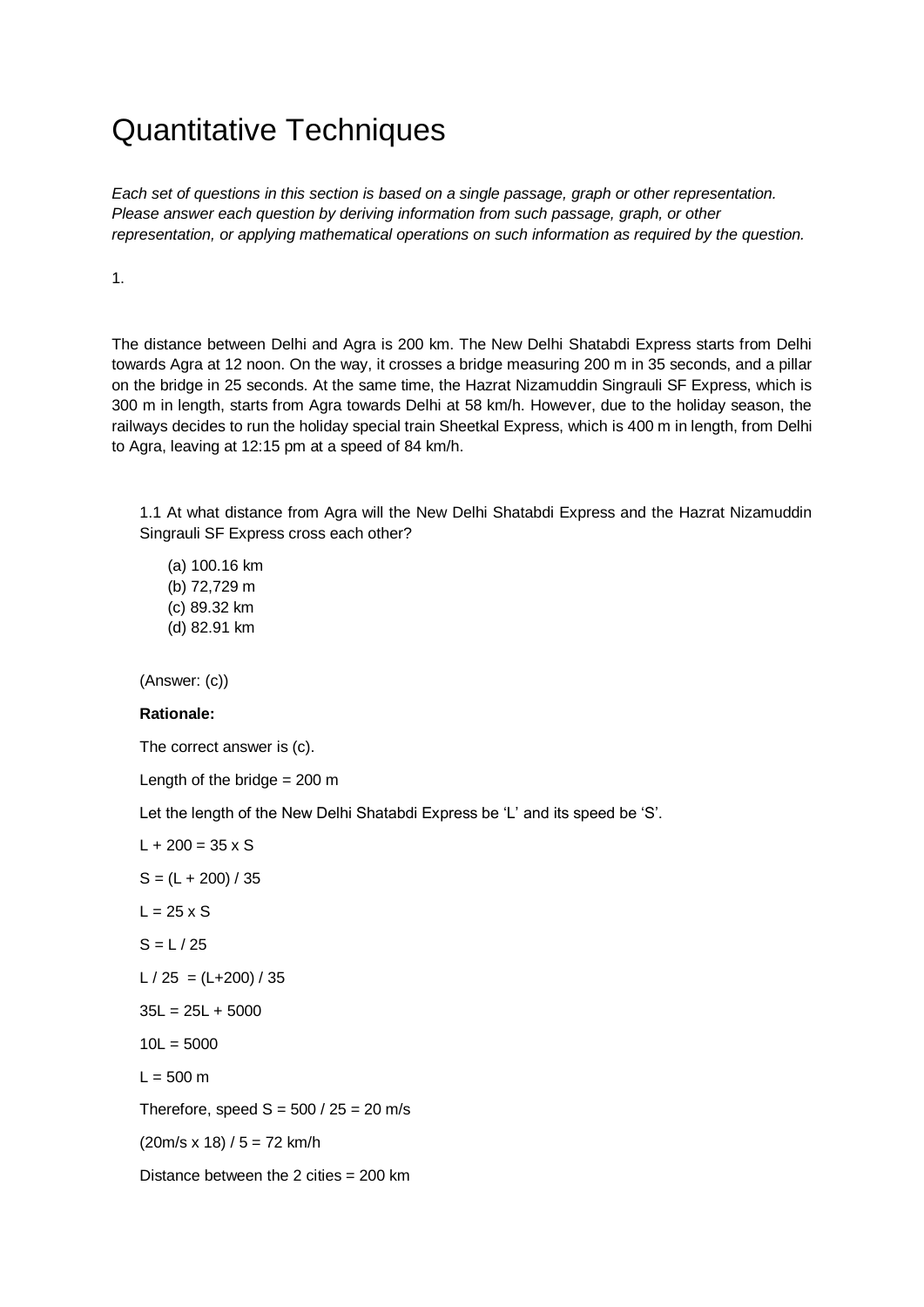## Quantitative Techniques

*Each set of questions in this section is based on a single passage, graph or other representation. Please answer each question by deriving information from such passage, graph, or other representation, or applying mathematical operations on such information as required by the question.*

1.

The distance between Delhi and Agra is 200 km. The New Delhi Shatabdi Express starts from Delhi towards Agra at 12 noon. On the way, it crosses a bridge measuring 200 m in 35 seconds, and a pillar on the bridge in 25 seconds. At the same time, the Hazrat Nizamuddin Singrauli SF Express, which is 300 m in length, starts from Agra towards Delhi at 58 km/h. However, due to the holiday season, the railways decides to run the holiday special train Sheetkal Express, which is 400 m in length, from Delhi to Agra, leaving at 12:15 pm at a speed of 84 km/h.

1.1 At what distance from Agra will the New Delhi Shatabdi Express and the Hazrat Nizamuddin Singrauli SF Express cross each other?

(a) 100.16 km (b) 72,729 m (c) 89.32 km (d) 82.91 km

(Answer: (c))

## **Rationale:**

The correct answer is (c).

Length of the bridge  $= 200$  m

Let the length of the New Delhi Shatabdi Express be 'L' and its speed be 'S'.

 $L + 200 = 35 \times S$  $S = (L + 200) / 35$  $L = 25 \times S$  $S = L / 25$  $L / 25 = (L + 200) / 35$  $35L = 25L + 5000$  $10L = 5000$  $L = 500$  m Therefore, speed  $S = 500 / 25 = 20$  m/s  $(20m/s \times 18) / 5 = 72 km/h$ Distance between the 2 cities = 200 km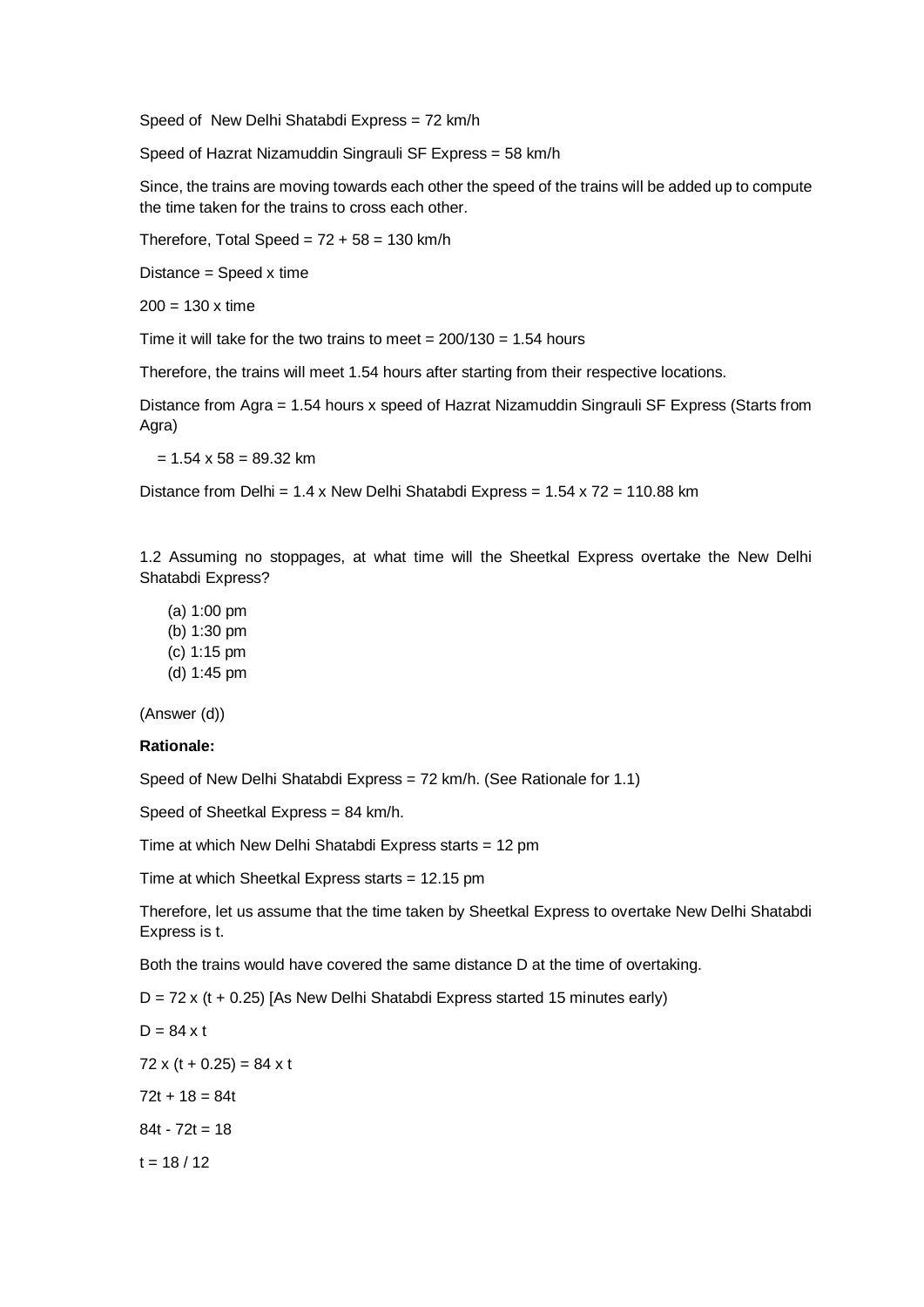Speed of New Delhi Shatabdi Express = 72 km/h

Speed of Hazrat Nizamuddin Singrauli SF Express = 58 km/h

Since, the trains are moving towards each other the speed of the trains will be added up to compute the time taken for the trains to cross each other.

Therefore, Total Speed =  $72 + 58 = 130$  km/h

Distance = Speed x time

200 = 130 x time

Time it will take for the two trains to meet =  $200/130 = 1.54$  hours

Therefore, the trains will meet 1.54 hours after starting from their respective locations.

Distance from Agra = 1.54 hours x speed of Hazrat Nizamuddin Singrauli SF Express (Starts from Agra)

 $= 1.54 \times 58 = 89.32$  km

Distance from Delhi =  $1.4$  x New Delhi Shatabdi Express =  $1.54$  x  $72$  =  $110.88$  km

1.2 Assuming no stoppages, at what time will the Sheetkal Express overtake the New Delhi Shatabdi Express?

(a) 1:00 pm (b) 1:30 pm (c) 1:15 pm (d) 1:45 pm

(Answer (d))

#### **Rationale:**

Speed of New Delhi Shatabdi Express = 72 km/h. (See Rationale for 1.1)

Speed of Sheetkal Express = 84 km/h.

Time at which New Delhi Shatabdi Express starts = 12 pm

Time at which Sheetkal Express starts = 12.15 pm

Therefore, let us assume that the time taken by Sheetkal Express to overtake New Delhi Shatabdi Express is t.

Both the trains would have covered the same distance D at the time of overtaking.

 $D = 72$  x (t + 0.25) [As New Delhi Shatabdi Express started 15 minutes early)

 $D = 84 \times t$ 

72 x (t + 0.25) = 84 x t

 $72t + 18 = 84t$ 

 $84t - 72t = 18$ 

 $t = 18 / 12$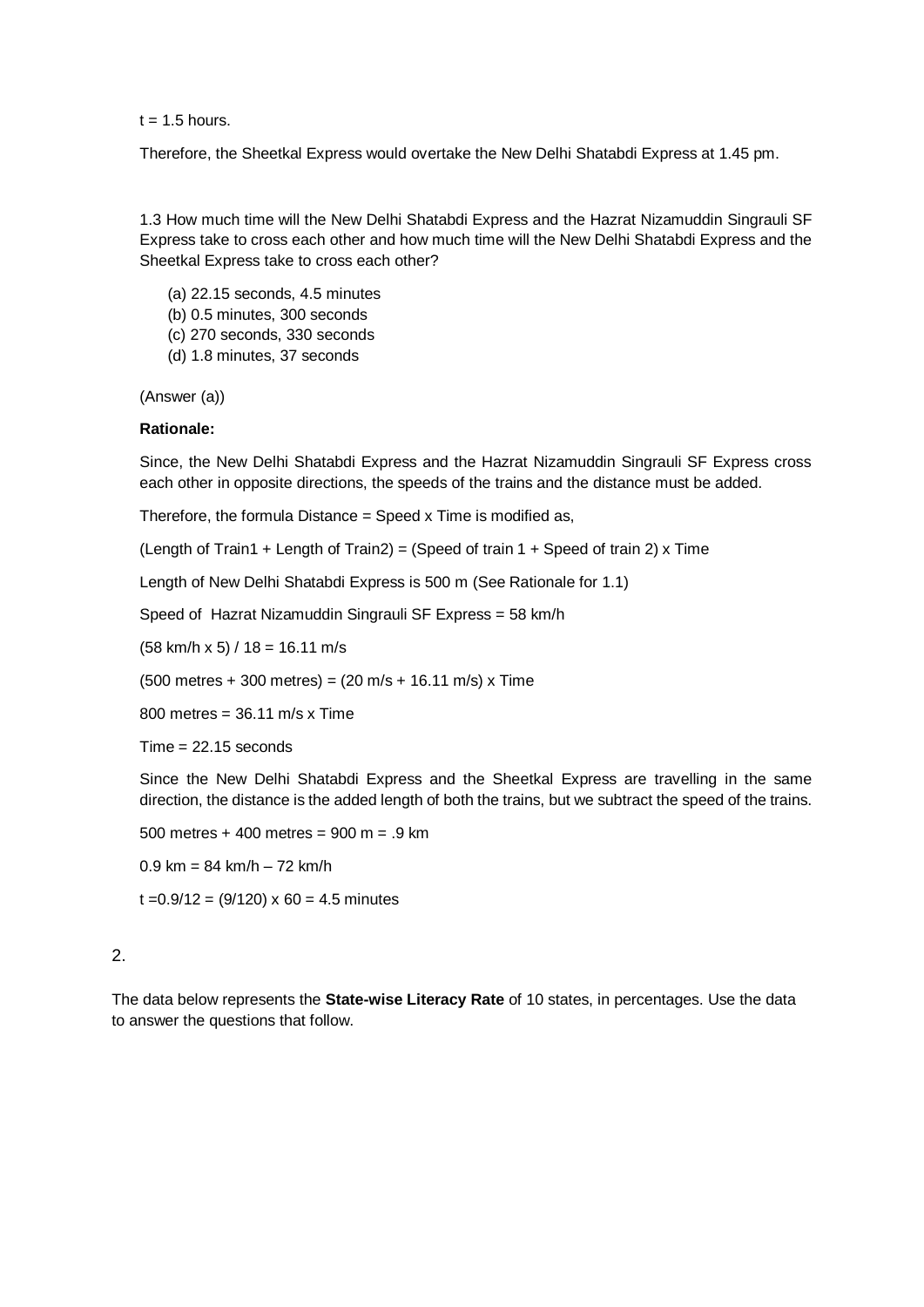$t = 1.5$  hours.

Therefore, the Sheetkal Express would overtake the New Delhi Shatabdi Express at 1.45 pm.

1.3 How much time will the New Delhi Shatabdi Express and the Hazrat Nizamuddin Singrauli SF Express take to cross each other and how much time will the New Delhi Shatabdi Express and the Sheetkal Express take to cross each other?

- (a) 22.15 seconds, 4.5 minutes
- (b) 0.5 minutes, 300 seconds
- (c) 270 seconds, 330 seconds
- (d) 1.8 minutes, 37 seconds

(Answer (a))

## **Rationale:**

Since, the New Delhi Shatabdi Express and the Hazrat Nizamuddin Singrauli SF Express cross each other in opposite directions, the speeds of the trains and the distance must be added.

Therefore, the formula Distance = Speed x Time is modified as,

(Length of Train1 + Length of Train2) = (Speed of train  $1 +$  Speed of train 2) x Time

Length of New Delhi Shatabdi Express is 500 m (See Rationale for 1.1)

Speed of Hazrat Nizamuddin Singrauli SF Express = 58 km/h

(58 km/h x 5) / 18 = 16.11 m/s

 $(500 \text{ metres} + 300 \text{ metres}) = (20 \text{ m/s} + 16.11 \text{ m/s}) \times \text{Time}$ 

800 metres = 36.11 m/s x Time

 $Time = 22.15$  seconds

Since the New Delhi Shatabdi Express and the Sheetkal Express are travelling in the same direction, the distance is the added length of both the trains, but we subtract the speed of the trains.

500 metres + 400 metres = 900 m = .9 km

 $0.9 \text{ km} = 84 \text{ km/h} - 72 \text{ km/h}$ 

 $t = 0.9/12 = (9/120) \times 60 = 4.5$  minutes

#### 2.

The data below represents the **State-wise Literacy Rate** of 10 states, in percentages. Use the data to answer the questions that follow.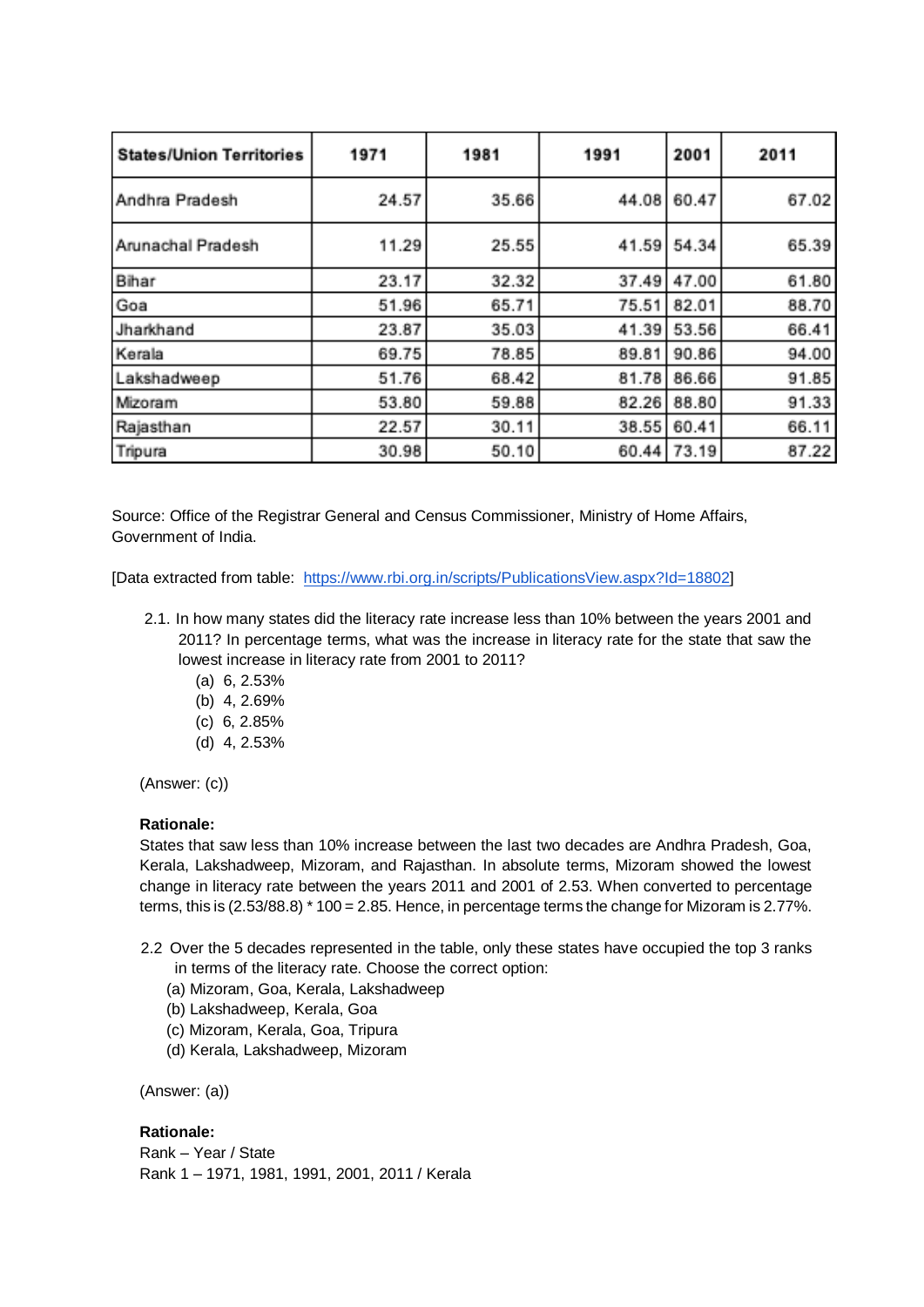| <b>States/Union Territories</b> | 1971  | 1981  | 1991  | 2001  | 2011  |
|---------------------------------|-------|-------|-------|-------|-------|
| Andhra Pradesh                  | 24.57 | 35.66 | 44.08 | 60.47 | 67.02 |
| Arunachal Pradesh               | 11.29 | 25.55 | 41.59 | 54.34 | 65.39 |
| Bihar                           | 23.17 | 32.32 | 37.49 | 47.00 | 61.80 |
| Goa                             | 51.96 | 65.71 | 75.51 | 82.01 | 88.70 |
| Jharkhand                       | 23.87 | 35.03 | 41.39 | 53.56 | 66.41 |
| Kerala                          | 69.75 | 78.85 | 89.81 | 90.86 | 94.00 |
| Lakshadweep                     | 51.76 | 68.42 | 81.78 | 86.66 | 91.85 |
| Mizoram                         | 53.80 | 59.88 | 82.26 | 88.80 | 91.33 |
| Rajasthan                       | 22.57 | 30.11 | 38.55 | 60.41 | 66.11 |
| Tripura                         | 30.98 | 50.10 | 60.44 | 73.19 | 87.22 |

Source: Office of the Registrar General and Census Commissioner, Ministry of Home Affairs, Government of India.

[Data extracted from table: [https://www.rbi.org.in/scripts/PublicationsView.aspx?Id=18802\]](https://www.rbi.org.in/scripts/PublicationsView.aspx?Id=18802)

- 2.1. In how many states did the literacy rate increase less than 10% between the years 2001 and 2011? In percentage terms, what was the increase in literacy rate for the state that saw the lowest increase in literacy rate from 2001 to 2011?
	- (a) 6, 2.53%
	- (b) 4, 2.69%
	- (c) 6, 2.85%
	- (d) 4, 2.53%

(Answer: (c))

#### **Rationale:**

States that saw less than 10% increase between the last two decades are Andhra Pradesh, Goa, Kerala, Lakshadweep, Mizoram, and Rajasthan. In absolute terms, Mizoram showed the lowest change in literacy rate between the years 2011 and 2001 of 2.53. When converted to percentage terms, this is (2.53/88.8) \* 100 = 2.85. Hence, in percentage terms the change for Mizoram is 2.77%.

- 2.2 Over the 5 decades represented in the table, only these states have occupied the top 3 ranks in terms of the literacy rate. Choose the correct option:
	- (a) Mizoram, Goa, Kerala, Lakshadweep
	- (b) Lakshadweep, Kerala, Goa
	- (c) Mizoram, Kerala, Goa, Tripura
	- (d) Kerala, Lakshadweep, Mizoram

(Answer: (a))

#### **Rationale:**

Rank – Year / State Rank 1 – 1971, 1981, 1991, 2001, 2011 / Kerala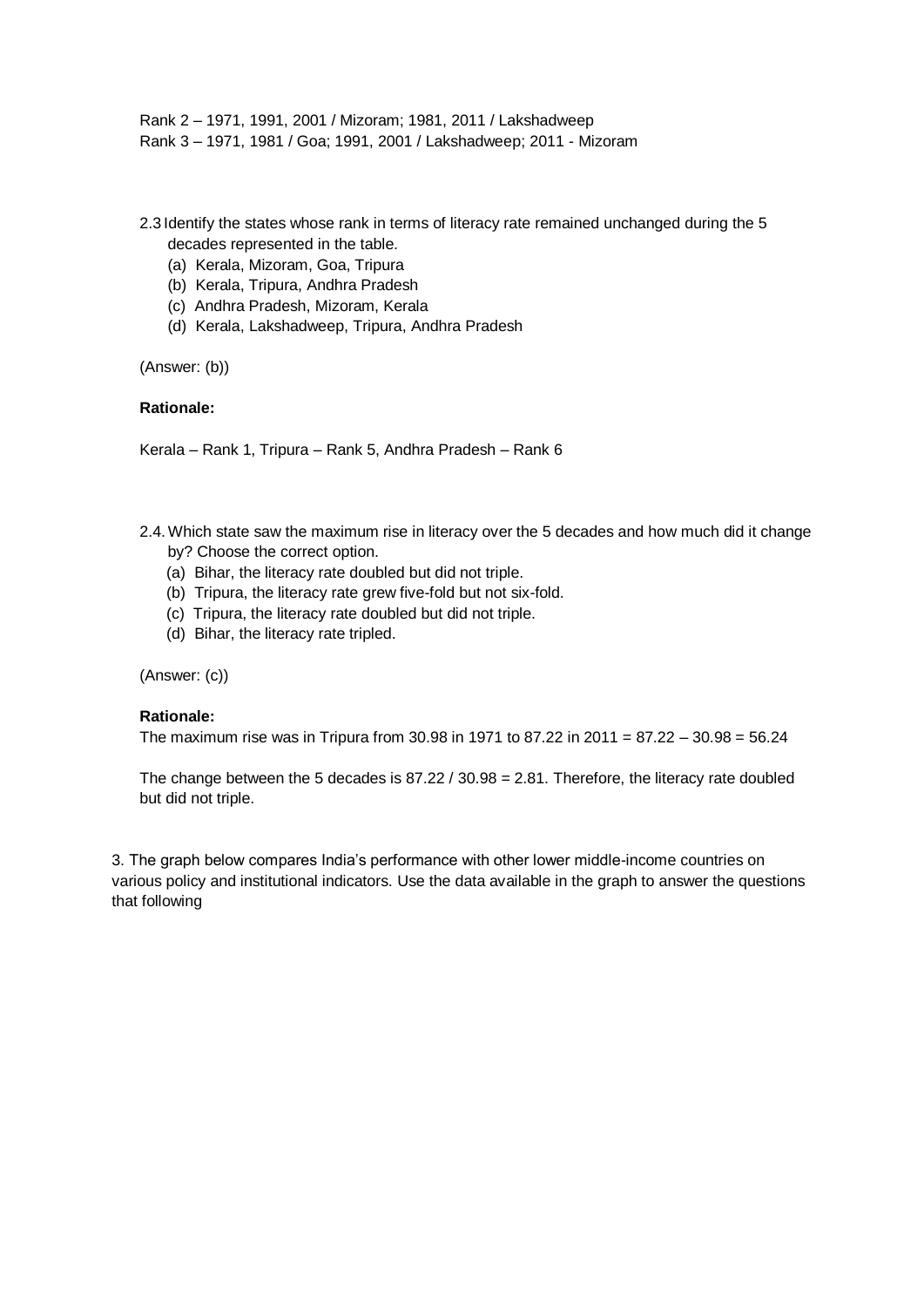Rank 2 – 1971, 1991, 2001 / Mizoram; 1981, 2011 / Lakshadweep Rank 3 – 1971, 1981 / Goa; 1991, 2001 / Lakshadweep; 2011 - Mizoram

- 2.3 Identify the states whose rank in terms of literacy rate remained unchanged during the 5 decades represented in the table.
	- (a) Kerala, Mizoram, Goa, Tripura
	- (b) Kerala, Tripura, Andhra Pradesh
	- (c) Andhra Pradesh, Mizoram, Kerala
	- (d) Kerala, Lakshadweep, Tripura, Andhra Pradesh

(Answer: (b))

#### **Rationale:**

Kerala – Rank 1, Tripura – Rank 5, Andhra Pradesh – Rank 6

- 2.4.Which state saw the maximum rise in literacy over the 5 decades and how much did it change by? Choose the correct option.
	- (a) Bihar, the literacy rate doubled but did not triple.
	- (b) Tripura, the literacy rate grew five-fold but not six-fold.
	- (c) Tripura, the literacy rate doubled but did not triple.
	- (d) Bihar, the literacy rate tripled.

(Answer: (c))

#### **Rationale:**

The maximum rise was in Tripura from 30.98 in 1971 to 87.22 in 2011 = 87.22 – 30.98 = 56.24

The change between the 5 decades is 87.22 / 30.98 = 2.81. Therefore, the literacy rate doubled but did not triple.

3. The graph below compares India's performance with other lower middle-income countries on various policy and institutional indicators. Use the data available in the graph to answer the questions that following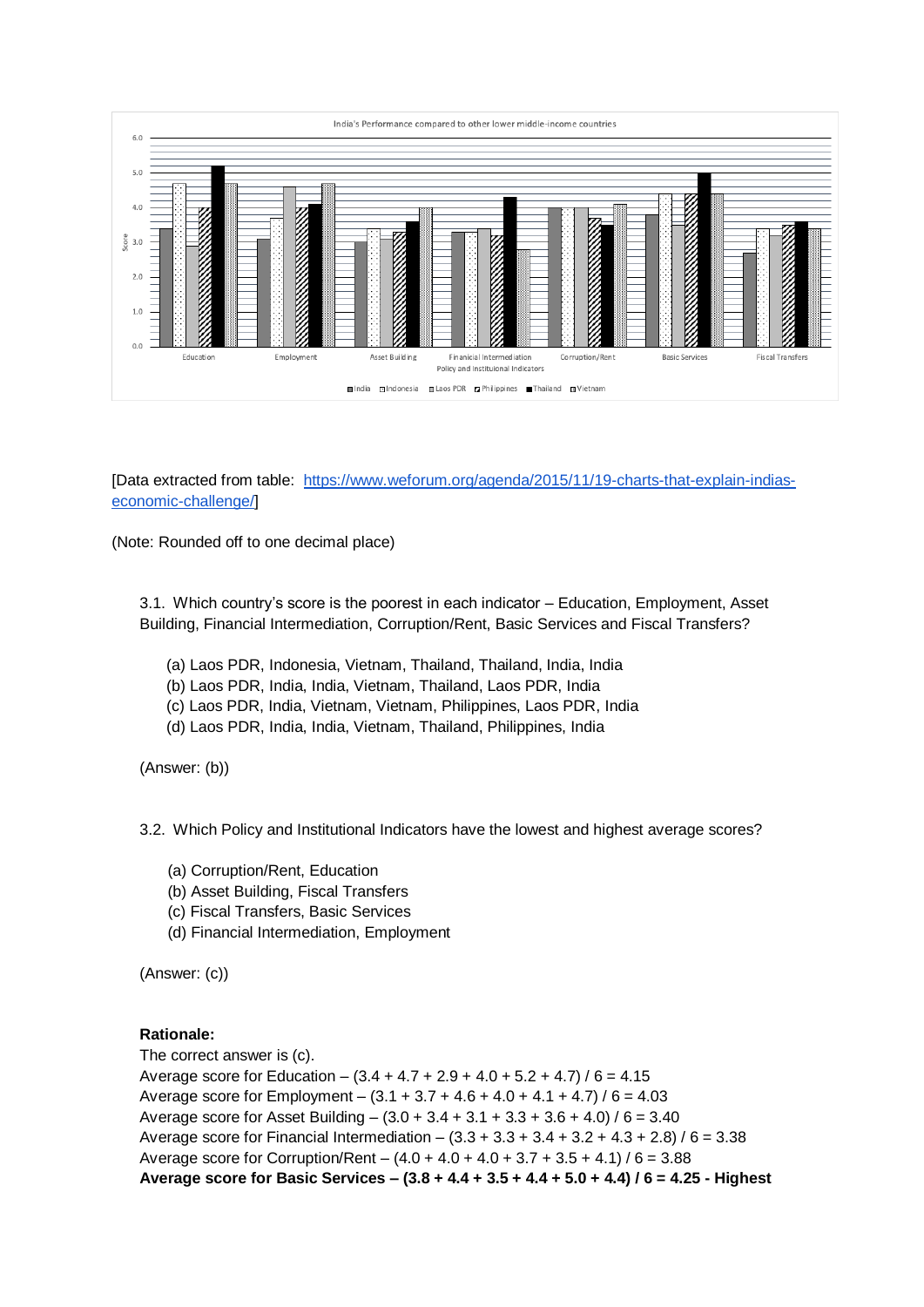

[Data extracted from table: [https://www.weforum.org/agenda/2015/11/19-charts-that-explain-indias](https://www.weforum.org/agenda/2015/11/19-charts-that-explain-indias-economic-challenge/)[economic-challenge/\]](https://www.weforum.org/agenda/2015/11/19-charts-that-explain-indias-economic-challenge/)

(Note: Rounded off to one decimal place)

3.1. Which country's score is the poorest in each indicator – Education, Employment, Asset Building, Financial Intermediation, Corruption/Rent, Basic Services and Fiscal Transfers?

- (a) Laos PDR, Indonesia, Vietnam, Thailand, Thailand, India, India
- (b) Laos PDR, India, India, Vietnam, Thailand, Laos PDR, India
- (c) Laos PDR, India, Vietnam, Vietnam, Philippines, Laos PDR, India
- (d) Laos PDR, India, India, Vietnam, Thailand, Philippines, India

(Answer: (b))

3.2. Which Policy and Institutional Indicators have the lowest and highest average scores?

- (a) Corruption/Rent, Education
- (b) Asset Building, Fiscal Transfers
- (c) Fiscal Transfers, Basic Services
- (d) Financial Intermediation, Employment

(Answer: (c))

# **Rationale:**

The correct answer is (c). Average score for Education –  $(3.4 + 4.7 + 2.9 + 4.0 + 5.2 + 4.7) / 6 = 4.15$ Average score for Employment –  $(3.1 + 3.7 + 4.6 + 4.0 + 4.1 + 4.7) / 6 = 4.03$ Average score for Asset Building  $- (3.0 + 3.4 + 3.1 + 3.3 + 3.6 + 4.0) / 6 = 3.40$ Average score for Financial Intermediation –  $(3.3 + 3.3 + 3.4 + 3.2 + 4.3 + 2.8) / 6 = 3.38$ Average score for Corruption/Rent –  $(4.0 + 4.0 + 4.0 + 3.7 + 3.5 + 4.1)$  / 6 = 3.88 **Average score for Basic Services – (3.8 + 4.4 + 3.5 + 4.4 + 5.0 + 4.4) / 6 = 4.25 - Highest**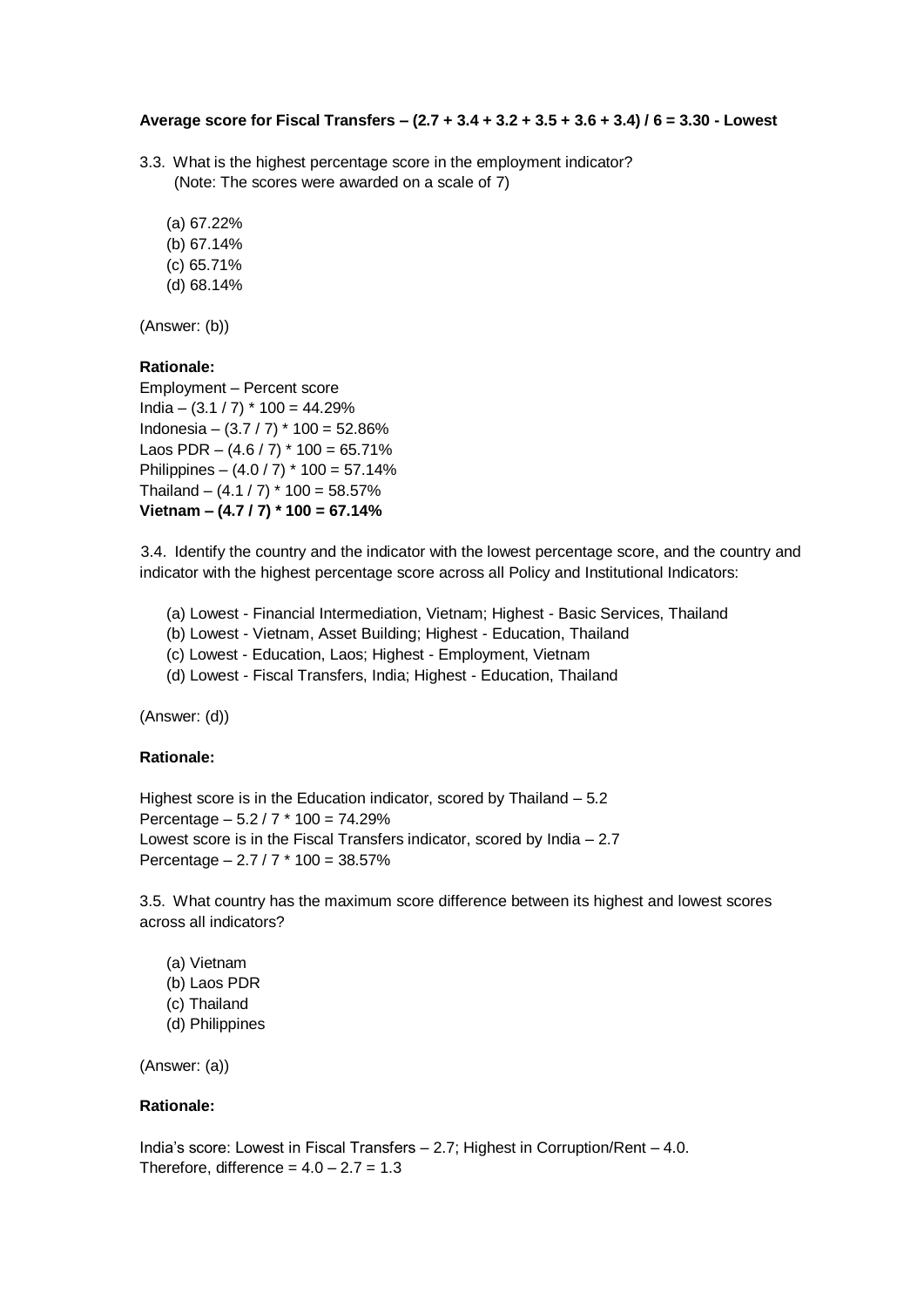#### **Average score for Fiscal Transfers – (2.7 + 3.4 + 3.2 + 3.5 + 3.6 + 3.4) / 6 = 3.30 - Lowest**

- 3.3. What is the highest percentage score in the employment indicator? (Note: The scores were awarded on a scale of 7)
	- (a) 67.22% (b) 67.14% (c) 65.71% (d) 68.14%

(Answer: (b))

### **Rationale:**

Employment – Percent score India –  $(3.1 / 7)$  \* 100 = 44.29% Indonesia – (3.7 / 7) \* 100 = 52.86% Laos PDR –  $(4.6 / 7)$  \* 100 = 65.71% Philippines – (4.0 / 7) \* 100 = 57.14% Thailand –  $(4.1 / 7)$  \* 100 = 58.57% **Vietnam – (4.7 / 7) \* 100 = 67.14%**

3.4. Identify the country and the indicator with the lowest percentage score, and the country and indicator with the highest percentage score across all Policy and Institutional Indicators:

(a) Lowest - Financial Intermediation, Vietnam; Highest - Basic Services, Thailand

(b) Lowest - Vietnam, Asset Building; Highest - Education, Thailand

(c) Lowest - Education, Laos; Highest - Employment, Vietnam

(d) Lowest - Fiscal Transfers, India; Highest - Education, Thailand

(Answer: (d))

### **Rationale:**

Highest score is in the Education indicator, scored by Thailand – 5.2 Percentage  $-5.2 / 7 * 100 = 74.29%$ Lowest score is in the Fiscal Transfers indicator, scored by India – 2.7 Percentage – 2.7 / 7 \* 100 = 38.57%

3.5. What country has the maximum score difference between its highest and lowest scores across all indicators?

(a) Vietnam (b) Laos PDR (c) Thailand (d) Philippines

(Answer: (a))

#### **Rationale:**

India's score: Lowest in Fiscal Transfers – 2.7; Highest in Corruption/Rent – 4.0. Therefore, difference =  $4.0 - 2.7 = 1.3$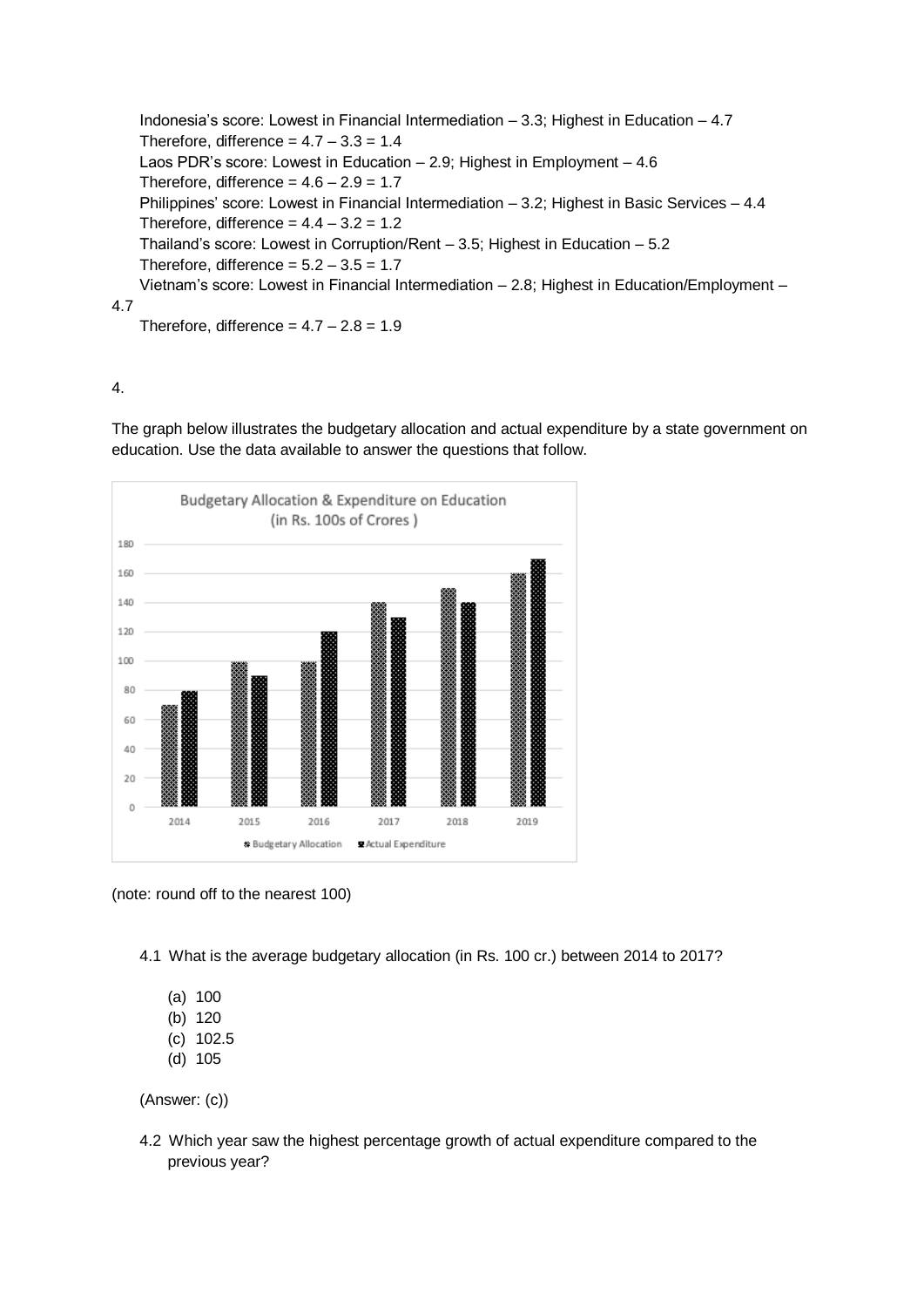Indonesia's score: Lowest in Financial Intermediation – 3.3; Highest in Education – 4.7 Therefore, difference =  $4.7 - 3.3 = 1.4$ Laos PDR's score: Lowest in Education – 2.9; Highest in Employment – 4.6 Therefore, difference =  $4.6 - 2.9 = 1.7$ Philippines' score: Lowest in Financial Intermediation – 3.2; Highest in Basic Services – 4.4 Therefore, difference =  $4.4 - 3.2 = 1.2$ Thailand's score: Lowest in Corruption/Rent – 3.5; Highest in Education – 5.2 Therefore, difference =  $5.2 - 3.5 = 1.7$ Vietnam's score: Lowest in Financial Intermediation – 2.8; Highest in Education/Employment – Therefore, difference =  $4.7 - 2.8 = 1.9$ 

## 4.

4.7

The graph below illustrates the budgetary allocation and actual expenditure by a state government on education. Use the data available to answer the questions that follow.



<sup>(</sup>note: round off to the nearest 100)

4.1 What is the average budgetary allocation (in Rs. 100 cr.) between 2014 to 2017?

(a) 100 (b) 120 (c) 102.5 (d) 105

(Answer: (c))

4.2 Which year saw the highest percentage growth of actual expenditure compared to the previous year?